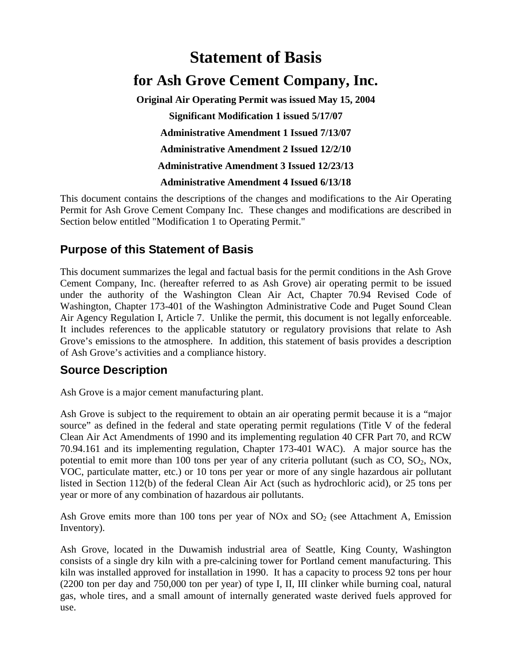# **Statement of Basis for Ash Grove Cement Company, Inc. Original Air Operating Permit was issued May 15, 2004 Significant Modification 1 issued 5/17/07 Administrative Amendment 1 Issued 7/13/07 Administrative Amendment 2 Issued 12/2/10 Administrative Amendment 3 Issued 12/23/13**

**Administrative Amendment 4 Issued 6/13/18**

This document contains the descriptions of the changes and modifications to the Air Operating Permit for Ash Grove Cement Company Inc. These changes and modifications are described in Section below entitled "Modification 1 to Operating Permit."

## **Purpose of this Statement of Basis**

This document summarizes the legal and factual basis for the permit conditions in the Ash Grove Cement Company, Inc. (hereafter referred to as Ash Grove) air operating permit to be issued under the authority of the Washington Clean Air Act, Chapter 70.94 Revised Code of Washington, Chapter 173-401 of the Washington Administrative Code and Puget Sound Clean Air Agency Regulation I, Article 7. Unlike the permit, this document is not legally enforceable. It includes references to the applicable statutory or regulatory provisions that relate to Ash Grove's emissions to the atmosphere. In addition, this statement of basis provides a description of Ash Grove's activities and a compliance history.

## **Source Description**

Ash Grove is a major cement manufacturing plant.

Ash Grove is subject to the requirement to obtain an air operating permit because it is a "major source" as defined in the federal and state operating permit regulations (Title V of the federal Clean Air Act Amendments of 1990 and its implementing regulation 40 CFR Part 70, and RCW 70.94.161 and its implementing regulation, Chapter 173-401 WAC). A major source has the potential to emit more than 100 tons per year of any criteria pollutant (such as  $CO$ ,  $SO_2$ ,  $NOx$ , VOC, particulate matter, etc.) or 10 tons per year or more of any single hazardous air pollutant listed in Section 112(b) of the federal Clean Air Act (such as hydrochloric acid), or 25 tons per year or more of any combination of hazardous air pollutants.

Ash Grove emits more than 100 tons per year of NOx and  $SO<sub>2</sub>$  (see Attachment A, Emission Inventory).

Ash Grove, located in the Duwamish industrial area of Seattle, King County, Washington consists of a single dry kiln with a pre-calcining tower for Portland cement manufacturing. This kiln was installed approved for installation in 1990. It has a capacity to process 92 tons per hour (2200 ton per day and 750,000 ton per year) of type I, II, III clinker while burning coal, natural gas, whole tires, and a small amount of internally generated waste derived fuels approved for use.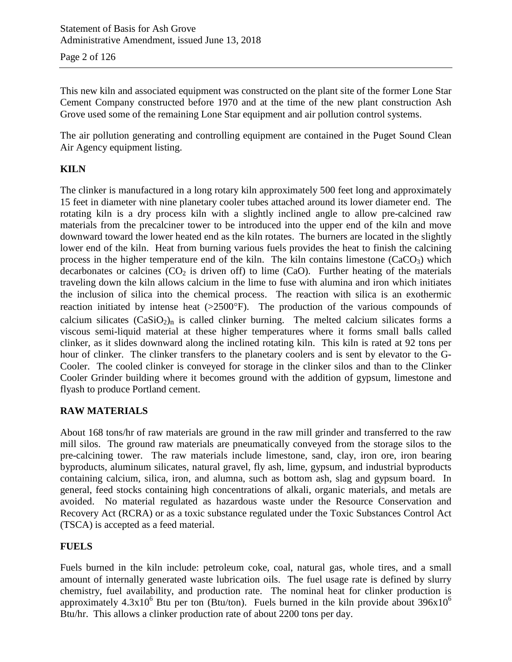Page 2 of 126

This new kiln and associated equipment was constructed on the plant site of the former Lone Star Cement Company constructed before 1970 and at the time of the new plant construction Ash Grove used some of the remaining Lone Star equipment and air pollution control systems.

The air pollution generating and controlling equipment are contained in the Puget Sound Clean Air Agency equipment listing.

#### **KILN**

The clinker is manufactured in a long rotary kiln approximately 500 feet long and approximately 15 feet in diameter with nine planetary cooler tubes attached around its lower diameter end. The rotating kiln is a dry process kiln with a slightly inclined angle to allow pre-calcined raw materials from the precalciner tower to be introduced into the upper end of the kiln and move downward toward the lower heated end as the kiln rotates. The burners are located in the slightly lower end of the kiln. Heat from burning various fuels provides the heat to finish the calcining process in the higher temperature end of the kiln. The kiln contains limestone  $(CaCO<sub>3</sub>)$  which decarbonates or calcines  $(CO<sub>2</sub>$  is driven off) to lime  $(CaO)$ . Further heating of the materials traveling down the kiln allows calcium in the lime to fuse with alumina and iron which initiates the inclusion of silica into the chemical process. The reaction with silica is an exothermic reaction initiated by intense heat (>2500°F). The production of the various compounds of calcium silicates  $(CaSiO<sub>2</sub>)<sub>n</sub>$  is called clinker burning. The melted calcium silicates forms a viscous semi-liquid material at these higher temperatures where it forms small balls called clinker, as it slides downward along the inclined rotating kiln. This kiln is rated at 92 tons per hour of clinker. The clinker transfers to the planetary coolers and is sent by elevator to the G-Cooler. The cooled clinker is conveyed for storage in the clinker silos and than to the Clinker Cooler Grinder building where it becomes ground with the addition of gypsum, limestone and flyash to produce Portland cement.

#### **RAW MATERIALS**

About 168 tons/hr of raw materials are ground in the raw mill grinder and transferred to the raw mill silos. The ground raw materials are pneumatically conveyed from the storage silos to the pre-calcining tower. The raw materials include limestone, sand, clay, iron ore, iron bearing byproducts, aluminum silicates, natural gravel, fly ash, lime, gypsum, and industrial byproducts containing calcium, silica, iron, and alumna, such as bottom ash, slag and gypsum board. In general, feed stocks containing high concentrations of alkali, organic materials, and metals are avoided. No material regulated as hazardous waste under the Resource Conservation and Recovery Act (RCRA) or as a toxic substance regulated under the Toxic Substances Control Act (TSCA) is accepted as a feed material.

#### **FUELS**

Fuels burned in the kiln include: petroleum coke, coal, natural gas, whole tires, and a small amount of internally generated waste lubrication oils. The fuel usage rate is defined by slurry chemistry, fuel availability, and production rate. The nominal heat for clinker production is approximately  $4.3x10^6$  Btu per ton (Btu/ton). Fuels burned in the kiln provide about  $396x10^6$ Btu/hr. This allows a clinker production rate of about 2200 tons per day.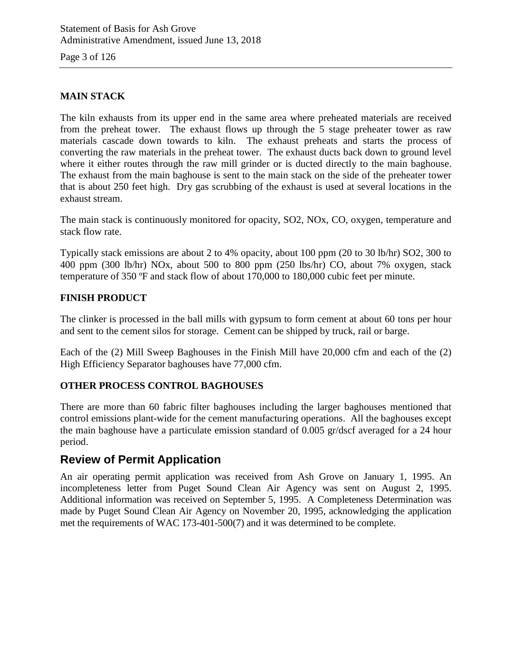Page 3 of 126

#### **MAIN STACK**

The kiln exhausts from its upper end in the same area where preheated materials are received from the preheat tower. The exhaust flows up through the 5 stage preheater tower as raw materials cascade down towards to kiln. The exhaust preheats and starts the process of converting the raw materials in the preheat tower. The exhaust ducts back down to ground level where it either routes through the raw mill grinder or is ducted directly to the main baghouse. The exhaust from the main baghouse is sent to the main stack on the side of the preheater tower that is about 250 feet high. Dry gas scrubbing of the exhaust is used at several locations in the exhaust stream.

The main stack is continuously monitored for opacity, SO2, NOx, CO, oxygen, temperature and stack flow rate.

Typically stack emissions are about 2 to 4% opacity, about 100 ppm (20 to 30 lb/hr) SO2, 300 to 400 ppm (300 lb/hr) NOx, about 500 to 800 ppm (250 lbs/hr) CO, about 7% oxygen, stack temperature of 350 ºF and stack flow of about 170,000 to 180,000 cubic feet per minute.

#### **FINISH PRODUCT**

The clinker is processed in the ball mills with gypsum to form cement at about 60 tons per hour and sent to the cement silos for storage. Cement can be shipped by truck, rail or barge.

Each of the (2) Mill Sweep Baghouses in the Finish Mill have 20,000 cfm and each of the (2) High Efficiency Separator baghouses have 77,000 cfm.

#### **OTHER PROCESS CONTROL BAGHOUSES**

There are more than 60 fabric filter baghouses including the larger baghouses mentioned that control emissions plant-wide for the cement manufacturing operations. All the baghouses except the main baghouse have a particulate emission standard of 0.005 gr/dscf averaged for a 24 hour period.

## **Review of Permit Application**

An air operating permit application was received from Ash Grove on January 1, 1995. An incompleteness letter from Puget Sound Clean Air Agency was sent on August 2, 1995. Additional information was received on September 5, 1995. A Completeness Determination was made by Puget Sound Clean Air Agency on November 20, 1995, acknowledging the application met the requirements of WAC 173-401-500(7) and it was determined to be complete.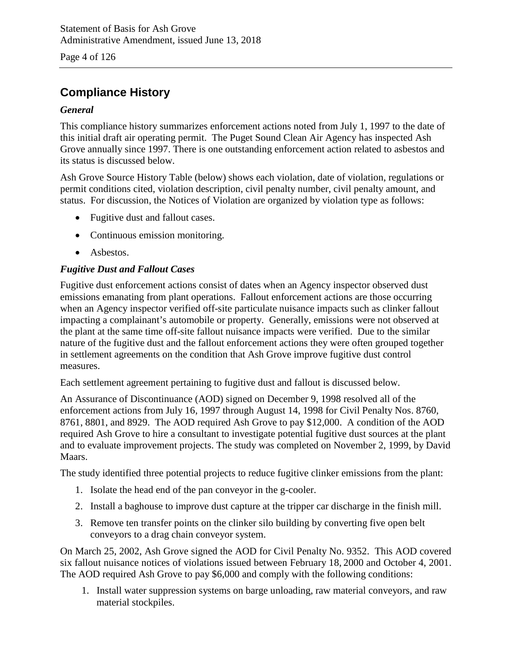Page 4 of 126

## **Compliance History**

#### *General*

This compliance history summarizes enforcement actions noted from July 1, 1997 to the date of this initial draft air operating permit. The Puget Sound Clean Air Agency has inspected Ash Grove annually since 1997. There is one outstanding enforcement action related to asbestos and its status is discussed below.

Ash Grove Source History Table (below) shows each violation, date of violation, regulations or permit conditions cited, violation description, civil penalty number, civil penalty amount, and status. For discussion, the Notices of Violation are organized by violation type as follows:

- Fugitive dust and fallout cases.
- Continuous emission monitoring.
- Asbestos.

#### *Fugitive Dust and Fallout Cases*

Fugitive dust enforcement actions consist of dates when an Agency inspector observed dust emissions emanating from plant operations. Fallout enforcement actions are those occurring when an Agency inspector verified off-site particulate nuisance impacts such as clinker fallout impacting a complainant's automobile or property. Generally, emissions were not observed at the plant at the same time off-site fallout nuisance impacts were verified. Due to the similar nature of the fugitive dust and the fallout enforcement actions they were often grouped together in settlement agreements on the condition that Ash Grove improve fugitive dust control measures.

Each settlement agreement pertaining to fugitive dust and fallout is discussed below.

An Assurance of Discontinuance (AOD) signed on December 9, 1998 resolved all of the enforcement actions from July 16, 1997 through August 14, 1998 for Civil Penalty Nos. 8760, 8761, 8801, and 8929. The AOD required Ash Grove to pay \$12,000. A condition of the AOD required Ash Grove to hire a consultant to investigate potential fugitive dust sources at the plant and to evaluate improvement projects. The study was completed on November 2, 1999, by David Maars.

The study identified three potential projects to reduce fugitive clinker emissions from the plant:

- 1. Isolate the head end of the pan conveyor in the g-cooler.
- 2. Install a baghouse to improve dust capture at the tripper car discharge in the finish mill.
- 3. Remove ten transfer points on the clinker silo building by converting five open belt conveyors to a drag chain conveyor system.

On March 25, 2002, Ash Grove signed the AOD for Civil Penalty No. 9352. This AOD covered six fallout nuisance notices of violations issued between February 18, 2000 and October 4, 2001. The AOD required Ash Grove to pay \$6,000 and comply with the following conditions:

1. Install water suppression systems on barge unloading, raw material conveyors, and raw material stockpiles.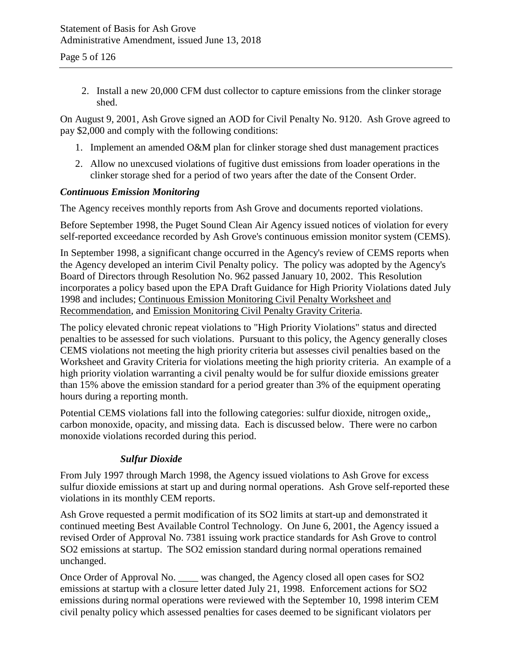2. Install a new 20,000 CFM dust collector to capture emissions from the clinker storage shed.

On August 9, 2001, Ash Grove signed an AOD for Civil Penalty No. 9120. Ash Grove agreed to pay \$2,000 and comply with the following conditions:

- 1. Implement an amended O&M plan for clinker storage shed dust management practices
- 2. Allow no unexcused violations of fugitive dust emissions from loader operations in the clinker storage shed for a period of two years after the date of the Consent Order.

#### *Continuous Emission Monitoring*

The Agency receives monthly reports from Ash Grove and documents reported violations.

Before September 1998, the Puget Sound Clean Air Agency issued notices of violation for every self-reported exceedance recorded by Ash Grove's continuous emission monitor system (CEMS).

In September 1998, a significant change occurred in the Agency's review of CEMS reports when the Agency developed an interim Civil Penalty policy. The policy was adopted by the Agency's Board of Directors through Resolution No. 962 passed January 10, 2002. This Resolution incorporates a policy based upon the EPA Draft Guidance for High Priority Violations dated July 1998 and includes; Continuous Emission Monitoring Civil Penalty Worksheet and Recommendation, and Emission Monitoring Civil Penalty Gravity Criteria.

The policy elevated chronic repeat violations to "High Priority Violations" status and directed penalties to be assessed for such violations. Pursuant to this policy, the Agency generally closes CEMS violations not meeting the high priority criteria but assesses civil penalties based on the Worksheet and Gravity Criteria for violations meeting the high priority criteria. An example of a high priority violation warranting a civil penalty would be for sulfur dioxide emissions greater than 15% above the emission standard for a period greater than 3% of the equipment operating hours during a reporting month.

Potential CEMS violations fall into the following categories: sulfur dioxide, nitrogen oxide,, carbon monoxide, opacity, and missing data. Each is discussed below. There were no carbon monoxide violations recorded during this period.

#### *Sulfur Dioxide*

From July 1997 through March 1998, the Agency issued violations to Ash Grove for excess sulfur dioxide emissions at start up and during normal operations. Ash Grove self-reported these violations in its monthly CEM reports.

Ash Grove requested a permit modification of its SO2 limits at start-up and demonstrated it continued meeting Best Available Control Technology. On June 6, 2001, the Agency issued a revised Order of Approval No. 7381 issuing work practice standards for Ash Grove to control SO2 emissions at startup. The SO2 emission standard during normal operations remained unchanged.

Once Order of Approval No. \_\_\_\_ was changed, the Agency closed all open cases for SO2 emissions at startup with a closure letter dated July 21, 1998. Enforcement actions for SO2 emissions during normal operations were reviewed with the September 10, 1998 interim CEM civil penalty policy which assessed penalties for cases deemed to be significant violators per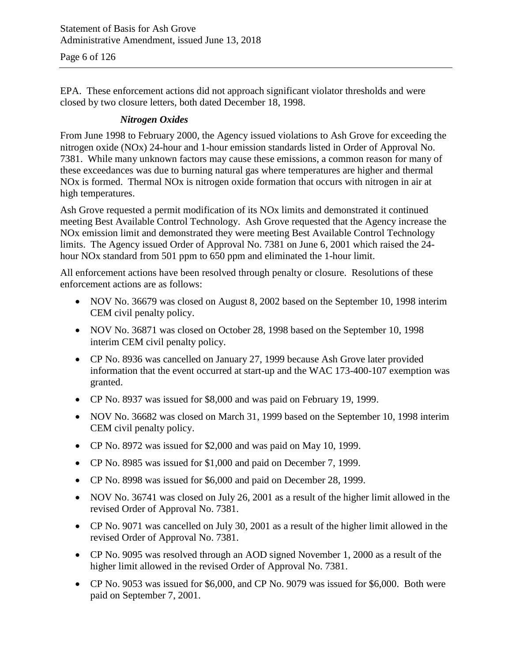EPA. These enforcement actions did not approach significant violator thresholds and were closed by two closure letters, both dated December 18, 1998.

#### *Nitrogen Oxides*

From June 1998 to February 2000, the Agency issued violations to Ash Grove for exceeding the nitrogen oxide (NOx) 24-hour and 1-hour emission standards listed in Order of Approval No. 7381. While many unknown factors may cause these emissions, a common reason for many of these exceedances was due to burning natural gas where temperatures are higher and thermal NOx is formed. Thermal NOx is nitrogen oxide formation that occurs with nitrogen in air at high temperatures.

Ash Grove requested a permit modification of its NOx limits and demonstrated it continued meeting Best Available Control Technology. Ash Grove requested that the Agency increase the NOx emission limit and demonstrated they were meeting Best Available Control Technology limits. The Agency issued Order of Approval No. 7381 on June 6, 2001 which raised the 24 hour NO<sub>x</sub> standard from 501 ppm to 650 ppm and eliminated the 1-hour limit.

All enforcement actions have been resolved through penalty or closure. Resolutions of these enforcement actions are as follows:

- NOV No. 36679 was closed on August 8, 2002 based on the September 10, 1998 interim CEM civil penalty policy.
- NOV No. 36871 was closed on October 28, 1998 based on the September 10, 1998 interim CEM civil penalty policy.
- CP No. 8936 was cancelled on January 27, 1999 because Ash Grove later provided information that the event occurred at start-up and the WAC 173-400-107 exemption was granted.
- CP No. 8937 was issued for \$8,000 and was paid on February 19, 1999.
- NOV No. 36682 was closed on March 31, 1999 based on the September 10, 1998 interim CEM civil penalty policy.
- CP No. 8972 was issued for \$2,000 and was paid on May 10, 1999.
- CP No. 8985 was issued for \$1,000 and paid on December 7, 1999.
- CP No. 8998 was issued for \$6,000 and paid on December 28, 1999.
- NOV No. 36741 was closed on July 26, 2001 as a result of the higher limit allowed in the revised Order of Approval No. 7381.
- CP No. 9071 was cancelled on July 30, 2001 as a result of the higher limit allowed in the revised Order of Approval No. 7381.
- CP No. 9095 was resolved through an AOD signed November 1, 2000 as a result of the higher limit allowed in the revised Order of Approval No. 7381.
- CP No. 9053 was issued for \$6,000, and CP No. 9079 was issued for \$6,000. Both were paid on September 7, 2001.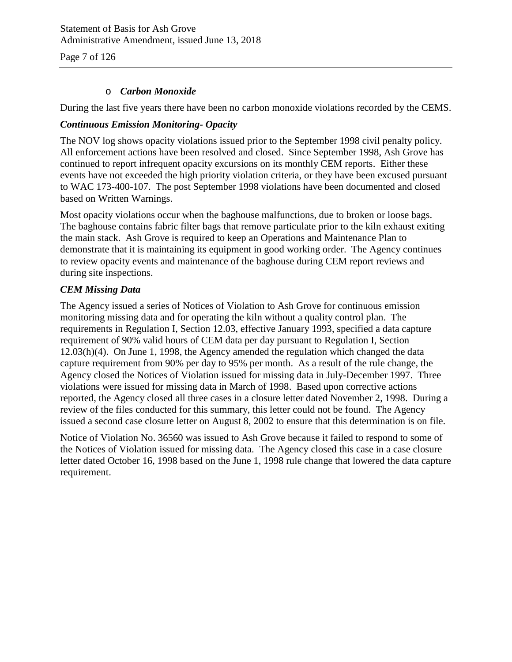Statement of Basis for Ash Grove Administrative Amendment, issued June 13, 2018

Page 7 of 126

#### o *Carbon Monoxide*

During the last five years there have been no carbon monoxide violations recorded by the CEMS.

#### *Continuous Emission Monitoring- Opacity*

The NOV log shows opacity violations issued prior to the September 1998 civil penalty policy. All enforcement actions have been resolved and closed. Since September 1998, Ash Grove has continued to report infrequent opacity excursions on its monthly CEM reports. Either these events have not exceeded the high priority violation criteria, or they have been excused pursuant to WAC 173-400-107. The post September 1998 violations have been documented and closed based on Written Warnings.

Most opacity violations occur when the baghouse malfunctions, due to broken or loose bags. The baghouse contains fabric filter bags that remove particulate prior to the kiln exhaust exiting the main stack. Ash Grove is required to keep an Operations and Maintenance Plan to demonstrate that it is maintaining its equipment in good working order. The Agency continues to review opacity events and maintenance of the baghouse during CEM report reviews and during site inspections.

#### *CEM Missing Data*

The Agency issued a series of Notices of Violation to Ash Grove for continuous emission monitoring missing data and for operating the kiln without a quality control plan. The requirements in Regulation I, Section 12.03, effective January 1993, specified a data capture requirement of 90% valid hours of CEM data per day pursuant to Regulation I, Section 12.03(h)(4). On June 1, 1998, the Agency amended the regulation which changed the data capture requirement from 90% per day to 95% per month. As a result of the rule change, the Agency closed the Notices of Violation issued for missing data in July-December 1997. Three violations were issued for missing data in March of 1998. Based upon corrective actions reported, the Agency closed all three cases in a closure letter dated November 2, 1998. During a review of the files conducted for this summary, this letter could not be found. The Agency issued a second case closure letter on August 8, 2002 to ensure that this determination is on file.

Notice of Violation No. 36560 was issued to Ash Grove because it failed to respond to some of the Notices of Violation issued for missing data. The Agency closed this case in a case closure letter dated October 16, 1998 based on the June 1, 1998 rule change that lowered the data capture requirement.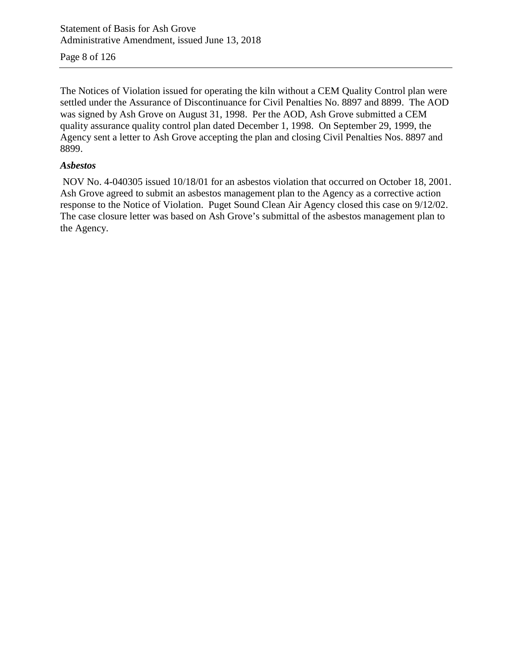Page 8 of 126

The Notices of Violation issued for operating the kiln without a CEM Quality Control plan were settled under the Assurance of Discontinuance for Civil Penalties No. 8897 and 8899. The AOD was signed by Ash Grove on August 31, 1998. Per the AOD, Ash Grove submitted a CEM quality assurance quality control plan dated December 1, 1998. On September 29, 1999, the Agency sent a letter to Ash Grove accepting the plan and closing Civil Penalties Nos. 8897 and 8899.

#### *Asbestos*

NOV No. 4-040305 issued 10/18/01 for an asbestos violation that occurred on October 18, 2001. Ash Grove agreed to submit an asbestos management plan to the Agency as a corrective action response to the Notice of Violation. Puget Sound Clean Air Agency closed this case on 9/12/02. The case closure letter was based on Ash Grove's submittal of the asbestos management plan to the Agency.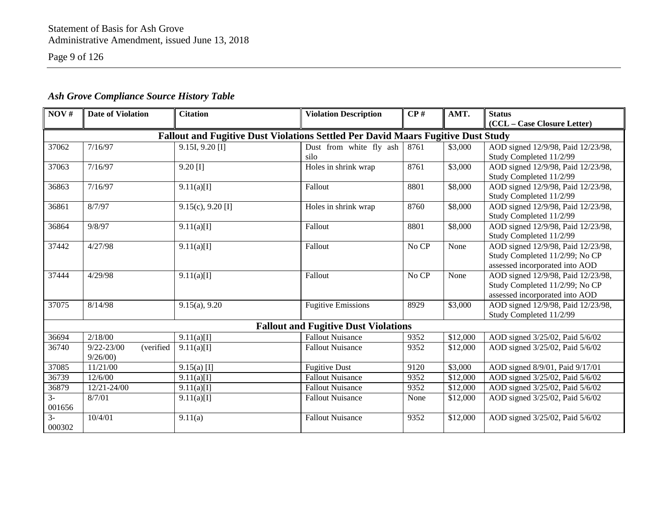Page 9 of 126

| NOV#               | <b>Date of Violation</b>    | <b>Citation</b>                                                                  | <b>Violation Description</b>                | CP#   | AMT.     | <b>Status</b>                      |
|--------------------|-----------------------------|----------------------------------------------------------------------------------|---------------------------------------------|-------|----------|------------------------------------|
|                    |                             |                                                                                  |                                             |       |          | (CCL - Case Closure Letter)        |
|                    |                             | Fallout and Fugitive Dust Violations Settled Per David Maars Fugitive Dust Study |                                             |       |          |                                    |
| $\overline{37062}$ | 7/16/97                     | $9.15I, 9.20$ [I]                                                                | Dust from white fly ash                     | 8761  | \$3,000  | AOD signed 12/9/98, Paid 12/23/98, |
|                    |                             |                                                                                  | silo                                        |       |          | Study Completed 11/2/99            |
| 37063              | 7/16/97                     | $9.20$ [I]                                                                       | Holes in shrink wrap                        | 8761  | \$3,000  | AOD signed 12/9/98, Paid 12/23/98, |
|                    |                             |                                                                                  |                                             |       |          | Study Completed 11/2/99            |
| 36863              | 7/16/97                     | 9.11(a)[1]                                                                       | Fallout                                     | 8801  | \$8,000  | AOD signed 12/9/98, Paid 12/23/98, |
|                    |                             |                                                                                  |                                             |       |          | Study Completed 11/2/99            |
| 36861              | 8/7/97                      | $9.15(c)$ , $9.20$ [I]                                                           | Holes in shrink wrap                        | 8760  | \$8,000  | AOD signed 12/9/98, Paid 12/23/98, |
|                    |                             |                                                                                  |                                             |       |          | Study Completed 11/2/99            |
| 36864              | 9/8/97                      | 9.11(a)[I]                                                                       | Fallout                                     | 8801  | \$8,000  | AOD signed 12/9/98, Paid 12/23/98, |
|                    |                             |                                                                                  |                                             |       |          | Study Completed 11/2/99            |
| 37442              | 4/27/98                     | 9.11(a)[1]                                                                       | Fallout                                     | No CP | None     | AOD signed 12/9/98, Paid 12/23/98, |
|                    |                             |                                                                                  |                                             |       |          | Study Completed 11/2/99; No CP     |
|                    |                             |                                                                                  |                                             |       |          | assessed incorporated into AOD     |
| 37444              | 4/29/98                     | 9.11(a)[1]                                                                       | Fallout                                     | No CP | None     | AOD signed 12/9/98, Paid 12/23/98, |
|                    |                             |                                                                                  |                                             |       |          | Study Completed 11/2/99; No CP     |
|                    |                             |                                                                                  |                                             |       |          | assessed incorporated into AOD     |
| 37075              | 8/14/98                     | $9.15(a)$ , $9.20$                                                               | <b>Fugitive Emissions</b>                   | 8929  | \$3,000  | AOD signed 12/9/98, Paid 12/23/98, |
|                    |                             |                                                                                  |                                             |       |          | Study Completed 11/2/99            |
|                    |                             |                                                                                  | <b>Fallout and Fugitive Dust Violations</b> |       |          |                                    |
| 36694              | 2/18/00                     | 9.11(a)[I]                                                                       | <b>Fallout Nuisance</b>                     | 9352  | \$12,000 | AOD signed 3/25/02, Paid 5/6/02    |
| 36740              | $9/22 - 23/00$<br>(verified | 9.11(a)[I]                                                                       | <b>Fallout Nuisance</b>                     | 9352  | \$12,000 | AOD signed 3/25/02, Paid 5/6/02    |
|                    | 9/26/00                     |                                                                                  |                                             |       |          |                                    |
| 37085              | 11/21/00                    | $9.15(a)$ [I]                                                                    | <b>Fugitive Dust</b>                        | 9120  | \$3,000  | AOD signed 8/9/01, Paid 9/17/01    |
| 36739              | 12/6/00                     | 9.11(a)[I]                                                                       | <b>Fallout Nuisance</b>                     | 9352  | \$12,000 | AOD signed 3/25/02, Paid 5/6/02    |
| 36879              | 12/21-24/00                 | 9.11(a)[I]                                                                       | <b>Fallout Nuisance</b>                     | 9352  | \$12,000 | AOD signed 3/25/02, Paid 5/6/02    |
| $3-$               | 8/7/01                      | 9.11(a)[1]                                                                       | <b>Fallout Nuisance</b>                     | None  | \$12,000 | AOD signed 3/25/02, Paid 5/6/02    |
| 001656             |                             |                                                                                  |                                             |       |          |                                    |
| $\overline{3}$     | 10/4/01                     | 9.11(a)                                                                          | <b>Fallout Nuisance</b>                     | 9352  | \$12,000 | AOD signed 3/25/02, Paid 5/6/02    |
| 000302             |                             |                                                                                  |                                             |       |          |                                    |

## *Ash Grove Compliance Source History Table*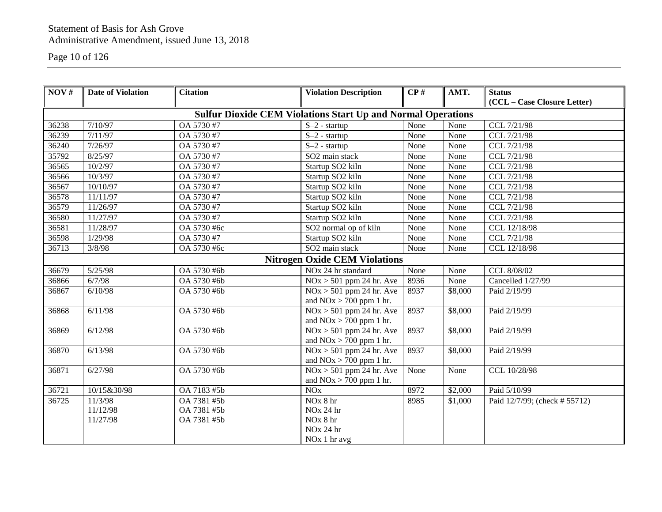Page 10 of 126

| NOV#  | <b>Date of Violation</b> | <b>Citation</b>                                                     | <b>Violation Description</b>                         | CP#  | AMT.                | <b>Status</b>                 |
|-------|--------------------------|---------------------------------------------------------------------|------------------------------------------------------|------|---------------------|-------------------------------|
|       |                          |                                                                     |                                                      |      |                     | (CCL - Case Closure Letter)   |
|       |                          | <b>Sulfur Dioxide CEM Violations Start Up and Normal Operations</b> |                                                      |      |                     |                               |
|       |                          |                                                                     |                                                      |      |                     |                               |
| 36238 | 7/10/97                  | OA 5730 #7                                                          | $S-2$ - startup                                      | None | None                | CCL 7/21/98                   |
| 36239 | 7/11/97                  | OA 5730 #7                                                          | $S-2$ - startup                                      | None | None                | CCL 7/21/98                   |
| 36240 | 7/26/97                  | OA 5730 #7                                                          | $S-2$ - startup                                      | None | None                | CCL 7/21/98                   |
| 35792 | 8/25/97                  | OA 5730 #7                                                          | SO2 main stack                                       | None | None                | CCL 7/21/98                   |
| 36565 | 10/2/97                  | OA 5730 #7                                                          | Startup SO2 kiln                                     | None | None                | CCL 7/21/98                   |
| 36566 | 10/3/97                  | OA 5730 #7                                                          | Startup SO2 kiln                                     | None | None                | CCL 7/21/98                   |
| 36567 | 10/10/97                 | OA 5730 #7                                                          | Startup SO2 kiln                                     | None | None                | CCL 7/21/98                   |
| 36578 | 11/11/97                 | OA 5730 #7                                                          | Startup SO2 kiln                                     | None | None                | CCL 7/21/98                   |
| 36579 | 11/26/97                 | OA 5730 #7                                                          | Startup SO2 kiln                                     | None | None                | CCL 7/21/98                   |
| 36580 | 11/27/97                 | OA 5730 #7                                                          | Startup SO2 kiln                                     | None | None                | CCL 7/21/98                   |
| 36581 | 11/28/97                 | OA 5730 #6c                                                         | SO2 normal op of kiln                                | None | None                | CCL 12/18/98                  |
| 36598 | 1/29/98                  | OA 5730 #7                                                          | Startup SO2 kiln                                     | None | None                | CCL 7/21/98                   |
| 36713 | 3/8/98                   | OA 5730 #6c                                                         | SO2 main stack                                       | None | None                | CCL 12/18/98                  |
|       |                          |                                                                     | <b>Nitrogen Oxide CEM Violations</b>                 |      |                     |                               |
| 36679 | 5/25/98                  | OA 5730 #6b                                                         | NO <sub>x</sub> 24 hr standard                       | None | None                | CCL 8/08/02                   |
| 36866 | 6/7/98                   | OA 5730 #6b                                                         | $NOx > 501$ ppm 24 hr. Ave                           | 8936 | None                | Cancelled 1/27/99             |
| 36867 | 6/10/98                  | OA 5730 #6b                                                         | $NOx > 501$ ppm 24 hr. Ave                           | 8937 | \$8,000             | Paid 2/19/99                  |
|       |                          |                                                                     | and $NOx > 700$ ppm 1 hr.                            |      |                     |                               |
| 36868 | 6/11/98                  | OA 5730 #6b                                                         | $NOx > 501$ ppm 24 hr. Ave                           | 8937 | \$8,000             | Paid 2/19/99                  |
|       |                          |                                                                     | and $NOx > 700$ ppm 1 hr.                            |      |                     |                               |
| 36869 | 6/12/98                  | OA 5730 #6b                                                         | $\overline{\text{NOx} > 501 \text{ ppm}}$ 24 hr. Ave | 8937 | \$8,000             | Paid 2/19/99                  |
|       |                          |                                                                     | and $NOx > 700$ ppm 1 hr.                            |      |                     |                               |
| 36870 | 6/13/98                  | OA 5730 #6b                                                         | $NOx > 501$ ppm 24 hr. Ave                           | 8937 | $\overline{$8,000}$ | Paid 2/19/99                  |
|       |                          |                                                                     | and $NOx > 700$ ppm 1 hr.                            |      |                     |                               |
| 36871 | 6/27/98                  | OA 5730 #6b                                                         | $NOx > 501$ ppm 24 hr. Ave                           | None | None                | CCL 10/28/98                  |
|       |                          |                                                                     | and $NOx > 700$ ppm 1 hr.                            |      |                     |                               |
| 36721 | 10/15&30/98              | OA 7183 #5b                                                         | <b>NO<sub>x</sub></b>                                | 8972 | \$2,000             | Paid 5/10/99                  |
| 36725 | 11/3/98                  | OA 7381 #5b                                                         | NOx 8 hr                                             | 8985 | \$1,000             | Paid 12/7/99; (check # 55712) |
|       | 11/12/98                 | OA 7381 #5b                                                         | NO <sub>x</sub> 24 hr                                |      |                     |                               |
|       | 11/27/98                 | OA 7381 #5b                                                         | NO <sub>x</sub> 8 hr                                 |      |                     |                               |
|       |                          |                                                                     | NO <sub>x</sub> 24 hr                                |      |                     |                               |
|       |                          |                                                                     | NO <sub>x</sub> 1 hr avg                             |      |                     |                               |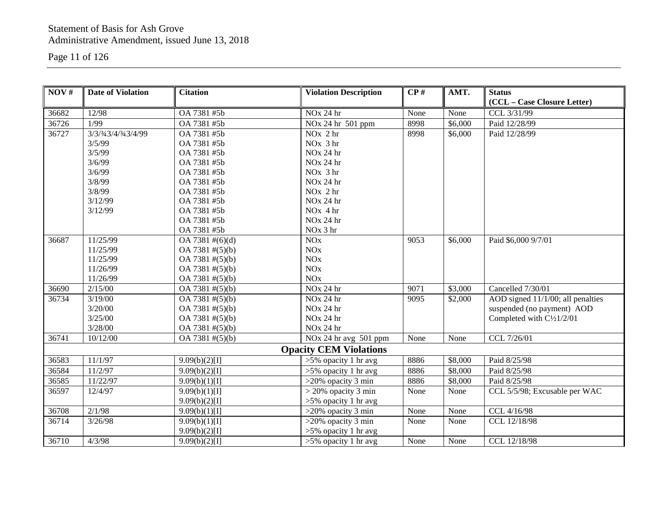Page 11 of 126

| NOV#  | <b>Date of Violation</b> | <b>Citation</b>              | <b>Violation Description</b>  | CP#  | AMT.    | <b>Status</b>                     |
|-------|--------------------------|------------------------------|-------------------------------|------|---------|-----------------------------------|
|       |                          |                              |                               |      |         | (CCL - Case Closure Letter)       |
| 36682 | 12/98                    | OA 7381 #5b                  | NO <sub>x</sub> 24 hr         | None | None    | CCL 3/31/99                       |
| 36726 | 1/99                     | OA 7381 #5b                  | NO <sub>x</sub> 24 hr 501 ppm | 8998 | \$6,000 | Paid 12/28/99                     |
| 36727 | 3/3/3/43/4/3/43/4/99     | OA 7381 #5b                  | $NOx$ 2 hr                    | 8998 | \$6,000 | Paid 12/28/99                     |
|       | 3/5/99                   | OA 7381 #5b                  | $NOx$ 3 hr                    |      |         |                                   |
|       | 3/5/99                   | OA 7381 #5b                  | NO <sub>x</sub> 24 hr         |      |         |                                   |
|       | 3/6/99                   | OA 7381 #5b                  | NO <sub>x</sub> 24 hr         |      |         |                                   |
|       | 3/6/99                   | OA 7381 #5b                  | NO <sub>x</sub> 3 hr          |      |         |                                   |
|       | 3/8/99                   | OA 7381 #5b                  | NO <sub>x</sub> 24 hr         |      |         |                                   |
|       | 3/8/99                   | OA 7381 #5b                  | $NOx$ 2 hr                    |      |         |                                   |
|       | 3/12/99                  | OA 7381 #5b                  | NO <sub>x</sub> 24 hr         |      |         |                                   |
|       | 3/12/99                  | OA 7381 #5b                  | $NOx$ 4 hr                    |      |         |                                   |
|       |                          | OA 7381 #5b                  | NO <sub>x</sub> 24 hr         |      |         |                                   |
|       |                          | OA 7381 #5b                  | NO <sub>x</sub> 3 hr          |      |         |                                   |
| 36687 | 11/25/99                 | $OA 7381 \#(6)(d)$           | <b>NO</b> x                   | 9053 | \$6,000 | Paid \$6,000 9/7/01               |
|       | 11/25/99                 | OA 7381 #(5)(b)              | NOx                           |      |         |                                   |
|       | 11/25/99                 | OA 7381 #(5)(b)              | NOx                           |      |         |                                   |
|       | 11/26/99                 | OA 7381 #(5)(b)              | NOx                           |      |         |                                   |
|       | 11/26/99                 | OA 7381 #(5)(b)              | <b>NO</b> x                   |      |         |                                   |
| 36690 | 2/15/00                  | $\overline{OA 7381}$ #(5)(b) | NO <sub>x</sub> 24 hr         | 9071 | \$3,000 | Cancelled 7/30/01                 |
| 36734 | 3/19/00                  | OA 7381 #(5)(b)              | NO <sub>x</sub> 24 hr         | 9095 | \$2,000 | AOD signed 11/1/00; all penalties |
|       | 3/20/00                  | OA 7381 #(5)(b)              | NO <sub>x</sub> 24 hr         |      |         | suspended (no payment) AOD        |
|       | 3/25/00                  | OA 7381 #(5)(b)              | NO <sub>x</sub> 24 hr         |      |         | Completed with C1/21/2/01         |
|       | 3/28/00                  | OA 7381 #(5)(b)              | NO <sub>x</sub> 24 hr         |      |         |                                   |
| 36741 | 10/12/00                 | OA 7381 #(5)(b)              | NOx 24 hr avg 501 ppm         | None | None    | CCL 7/26/01                       |
|       |                          |                              | <b>Opacity CEM Violations</b> |      |         |                                   |
| 36583 | 11/1/97                  | 9.09(b)(2)[1]                | $>5\%$ opacity 1 hr avg       | 8886 | \$8,000 | Paid 8/25/98                      |
| 36584 | 11/2/97                  | 9.09(b)(2)[1]                | $>5\%$ opacity 1 hr avg       | 8886 | \$8,000 | Paid 8/25/98                      |
| 36585 | 11/22/97                 | 9.09(b)(1)[1]                | $>20\%$ opacity 3 min         | 8886 | \$8,000 | Paid 8/25/98                      |
| 36597 | 12/4/97                  | 9.09(b)(1)[1]                | $>$ 20% opacity 3 min         | None | None    | CCL 5/5/98; Excusable per WAC     |
|       |                          | 9.09(b)(2)[1]                | $>5\%$ opacity 1 hr avg       |      |         |                                   |
| 36708 | 2/1/98                   | 9.09(b)(1)[1]                | $>20\%$ opacity 3 min         | None | None    | CCL 4/16/98                       |
| 36714 | 3/26/98                  | 9.09(b)(1)[1]                | $>20\%$ opacity 3 min         | None | None    | CCL 12/18/98                      |
|       |                          | 9.09(b)(2)[1]                | $>5\%$ opacity 1 hr avg       |      |         |                                   |
| 36710 | 4/3/98                   | 9.09(b)(2)[1]                | $>5\%$ opacity 1 hr avg       | None | None    | CCL 12/18/98                      |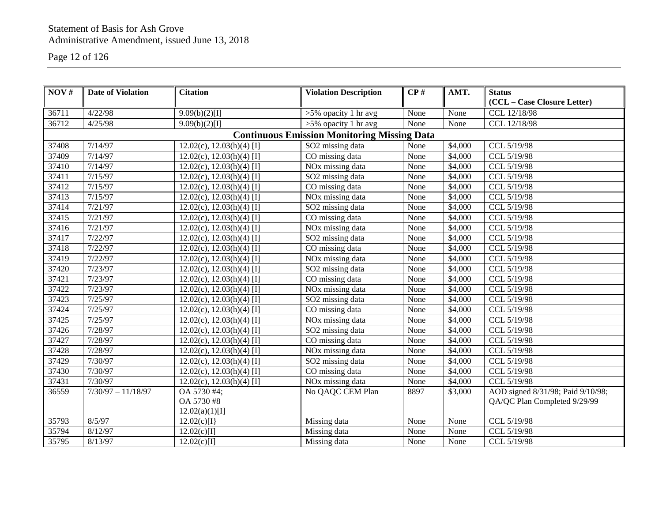#### Page 12 of 126

| NOV#  | <b>Date of Violation</b> | <b>Citation</b>                | <b>Violation Description</b>                       | CP#  | AMT.    | <b>Status</b>                     |
|-------|--------------------------|--------------------------------|----------------------------------------------------|------|---------|-----------------------------------|
|       |                          |                                |                                                    |      |         | (CCL - Case Closure Letter)       |
| 36711 | 4/22/98                  | 9.09(b)(2)[1]                  | $>5\%$ opacity 1 hr avg                            | None | None    | CCL 12/18/98                      |
| 36712 | 4/25/98                  | 9.09(b)(2)[1]                  | $>5\%$ opacity 1 hr avg                            | None | None    | CCL 12/18/98                      |
|       |                          |                                | <b>Continuous Emission Monitoring Missing Data</b> |      |         |                                   |
| 37408 | 7/14/97                  | $12.02(c), 12.03(h)(4)$ [I]    | SO2 missing data                                   | None | \$4,000 | CCL 5/19/98                       |
| 37409 | 7/14/97                  | $12.02(c), 12.03(h)(4)$ [I]    | CO missing data                                    | None | \$4,000 | CCL 5/19/98                       |
| 37410 | 7/14/97                  | $12.02(c)$ , $12.03(h)(4)$ [I] | NO <sub>x</sub> missing data                       | None | \$4,000 | CCL 5/19/98                       |
| 37411 | 7/15/97                  | $12.02(c)$ , $12.03(h)(4)$ [I] | SO2 missing data                                   | None | \$4,000 | CCL 5/19/98                       |
| 37412 | $\frac{1}{7}/15/97$      | $12.02(c)$ , $12.03(h)(4)$ [I] | CO missing data                                    | None | \$4,000 | CCL 5/19/98                       |
| 37413 | 7/15/97                  | $12.02(c), 12.03(h)(4)$ [I]    | NO <sub>x</sub> missing data                       | None | \$4,000 | CCL 5/19/98                       |
| 37414 | 7/21/97                  | $12.02(c), 12.03(h)(4)$ [I]    | SO2 missing data                                   | None | \$4,000 | CCL 5/19/98                       |
| 37415 | 7/21/97                  | $12.02(c), 12.03(h)(4)$ [I]    | CO missing data                                    | None | \$4,000 | CCL 5/19/98                       |
| 37416 | 7/21/97                  | $12.02(c), 12.03(h)(4)$ [I]    | NO <sub>x</sub> missing data                       | None | \$4,000 | CCL 5/19/98                       |
| 37417 | 7/22/97                  | $12.02(c), 12.03(h)(4)$ [I]    | SO2 missing data                                   | None | \$4,000 | CCL 5/19/98                       |
| 37418 | 7/22/97                  | $12.02(c)$ , $12.03(h)(4)$ [I] | CO missing data                                    | None | \$4,000 | CCL 5/19/98                       |
| 37419 | 7/22/97                  | $12.02(c)$ , $12.03(h)(4)$ [I] | NO <sub>x</sub> missing data                       | None | \$4,000 | CCL 5/19/98                       |
| 37420 | 7/23/97                  | $12.02(c)$ , $12.03(h)(4)$ [I] | SO2 missing data                                   | None | \$4,000 | CCL 5/19/98                       |
| 37421 | 7/23/97                  | $12.02(c)$ , $12.03(h)(4)$ [I] | CO missing data                                    | None | \$4,000 | CCL 5/19/98                       |
| 37422 | 7/23/97                  | $12.02(c), 12.03(h)(4)$ [I]    | NO <sub>x</sub> missing data                       | None | \$4,000 | CCL 5/19/98                       |
| 37423 | 7/25/97                  | $12.02(c), 12.03(h)(4)$ [I]    | SO2 missing data                                   | None | \$4,000 | CCL 5/19/98                       |
| 37424 | 7/25/97                  | $12.02(c), 12.03(h)(4)$ [I]    | CO missing data                                    | None | \$4,000 | CCL 5/19/98                       |
| 37425 | 7/25/97                  | $12.02(c), 12.03(h)(4)$ [I]    | NO <sub>x</sub> missing data                       | None | \$4,000 | CCL 5/19/98                       |
| 37426 | 7/28/97                  | $12.02(c)$ , $12.03(h)(4)$ [I] | SO2 missing data                                   | None | \$4,000 | CCL 5/19/98                       |
| 37427 | 7/28/97                  | $12.02(c)$ , $12.03(h)(4)$ [I] | CO missing data                                    | None | \$4,000 | CCL 5/19/98                       |
| 37428 | 7/28/97                  | $12.02(c), 12.03(h)(4)$ [I]    | NO <sub>x</sub> missing data                       | None | \$4,000 | CCL 5/19/98                       |
| 37429 | 7/30/97                  | $12.02(c), 12.03(h)(4)$ [I]    | SO2 missing data                                   | None | \$4,000 | CCL 5/19/98                       |
| 37430 | 7/30/97                  | $12.02(c), 12.03(h)(4)$ [I]    | CO missing data                                    | None | \$4,000 | CCL 5/19/98                       |
| 37431 | 7/30/97                  | 12.02(c), 12.03(h)(4) [I]      | NO <sub>x</sub> missing data                       | None | \$4,000 | CCL 5/19/98                       |
| 36559 | $7/30/97 - 11/18/97$     | OA 5730 #4;                    | No QAQC CEM Plan                                   | 8897 | \$3,000 | AOD signed 8/31/98; Paid 9/10/98; |
|       |                          | OA 5730 #8                     |                                                    |      |         | QA/QC Plan Completed 9/29/99      |
|       |                          | 12.02(a)(1)[1]                 |                                                    |      |         |                                   |
| 35793 | 8/5/97                   | 12.02(c)[1]                    | Missing data                                       | None | None    | CCL 5/19/98                       |
| 35794 | 8/12/97                  | 12.02(c)[1]                    | Missing data                                       | None | None    | CCL 5/19/98                       |
| 35795 | 8/13/97                  | 12.02(c)[1]                    | Missing data                                       | None | None    | CCL 5/19/98                       |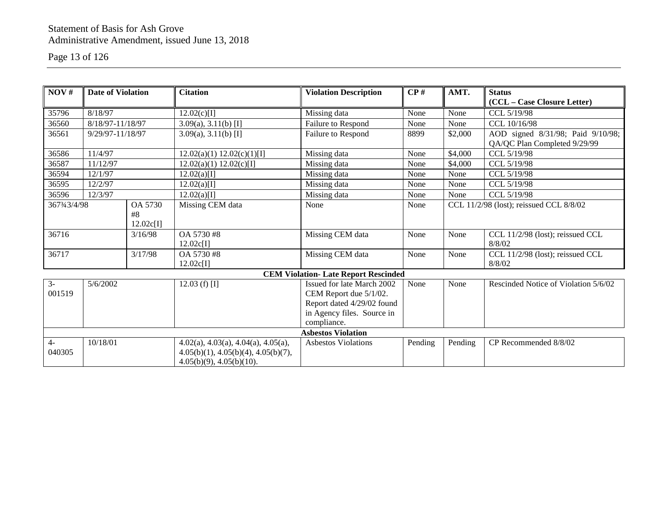## Page 13 of 126

| NOV#   | Date of Violation       |                 | <b>Citation</b>                                 | <b>Violation Description</b>               | $\bf CP$ # | AMT.    | <b>Status</b>                           |  |
|--------|-------------------------|-----------------|-------------------------------------------------|--------------------------------------------|------------|---------|-----------------------------------------|--|
|        |                         |                 |                                                 |                                            |            |         | (CCL - Case Closure Letter)             |  |
| 35796  | 8/18/97                 |                 | 12.02(c)[I]                                     | Missing data                               | None       | None    | CCL 5/19/98                             |  |
| 36560  | 8/18/97-11/18/97        |                 | $3.09(a), 3.11(b)$ [I]                          | Failure to Respond                         | None       | None    | CCL 10/16/98                            |  |
| 36561  | 9/29/97-11/18/97        |                 | $3.09(a), 3.11(b)$ [I]                          | Failure to Respond                         | 8899       | \$2,000 | AOD signed 8/31/98; Paid 9/10/98;       |  |
|        |                         |                 |                                                 |                                            |            |         | QA/QC Plan Completed 9/29/99            |  |
| 36586  | 11/4/97                 |                 | 12.02(a)(1) 12.02(c)(1)[1]                      | Missing data                               | None       | \$4,000 | CCL 5/19/98                             |  |
| 36587  | 11/12/97                |                 | 12.02(a)(1) 12.02(c)[1]                         | Missing data                               | None       | \$4,000 | CCL 5/19/98                             |  |
| 36594  | 12/1/97                 |                 | 12.02(a)[1]                                     | Missing data                               | None       | None    | CCL 5/19/98                             |  |
| 36595  | 12/2/97                 |                 | $12.02(a)$ [I]                                  | Missing data                               | None       | None    | CCL 5/19/98                             |  |
| 36596  | 12/3/97                 |                 | 12.02(a)[I]                                     | Missing data                               | None       | None    | CCL 5/19/98                             |  |
|        | OA 5730<br>3673/43/4/98 |                 | Missing CEM data                                | None                                       | None       |         | CCL 11/2/98 (lost); reissued CCL 8/8/02 |  |
|        |                         | #8              |                                                 |                                            |            |         |                                         |  |
|        |                         | 12.02c[I]       |                                                 |                                            |            |         |                                         |  |
| 36716  |                         | 3/16/98         | OA 5730 #8                                      | Missing CEM data                           | None       | None    | CCL 11/2/98 (lost); reissued CCL        |  |
|        |                         |                 | 12.02c[I]                                       |                                            |            |         | 8/8/02                                  |  |
| 36717  |                         | 3/17/98         | OA 5730 #8                                      | Missing CEM data                           | None       | None    | CCL 11/2/98 (lost); reissued CCL        |  |
|        |                         |                 | 12.02c[I]                                       |                                            |            |         | 8/8/02                                  |  |
|        |                         |                 |                                                 | <b>CEM Violation-Late Report Rescinded</b> |            |         |                                         |  |
| $3-$   | 5/6/2002                | 12.03 (f) $[I]$ |                                                 | Issued for late March 2002                 | None       | None    | Rescinded Notice of Violation 5/6/02    |  |
| 001519 |                         |                 |                                                 | CEM Report due 5/1/02.                     |            |         |                                         |  |
|        |                         |                 |                                                 | Report dated 4/29/02 found                 |            |         |                                         |  |
|        |                         |                 |                                                 | in Agency files. Source in                 |            |         |                                         |  |
|        |                         |                 |                                                 | compliance.                                |            |         |                                         |  |
|        |                         |                 |                                                 | <b>Asbestos Violation</b>                  |            |         |                                         |  |
| $4-$   | 10/18/01                |                 | $4.02(a)$ , $4.03(a)$ , $4.04(a)$ , $4.05(a)$ , | <b>Asbestos Violations</b>                 | Pending    | Pending | CP Recommended 8/8/02                   |  |
| 040305 |                         |                 | 4.05(b)(1), 4.05(b)(4), 4.05(b)(7),             |                                            |            |         |                                         |  |
|        |                         |                 | $4.05(b)(9)$ , $4.05(b)(10)$ .                  |                                            |            |         |                                         |  |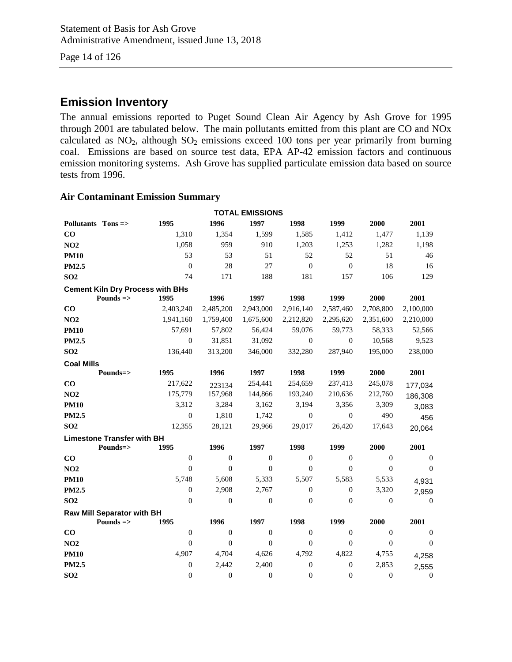Page 14 of 126

## **Emission Inventory**

The annual emissions reported to Puget Sound Clean Air Agency by Ash Grove for 1995 through 2001 are tabulated below. The main pollutants emitted from this plant are CO and NOx calculated as  $NO<sub>2</sub>$ , although  $SO<sub>2</sub>$  emissions exceed 100 tons per year primarily from burning coal. Emissions are based on source test data, EPA AP-42 emission factors and continuous emission monitoring systems. Ash Grove has supplied particulate emission data based on source tests from 1996.

#### **Air Contaminant Emission Summary**

| <b>TOTAL EMISSIONS</b> |                                   |                                         |                |                  |                  |                  |                  |                  |  |  |
|------------------------|-----------------------------------|-----------------------------------------|----------------|------------------|------------------|------------------|------------------|------------------|--|--|
| Pollutants Tons =>     |                                   | 1995                                    | 1996           | 1997             | 1998             | 1999             | 2000             | 2001             |  |  |
| $\bf CO$               |                                   | 1,310                                   | 1,354          | 1,599            | 1,585            | 1,412            | 1,477            | 1,139            |  |  |
| NO2                    |                                   | 1,058                                   | 959            | 910              | 1,203            | 1,253            | 1,282            | 1,198            |  |  |
| <b>PM10</b>            |                                   | 53                                      | 53             | 51               | 52               | 52               | 51               | 46               |  |  |
| <b>PM2.5</b>           |                                   | $\boldsymbol{0}$                        | 28             | 27               | $\mathbf{0}$     | $\boldsymbol{0}$ | 18               | 16               |  |  |
| SO <sub>2</sub>        |                                   | 74                                      | 171            | 188              | 181              | 157              | 106              | 129              |  |  |
|                        |                                   | <b>Cement Kiln Dry Process with BHs</b> |                |                  |                  |                  |                  |                  |  |  |
|                        | Pounds $\Rightarrow$              | 1995                                    | 1996           | 1997             | 1998             | 1999             | 2000             | 2001             |  |  |
| $\bf CO$               |                                   | 2,403,240                               | 2,485,200      | 2,943,000        | 2,916,140        | 2,587,460        | 2,708,800        | 2,100,000        |  |  |
| <b>NO2</b>             |                                   | 1,941,160                               | 1,759,400      | 1,675,600        | 2,212,820        | 2,295,620        | 2,351,600        | 2,210,000        |  |  |
| <b>PM10</b>            |                                   | 57,691                                  | 57,802         | 56,424           | 59,076           | 59,773           | 58,333           | 52,566           |  |  |
| <b>PM2.5</b>           |                                   | $\overline{0}$                          | 31,851         | 31,092           | $\overline{0}$   | $\boldsymbol{0}$ | 10,568           | 9,523            |  |  |
| SO <sub>2</sub>        |                                   | 136,440                                 | 313,200        | 346,000          | 332,280          | 287,940          | 195,000          | 238,000          |  |  |
| <b>Coal Mills</b>      |                                   |                                         |                |                  |                  |                  |                  |                  |  |  |
|                        | Pounds=>                          | 1995                                    | 1996           | 1997             | 1998             | 1999             | 2000             | 2001             |  |  |
| $\bf CO$               |                                   | 217,622                                 | 223134         | 254,441          | 254,659          | 237,413          | 245,078          | 177,034          |  |  |
| <b>NO2</b>             |                                   | 175,779                                 | 157,968        | 144,866          | 193,240          | 210,636          | 212,760          | 186,308          |  |  |
| <b>PM10</b>            |                                   | 3,312                                   | 3,284          | 3,162            | 3,194            | 3,356            | 3,309            | 3,083            |  |  |
| PM2.5                  |                                   | $\overline{0}$                          | 1,810          | 1,742            | $\boldsymbol{0}$ | $\boldsymbol{0}$ | 490              | 456              |  |  |
| SO <sub>2</sub>        |                                   | 12,355                                  | 28,121         | 29,966           | 29,017           | 26,420           | 17,643           | 20,064           |  |  |
|                        | <b>Limestone Transfer with BH</b> |                                         |                |                  |                  |                  |                  |                  |  |  |
|                        | Pounds=>                          | 1995                                    | 1996           | 1997             | 1998             | 1999             | 2000             | 2001             |  |  |
| $\bf CO$               |                                   | $\overline{0}$                          | $\overline{0}$ | $\boldsymbol{0}$ | $\overline{0}$   | $\mathbf{0}$     | $\overline{0}$   | $\mathbf{0}$     |  |  |
| <b>NO2</b>             |                                   | $\theta$                                | $\theta$       | $\theta$         | $\theta$         | $\theta$         | $\mathbf{0}$     | $\theta$         |  |  |
| <b>PM10</b>            |                                   | 5,748                                   | 5,608          | 5,333            | 5,507            | 5,583            | 5,533            | 4,931            |  |  |
| <b>PM2.5</b>           |                                   | $\overline{0}$                          | 2,908          | 2,767            | $\boldsymbol{0}$ | $\boldsymbol{0}$ | 3,320            | 2,959            |  |  |
| SO <sub>2</sub>        |                                   | $\Omega$                                | $\overline{0}$ | $\boldsymbol{0}$ | $\overline{0}$   | $\mathbf{0}$     | $\mathbf{0}$     | $\overline{0}$   |  |  |
|                        | Raw Mill Separator with BH        |                                         |                |                  |                  |                  |                  |                  |  |  |
|                        | Pounds $\Rightarrow$              | 1995                                    | 1996           | 1997             | 1998             | 1999             | 2000             | 2001             |  |  |
| $\bf CO$               |                                   | $\mathbf{0}$                            | $\overline{0}$ | $\boldsymbol{0}$ | $\boldsymbol{0}$ | $\mathbf{0}$     | $\boldsymbol{0}$ | $\mathbf{0}$     |  |  |
| NO2                    |                                   | $\Omega$                                | $\Omega$       | $\overline{0}$   | $\theta$         | $\Omega$         | $\Omega$         | $\theta$         |  |  |
| <b>PM10</b>            |                                   | 4,907                                   | 4,704          | 4,626            | 4,792            | 4,822            | 4,755            | 4,258            |  |  |
| <b>PM2.5</b>           |                                   | $\overline{0}$                          | 2,442          | 2,400            | $\boldsymbol{0}$ | $\boldsymbol{0}$ | 2,853            | 2,555            |  |  |
| SO <sub>2</sub>        |                                   | $\overline{0}$                          | $\overline{0}$ | $\boldsymbol{0}$ | $\boldsymbol{0}$ | $\mathbf{0}$     | $\boldsymbol{0}$ | $\boldsymbol{0}$ |  |  |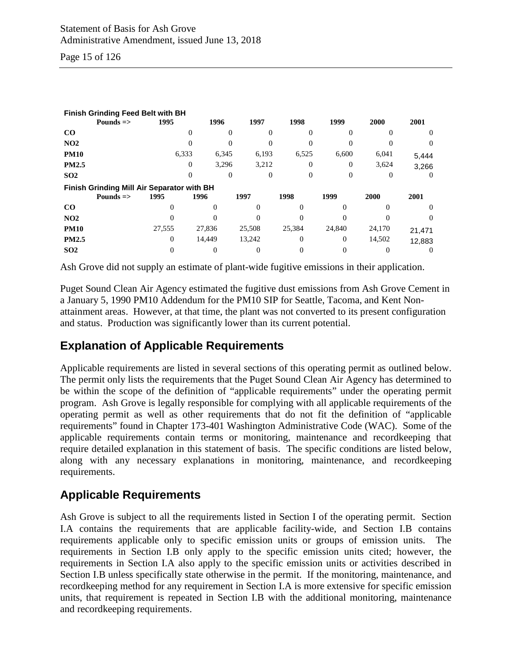Page 15 of 126

| Finish Grinding Feed Belt with BH          |                      |          |        |          |          |       |          |        |          |  |
|--------------------------------------------|----------------------|----------|--------|----------|----------|-------|----------|--------|----------|--|
|                                            | Pounds $\Rightarrow$ | 1995     | 1996   | 1997     |          | 1998  | 1999     | 2000   | 2001     |  |
| CO                                         |                      | 0        |        | $\Omega$ | 0        | 0     | 0        |        | $\Omega$ |  |
| NO <sub>2</sub>                            |                      |          |        |          | 0        |       |          |        |          |  |
| <b>PM10</b>                                |                      | 6,333    | 6,345  |          | 6,193    | 6,525 | 6,600    | 6,041  | 5,444    |  |
| <b>PM2.5</b>                               |                      | $\Omega$ | 3,296  |          | 3,212    | 0     | $\Omega$ | 3,624  | 3,266    |  |
| SO <sub>2</sub>                            |                      | $\Omega$ |        | $\Omega$ | $\Omega$ | 0     | $\Omega$ | 0      | $\Omega$ |  |
| Finish Grinding Mill Air Separator with BH |                      |          |        |          |          |       |          |        |          |  |
|                                            | Pounds $\Rightarrow$ | 1995     | 1996   | 1997     | 1998     |       | 1999     | 2000   | 2001     |  |
| $\bf CO$                                   |                      |          |        | 0        |          |       |          |        | $\theta$ |  |
| NO <sub>2</sub>                            |                      |          |        |          |          |       |          |        | $\theta$ |  |
| <b>PM10</b>                                |                      | 27,555   | 27,836 | 25,508   | 25,384   |       | 24,840   | 24,170 | 21,471   |  |
| <b>PM2.5</b>                               |                      | 0        | 14.449 | 13,242   |          |       | $\Omega$ | 14,502 | 12,883   |  |
| SO <sub>2</sub>                            |                      |          | 0      |          |          |       |          |        |          |  |

Ash Grove did not supply an estimate of plant-wide fugitive emissions in their application.

Puget Sound Clean Air Agency estimated the fugitive dust emissions from Ash Grove Cement in a January 5, 1990 PM10 Addendum for the PM10 SIP for Seattle, Tacoma, and Kent Nonattainment areas. However, at that time, the plant was not converted to its present configuration and status. Production was significantly lower than its current potential.

## **Explanation of Applicable Requirements**

Applicable requirements are listed in several sections of this operating permit as outlined below. The permit only lists the requirements that the Puget Sound Clean Air Agency has determined to be within the scope of the definition of "applicable requirements" under the operating permit program. Ash Grove is legally responsible for complying with all applicable requirements of the operating permit as well as other requirements that do not fit the definition of "applicable requirements" found in Chapter 173-401 Washington Administrative Code (WAC). Some of the applicable requirements contain terms or monitoring, maintenance and recordkeeping that require detailed explanation in this statement of basis. The specific conditions are listed below, along with any necessary explanations in monitoring, maintenance, and recordkeeping requirements.

## **Applicable Requirements**

Ash Grove is subject to all the requirements listed in Section I of the operating permit. Section I.A contains the requirements that are applicable facility-wide, and Section I.B contains requirements applicable only to specific emission units or groups of emission units. The requirements in Section I.B only apply to the specific emission units cited; however, the requirements in Section I.A also apply to the specific emission units or activities described in Section I.B unless specifically state otherwise in the permit. If the monitoring, maintenance, and recordkeeping method for any requirement in Section I.A is more extensive for specific emission units, that requirement is repeated in Section I.B with the additional monitoring, maintenance and recordkeeping requirements.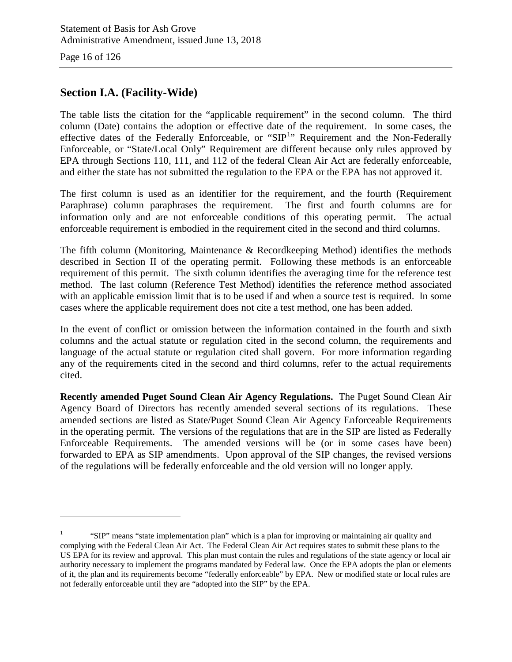Page 16 of 126

 $\overline{a}$ 

## **Section I.A. (Facility-Wide)**

The table lists the citation for the "applicable requirement" in the second column. The third column (Date) contains the adoption or effective date of the requirement. In some cases, the effective dates of the Federally Enforceable, or "SIP<sup>[1](#page-15-0)</sup>" Requirement and the Non-Federally Enforceable, or "State/Local Only" Requirement are different because only rules approved by EPA through Sections 110, 111, and 112 of the federal Clean Air Act are federally enforceable, and either the state has not submitted the regulation to the EPA or the EPA has not approved it.

The first column is used as an identifier for the requirement, and the fourth (Requirement Paraphrase) column paraphrases the requirement. The first and fourth columns are for information only and are not enforceable conditions of this operating permit. The actual enforceable requirement is embodied in the requirement cited in the second and third columns.

The fifth column (Monitoring, Maintenance & Recordkeeping Method) identifies the methods described in Section II of the operating permit. Following these methods is an enforceable requirement of this permit. The sixth column identifies the averaging time for the reference test method. The last column (Reference Test Method) identifies the reference method associated with an applicable emission limit that is to be used if and when a source test is required. In some cases where the applicable requirement does not cite a test method, one has been added.

In the event of conflict or omission between the information contained in the fourth and sixth columns and the actual statute or regulation cited in the second column, the requirements and language of the actual statute or regulation cited shall govern. For more information regarding any of the requirements cited in the second and third columns, refer to the actual requirements cited.

**Recently amended Puget Sound Clean Air Agency Regulations.** The Puget Sound Clean Air Agency Board of Directors has recently amended several sections of its regulations. These amended sections are listed as State/Puget Sound Clean Air Agency Enforceable Requirements in the operating permit. The versions of the regulations that are in the SIP are listed as Federally Enforceable Requirements. The amended versions will be (or in some cases have been) forwarded to EPA as SIP amendments. Upon approval of the SIP changes, the revised versions of the regulations will be federally enforceable and the old version will no longer apply.

<span id="page-15-0"></span><sup>1</sup> "SIP" means "state implementation plan" which is a plan for improving or maintaining air quality and complying with the Federal Clean Air Act. The Federal Clean Air Act requires states to submit these plans to the US EPA for its review and approval. This plan must contain the rules and regulations of the state agency or local air authority necessary to implement the programs mandated by Federal law. Once the EPA adopts the plan or elements of it, the plan and its requirements become "federally enforceable" by EPA. New or modified state or local rules are not federally enforceable until they are "adopted into the SIP" by the EPA.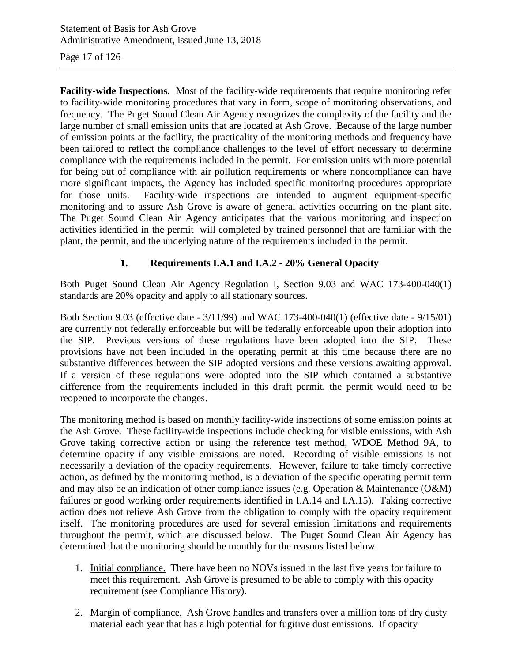Page 17 of 126

**Facility-wide Inspections.** Most of the facility-wide requirements that require monitoring refer to facility-wide monitoring procedures that vary in form, scope of monitoring observations, and frequency. The Puget Sound Clean Air Agency recognizes the complexity of the facility and the large number of small emission units that are located at Ash Grove. Because of the large number of emission points at the facility, the practicality of the monitoring methods and frequency have been tailored to reflect the compliance challenges to the level of effort necessary to determine compliance with the requirements included in the permit. For emission units with more potential for being out of compliance with air pollution requirements or where noncompliance can have more significant impacts, the Agency has included specific monitoring procedures appropriate for those units. Facility-wide inspections are intended to augment equipment-specific monitoring and to assure Ash Grove is aware of general activities occurring on the plant site. The Puget Sound Clean Air Agency anticipates that the various monitoring and inspection activities identified in the permit will completed by trained personnel that are familiar with the plant, the permit, and the underlying nature of the requirements included in the permit.

#### **1. Requirements I.A.1 and I.A.2 - 20% General Opacity**

Both Puget Sound Clean Air Agency Regulation I, Section 9.03 and WAC 173-400-040(1) standards are 20% opacity and apply to all stationary sources.

Both Section 9.03 (effective date - 3/11/99) and WAC 173-400-040(1) (effective date - 9/15/01) are currently not federally enforceable but will be federally enforceable upon their adoption into the SIP. Previous versions of these regulations have been adopted into the SIP. These provisions have not been included in the operating permit at this time because there are no substantive differences between the SIP adopted versions and these versions awaiting approval. If a version of these regulations were adopted into the SIP which contained a substantive difference from the requirements included in this draft permit, the permit would need to be reopened to incorporate the changes.

The monitoring method is based on monthly facility-wide inspections of some emission points at the Ash Grove. These facility-wide inspections include checking for visible emissions, with Ash Grove taking corrective action or using the reference test method, WDOE Method 9A, to determine opacity if any visible emissions are noted. Recording of visible emissions is not necessarily a deviation of the opacity requirements. However, failure to take timely corrective action, as defined by the monitoring method, is a deviation of the specific operating permit term and may also be an indication of other compliance issues (e.g. Operation & Maintenance (O&M) failures or good working order requirements identified in I.A.14 and I.A.15). Taking corrective action does not relieve Ash Grove from the obligation to comply with the opacity requirement itself. The monitoring procedures are used for several emission limitations and requirements throughout the permit, which are discussed below. The Puget Sound Clean Air Agency has determined that the monitoring should be monthly for the reasons listed below.

- 1. Initial compliance. There have been no NOVs issued in the last five years for failure to meet this requirement. Ash Grove is presumed to be able to comply with this opacity requirement (see Compliance History).
- 2. Margin of compliance. Ash Grove handles and transfers over a million tons of dry dusty material each year that has a high potential for fugitive dust emissions. If opacity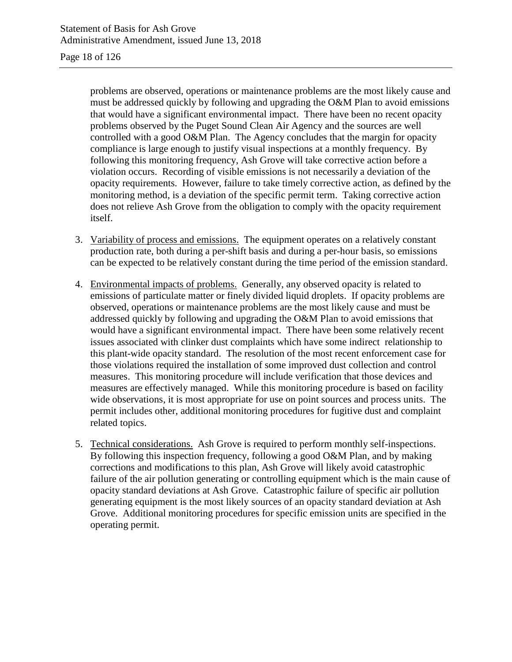#### Page 18 of 126

problems are observed, operations or maintenance problems are the most likely cause and must be addressed quickly by following and upgrading the O&M Plan to avoid emissions that would have a significant environmental impact. There have been no recent opacity problems observed by the Puget Sound Clean Air Agency and the sources are well controlled with a good O&M Plan. The Agency concludes that the margin for opacity compliance is large enough to justify visual inspections at a monthly frequency. By following this monitoring frequency, Ash Grove will take corrective action before a violation occurs. Recording of visible emissions is not necessarily a deviation of the opacity requirements. However, failure to take timely corrective action, as defined by the monitoring method, is a deviation of the specific permit term. Taking corrective action does not relieve Ash Grove from the obligation to comply with the opacity requirement itself.

- 3. Variability of process and emissions. The equipment operates on a relatively constant production rate, both during a per-shift basis and during a per-hour basis, so emissions can be expected to be relatively constant during the time period of the emission standard.
- 4. Environmental impacts of problems. Generally, any observed opacity is related to emissions of particulate matter or finely divided liquid droplets. If opacity problems are observed, operations or maintenance problems are the most likely cause and must be addressed quickly by following and upgrading the O&M Plan to avoid emissions that would have a significant environmental impact. There have been some relatively recent issues associated with clinker dust complaints which have some indirect relationship to this plant-wide opacity standard. The resolution of the most recent enforcement case for those violations required the installation of some improved dust collection and control measures. This monitoring procedure will include verification that those devices and measures are effectively managed. While this monitoring procedure is based on facility wide observations, it is most appropriate for use on point sources and process units. The permit includes other, additional monitoring procedures for fugitive dust and complaint related topics.
- 5. Technical considerations. Ash Grove is required to perform monthly self-inspections. By following this inspection frequency, following a good O&M Plan, and by making corrections and modifications to this plan, Ash Grove will likely avoid catastrophic failure of the air pollution generating or controlling equipment which is the main cause of opacity standard deviations at Ash Grove. Catastrophic failure of specific air pollution generating equipment is the most likely sources of an opacity standard deviation at Ash Grove. Additional monitoring procedures for specific emission units are specified in the operating permit.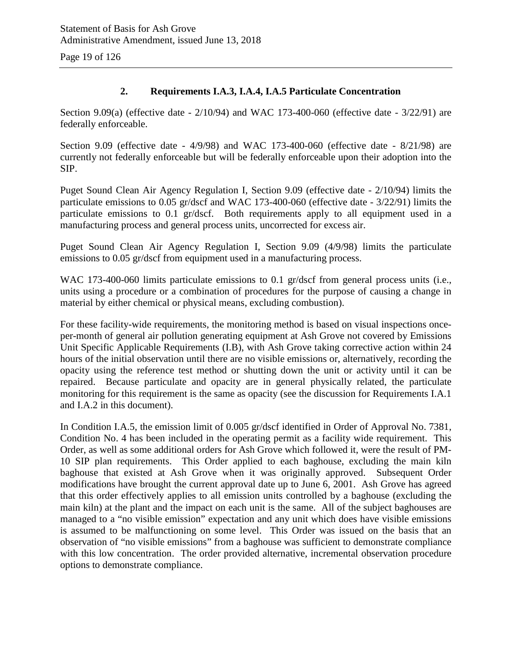Page 19 of 126

#### **2. Requirements I.A.3, I.A.4, I.A.5 Particulate Concentration**

Section 9.09(a) (effective date - 2/10/94) and WAC 173-400-060 (effective date - 3/22/91) are federally enforceable.

Section 9.09 (effective date - 4/9/98) and WAC 173-400-060 (effective date - 8/21/98) are currently not federally enforceable but will be federally enforceable upon their adoption into the SIP.

Puget Sound Clean Air Agency Regulation I, Section 9.09 (effective date - 2/10/94) limits the particulate emissions to 0.05 gr/dscf and WAC 173-400-060 (effective date - 3/22/91) limits the particulate emissions to 0.1 gr/dscf. Both requirements apply to all equipment used in a manufacturing process and general process units, uncorrected for excess air.

Puget Sound Clean Air Agency Regulation I, Section 9.09 (4/9/98) limits the particulate emissions to 0.05 gr/dscf from equipment used in a manufacturing process.

WAC 173-400-060 limits particulate emissions to 0.1 gr/dscf from general process units (i.e., units using a procedure or a combination of procedures for the purpose of causing a change in material by either chemical or physical means, excluding combustion).

For these facility-wide requirements, the monitoring method is based on visual inspections onceper-month of general air pollution generating equipment at Ash Grove not covered by Emissions Unit Specific Applicable Requirements (I.B), with Ash Grove taking corrective action within 24 hours of the initial observation until there are no visible emissions or, alternatively, recording the opacity using the reference test method or shutting down the unit or activity until it can be repaired. Because particulate and opacity are in general physically related, the particulate monitoring for this requirement is the same as opacity (see the discussion for Requirements I.A.1 and I.A.2 in this document).

In Condition I.A.5, the emission limit of 0.005 gr/dscf identified in Order of Approval No. 7381, Condition No. 4 has been included in the operating permit as a facility wide requirement. This Order, as well as some additional orders for Ash Grove which followed it, were the result of PM-10 SIP plan requirements. This Order applied to each baghouse, excluding the main kiln baghouse that existed at Ash Grove when it was originally approved. Subsequent Order modifications have brought the current approval date up to June 6, 2001. Ash Grove has agreed that this order effectively applies to all emission units controlled by a baghouse (excluding the main kiln) at the plant and the impact on each unit is the same. All of the subject baghouses are managed to a "no visible emission" expectation and any unit which does have visible emissions is assumed to be malfunctioning on some level. This Order was issued on the basis that an observation of "no visible emissions" from a baghouse was sufficient to demonstrate compliance with this low concentration. The order provided alternative, incremental observation procedure options to demonstrate compliance.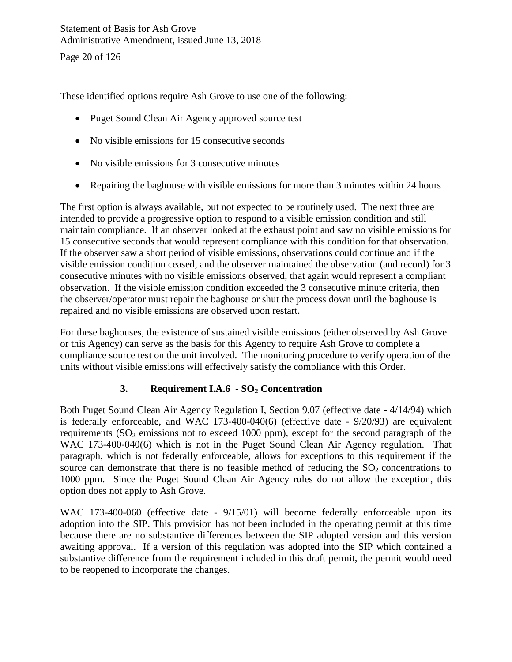These identified options require Ash Grove to use one of the following:

- Puget Sound Clean Air Agency approved source test
- No visible emissions for 15 consecutive seconds
- No visible emissions for 3 consecutive minutes
- Repairing the baghouse with visible emissions for more than 3 minutes within 24 hours

The first option is always available, but not expected to be routinely used. The next three are intended to provide a progressive option to respond to a visible emission condition and still maintain compliance. If an observer looked at the exhaust point and saw no visible emissions for 15 consecutive seconds that would represent compliance with this condition for that observation. If the observer saw a short period of visible emissions, observations could continue and if the visible emission condition ceased, and the observer maintained the observation (and record) for 3 consecutive minutes with no visible emissions observed, that again would represent a compliant observation. If the visible emission condition exceeded the 3 consecutive minute criteria, then the observer/operator must repair the baghouse or shut the process down until the baghouse is repaired and no visible emissions are observed upon restart.

For these baghouses, the existence of sustained visible emissions (either observed by Ash Grove or this Agency) can serve as the basis for this Agency to require Ash Grove to complete a compliance source test on the unit involved. The monitoring procedure to verify operation of the units without visible emissions will effectively satisfy the compliance with this Order.

### **3. Requirement I.A.6 - SO2 Concentration**

Both Puget Sound Clean Air Agency Regulation I, Section 9.07 (effective date - 4/14/94) which is federally enforceable, and WAC 173-400-040(6) (effective date - 9/20/93) are equivalent requirements  $(SO<sub>2</sub>$  emissions not to exceed 1000 ppm), except for the second paragraph of the WAC 173-400-040(6) which is not in the Puget Sound Clean Air Agency regulation. That paragraph, which is not federally enforceable, allows for exceptions to this requirement if the source can demonstrate that there is no feasible method of reducing the  $SO_2$  concentrations to 1000 ppm. Since the Puget Sound Clean Air Agency rules do not allow the exception, this option does not apply to Ash Grove.

WAC 173-400-060 (effective date -  $9/15/01$ ) will become federally enforceable upon its adoption into the SIP. This provision has not been included in the operating permit at this time because there are no substantive differences between the SIP adopted version and this version awaiting approval. If a version of this regulation was adopted into the SIP which contained a substantive difference from the requirement included in this draft permit, the permit would need to be reopened to incorporate the changes.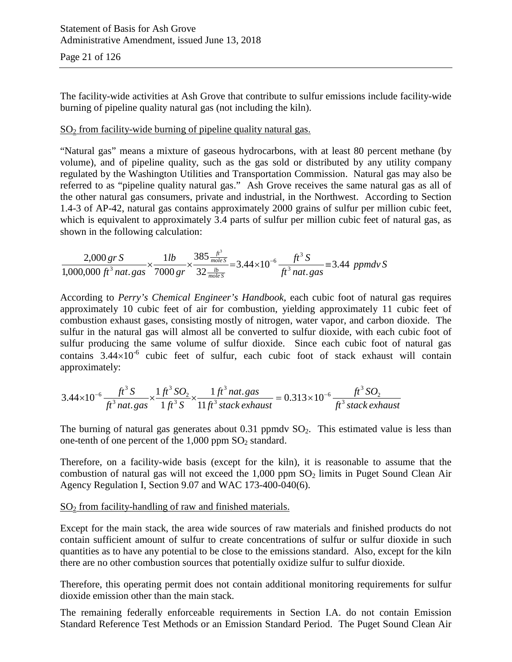The facility-wide activities at Ash Grove that contribute to sulfur emissions include facility-wide burning of pipeline quality natural gas (not including the kiln).

#### $SO<sub>2</sub>$  from facility-wide burning of pipeline quality natural gas.

"Natural gas" means a mixture of gaseous hydrocarbons, with at least 80 percent methane (by volume), and of pipeline quality, such as the gas sold or distributed by any utility company regulated by the Washington Utilities and Transportation Commission. Natural gas may also be referred to as "pipeline quality natural gas." Ash Grove receives the same natural gas as all of the other natural gas consumers, private and industrial, in the Northwest. According to Section 1.4-3 of AP-42, natural gas contains approximately 2000 grains of sulfur per million cubic feet, which is equivalent to approximately 3.4 parts of sulfur per million cubic feet of natural gas, as shown in the following calculation:

$$
\frac{2,000 \text{ gr S}}{1,000,000 \text{ ft}^3 \text{ nat. gas}} \times \frac{1 \text{ lb}}{7000 \text{ gr}} \times \frac{385 \frac{\text{ft}^3}{\text{mole S}}}{32 \frac{\text{lb}}{\text{mole S}}} = 3.44 \times 10^{-6} \frac{\text{ft}^3 S}{\text{ft}^3 \text{ nat. gas}} = 3.44 \text{ ppmd}v S
$$

According to *Perry's Chemical Engineer's Handbook*, each cubic foot of natural gas requires approximately 10 cubic feet of air for combustion, yielding approximately 11 cubic feet of combustion exhaust gases, consisting mostly of nitrogen, water vapor, and carbon dioxide. The sulfur in the natural gas will almost all be converted to sulfur dioxide, with each cubic foot of sulfur producing the same volume of sulfur dioxide. Since each cubic foot of natural gas contains  $3.44\times10^{-6}$  cubic feet of sulfur, each cubic foot of stack exhaust will contain approximately:

$$
3.44 \times 10^{-6} \frac{ft^3 S}{ft^3 nat. gas} \times \frac{1 ft^3 SO_2}{1 ft^3 S} \times \frac{1 ft^3 nat. gas}{11 ft^3 stack exhaust} = 0.313 \times 10^{-6} \frac{ft^3 SO_2}{ft^3 stack exhaust}
$$

The burning of natural gas generates about  $0.31$  ppmdv  $SO<sub>2</sub>$ . This estimated value is less than one-tenth of one percent of the  $1,000$  ppm  $SO<sub>2</sub>$  standard.

Therefore, on a facility-wide basis (except for the kiln), it is reasonable to assume that the combustion of natural gas will not exceed the  $1,000$  ppm  $SO<sub>2</sub>$  limits in Puget Sound Clean Air Agency Regulation I, Section 9.07 and WAC 173-400-040(6).

#### $SO<sub>2</sub>$  from facility-handling of raw and finished materials.

Except for the main stack, the area wide sources of raw materials and finished products do not contain sufficient amount of sulfur to create concentrations of sulfur or sulfur dioxide in such quantities as to have any potential to be close to the emissions standard. Also, except for the kiln there are no other combustion sources that potentially oxidize sulfur to sulfur dioxide.

Therefore, this operating permit does not contain additional monitoring requirements for sulfur dioxide emission other than the main stack.

The remaining federally enforceable requirements in Section I.A. do not contain Emission Standard Reference Test Methods or an Emission Standard Period. The Puget Sound Clean Air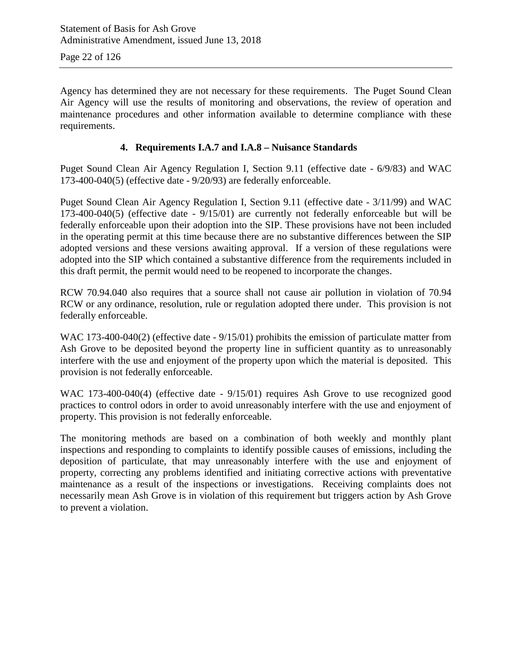Agency has determined they are not necessary for these requirements. The Puget Sound Clean Air Agency will use the results of monitoring and observations, the review of operation and maintenance procedures and other information available to determine compliance with these requirements.

#### **4. Requirements I.A.7 and I.A.8 – Nuisance Standards**

Puget Sound Clean Air Agency Regulation I, Section 9.11 (effective date - 6/9/83) and WAC 173-400-040(5) (effective date - 9/20/93) are federally enforceable.

Puget Sound Clean Air Agency Regulation I, Section 9.11 (effective date - 3/11/99) and WAC 173-400-040(5) (effective date - 9/15/01) are currently not federally enforceable but will be federally enforceable upon their adoption into the SIP. These provisions have not been included in the operating permit at this time because there are no substantive differences between the SIP adopted versions and these versions awaiting approval. If a version of these regulations were adopted into the SIP which contained a substantive difference from the requirements included in this draft permit, the permit would need to be reopened to incorporate the changes.

RCW 70.94.040 also requires that a source shall not cause air pollution in violation of 70.94 RCW or any ordinance, resolution, rule or regulation adopted there under. This provision is not federally enforceable.

WAC 173-400-040(2) (effective date -  $9/15/01$ ) prohibits the emission of particulate matter from Ash Grove to be deposited beyond the property line in sufficient quantity as to unreasonably interfere with the use and enjoyment of the property upon which the material is deposited. This provision is not federally enforceable.

WAC 173-400-040(4) (effective date -  $9/15/01$ ) requires Ash Grove to use recognized good practices to control odors in order to avoid unreasonably interfere with the use and enjoyment of property. This provision is not federally enforceable.

The monitoring methods are based on a combination of both weekly and monthly plant inspections and responding to complaints to identify possible causes of emissions, including the deposition of particulate, that may unreasonably interfere with the use and enjoyment of property, correcting any problems identified and initiating corrective actions with preventative maintenance as a result of the inspections or investigations. Receiving complaints does not necessarily mean Ash Grove is in violation of this requirement but triggers action by Ash Grove to prevent a violation.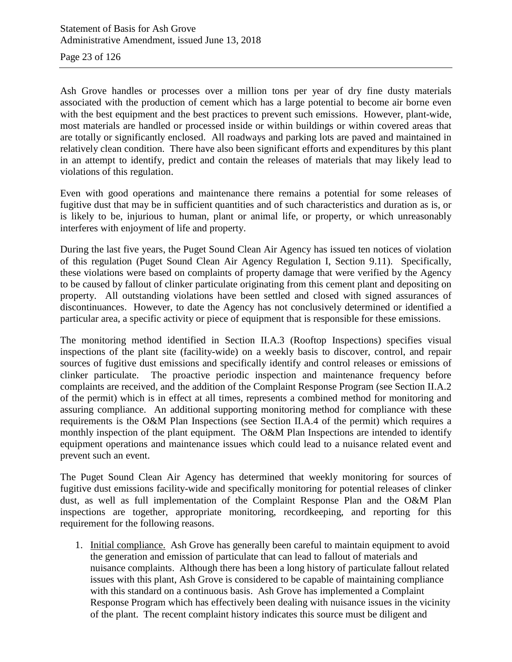Page 23 of 126

Ash Grove handles or processes over a million tons per year of dry fine dusty materials associated with the production of cement which has a large potential to become air borne even with the best equipment and the best practices to prevent such emissions. However, plant-wide, most materials are handled or processed inside or within buildings or within covered areas that are totally or significantly enclosed. All roadways and parking lots are paved and maintained in relatively clean condition. There have also been significant efforts and expenditures by this plant in an attempt to identify, predict and contain the releases of materials that may likely lead to violations of this regulation.

Even with good operations and maintenance there remains a potential for some releases of fugitive dust that may be in sufficient quantities and of such characteristics and duration as is, or is likely to be, injurious to human, plant or animal life, or property, or which unreasonably interferes with enjoyment of life and property.

During the last five years, the Puget Sound Clean Air Agency has issued ten notices of violation of this regulation (Puget Sound Clean Air Agency Regulation I, Section 9.11). Specifically, these violations were based on complaints of property damage that were verified by the Agency to be caused by fallout of clinker particulate originating from this cement plant and depositing on property. All outstanding violations have been settled and closed with signed assurances of discontinuances. However, to date the Agency has not conclusively determined or identified a particular area, a specific activity or piece of equipment that is responsible for these emissions.

The monitoring method identified in Section II.A.3 (Rooftop Inspections) specifies visual inspections of the plant site (facility-wide) on a weekly basis to discover, control, and repair sources of fugitive dust emissions and specifically identify and control releases or emissions of clinker particulate. The proactive periodic inspection and maintenance frequency before complaints are received, and the addition of the Complaint Response Program (see Section II.A.2 of the permit) which is in effect at all times, represents a combined method for monitoring and assuring compliance. An additional supporting monitoring method for compliance with these requirements is the O&M Plan Inspections (see Section II.A.4 of the permit) which requires a monthly inspection of the plant equipment. The O&M Plan Inspections are intended to identify equipment operations and maintenance issues which could lead to a nuisance related event and prevent such an event.

The Puget Sound Clean Air Agency has determined that weekly monitoring for sources of fugitive dust emissions facility-wide and specifically monitoring for potential releases of clinker dust, as well as full implementation of the Complaint Response Plan and the O&M Plan inspections are together, appropriate monitoring, recordkeeping, and reporting for this requirement for the following reasons.

1. Initial compliance. Ash Grove has generally been careful to maintain equipment to avoid the generation and emission of particulate that can lead to fallout of materials and nuisance complaints. Although there has been a long history of particulate fallout related issues with this plant, Ash Grove is considered to be capable of maintaining compliance with this standard on a continuous basis. Ash Grove has implemented a Complaint Response Program which has effectively been dealing with nuisance issues in the vicinity of the plant. The recent complaint history indicates this source must be diligent and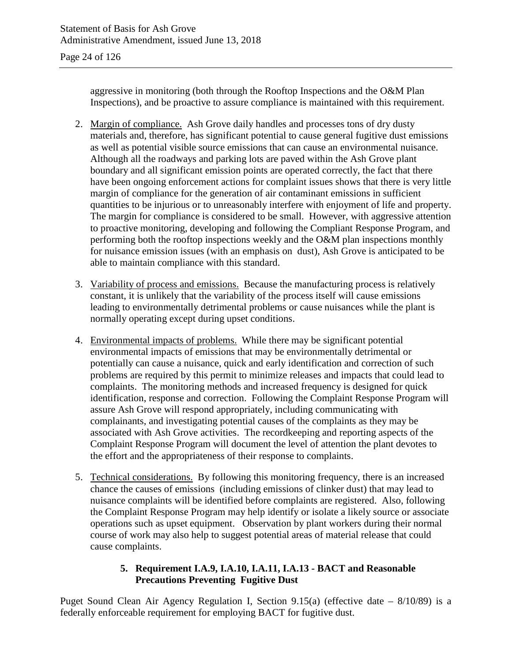aggressive in monitoring (both through the Rooftop Inspections and the O&M Plan Inspections), and be proactive to assure compliance is maintained with this requirement.

- 2. Margin of compliance. Ash Grove daily handles and processes tons of dry dusty materials and, therefore, has significant potential to cause general fugitive dust emissions as well as potential visible source emissions that can cause an environmental nuisance. Although all the roadways and parking lots are paved within the Ash Grove plant boundary and all significant emission points are operated correctly, the fact that there have been ongoing enforcement actions for complaint issues shows that there is very little margin of compliance for the generation of air contaminant emissions in sufficient quantities to be injurious or to unreasonably interfere with enjoyment of life and property. The margin for compliance is considered to be small. However, with aggressive attention to proactive monitoring, developing and following the Compliant Response Program, and performing both the rooftop inspections weekly and the O&M plan inspections monthly for nuisance emission issues (with an emphasis on dust), Ash Grove is anticipated to be able to maintain compliance with this standard.
- 3. Variability of process and emissions. Because the manufacturing process is relatively constant, it is unlikely that the variability of the process itself will cause emissions leading to environmentally detrimental problems or cause nuisances while the plant is normally operating except during upset conditions.
- 4. Environmental impacts of problems. While there may be significant potential environmental impacts of emissions that may be environmentally detrimental or potentially can cause a nuisance, quick and early identification and correction of such problems are required by this permit to minimize releases and impacts that could lead to complaints. The monitoring methods and increased frequency is designed for quick identification, response and correction. Following the Complaint Response Program will assure Ash Grove will respond appropriately, including communicating with complainants, and investigating potential causes of the complaints as they may be associated with Ash Grove activities. The recordkeeping and reporting aspects of the Complaint Response Program will document the level of attention the plant devotes to the effort and the appropriateness of their response to complaints.
- 5. Technical considerations. By following this monitoring frequency, there is an increased chance the causes of emissions (including emissions of clinker dust) that may lead to nuisance complaints will be identified before complaints are registered. Also, following the Complaint Response Program may help identify or isolate a likely source or associate operations such as upset equipment. Observation by plant workers during their normal course of work may also help to suggest potential areas of material release that could cause complaints.

#### **5. Requirement I.A.9, I.A.10, I.A.11, I.A.13 - BACT and Reasonable Precautions Preventing Fugitive Dust**

Puget Sound Clean Air Agency Regulation I, Section 9.15(a) (effective date – 8/10/89) is a federally enforceable requirement for employing BACT for fugitive dust.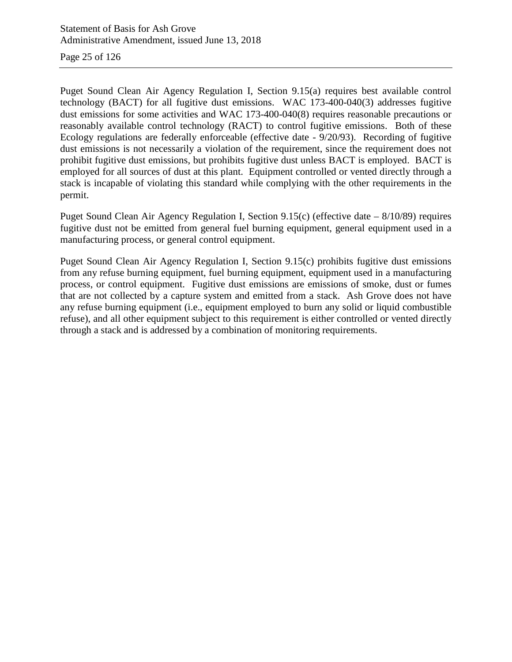Page 25 of 126

Puget Sound Clean Air Agency Regulation I, Section 9.15(a) requires best available control technology (BACT) for all fugitive dust emissions. WAC 173-400-040(3) addresses fugitive dust emissions for some activities and WAC 173-400-040(8) requires reasonable precautions or reasonably available control technology (RACT) to control fugitive emissions. Both of these Ecology regulations are federally enforceable (effective date - 9/20/93). Recording of fugitive dust emissions is not necessarily a violation of the requirement, since the requirement does not prohibit fugitive dust emissions, but prohibits fugitive dust unless BACT is employed. BACT is employed for all sources of dust at this plant. Equipment controlled or vented directly through a stack is incapable of violating this standard while complying with the other requirements in the permit.

Puget Sound Clean Air Agency Regulation I, Section 9.15(c) (effective date – 8/10/89) requires fugitive dust not be emitted from general fuel burning equipment, general equipment used in a manufacturing process, or general control equipment.

Puget Sound Clean Air Agency Regulation I, Section 9.15(c) prohibits fugitive dust emissions from any refuse burning equipment, fuel burning equipment, equipment used in a manufacturing process, or control equipment. Fugitive dust emissions are emissions of smoke, dust or fumes that are not collected by a capture system and emitted from a stack. Ash Grove does not have any refuse burning equipment (i.e., equipment employed to burn any solid or liquid combustible refuse), and all other equipment subject to this requirement is either controlled or vented directly through a stack and is addressed by a combination of monitoring requirements.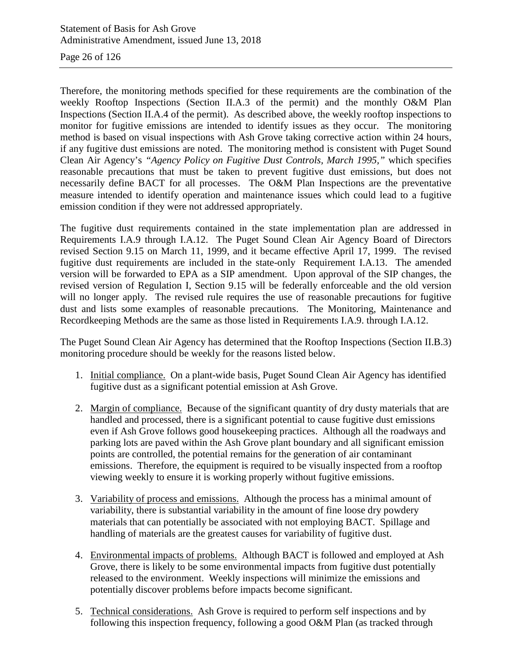Page 26 of 126

Therefore, the monitoring methods specified for these requirements are the combination of the weekly Rooftop Inspections (Section II.A.3 of the permit) and the monthly O&M Plan Inspections (Section II.A.4 of the permit). As described above, the weekly rooftop inspections to monitor for fugitive emissions are intended to identify issues as they occur. The monitoring method is based on visual inspections with Ash Grove taking corrective action within 24 hours, if any fugitive dust emissions are noted. The monitoring method is consistent with Puget Sound Clean Air Agency's *"Agency Policy on Fugitive Dust Controls, March 1995,"* which specifies reasonable precautions that must be taken to prevent fugitive dust emissions, but does not necessarily define BACT for all processes. The O&M Plan Inspections are the preventative measure intended to identify operation and maintenance issues which could lead to a fugitive emission condition if they were not addressed appropriately.

The fugitive dust requirements contained in the state implementation plan are addressed in Requirements I.A.9 through I.A.12. The Puget Sound Clean Air Agency Board of Directors revised Section 9.15 on March 11, 1999, and it became effective April 17, 1999. The revised fugitive dust requirements are included in the state-only Requirement I.A.13. The amended version will be forwarded to EPA as a SIP amendment. Upon approval of the SIP changes, the revised version of Regulation I, Section 9.15 will be federally enforceable and the old version will no longer apply. The revised rule requires the use of reasonable precautions for fugitive dust and lists some examples of reasonable precautions. The Monitoring, Maintenance and Recordkeeping Methods are the same as those listed in Requirements I.A.9. through I.A.12.

The Puget Sound Clean Air Agency has determined that the Rooftop Inspections (Section II.B.3) monitoring procedure should be weekly for the reasons listed below.

- 1. Initial compliance. On a plant-wide basis, Puget Sound Clean Air Agency has identified fugitive dust as a significant potential emission at Ash Grove.
- 2. Margin of compliance. Because of the significant quantity of dry dusty materials that are handled and processed, there is a significant potential to cause fugitive dust emissions even if Ash Grove follows good housekeeping practices. Although all the roadways and parking lots are paved within the Ash Grove plant boundary and all significant emission points are controlled, the potential remains for the generation of air contaminant emissions. Therefore, the equipment is required to be visually inspected from a rooftop viewing weekly to ensure it is working properly without fugitive emissions.
- 3. Variability of process and emissions. Although the process has a minimal amount of variability, there is substantial variability in the amount of fine loose dry powdery materials that can potentially be associated with not employing BACT. Spillage and handling of materials are the greatest causes for variability of fugitive dust.
- 4. Environmental impacts of problems. Although BACT is followed and employed at Ash Grove, there is likely to be some environmental impacts from fugitive dust potentially released to the environment. Weekly inspections will minimize the emissions and potentially discover problems before impacts become significant.
- 5. Technical considerations. Ash Grove is required to perform self inspections and by following this inspection frequency, following a good O&M Plan (as tracked through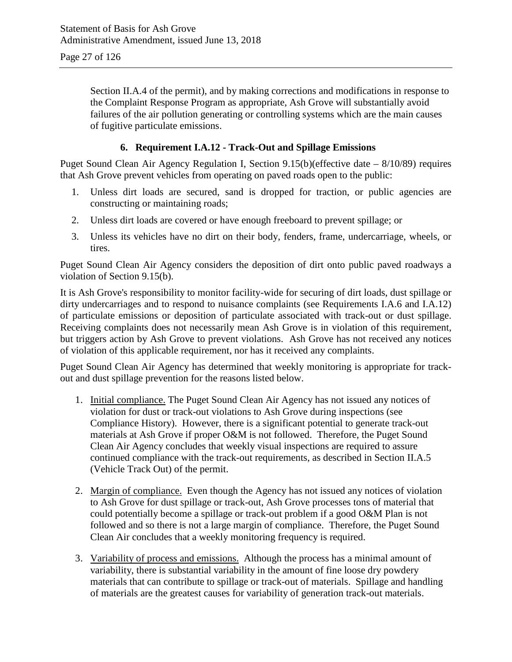Section II.A.4 of the permit), and by making corrections and modifications in response to the Complaint Response Program as appropriate, Ash Grove will substantially avoid failures of the air pollution generating or controlling systems which are the main causes of fugitive particulate emissions.

#### **6. Requirement I.A.12 - Track-Out and Spillage Emissions**

Puget Sound Clean Air Agency Regulation I, Section 9.15(b)(effective date – 8/10/89) requires that Ash Grove prevent vehicles from operating on paved roads open to the public:

- 1. Unless dirt loads are secured, sand is dropped for traction, or public agencies are constructing or maintaining roads;
- 2. Unless dirt loads are covered or have enough freeboard to prevent spillage; or
- 3. Unless its vehicles have no dirt on their body, fenders, frame, undercarriage, wheels, or tires.

Puget Sound Clean Air Agency considers the deposition of dirt onto public paved roadways a violation of Section 9.15(b).

It is Ash Grove's responsibility to monitor facility-wide for securing of dirt loads, dust spillage or dirty undercarriages and to respond to nuisance complaints (see Requirements I.A.6 and I.A.12) of particulate emissions or deposition of particulate associated with track-out or dust spillage. Receiving complaints does not necessarily mean Ash Grove is in violation of this requirement, but triggers action by Ash Grove to prevent violations. Ash Grove has not received any notices of violation of this applicable requirement, nor has it received any complaints.

Puget Sound Clean Air Agency has determined that weekly monitoring is appropriate for trackout and dust spillage prevention for the reasons listed below.

- 1. Initial compliance. The Puget Sound Clean Air Agency has not issued any notices of violation for dust or track-out violations to Ash Grove during inspections (see Compliance History). However, there is a significant potential to generate track-out materials at Ash Grove if proper O&M is not followed. Therefore, the Puget Sound Clean Air Agency concludes that weekly visual inspections are required to assure continued compliance with the track-out requirements, as described in Section II.A.5 (Vehicle Track Out) of the permit.
- 2. Margin of compliance. Even though the Agency has not issued any notices of violation to Ash Grove for dust spillage or track-out, Ash Grove processes tons of material that could potentially become a spillage or track-out problem if a good O&M Plan is not followed and so there is not a large margin of compliance. Therefore, the Puget Sound Clean Air concludes that a weekly monitoring frequency is required.
- 3. Variability of process and emissions. Although the process has a minimal amount of variability, there is substantial variability in the amount of fine loose dry powdery materials that can contribute to spillage or track-out of materials. Spillage and handling of materials are the greatest causes for variability of generation track-out materials.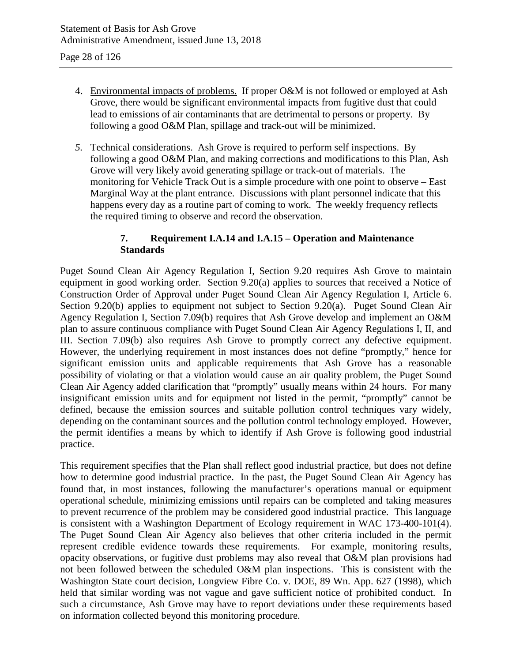- 4. Environmental impacts of problems. If proper O&M is not followed or employed at Ash Grove, there would be significant environmental impacts from fugitive dust that could lead to emissions of air contaminants that are detrimental to persons or property. By following a good O&M Plan, spillage and track-out will be minimized.
- *5.* Technical considerations. Ash Grove is required to perform self inspections. By following a good O&M Plan, and making corrections and modifications to this Plan, Ash Grove will very likely avoid generating spillage or track-out of materials. The monitoring for Vehicle Track Out is a simple procedure with one point to observe – East Marginal Way at the plant entrance. Discussions with plant personnel indicate that this happens every day as a routine part of coming to work. The weekly frequency reflects the required timing to observe and record the observation.

#### **7. Requirement I.A.14 and I.A.15 – Operation and Maintenance Standards**

Puget Sound Clean Air Agency Regulation I, Section 9.20 requires Ash Grove to maintain equipment in good working order. Section 9.20(a) applies to sources that received a Notice of Construction Order of Approval under Puget Sound Clean Air Agency Regulation I, Article 6. Section 9.20(b) applies to equipment not subject to Section 9.20(a). Puget Sound Clean Air Agency Regulation I, Section 7.09(b) requires that Ash Grove develop and implement an O&M plan to assure continuous compliance with Puget Sound Clean Air Agency Regulations I, II, and III. Section 7.09(b) also requires Ash Grove to promptly correct any defective equipment. However, the underlying requirement in most instances does not define "promptly," hence for significant emission units and applicable requirements that Ash Grove has a reasonable possibility of violating or that a violation would cause an air quality problem, the Puget Sound Clean Air Agency added clarification that "promptly" usually means within 24 hours. For many insignificant emission units and for equipment not listed in the permit, "promptly" cannot be defined, because the emission sources and suitable pollution control techniques vary widely, depending on the contaminant sources and the pollution control technology employed. However, the permit identifies a means by which to identify if Ash Grove is following good industrial practice.

This requirement specifies that the Plan shall reflect good industrial practice, but does not define how to determine good industrial practice. In the past, the Puget Sound Clean Air Agency has found that, in most instances, following the manufacturer's operations manual or equipment operational schedule, minimizing emissions until repairs can be completed and taking measures to prevent recurrence of the problem may be considered good industrial practice. This language is consistent with a Washington Department of Ecology requirement in WAC 173-400-101(4). The Puget Sound Clean Air Agency also believes that other criteria included in the permit represent credible evidence towards these requirements. For example, monitoring results, opacity observations, or fugitive dust problems may also reveal that O&M plan provisions had not been followed between the scheduled O&M plan inspections. This is consistent with the Washington State court decision, Longview Fibre Co. v. DOE, 89 Wn. App. 627 (1998), which held that similar wording was not vague and gave sufficient notice of prohibited conduct. In such a circumstance, Ash Grove may have to report deviations under these requirements based on information collected beyond this monitoring procedure.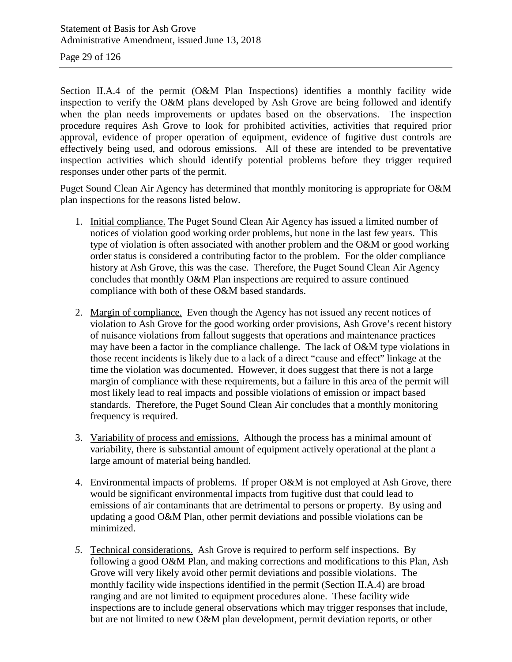Page 29 of 126

Section II.A.4 of the permit (O&M Plan Inspections) identifies a monthly facility wide inspection to verify the O&M plans developed by Ash Grove are being followed and identify when the plan needs improvements or updates based on the observations. The inspection procedure requires Ash Grove to look for prohibited activities, activities that required prior approval, evidence of proper operation of equipment, evidence of fugitive dust controls are effectively being used, and odorous emissions. All of these are intended to be preventative inspection activities which should identify potential problems before they trigger required responses under other parts of the permit.

Puget Sound Clean Air Agency has determined that monthly monitoring is appropriate for O&M plan inspections for the reasons listed below.

- 1. Initial compliance. The Puget Sound Clean Air Agency has issued a limited number of notices of violation good working order problems, but none in the last few years. This type of violation is often associated with another problem and the O&M or good working order status is considered a contributing factor to the problem. For the older compliance history at Ash Grove, this was the case. Therefore, the Puget Sound Clean Air Agency concludes that monthly O&M Plan inspections are required to assure continued compliance with both of these O&M based standards.
- 2. Margin of compliance. Even though the Agency has not issued any recent notices of violation to Ash Grove for the good working order provisions, Ash Grove's recent history of nuisance violations from fallout suggests that operations and maintenance practices may have been a factor in the compliance challenge. The lack of O&M type violations in those recent incidents is likely due to a lack of a direct "cause and effect" linkage at the time the violation was documented. However, it does suggest that there is not a large margin of compliance with these requirements, but a failure in this area of the permit will most likely lead to real impacts and possible violations of emission or impact based standards. Therefore, the Puget Sound Clean Air concludes that a monthly monitoring frequency is required.
- 3. Variability of process and emissions. Although the process has a minimal amount of variability, there is substantial amount of equipment actively operational at the plant a large amount of material being handled.
- 4. Environmental impacts of problems. If proper O&M is not employed at Ash Grove, there would be significant environmental impacts from fugitive dust that could lead to emissions of air contaminants that are detrimental to persons or property. By using and updating a good O&M Plan, other permit deviations and possible violations can be minimized.
- *5.* Technical considerations. Ash Grove is required to perform self inspections. By following a good O&M Plan, and making corrections and modifications to this Plan, Ash Grove will very likely avoid other permit deviations and possible violations. The monthly facility wide inspections identified in the permit (Section II.A.4) are broad ranging and are not limited to equipment procedures alone. These facility wide inspections are to include general observations which may trigger responses that include, but are not limited to new O&M plan development, permit deviation reports, or other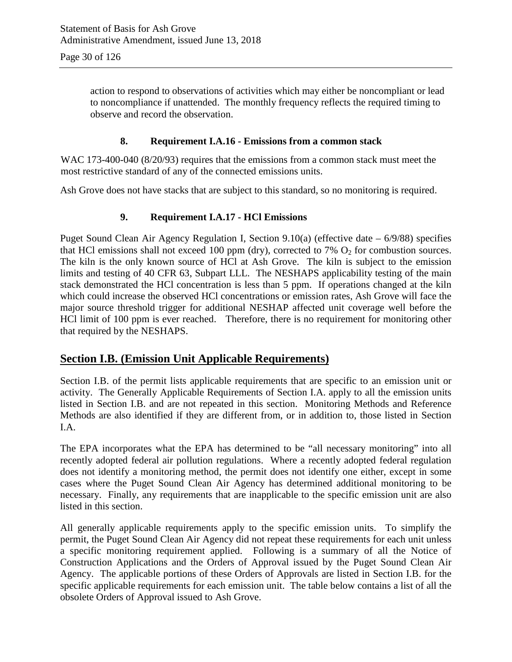action to respond to observations of activities which may either be noncompliant or lead to noncompliance if unattended. The monthly frequency reflects the required timing to observe and record the observation.

#### **8. Requirement I.A.16 - Emissions from a common stack**

WAC 173-400-040 (8/20/93) requires that the emissions from a common stack must meet the most restrictive standard of any of the connected emissions units.

Ash Grove does not have stacks that are subject to this standard, so no monitoring is required.

#### **9. Requirement I.A.17 - HCl Emissions**

Puget Sound Clean Air Agency Regulation I, Section 9.10(a) (effective date – 6/9/88) specifies that HCl emissions shall not exceed 100 ppm (dry), corrected to 7%  $O_2$  for combustion sources. The kiln is the only known source of HCl at Ash Grove. The kiln is subject to the emission limits and testing of 40 CFR 63, Subpart LLL. The NESHAPS applicability testing of the main stack demonstrated the HCl concentration is less than 5 ppm. If operations changed at the kiln which could increase the observed HCl concentrations or emission rates, Ash Grove will face the major source threshold trigger for additional NESHAP affected unit coverage well before the HCl limit of 100 ppm is ever reached. Therefore, there is no requirement for monitoring other that required by the NESHAPS.

#### **Section I.B. (Emission Unit Applicable Requirements)**

Section I.B. of the permit lists applicable requirements that are specific to an emission unit or activity. The Generally Applicable Requirements of Section I.A. apply to all the emission units listed in Section I.B. and are not repeated in this section. Monitoring Methods and Reference Methods are also identified if they are different from, or in addition to, those listed in Section I.A.

The EPA incorporates what the EPA has determined to be "all necessary monitoring" into all recently adopted federal air pollution regulations. Where a recently adopted federal regulation does not identify a monitoring method, the permit does not identify one either, except in some cases where the Puget Sound Clean Air Agency has determined additional monitoring to be necessary. Finally, any requirements that are inapplicable to the specific emission unit are also listed in this section.

All generally applicable requirements apply to the specific emission units. To simplify the permit, the Puget Sound Clean Air Agency did not repeat these requirements for each unit unless a specific monitoring requirement applied. Following is a summary of all the Notice of Construction Applications and the Orders of Approval issued by the Puget Sound Clean Air Agency. The applicable portions of these Orders of Approvals are listed in Section I.B. for the specific applicable requirements for each emission unit. The table below contains a list of all the obsolete Orders of Approval issued to Ash Grove.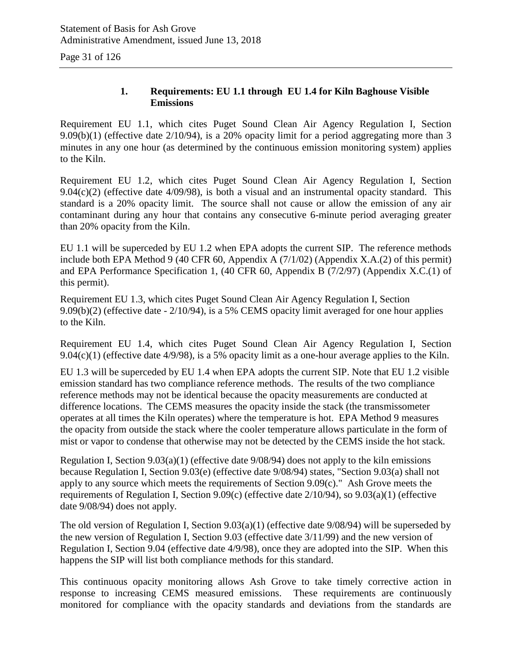Page 31 of 126

#### **1. Requirements: EU 1.1 through EU 1.4 for Kiln Baghouse Visible Emissions**

Requirement EU 1.1, which cites Puget Sound Clean Air Agency Regulation I, Section 9.09(b)(1) (effective date 2/10/94), is a 20% opacity limit for a period aggregating more than 3 minutes in any one hour (as determined by the continuous emission monitoring system) applies to the Kiln.

Requirement EU 1.2, which cites Puget Sound Clean Air Agency Regulation I, Section  $9.04(c)(2)$  (effective date  $4/09/98$ ), is both a visual and an instrumental opacity standard. This standard is a 20% opacity limit. The source shall not cause or allow the emission of any air contaminant during any hour that contains any consecutive 6-minute period averaging greater than 20% opacity from the Kiln.

EU 1.1 will be superceded by EU 1.2 when EPA adopts the current SIP. The reference methods include both EPA Method 9 (40 CFR 60, Appendix A (7/1/02) (Appendix X.A.(2) of this permit) and EPA Performance Specification 1, (40 CFR 60, Appendix B (7/2/97) (Appendix X.C.(1) of this permit).

Requirement EU 1.3, which cites Puget Sound Clean Air Agency Regulation I, Section 9.09(b)(2) (effective date - 2/10/94), is a 5% CEMS opacity limit averaged for one hour applies to the Kiln.

Requirement EU 1.4, which cites Puget Sound Clean Air Agency Regulation I, Section  $9.04(c)(1)$  (effective date  $4/9/98$ ), is a 5% opacity limit as a one-hour average applies to the Kiln.

EU 1.3 will be superceded by EU 1.4 when EPA adopts the current SIP. Note that EU 1.2 visible emission standard has two compliance reference methods. The results of the two compliance reference methods may not be identical because the opacity measurements are conducted at difference locations. The CEMS measures the opacity inside the stack (the transmissometer operates at all times the Kiln operates) where the temperature is hot. EPA Method 9 measures the opacity from outside the stack where the cooler temperature allows particulate in the form of mist or vapor to condense that otherwise may not be detected by the CEMS inside the hot stack.

Regulation I, Section 9.03(a)(1) (effective date 9/08/94) does not apply to the kiln emissions because Regulation I, Section 9.03(e) (effective date 9/08/94) states, "Section 9.03(a) shall not apply to any source which meets the requirements of Section 9.09(c)." Ash Grove meets the requirements of Regulation I, Section 9.09(c) (effective date 2/10/94), so 9.03(a)(1) (effective date 9/08/94) does not apply.

The old version of Regulation I, Section 9.03(a)(1) (effective date 9/08/94) will be superseded by the new version of Regulation I, Section 9.03 (effective date 3/11/99) and the new version of Regulation I, Section 9.04 (effective date 4/9/98), once they are adopted into the SIP. When this happens the SIP will list both compliance methods for this standard.

This continuous opacity monitoring allows Ash Grove to take timely corrective action in response to increasing CEMS measured emissions. These requirements are continuously monitored for compliance with the opacity standards and deviations from the standards are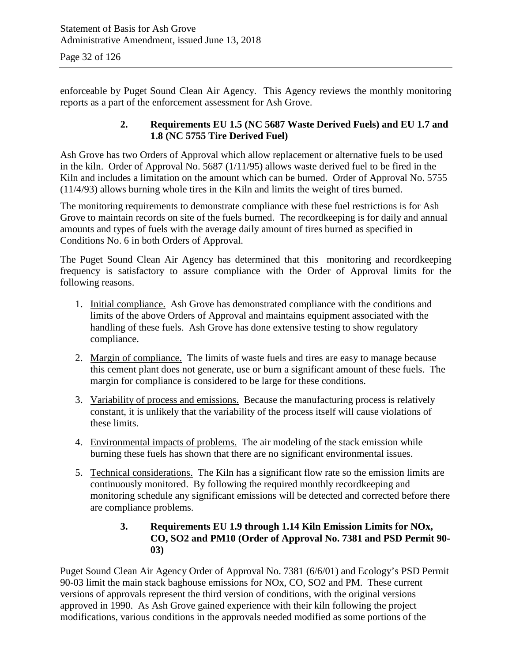enforceable by Puget Sound Clean Air Agency. This Agency reviews the monthly monitoring reports as a part of the enforcement assessment for Ash Grove.

#### **2. Requirements EU 1.5 (NC 5687 Waste Derived Fuels) and EU 1.7 and 1.8 (NC 5755 Tire Derived Fuel)**

Ash Grove has two Orders of Approval which allow replacement or alternative fuels to be used in the kiln. Order of Approval No. 5687 (1/11/95) allows waste derived fuel to be fired in the Kiln and includes a limitation on the amount which can be burned. Order of Approval No. 5755 (11/4/93) allows burning whole tires in the Kiln and limits the weight of tires burned.

The monitoring requirements to demonstrate compliance with these fuel restrictions is for Ash Grove to maintain records on site of the fuels burned. The recordkeeping is for daily and annual amounts and types of fuels with the average daily amount of tires burned as specified in Conditions No. 6 in both Orders of Approval.

The Puget Sound Clean Air Agency has determined that this monitoring and recordkeeping frequency is satisfactory to assure compliance with the Order of Approval limits for the following reasons.

- 1. Initial compliance. Ash Grove has demonstrated compliance with the conditions and limits of the above Orders of Approval and maintains equipment associated with the handling of these fuels. Ash Grove has done extensive testing to show regulatory compliance.
- 2. Margin of compliance. The limits of waste fuels and tires are easy to manage because this cement plant does not generate, use or burn a significant amount of these fuels. The margin for compliance is considered to be large for these conditions.
- 3. Variability of process and emissions. Because the manufacturing process is relatively constant, it is unlikely that the variability of the process itself will cause violations of these limits.
- 4. Environmental impacts of problems. The air modeling of the stack emission while burning these fuels has shown that there are no significant environmental issues.
- 5. Technical considerations. The Kiln has a significant flow rate so the emission limits are continuously monitored. By following the required monthly recordkeeping and monitoring schedule any significant emissions will be detected and corrected before there are compliance problems.

#### **3. Requirements EU 1.9 through 1.14 Kiln Emission Limits for NOx, CO, SO2 and PM10 (Order of Approval No. 7381 and PSD Permit 90- 03)**

Puget Sound Clean Air Agency Order of Approval No. 7381 (6/6/01) and Ecology's PSD Permit 90-03 limit the main stack baghouse emissions for NOx, CO, SO2 and PM. These current versions of approvals represent the third version of conditions, with the original versions approved in 1990. As Ash Grove gained experience with their kiln following the project modifications, various conditions in the approvals needed modified as some portions of the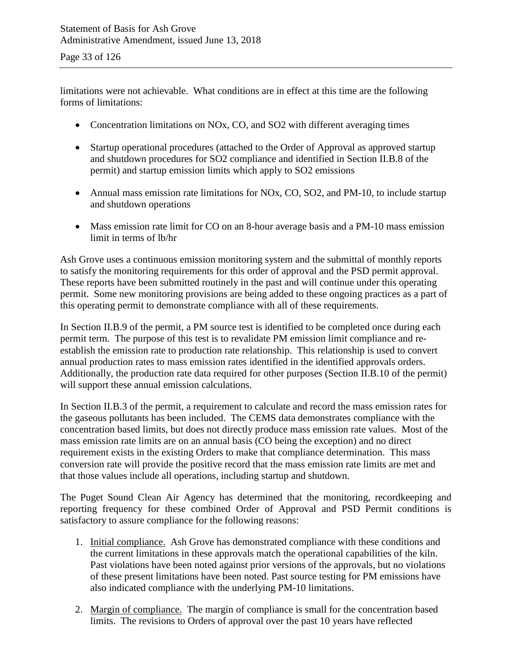limitations were not achievable. What conditions are in effect at this time are the following forms of limitations:

- Concentration limitations on NOx, CO, and SO2 with different averaging times
- Startup operational procedures (attached to the Order of Approval as approved startup and shutdown procedures for SO2 compliance and identified in Section II.B.8 of the permit) and startup emission limits which apply to SO2 emissions
- Annual mass emission rate limitations for NOx, CO, SO2, and PM-10, to include startup and shutdown operations
- Mass emission rate limit for CO on an 8-hour average basis and a PM-10 mass emission limit in terms of lb/hr

Ash Grove uses a continuous emission monitoring system and the submittal of monthly reports to satisfy the monitoring requirements for this order of approval and the PSD permit approval. These reports have been submitted routinely in the past and will continue under this operating permit. Some new monitoring provisions are being added to these ongoing practices as a part of this operating permit to demonstrate compliance with all of these requirements.

In Section II.B.9 of the permit, a PM source test is identified to be completed once during each permit term. The purpose of this test is to revalidate PM emission limit compliance and reestablish the emission rate to production rate relationship. This relationship is used to convert annual production rates to mass emission rates identified in the identified approvals orders. Additionally, the production rate data required for other purposes (Section II.B.10 of the permit) will support these annual emission calculations.

In Section II.B.3 of the permit, a requirement to calculate and record the mass emission rates for the gaseous pollutants has been included. The CEMS data demonstrates compliance with the concentration based limits, but does not directly produce mass emission rate values. Most of the mass emission rate limits are on an annual basis (CO being the exception) and no direct requirement exists in the existing Orders to make that compliance determination. This mass conversion rate will provide the positive record that the mass emission rate limits are met and that those values include all operations, including startup and shutdown.

The Puget Sound Clean Air Agency has determined that the monitoring, recordkeeping and reporting frequency for these combined Order of Approval and PSD Permit conditions is satisfactory to assure compliance for the following reasons:

- 1. Initial compliance. Ash Grove has demonstrated compliance with these conditions and the current limitations in these approvals match the operational capabilities of the kiln. Past violations have been noted against prior versions of the approvals, but no violations of these present limitations have been noted. Past source testing for PM emissions have also indicated compliance with the underlying PM-10 limitations.
- 2. Margin of compliance. The margin of compliance is small for the concentration based limits. The revisions to Orders of approval over the past 10 years have reflected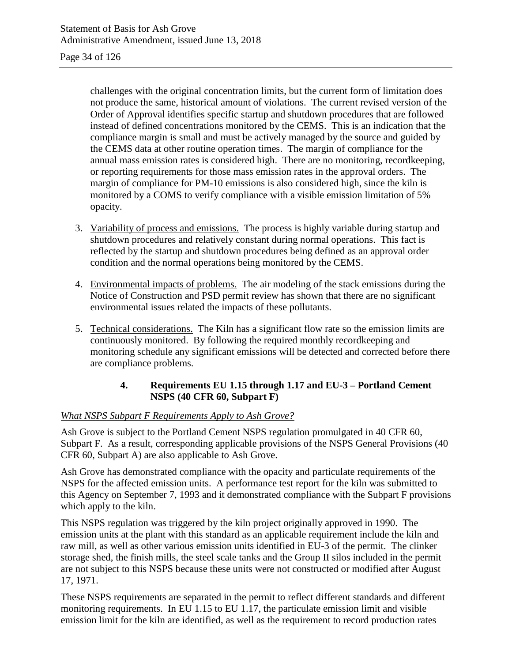#### Page 34 of 126

challenges with the original concentration limits, but the current form of limitation does not produce the same, historical amount of violations. The current revised version of the Order of Approval identifies specific startup and shutdown procedures that are followed instead of defined concentrations monitored by the CEMS. This is an indication that the compliance margin is small and must be actively managed by the source and guided by the CEMS data at other routine operation times. The margin of compliance for the annual mass emission rates is considered high. There are no monitoring, recordkeeping, or reporting requirements for those mass emission rates in the approval orders. The margin of compliance for PM-10 emissions is also considered high, since the kiln is monitored by a COMS to verify compliance with a visible emission limitation of 5% opacity.

- 3. Variability of process and emissions. The process is highly variable during startup and shutdown procedures and relatively constant during normal operations. This fact is reflected by the startup and shutdown procedures being defined as an approval order condition and the normal operations being monitored by the CEMS.
- 4. Environmental impacts of problems. The air modeling of the stack emissions during the Notice of Construction and PSD permit review has shown that there are no significant environmental issues related the impacts of these pollutants.
- 5. Technical considerations. The Kiln has a significant flow rate so the emission limits are continuously monitored. By following the required monthly recordkeeping and monitoring schedule any significant emissions will be detected and corrected before there are compliance problems.

#### **4. Requirements EU 1.15 through 1.17 and EU-3 – Portland Cement NSPS (40 CFR 60, Subpart F)**

#### *What NSPS Subpart F Requirements Apply to Ash Grove?*

Ash Grove is subject to the Portland Cement NSPS regulation promulgated in 40 CFR 60, Subpart F. As a result, corresponding applicable provisions of the NSPS General Provisions (40 CFR 60, Subpart A) are also applicable to Ash Grove.

Ash Grove has demonstrated compliance with the opacity and particulate requirements of the NSPS for the affected emission units. A performance test report for the kiln was submitted to this Agency on September 7, 1993 and it demonstrated compliance with the Subpart F provisions which apply to the kiln.

This NSPS regulation was triggered by the kiln project originally approved in 1990. The emission units at the plant with this standard as an applicable requirement include the kiln and raw mill, as well as other various emission units identified in EU-3 of the permit. The clinker storage shed, the finish mills, the steel scale tanks and the Group II silos included in the permit are not subject to this NSPS because these units were not constructed or modified after August 17, 1971.

These NSPS requirements are separated in the permit to reflect different standards and different monitoring requirements. In EU 1.15 to EU 1.17, the particulate emission limit and visible emission limit for the kiln are identified, as well as the requirement to record production rates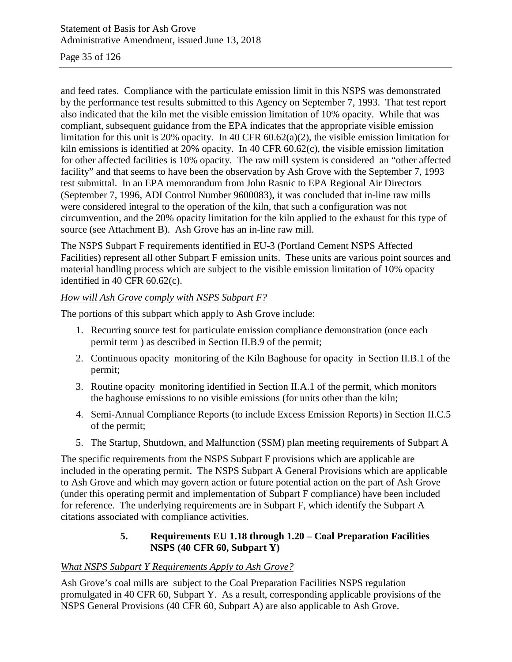#### Page 35 of 126

and feed rates. Compliance with the particulate emission limit in this NSPS was demonstrated by the performance test results submitted to this Agency on September 7, 1993. That test report also indicated that the kiln met the visible emission limitation of 10% opacity. While that was compliant, subsequent guidance from the EPA indicates that the appropriate visible emission limitation for this unit is 20% opacity. In 40 CFR 60.62(a)(2), the visible emission limitation for kiln emissions is identified at 20% opacity. In 40 CFR 60.62(c), the visible emission limitation for other affected facilities is 10% opacity. The raw mill system is considered an "other affected facility" and that seems to have been the observation by Ash Grove with the September 7, 1993 test submittal. In an EPA memorandum from John Rasnic to EPA Regional Air Directors (September 7, 1996, ADI Control Number 9600083), it was concluded that in-line raw mills were considered integral to the operation of the kiln, that such a configuration was not circumvention, and the 20% opacity limitation for the kiln applied to the exhaust for this type of source (see Attachment B). Ash Grove has an in-line raw mill.

The NSPS Subpart F requirements identified in EU-3 (Portland Cement NSPS Affected Facilities) represent all other Subpart F emission units. These units are various point sources and material handling process which are subject to the visible emission limitation of 10% opacity identified in 40 CFR 60.62(c).

#### *How will Ash Grove comply with NSPS Subpart F?*

The portions of this subpart which apply to Ash Grove include:

- 1. Recurring source test for particulate emission compliance demonstration (once each permit term ) as described in Section II.B.9 of the permit;
- 2. Continuous opacity monitoring of the Kiln Baghouse for opacity in Section II.B.1 of the permit;
- 3. Routine opacity monitoring identified in Section II.A.1 of the permit, which monitors the baghouse emissions to no visible emissions (for units other than the kiln;
- 4. Semi-Annual Compliance Reports (to include Excess Emission Reports) in Section II.C.5 of the permit;
- 5. The Startup, Shutdown, and Malfunction (SSM) plan meeting requirements of Subpart A

The specific requirements from the NSPS Subpart F provisions which are applicable are included in the operating permit. The NSPS Subpart A General Provisions which are applicable to Ash Grove and which may govern action or future potential action on the part of Ash Grove (under this operating permit and implementation of Subpart F compliance) have been included for reference. The underlying requirements are in Subpart F, which identify the Subpart A citations associated with compliance activities.

#### **5. Requirements EU 1.18 through 1.20 – Coal Preparation Facilities NSPS (40 CFR 60, Subpart Y)**

#### *What NSPS Subpart Y Requirements Apply to Ash Grove?*

Ash Grove's coal mills are subject to the Coal Preparation Facilities NSPS regulation promulgated in 40 CFR 60, Subpart Y. As a result, corresponding applicable provisions of the NSPS General Provisions (40 CFR 60, Subpart A) are also applicable to Ash Grove.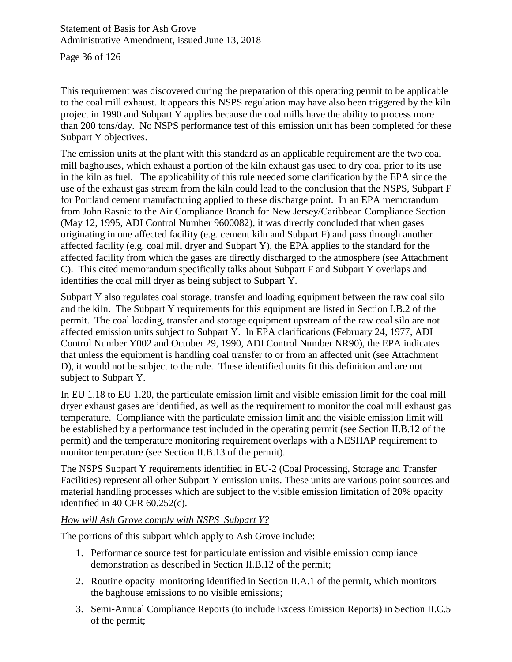Page 36 of 126

This requirement was discovered during the preparation of this operating permit to be applicable to the coal mill exhaust. It appears this NSPS regulation may have also been triggered by the kiln project in 1990 and Subpart Y applies because the coal mills have the ability to process more than 200 tons/day. No NSPS performance test of this emission unit has been completed for these Subpart Y objectives.

The emission units at the plant with this standard as an applicable requirement are the two coal mill baghouses, which exhaust a portion of the kiln exhaust gas used to dry coal prior to its use in the kiln as fuel. The applicability of this rule needed some clarification by the EPA since the use of the exhaust gas stream from the kiln could lead to the conclusion that the NSPS, Subpart F for Portland cement manufacturing applied to these discharge point. In an EPA memorandum from John Rasnic to the Air Compliance Branch for New Jersey/Caribbean Compliance Section (May 12, 1995, ADI Control Number 9600082), it was directly concluded that when gases originating in one affected facility (e.g. cement kiln and Subpart F) and pass through another affected facility (e.g. coal mill dryer and Subpart Y), the EPA applies to the standard for the affected facility from which the gases are directly discharged to the atmosphere (see Attachment C). This cited memorandum specifically talks about Subpart F and Subpart Y overlaps and identifies the coal mill dryer as being subject to Subpart Y.

Subpart Y also regulates coal storage, transfer and loading equipment between the raw coal silo and the kiln. The Subpart Y requirements for this equipment are listed in Section I.B.2 of the permit. The coal loading, transfer and storage equipment upstream of the raw coal silo are not affected emission units subject to Subpart Y. In EPA clarifications (February 24, 1977, ADI Control Number Y002 and October 29, 1990, ADI Control Number NR90), the EPA indicates that unless the equipment is handling coal transfer to or from an affected unit (see Attachment D), it would not be subject to the rule. These identified units fit this definition and are not subject to Subpart Y.

In EU 1.18 to EU 1.20, the particulate emission limit and visible emission limit for the coal mill dryer exhaust gases are identified, as well as the requirement to monitor the coal mill exhaust gas temperature. Compliance with the particulate emission limit and the visible emission limit will be established by a performance test included in the operating permit (see Section II.B.12 of the permit) and the temperature monitoring requirement overlaps with a NESHAP requirement to monitor temperature (see Section II.B.13 of the permit).

The NSPS Subpart Y requirements identified in EU-2 (Coal Processing, Storage and Transfer Facilities) represent all other Subpart Y emission units. These units are various point sources and material handling processes which are subject to the visible emission limitation of 20% opacity identified in 40 CFR 60.252(c).

#### *How will Ash Grove comply with NSPS Subpart Y?*

The portions of this subpart which apply to Ash Grove include:

- 1. Performance source test for particulate emission and visible emission compliance demonstration as described in Section II.B.12 of the permit;
- 2. Routine opacity monitoring identified in Section II.A.1 of the permit, which monitors the baghouse emissions to no visible emissions;
- 3. Semi-Annual Compliance Reports (to include Excess Emission Reports) in Section II.C.5 of the permit;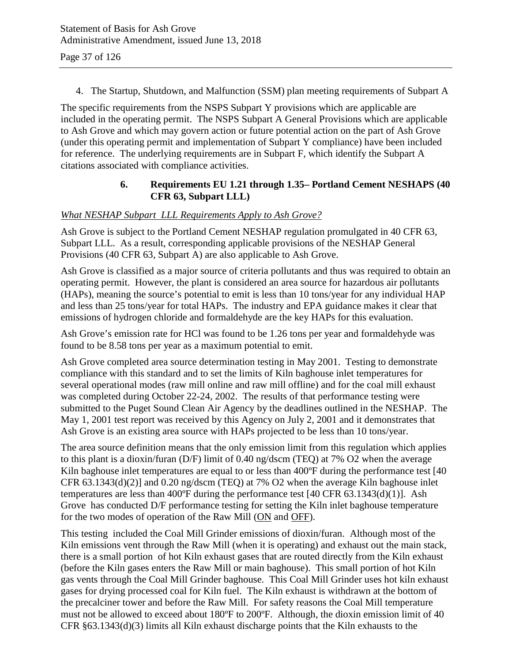4. The Startup, Shutdown, and Malfunction (SSM) plan meeting requirements of Subpart A

The specific requirements from the NSPS Subpart Y provisions which are applicable are included in the operating permit. The NSPS Subpart A General Provisions which are applicable to Ash Grove and which may govern action or future potential action on the part of Ash Grove (under this operating permit and implementation of Subpart Y compliance) have been included for reference. The underlying requirements are in Subpart F, which identify the Subpart A citations associated with compliance activities.

### **6. Requirements EU 1.21 through 1.35– Portland Cement NESHAPS (40 CFR 63, Subpart LLL)**

#### *What NESHAP Subpart LLL Requirements Apply to Ash Grove?*

Ash Grove is subject to the Portland Cement NESHAP regulation promulgated in 40 CFR 63, Subpart LLL. As a result, corresponding applicable provisions of the NESHAP General Provisions (40 CFR 63, Subpart A) are also applicable to Ash Grove.

Ash Grove is classified as a major source of criteria pollutants and thus was required to obtain an operating permit. However, the plant is considered an area source for hazardous air pollutants (HAPs), meaning the source's potential to emit is less than 10 tons/year for any individual HAP and less than 25 tons/year for total HAPs. The industry and EPA guidance makes it clear that emissions of hydrogen chloride and formaldehyde are the key HAPs for this evaluation.

Ash Grove's emission rate for HCl was found to be 1.26 tons per year and formaldehyde was found to be 8.58 tons per year as a maximum potential to emit.

Ash Grove completed area source determination testing in May 2001. Testing to demonstrate compliance with this standard and to set the limits of Kiln baghouse inlet temperatures for several operational modes (raw mill online and raw mill offline) and for the coal mill exhaust was completed during October 22-24, 2002. The results of that performance testing were submitted to the Puget Sound Clean Air Agency by the deadlines outlined in the NESHAP. The May 1, 2001 test report was received by this Agency on July 2, 2001 and it demonstrates that Ash Grove is an existing area source with HAPs projected to be less than 10 tons/year.

The area source definition means that the only emission limit from this regulation which applies to this plant is a dioxin/furan (D/F) limit of 0.40 ng/dscm (TEQ) at 7% O2 when the average Kiln baghouse inlet temperatures are equal to or less than 400°F during the performance test [40] CFR 63.1343(d)(2)] and 0.20 ng/dscm (TEQ) at 7% O2 when the average Kiln baghouse inlet temperatures are less than 400 $\textdegree$ F during the performance test [40 CFR 63.1343(d)(1)]. Ash Grove has conducted D/F performance testing for setting the Kiln inlet baghouse temperature for the two modes of operation of the Raw Mill (ON and OFF).

This testing included the Coal Mill Grinder emissions of dioxin/furan. Although most of the Kiln emissions vent through the Raw Mill (when it is operating) and exhaust out the main stack, there is a small portion of hot Kiln exhaust gases that are routed directly from the Kiln exhaust (before the Kiln gases enters the Raw Mill or main baghouse). This small portion of hot Kiln gas vents through the Coal Mill Grinder baghouse. This Coal Mill Grinder uses hot kiln exhaust gases for drying processed coal for Kiln fuel. The Kiln exhaust is withdrawn at the bottom of the precalciner tower and before the Raw Mill. For safety reasons the Coal Mill temperature must not be allowed to exceed about 180ºF to 200ºF. Although, the dioxin emission limit of 40 CFR §63.1343(d)(3) limits all Kiln exhaust discharge points that the Kiln exhausts to the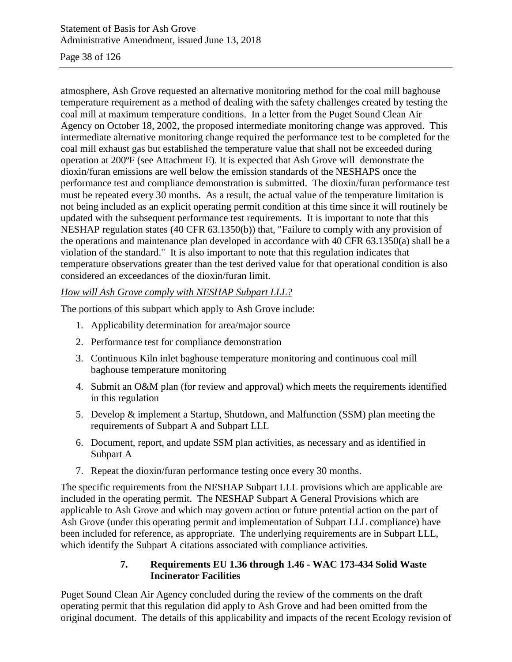#### Page 38 of 126

atmosphere, Ash Grove requested an alternative monitoring method for the coal mill baghouse temperature requirement as a method of dealing with the safety challenges created by testing the coal mill at maximum temperature conditions. In a letter from the Puget Sound Clean Air Agency on October 18, 2002, the proposed intermediate monitoring change was approved. This intermediate alternative monitoring change required the performance test to be completed for the coal mill exhaust gas but established the temperature value that shall not be exceeded during operation at 200ºF (see Attachment E). It is expected that Ash Grove will demonstrate the dioxin/furan emissions are well below the emission standards of the NESHAPS once the performance test and compliance demonstration is submitted. The dioxin/furan performance test must be repeated every 30 months. As a result, the actual value of the temperature limitation is not being included as an explicit operating permit condition at this time since it will routinely be updated with the subsequent performance test requirements. It is important to note that this NESHAP regulation states (40 CFR 63.1350(b)) that, "Failure to comply with any provision of the operations and maintenance plan developed in accordance with 40 CFR 63.1350(a) shall be a violation of the standard." It is also important to note that this regulation indicates that temperature observations greater than the test derived value for that operational condition is also considered an exceedances of the dioxin/furan limit.

### *How will Ash Grove comply with NESHAP Subpart LLL?*

The portions of this subpart which apply to Ash Grove include:

- 1. Applicability determination for area/major source
- 2. Performance test for compliance demonstration
- 3. Continuous Kiln inlet baghouse temperature monitoring and continuous coal mill baghouse temperature monitoring
- 4. Submit an O&M plan (for review and approval) which meets the requirements identified in this regulation
- 5. Develop & implement a Startup, Shutdown, and Malfunction (SSM) plan meeting the requirements of Subpart A and Subpart LLL
- 6. Document, report, and update SSM plan activities, as necessary and as identified in Subpart A
- 7. Repeat the dioxin/furan performance testing once every 30 months.

The specific requirements from the NESHAP Subpart LLL provisions which are applicable are included in the operating permit. The NESHAP Subpart A General Provisions which are applicable to Ash Grove and which may govern action or future potential action on the part of Ash Grove (under this operating permit and implementation of Subpart LLL compliance) have been included for reference, as appropriate. The underlying requirements are in Subpart LLL, which identify the Subpart A citations associated with compliance activities.

### **7. Requirements EU 1.36 through 1.46 - WAC 173-434 Solid Waste Incinerator Facilities**

Puget Sound Clean Air Agency concluded during the review of the comments on the draft operating permit that this regulation did apply to Ash Grove and had been omitted from the original document. The details of this applicability and impacts of the recent Ecology revision of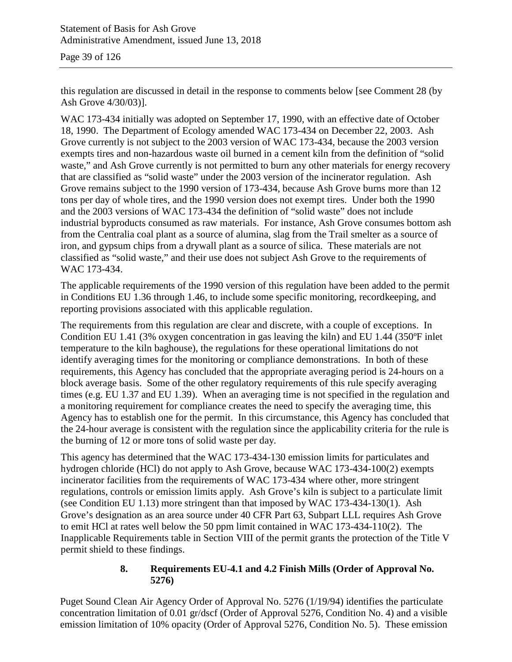Page 39 of 126

this regulation are discussed in detail in the response to comments below [see Comment 28 (by Ash Grove 4/30/03)].

WAC 173-434 initially was adopted on September 17, 1990, with an effective date of October 18, 1990. The Department of Ecology amended WAC 173-434 on December 22, 2003. Ash Grove currently is not subject to the 2003 version of WAC 173-434, because the 2003 version exempts tires and non-hazardous waste oil burned in a cement kiln from the definition of "solid waste," and Ash Grove currently is not permitted to burn any other materials for energy recovery that are classified as "solid waste" under the 2003 version of the incinerator regulation. Ash Grove remains subject to the 1990 version of 173-434, because Ash Grove burns more than 12 tons per day of whole tires, and the 1990 version does not exempt tires. Under both the 1990 and the 2003 versions of WAC 173-434 the definition of "solid waste" does not include industrial byproducts consumed as raw materials. For instance, Ash Grove consumes bottom ash from the Centralia coal plant as a source of alumina, slag from the Trail smelter as a source of iron, and gypsum chips from a drywall plant as a source of silica. These materials are not classified as "solid waste," and their use does not subject Ash Grove to the requirements of WAC 173-434.

The applicable requirements of the 1990 version of this regulation have been added to the permit in Conditions EU 1.36 through 1.46, to include some specific monitoring, recordkeeping, and reporting provisions associated with this applicable regulation.

The requirements from this regulation are clear and discrete, with a couple of exceptions. In Condition EU 1.41 (3% oxygen concentration in gas leaving the kiln) and EU 1.44 (350ºF inlet temperature to the kiln baghouse), the regulations for these operational limitations do not identify averaging times for the monitoring or compliance demonstrations. In both of these requirements, this Agency has concluded that the appropriate averaging period is 24-hours on a block average basis. Some of the other regulatory requirements of this rule specify averaging times (e.g. EU 1.37 and EU 1.39). When an averaging time is not specified in the regulation and a monitoring requirement for compliance creates the need to specify the averaging time, this Agency has to establish one for the permit. In this circumstance, this Agency has concluded that the 24-hour average is consistent with the regulation since the applicability criteria for the rule is the burning of 12 or more tons of solid waste per day.

This agency has determined that the WAC 173-434-130 emission limits for particulates and hydrogen chloride (HCl) do not apply to Ash Grove, because WAC 173-434-100(2) exempts incinerator facilities from the requirements of WAC 173-434 where other, more stringent regulations, controls or emission limits apply. Ash Grove's kiln is subject to a particulate limit (see Condition EU 1.13) more stringent than that imposed by WAC 173-434-130(1). Ash Grove's designation as an area source under 40 CFR Part 63, Subpart LLL requires Ash Grove to emit HCl at rates well below the 50 ppm limit contained in WAC 173-434-110(2). The Inapplicable Requirements table in Section VIII of the permit grants the protection of the Title V permit shield to these findings.

### **8. Requirements EU-4.1 and 4.2 Finish Mills (Order of Approval No. 5276)**

Puget Sound Clean Air Agency Order of Approval No. 5276 (1/19/94) identifies the particulate concentration limitation of 0.01 gr/dscf (Order of Approval 5276, Condition No. 4) and a visible emission limitation of 10% opacity (Order of Approval 5276, Condition No. 5). These emission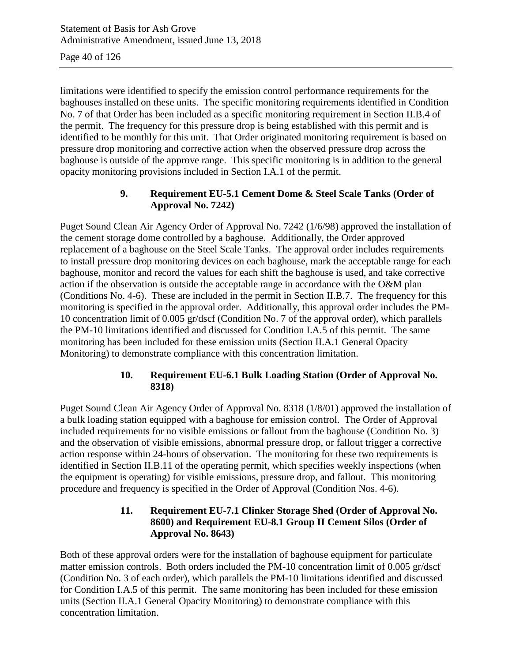Page 40 of 126

limitations were identified to specify the emission control performance requirements for the baghouses installed on these units. The specific monitoring requirements identified in Condition No. 7 of that Order has been included as a specific monitoring requirement in Section II.B.4 of the permit. The frequency for this pressure drop is being established with this permit and is identified to be monthly for this unit. That Order originated monitoring requirement is based on pressure drop monitoring and corrective action when the observed pressure drop across the baghouse is outside of the approve range. This specific monitoring is in addition to the general opacity monitoring provisions included in Section I.A.1 of the permit.

### **9. Requirement EU-5.1 Cement Dome & Steel Scale Tanks (Order of Approval No. 7242)**

Puget Sound Clean Air Agency Order of Approval No. 7242 (1/6/98) approved the installation of the cement storage dome controlled by a baghouse. Additionally, the Order approved replacement of a baghouse on the Steel Scale Tanks. The approval order includes requirements to install pressure drop monitoring devices on each baghouse, mark the acceptable range for each baghouse, monitor and record the values for each shift the baghouse is used, and take corrective action if the observation is outside the acceptable range in accordance with the O&M plan (Conditions No. 4-6). These are included in the permit in Section II.B.7. The frequency for this monitoring is specified in the approval order. Additionally, this approval order includes the PM-10 concentration limit of 0.005 gr/dscf (Condition No. 7 of the approval order), which parallels the PM-10 limitations identified and discussed for Condition I.A.5 of this permit. The same monitoring has been included for these emission units (Section II.A.1 General Opacity Monitoring) to demonstrate compliance with this concentration limitation.

### **10. Requirement EU-6.1 Bulk Loading Station (Order of Approval No. 8318)**

Puget Sound Clean Air Agency Order of Approval No. 8318 (1/8/01) approved the installation of a bulk loading station equipped with a baghouse for emission control. The Order of Approval included requirements for no visible emissions or fallout from the baghouse (Condition No. 3) and the observation of visible emissions, abnormal pressure drop, or fallout trigger a corrective action response within 24-hours of observation. The monitoring for these two requirements is identified in Section II.B.11 of the operating permit, which specifies weekly inspections (when the equipment is operating) for visible emissions, pressure drop, and fallout. This monitoring procedure and frequency is specified in the Order of Approval (Condition Nos. 4-6).

### **11. Requirement EU-7.1 Clinker Storage Shed (Order of Approval No. 8600) and Requirement EU-8.1 Group II Cement Silos (Order of Approval No. 8643)**

Both of these approval orders were for the installation of baghouse equipment for particulate matter emission controls. Both orders included the PM-10 concentration limit of 0.005 gr/dscf (Condition No. 3 of each order), which parallels the PM-10 limitations identified and discussed for Condition I.A.5 of this permit. The same monitoring has been included for these emission units (Section II.A.1 General Opacity Monitoring) to demonstrate compliance with this concentration limitation.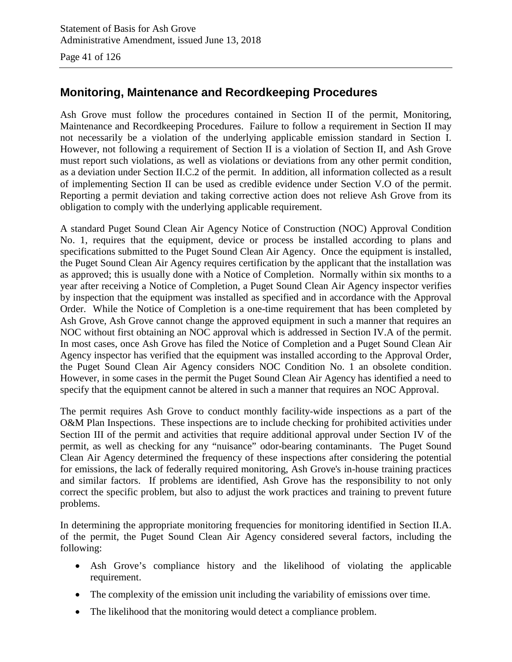Page 41 of 126

# **Monitoring, Maintenance and Recordkeeping Procedures**

Ash Grove must follow the procedures contained in Section II of the permit, Monitoring, Maintenance and Recordkeeping Procedures. Failure to follow a requirement in Section II may not necessarily be a violation of the underlying applicable emission standard in Section I. However, not following a requirement of Section II is a violation of Section II, and Ash Grove must report such violations, as well as violations or deviations from any other permit condition, as a deviation under Section II.C.2 of the permit. In addition, all information collected as a result of implementing Section II can be used as credible evidence under Section V.O of the permit. Reporting a permit deviation and taking corrective action does not relieve Ash Grove from its obligation to comply with the underlying applicable requirement.

A standard Puget Sound Clean Air Agency Notice of Construction (NOC) Approval Condition No. 1, requires that the equipment, device or process be installed according to plans and specifications submitted to the Puget Sound Clean Air Agency. Once the equipment is installed, the Puget Sound Clean Air Agency requires certification by the applicant that the installation was as approved; this is usually done with a Notice of Completion. Normally within six months to a year after receiving a Notice of Completion, a Puget Sound Clean Air Agency inspector verifies by inspection that the equipment was installed as specified and in accordance with the Approval Order. While the Notice of Completion is a one-time requirement that has been completed by Ash Grove, Ash Grove cannot change the approved equipment in such a manner that requires an NOC without first obtaining an NOC approval which is addressed in Section IV.A of the permit. In most cases, once Ash Grove has filed the Notice of Completion and a Puget Sound Clean Air Agency inspector has verified that the equipment was installed according to the Approval Order, the Puget Sound Clean Air Agency considers NOC Condition No. 1 an obsolete condition. However, in some cases in the permit the Puget Sound Clean Air Agency has identified a need to specify that the equipment cannot be altered in such a manner that requires an NOC Approval.

The permit requires Ash Grove to conduct monthly facility-wide inspections as a part of the O&M Plan Inspections. These inspections are to include checking for prohibited activities under Section III of the permit and activities that require additional approval under Section IV of the permit, as well as checking for any "nuisance" odor-bearing contaminants. The Puget Sound Clean Air Agency determined the frequency of these inspections after considering the potential for emissions, the lack of federally required monitoring, Ash Grove's in-house training practices and similar factors. If problems are identified, Ash Grove has the responsibility to not only correct the specific problem, but also to adjust the work practices and training to prevent future problems.

In determining the appropriate monitoring frequencies for monitoring identified in Section II.A. of the permit, the Puget Sound Clean Air Agency considered several factors, including the following:

- Ash Grove's compliance history and the likelihood of violating the applicable requirement.
- The complexity of the emission unit including the variability of emissions over time.
- The likelihood that the monitoring would detect a compliance problem.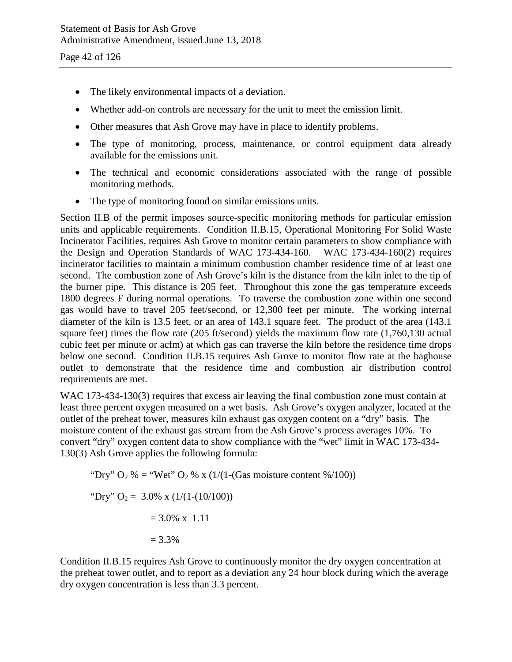- The likely environmental impacts of a deviation.
- Whether add-on controls are necessary for the unit to meet the emission limit.
- Other measures that Ash Grove may have in place to identify problems.
- The type of monitoring, process, maintenance, or control equipment data already available for the emissions unit.
- The technical and economic considerations associated with the range of possible monitoring methods.
- The type of monitoring found on similar emissions units.

Section II.B of the permit imposes source-specific monitoring methods for particular emission units and applicable requirements. Condition II.B.15, Operational Monitoring For Solid Waste Incinerator Facilities, requires Ash Grove to monitor certain parameters to show compliance with the Design and Operation Standards of WAC 173-434-160. WAC 173-434-160(2) requires incinerator facilities to maintain a minimum combustion chamber residence time of at least one second. The combustion zone of Ash Grove's kiln is the distance from the kiln inlet to the tip of the burner pipe. This distance is 205 feet. Throughout this zone the gas temperature exceeds 1800 degrees F during normal operations. To traverse the combustion zone within one second gas would have to travel 205 feet/second, or 12,300 feet per minute. The working internal diameter of the kiln is 13.5 feet, or an area of 143.1 square feet. The product of the area (143.1 square feet) times the flow rate (205 ft/second) yields the maximum flow rate (1,760,130 actual cubic feet per minute or acfm) at which gas can traverse the kiln before the residence time drops below one second. Condition II.B.15 requires Ash Grove to monitor flow rate at the baghouse outlet to demonstrate that the residence time and combustion air distribution control requirements are met.

WAC 173-434-130(3) requires that excess air leaving the final combustion zone must contain at least three percent oxygen measured on a wet basis. Ash Grove's oxygen analyzer, located at the outlet of the preheat tower, measures kiln exhaust gas oxygen content on a "dry" basis. The moisture content of the exhaust gas stream from the Ash Grove's process averages 10%. To convert "dry" oxygen content data to show compliance with the "wet" limit in WAC 173-434- 130(3) Ash Grove applies the following formula:

"Dry" O<sub>2</sub> % = "Wet" O<sub>2</sub> % x (1/(1-(Gas moisture content %/100)) "Dry" O<sub>2</sub> = 3.0% x (1/(1-(10/100))  $= 3.0\% \times 1.11$  $= 3.3%$ 

Condition II.B.15 requires Ash Grove to continuously monitor the dry oxygen concentration at the preheat tower outlet, and to report as a deviation any 24 hour block during which the average dry oxygen concentration is less than 3.3 percent.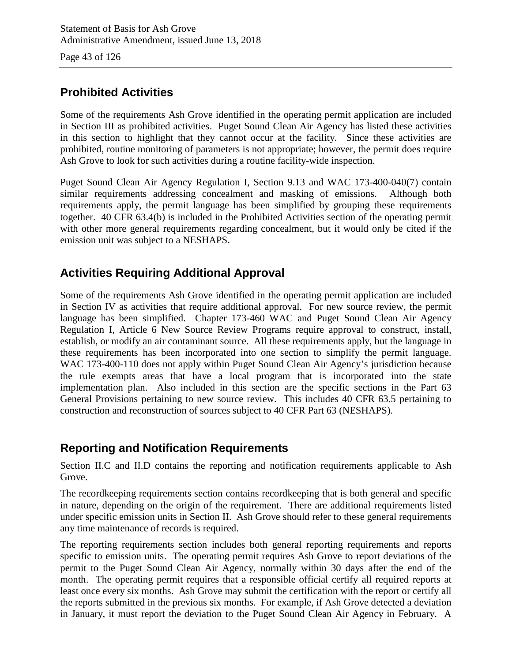Page 43 of 126

# **Prohibited Activities**

Some of the requirements Ash Grove identified in the operating permit application are included in Section III as prohibited activities. Puget Sound Clean Air Agency has listed these activities in this section to highlight that they cannot occur at the facility. Since these activities are prohibited, routine monitoring of parameters is not appropriate; however, the permit does require Ash Grove to look for such activities during a routine facility-wide inspection.

Puget Sound Clean Air Agency Regulation I, Section 9.13 and WAC 173-400-040(7) contain similar requirements addressing concealment and masking of emissions. Although both requirements apply, the permit language has been simplified by grouping these requirements together. 40 CFR 63.4(b) is included in the Prohibited Activities section of the operating permit with other more general requirements regarding concealment, but it would only be cited if the emission unit was subject to a NESHAPS.

# **Activities Requiring Additional Approval**

Some of the requirements Ash Grove identified in the operating permit application are included in Section IV as activities that require additional approval. For new source review, the permit language has been simplified. Chapter 173-460 WAC and Puget Sound Clean Air Agency Regulation I, Article 6 New Source Review Programs require approval to construct, install, establish, or modify an air contaminant source. All these requirements apply, but the language in these requirements has been incorporated into one section to simplify the permit language. WAC 173-400-110 does not apply within Puget Sound Clean Air Agency's jurisdiction because the rule exempts areas that have a local program that is incorporated into the state implementation plan. Also included in this section are the specific sections in the Part 63 General Provisions pertaining to new source review. This includes 40 CFR 63.5 pertaining to construction and reconstruction of sources subject to 40 CFR Part 63 (NESHAPS).

# **Reporting and Notification Requirements**

Section II.C and II.D contains the reporting and notification requirements applicable to Ash Grove.

The recordkeeping requirements section contains recordkeeping that is both general and specific in nature, depending on the origin of the requirement. There are additional requirements listed under specific emission units in Section II. Ash Grove should refer to these general requirements any time maintenance of records is required.

The reporting requirements section includes both general reporting requirements and reports specific to emission units. The operating permit requires Ash Grove to report deviations of the permit to the Puget Sound Clean Air Agency, normally within 30 days after the end of the month. The operating permit requires that a responsible official certify all required reports at least once every six months. Ash Grove may submit the certification with the report or certify all the reports submitted in the previous six months. For example, if Ash Grove detected a deviation in January, it must report the deviation to the Puget Sound Clean Air Agency in February. A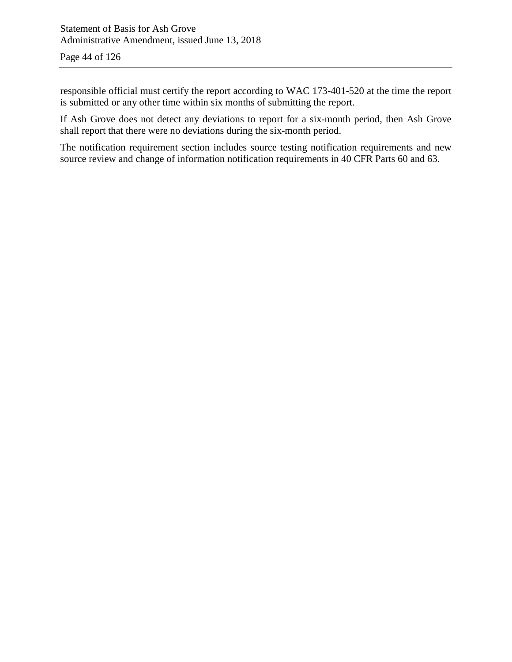responsible official must certify the report according to WAC 173-401-520 at the time the report is submitted or any other time within six months of submitting the report.

If Ash Grove does not detect any deviations to report for a six-month period, then Ash Grove shall report that there were no deviations during the six-month period.

The notification requirement section includes source testing notification requirements and new source review and change of information notification requirements in 40 CFR Parts 60 and 63.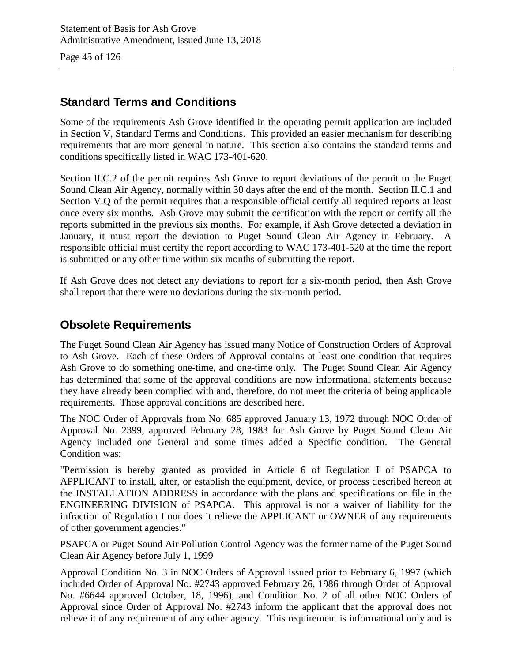Page 45 of 126

# **Standard Terms and Conditions**

Some of the requirements Ash Grove identified in the operating permit application are included in Section V, Standard Terms and Conditions. This provided an easier mechanism for describing requirements that are more general in nature. This section also contains the standard terms and conditions specifically listed in WAC 173-401-620.

Section II.C.2 of the permit requires Ash Grove to report deviations of the permit to the Puget Sound Clean Air Agency, normally within 30 days after the end of the month. Section II.C.1 and Section V.Q of the permit requires that a responsible official certify all required reports at least once every six months. Ash Grove may submit the certification with the report or certify all the reports submitted in the previous six months. For example, if Ash Grove detected a deviation in January, it must report the deviation to Puget Sound Clean Air Agency in February. A responsible official must certify the report according to WAC 173-401-520 at the time the report is submitted or any other time within six months of submitting the report.

If Ash Grove does not detect any deviations to report for a six-month period, then Ash Grove shall report that there were no deviations during the six-month period.

# **Obsolete Requirements**

The Puget Sound Clean Air Agency has issued many Notice of Construction Orders of Approval to Ash Grove. Each of these Orders of Approval contains at least one condition that requires Ash Grove to do something one-time, and one-time only. The Puget Sound Clean Air Agency has determined that some of the approval conditions are now informational statements because they have already been complied with and, therefore, do not meet the criteria of being applicable requirements. Those approval conditions are described here.

The NOC Order of Approvals from No. 685 approved January 13, 1972 through NOC Order of Approval No. 2399, approved February 28, 1983 for Ash Grove by Puget Sound Clean Air Agency included one General and some times added a Specific condition. The General Condition was:

"Permission is hereby granted as provided in Article 6 of Regulation I of PSAPCA to APPLICANT to install, alter, or establish the equipment, device, or process described hereon at the INSTALLATION ADDRESS in accordance with the plans and specifications on file in the ENGINEERING DIVISION of PSAPCA. This approval is not a waiver of liability for the infraction of Regulation I nor does it relieve the APPLICANT or OWNER of any requirements of other government agencies."

PSAPCA or Puget Sound Air Pollution Control Agency was the former name of the Puget Sound Clean Air Agency before July 1, 1999

Approval Condition No. 3 in NOC Orders of Approval issued prior to February 6, 1997 (which included Order of Approval No. #2743 approved February 26, 1986 through Order of Approval No. #6644 approved October, 18, 1996), and Condition No. 2 of all other NOC Orders of Approval since Order of Approval No. #2743 inform the applicant that the approval does not relieve it of any requirement of any other agency. This requirement is informational only and is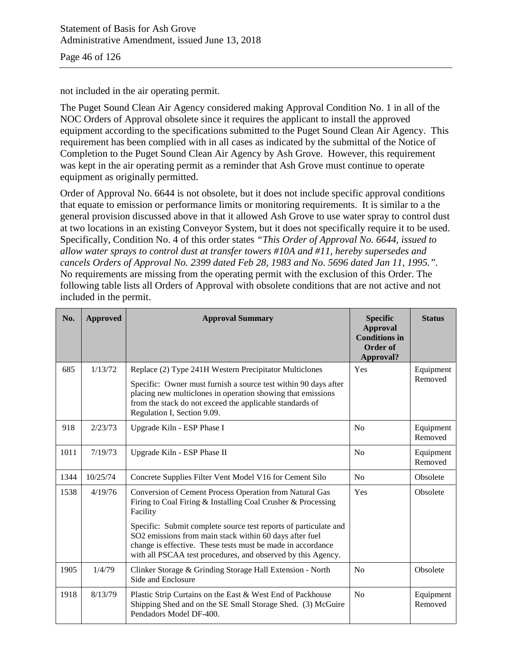not included in the air operating permit.

The Puget Sound Clean Air Agency considered making Approval Condition No. 1 in all of the NOC Orders of Approval obsolete since it requires the applicant to install the approved equipment according to the specifications submitted to the Puget Sound Clean Air Agency. This requirement has been complied with in all cases as indicated by the submittal of the Notice of Completion to the Puget Sound Clean Air Agency by Ash Grove. However, this requirement was kept in the air operating permit as a reminder that Ash Grove must continue to operate equipment as originally permitted.

Order of Approval No. 6644 is not obsolete, but it does not include specific approval conditions that equate to emission or performance limits or monitoring requirements. It is similar to a the general provision discussed above in that it allowed Ash Grove to use water spray to control dust at two locations in an existing Conveyor System, but it does not specifically require it to be used. Specifically, Condition No. 4 of this order states *"This Order of Approval No. 6644, issued to allow water sprays to control dust at transfer towers #10A and #11, hereby supersedes and cancels Orders of Approval No. 2399 dated Feb 28, 1983 and No. 5696 dated Jan 11, 1995.".* No requirements are missing from the operating permit with the exclusion of this Order. The following table lists all Orders of Approval with obsolete conditions that are not active and not included in the permit.

| No.  | <b>Approved</b> | <b>Approval Summary</b>                                                                                                                                                                                                                                                                                                                                                                                  | <b>Specific</b><br><b>Approval</b><br><b>Conditions in</b><br>Order of<br>Approval? | <b>Status</b>        |
|------|-----------------|----------------------------------------------------------------------------------------------------------------------------------------------------------------------------------------------------------------------------------------------------------------------------------------------------------------------------------------------------------------------------------------------------------|-------------------------------------------------------------------------------------|----------------------|
| 685  | 1/13/72         | Replace (2) Type 241H Western Precipitator Multiclones<br>Specific: Owner must furnish a source test within 90 days after<br>placing new multiclones in operation showing that emissions<br>from the stack do not exceed the applicable standards of<br>Regulation I, Section 9.09.                                                                                                                      | Yes                                                                                 | Equipment<br>Removed |
| 918  | 2/23/73         | Upgrade Kiln - ESP Phase I                                                                                                                                                                                                                                                                                                                                                                               | N <sub>o</sub>                                                                      | Equipment<br>Removed |
| 1011 | 7/19/73         | Upgrade Kiln - ESP Phase II                                                                                                                                                                                                                                                                                                                                                                              | N <sub>o</sub>                                                                      | Equipment<br>Removed |
| 1344 | 10/25/74        | Concrete Supplies Filter Vent Model V16 for Cement Silo                                                                                                                                                                                                                                                                                                                                                  | No                                                                                  | Obsolete             |
| 1538 | 4/19/76         | Conversion of Cement Process Operation from Natural Gas<br>Yes<br>Firing to Coal Firing & Installing Coal Crusher & Processing<br>Facility<br>Specific: Submit complete source test reports of particulate and<br>SO2 emissions from main stack within 60 days after fuel<br>change is effective. These tests must be made in accordance<br>with all PSCAA test procedures, and observed by this Agency. |                                                                                     | Obsolete             |
| 1905 | 1/4/79          | Clinker Storage & Grinding Storage Hall Extension - North<br>Side and Enclosure                                                                                                                                                                                                                                                                                                                          | N <sub>0</sub>                                                                      |                      |
| 1918 | 8/13/79         | Plastic Strip Curtains on the East & West End of Packhouse<br>Shipping Shed and on the SE Small Storage Shed. (3) McGuire<br>Pendadors Model DF-400.                                                                                                                                                                                                                                                     | N <sub>o</sub>                                                                      | Equipment<br>Removed |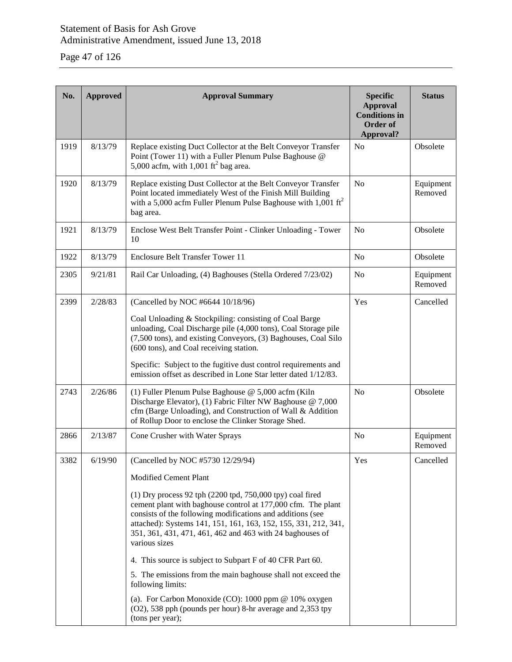Page 47 of 126

| No.  | <b>Approved</b> | <b>Approval Summary</b>                                                                                                                                                                                                                                                                                                                                                                                                                                                                                                                                                                                                                                                                       | <b>Specific</b><br><b>Approval</b><br><b>Conditions in</b><br>Order of<br>Approval? | <b>Status</b>        |
|------|-----------------|-----------------------------------------------------------------------------------------------------------------------------------------------------------------------------------------------------------------------------------------------------------------------------------------------------------------------------------------------------------------------------------------------------------------------------------------------------------------------------------------------------------------------------------------------------------------------------------------------------------------------------------------------------------------------------------------------|-------------------------------------------------------------------------------------|----------------------|
| 1919 | 8/13/79         | Replace existing Duct Collector at the Belt Conveyor Transfer<br>Point (Tower 11) with a Fuller Plenum Pulse Baghouse @<br>5,000 acfm, with 1,001 $\text{ft}^2$ bag area.                                                                                                                                                                                                                                                                                                                                                                                                                                                                                                                     | N <sub>o</sub>                                                                      | Obsolete             |
| 1920 | 8/13/79         | Replace existing Dust Collector at the Belt Conveyor Transfer<br>Point located immediately West of the Finish Mill Building<br>with a 5,000 acfm Fuller Plenum Pulse Baghouse with 1,001 $\text{ft}^2$<br>bag area.                                                                                                                                                                                                                                                                                                                                                                                                                                                                           | N <sub>o</sub>                                                                      | Equipment<br>Removed |
| 1921 | 8/13/79         | Enclose West Belt Transfer Point - Clinker Unloading - Tower<br>10                                                                                                                                                                                                                                                                                                                                                                                                                                                                                                                                                                                                                            | N <sub>o</sub>                                                                      | Obsolete             |
| 1922 | 8/13/79         | <b>Enclosure Belt Transfer Tower 11</b>                                                                                                                                                                                                                                                                                                                                                                                                                                                                                                                                                                                                                                                       | N <sub>o</sub>                                                                      | Obsolete             |
| 2305 | 9/21/81         | Rail Car Unloading, (4) Baghouses (Stella Ordered 7/23/02)                                                                                                                                                                                                                                                                                                                                                                                                                                                                                                                                                                                                                                    | N <sub>o</sub>                                                                      | Equipment<br>Removed |
| 2399 | 2/28/83         | (Cancelled by NOC #6644 10/18/96)<br>Coal Unloading & Stockpiling: consisting of Coal Barge<br>unloading, Coal Discharge pile (4,000 tons), Coal Storage pile<br>(7,500 tons), and existing Conveyors, (3) Baghouses, Coal Silo<br>(600 tons), and Coal receiving station.<br>Specific: Subject to the fugitive dust control requirements and<br>emission offset as described in Lone Star letter dated 1/12/83.                                                                                                                                                                                                                                                                              | Yes                                                                                 | Cancelled            |
| 2743 | 2/26/86         | (1) Fuller Plenum Pulse Baghouse @ 5,000 acfm (Kiln)<br>Discharge Elevator), (1) Fabric Filter NW Baghouse @ 7,000<br>cfm (Barge Unloading), and Construction of Wall & Addition<br>of Rollup Door to enclose the Clinker Storage Shed.                                                                                                                                                                                                                                                                                                                                                                                                                                                       | No                                                                                  | Obsolete             |
| 2866 | 2/13/87         | Cone Crusher with Water Sprays                                                                                                                                                                                                                                                                                                                                                                                                                                                                                                                                                                                                                                                                | N <sub>o</sub>                                                                      | Equipment<br>Removed |
| 3382 | 6/19/90         | (Cancelled by NOC #5730 12/29/94)                                                                                                                                                                                                                                                                                                                                                                                                                                                                                                                                                                                                                                                             | Yes                                                                                 | Cancelled            |
|      |                 | <b>Modified Cement Plant</b><br>$(1)$ Dry process 92 tph $(2200 \text{ tpd}, 750,000 \text{ tpy})$ coal fired<br>cement plant with baghouse control at 177,000 cfm. The plant<br>consists of the following modifications and additions (see<br>attached): Systems 141, 151, 161, 163, 152, 155, 331, 212, 341,<br>351, 361, 431, 471, 461, 462 and 463 with 24 baghouses of<br>various sizes<br>4. This source is subject to Subpart F of 40 CFR Part 60.<br>5. The emissions from the main baghouse shall not exceed the<br>following limits:<br>(a). For Carbon Monoxide (CO): $1000$ ppm @ $10\%$ oxygen<br>(O2), 538 pph (pounds per hour) 8-hr average and 2,353 tpy<br>(tons per year); |                                                                                     |                      |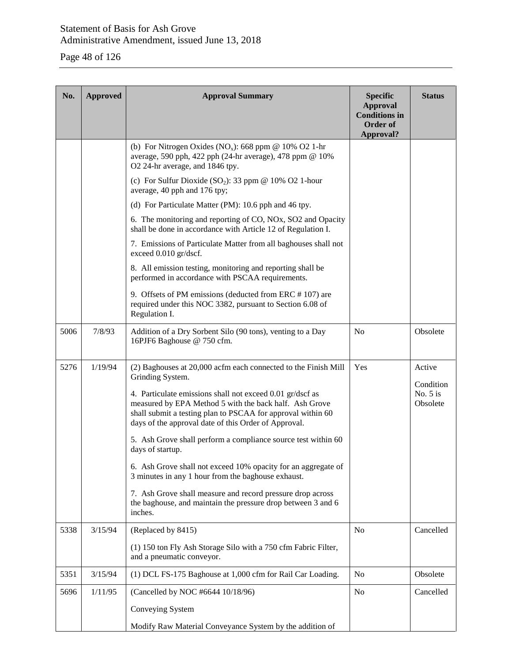# Page 48 of 126

| No.  | <b>Approved</b> | <b>Approval Summary</b>                                                                                                                                                                                                                    | <b>Specific</b><br><b>Approval</b><br><b>Conditions</b> in<br>Order of | <b>Status</b>                       |
|------|-----------------|--------------------------------------------------------------------------------------------------------------------------------------------------------------------------------------------------------------------------------------------|------------------------------------------------------------------------|-------------------------------------|
|      |                 | (b) For Nitrogen Oxides (NO <sub>x</sub> ): 668 ppm @ 10% O2 1-hr<br>average, 590 pph, 422 pph (24-hr average), 478 ppm @ 10%<br>O2 24-hr average, and 1846 tpy.                                                                           | Approval?                                                              |                                     |
|      |                 | (c) For Sulfur Dioxide (SO <sub>2</sub> ): 33 ppm @ 10% O2 1-hour<br>average, 40 pph and 176 tpy;                                                                                                                                          |                                                                        |                                     |
|      |                 | (d) For Particulate Matter (PM): 10.6 pph and 46 tpy.                                                                                                                                                                                      |                                                                        |                                     |
|      |                 | 6. The monitoring and reporting of CO, NOx, SO2 and Opacity<br>shall be done in accordance with Article 12 of Regulation I.                                                                                                                |                                                                        |                                     |
|      |                 | 7. Emissions of Particulate Matter from all baghouses shall not<br>exceed 0.010 gr/dscf.                                                                                                                                                   |                                                                        |                                     |
|      |                 | 8. All emission testing, monitoring and reporting shall be<br>performed in accordance with PSCAA requirements.                                                                                                                             |                                                                        |                                     |
|      |                 | 9. Offsets of PM emissions (deducted from ERC #107) are<br>required under this NOC 3382, pursuant to Section 6.08 of<br>Regulation I.                                                                                                      |                                                                        |                                     |
| 5006 | 7/8/93          | Addition of a Dry Sorbent Silo (90 tons), venting to a Day<br>16PJF6 Baghouse @ 750 cfm.                                                                                                                                                   | N <sub>o</sub>                                                         | Obsolete                            |
| 5276 | 1/19/94         | (2) Baghouses at 20,000 acfm each connected to the Finish Mill<br>Grinding System.                                                                                                                                                         | Yes                                                                    | Active                              |
|      |                 | 4. Particulate emissions shall not exceed 0.01 gr/dscf as<br>measured by EPA Method 5 with the back half. Ash Grove<br>shall submit a testing plan to PSCAA for approval within 60<br>days of the approval date of this Order of Approval. |                                                                        | Condition<br>No. $5$ is<br>Obsolete |
|      |                 | 5. Ash Grove shall perform a compliance source test within 60<br>days of startup.                                                                                                                                                          |                                                                        |                                     |
|      |                 | 6. Ash Grove shall not exceed 10% opacity for an aggregate of<br>3 minutes in any 1 hour from the baghouse exhaust.                                                                                                                        |                                                                        |                                     |
|      |                 | 7. Ash Grove shall measure and record pressure drop across<br>the baghouse, and maintain the pressure drop between 3 and 6<br>inches.                                                                                                      |                                                                        |                                     |
| 5338 | 3/15/94         | (Replaced by 8415)                                                                                                                                                                                                                         | N <sub>o</sub>                                                         | Cancelled                           |
|      |                 | (1) 150 ton Fly Ash Storage Silo with a 750 cfm Fabric Filter,<br>and a pneumatic conveyor.                                                                                                                                                |                                                                        |                                     |
| 5351 | 3/15/94         | (1) DCL FS-175 Baghouse at 1,000 cfm for Rail Car Loading.                                                                                                                                                                                 | N <sub>o</sub>                                                         | Obsolete                            |
| 5696 | 1/11/95         | (Cancelled by NOC #6644 10/18/96)                                                                                                                                                                                                          | N <sub>o</sub>                                                         | Cancelled                           |
|      |                 | Conveying System                                                                                                                                                                                                                           |                                                                        |                                     |
|      |                 | Modify Raw Material Conveyance System by the addition of                                                                                                                                                                                   |                                                                        |                                     |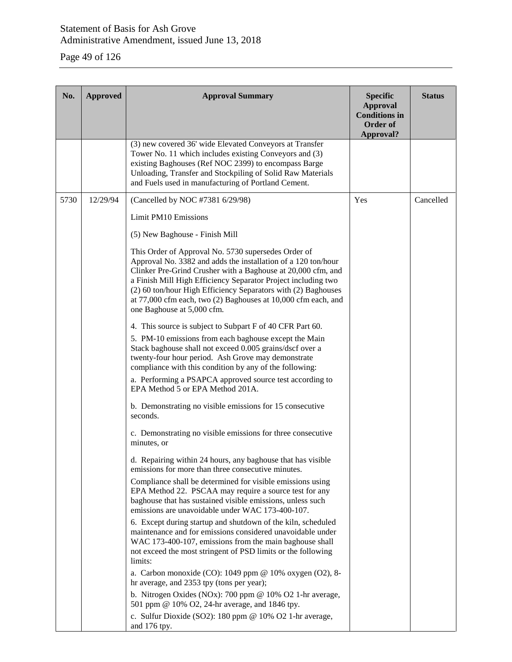# Page 49 of 126

| No.  | <b>Approved</b> | <b>Approval Summary</b>                                                                                                                                                                                                                                                                                                                                                                                               | <b>Specific</b><br><b>Approval</b><br><b>Conditions in</b><br>Order of<br>Approval? | <b>Status</b> |
|------|-----------------|-----------------------------------------------------------------------------------------------------------------------------------------------------------------------------------------------------------------------------------------------------------------------------------------------------------------------------------------------------------------------------------------------------------------------|-------------------------------------------------------------------------------------|---------------|
|      |                 | (3) new covered 36' wide Elevated Conveyors at Transfer<br>Tower No. 11 which includes existing Conveyors and (3)<br>existing Baghouses (Ref NOC 2399) to encompass Barge<br>Unloading, Transfer and Stockpiling of Solid Raw Materials<br>and Fuels used in manufacturing of Portland Cement.                                                                                                                        |                                                                                     |               |
| 5730 | 12/29/94        | (Cancelled by NOC #7381 6/29/98)                                                                                                                                                                                                                                                                                                                                                                                      | Yes                                                                                 | Cancelled     |
|      |                 | Limit PM10 Emissions                                                                                                                                                                                                                                                                                                                                                                                                  |                                                                                     |               |
|      |                 | (5) New Baghouse - Finish Mill                                                                                                                                                                                                                                                                                                                                                                                        |                                                                                     |               |
|      |                 | This Order of Approval No. 5730 supersedes Order of<br>Approval No. 3382 and adds the installation of a 120 ton/hour<br>Clinker Pre-Grind Crusher with a Baghouse at 20,000 cfm, and<br>a Finish Mill High Efficiency Separator Project including two<br>(2) 60 ton/hour High Efficiency Separators with (2) Baghouses<br>at 77,000 cfm each, two (2) Baghouses at 10,000 cfm each, and<br>one Baghouse at 5,000 cfm. |                                                                                     |               |
|      |                 | 4. This source is subject to Subpart F of 40 CFR Part 60.                                                                                                                                                                                                                                                                                                                                                             |                                                                                     |               |
|      |                 | 5. PM-10 emissions from each baghouse except the Main<br>Stack baghouse shall not exceed 0.005 grains/dscf over a<br>twenty-four hour period. Ash Grove may demonstrate<br>compliance with this condition by any of the following:                                                                                                                                                                                    |                                                                                     |               |
|      |                 | a. Performing a PSAPCA approved source test according to<br>EPA Method 5 or EPA Method 201A.                                                                                                                                                                                                                                                                                                                          |                                                                                     |               |
|      |                 | b. Demonstrating no visible emissions for 15 consecutive<br>seconds.                                                                                                                                                                                                                                                                                                                                                  |                                                                                     |               |
|      |                 | c. Demonstrating no visible emissions for three consecutive<br>minutes, or                                                                                                                                                                                                                                                                                                                                            |                                                                                     |               |
|      |                 | d. Repairing within 24 hours, any baghouse that has visible<br>emissions for more than three consecutive minutes.                                                                                                                                                                                                                                                                                                     |                                                                                     |               |
|      |                 | Compliance shall be determined for visible emissions using<br>EPA Method 22. PSCAA may require a source test for any<br>baghouse that has sustained visible emissions, unless such<br>emissions are unavoidable under WAC 173-400-107.                                                                                                                                                                                |                                                                                     |               |
|      |                 | 6. Except during startup and shutdown of the kiln, scheduled<br>maintenance and for emissions considered unavoidable under<br>WAC 173-400-107, emissions from the main baghouse shall<br>not exceed the most stringent of PSD limits or the following<br>limits:                                                                                                                                                      |                                                                                     |               |
|      |                 | a. Carbon monoxide (CO): 1049 ppm @ 10% oxygen (O2), 8-<br>hr average, and 2353 tpy (tons per year);                                                                                                                                                                                                                                                                                                                  |                                                                                     |               |
|      |                 | b. Nitrogen Oxides (NOx): 700 ppm $@$ 10% O2 1-hr average,<br>501 ppm @ 10% O2, 24-hr average, and 1846 tpy.                                                                                                                                                                                                                                                                                                          |                                                                                     |               |
|      |                 | c. Sulfur Dioxide (SO2): 180 ppm @ 10% O2 1-hr average,<br>and 176 tpy.                                                                                                                                                                                                                                                                                                                                               |                                                                                     |               |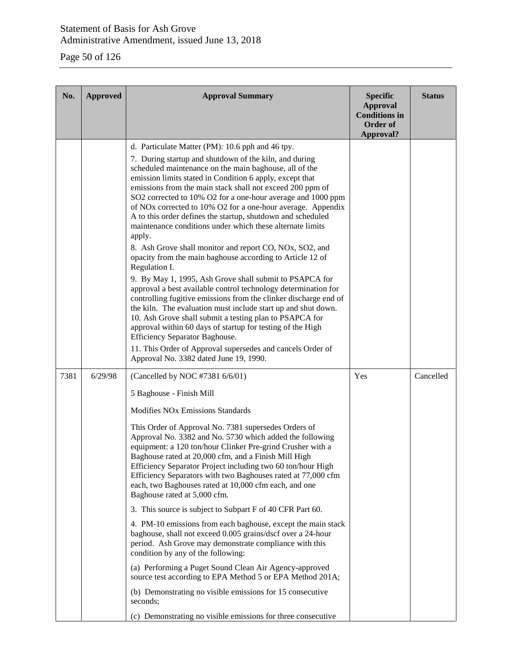# Page 50 of 126

| No.  | <b>Approved</b> | <b>Approval Summary</b>                                                                                                                                                                                                                                                                                                                                                                                                                                                                                                                                                                                                                                                                                                                                                                                                                                                                                                                                                                                                                                                                                                                                                                                                       | <b>Specific</b><br><b>Approval</b><br><b>Conditions in</b><br>Order of<br>Approval? | <b>Status</b> |
|------|-----------------|-------------------------------------------------------------------------------------------------------------------------------------------------------------------------------------------------------------------------------------------------------------------------------------------------------------------------------------------------------------------------------------------------------------------------------------------------------------------------------------------------------------------------------------------------------------------------------------------------------------------------------------------------------------------------------------------------------------------------------------------------------------------------------------------------------------------------------------------------------------------------------------------------------------------------------------------------------------------------------------------------------------------------------------------------------------------------------------------------------------------------------------------------------------------------------------------------------------------------------|-------------------------------------------------------------------------------------|---------------|
|      |                 | d. Particulate Matter (PM): 10.6 pph and 46 tpy.<br>7. During startup and shutdown of the kiln, and during<br>scheduled maintenance on the main baghouse, all of the<br>emission limits stated in Condition 6 apply, except that<br>emissions from the main stack shall not exceed 200 ppm of<br>SO2 corrected to 10% O2 for a one-hour average and 1000 ppm<br>of NO <sub>x</sub> corrected to 10% O <sub>2</sub> for a one-hour average. Appendix<br>A to this order defines the startup, shutdown and scheduled<br>maintenance conditions under which these alternate limits<br>apply.<br>8. Ash Grove shall monitor and report CO, NOx, SO2, and<br>opacity from the main baghouse according to Article 12 of<br>Regulation I.<br>9. By May 1, 1995, Ash Grove shall submit to PSAPCA for<br>approval a best available control technology determination for<br>controlling fugitive emissions from the clinker discharge end of<br>the kiln. The evaluation must include start up and shut down.<br>10. Ash Grove shall submit a testing plan to PSAPCA for<br>approval within 60 days of startup for testing of the High<br>Efficiency Separator Baghouse.<br>11. This Order of Approval supersedes and cancels Order of |                                                                                     |               |
|      |                 | Approval No. 3382 dated June 19, 1990.                                                                                                                                                                                                                                                                                                                                                                                                                                                                                                                                                                                                                                                                                                                                                                                                                                                                                                                                                                                                                                                                                                                                                                                        |                                                                                     |               |
| 7381 | 6/29/98         | (Cancelled by NOC #7381 6/6/01)<br>5 Baghouse - Finish Mill<br><b>Modifies NO<sub>x</sub></b> Emissions Standards<br>This Order of Approval No. 7381 supersedes Orders of<br>Approval No. 3382 and No. 5730 which added the following<br>equipment: a 120 ton/hour Clinker Pre-grind Crusher with a<br>Baghouse rated at 20,000 cfm, and a Finish Mill High<br>Efficiency Separator Project including two 60 ton/hour High<br>Efficiency Separators with two Baghouses rated at 77,000 cfm<br>each, two Baghouses rated at 10,000 cfm each, and one<br>Baghouse rated at 5,000 cfm.<br>3. This source is subject to Subpart F of 40 CFR Part 60.<br>4. PM-10 emissions from each baghouse, except the main stack<br>baghouse, shall not exceed 0.005 grains/dscf over a 24-hour<br>period. Ash Grove may demonstrate compliance with this<br>condition by any of the following:<br>(a) Performing a Puget Sound Clean Air Agency-approved<br>source test according to EPA Method 5 or EPA Method 201A;<br>(b) Demonstrating no visible emissions for 15 consecutive<br>seconds;<br>(c) Demonstrating no visible emissions for three consecutive                                                                               | Yes                                                                                 | Cancelled     |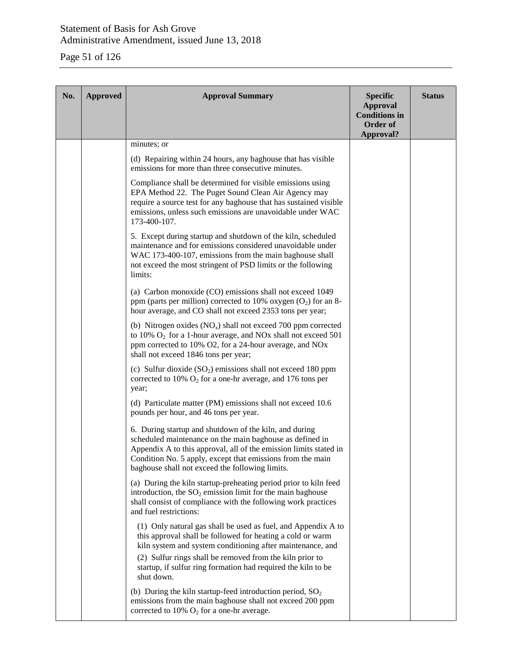# Page 51 of 126

| No. | <b>Approved</b> | <b>Approval Summary</b>                                                                                                                                                                                                                                                                                                              | <b>Specific</b><br><b>Approval</b><br><b>Conditions</b> in<br>Order of<br>Approval? | <b>Status</b> |
|-----|-----------------|--------------------------------------------------------------------------------------------------------------------------------------------------------------------------------------------------------------------------------------------------------------------------------------------------------------------------------------|-------------------------------------------------------------------------------------|---------------|
|     |                 | minutes; or                                                                                                                                                                                                                                                                                                                          |                                                                                     |               |
|     |                 | (d) Repairing within 24 hours, any baghouse that has visible<br>emissions for more than three consecutive minutes.                                                                                                                                                                                                                   |                                                                                     |               |
|     |                 | Compliance shall be determined for visible emissions using<br>EPA Method 22. The Puget Sound Clean Air Agency may<br>require a source test for any baghouse that has sustained visible<br>emissions, unless such emissions are unavoidable under WAC<br>173-400-107.                                                                 |                                                                                     |               |
|     |                 | 5. Except during startup and shutdown of the kiln, scheduled<br>maintenance and for emissions considered unavoidable under<br>WAC 173-400-107, emissions from the main baghouse shall<br>not exceed the most stringent of PSD limits or the following<br>limits:                                                                     |                                                                                     |               |
|     |                 | (a) Carbon monoxide (CO) emissions shall not exceed 1049<br>ppm (parts per million) corrected to 10% oxygen $(O_2)$ for an 8-<br>hour average, and CO shall not exceed 2353 tons per year;                                                                                                                                           |                                                                                     |               |
|     |                 | (b) Nitrogen oxides $(NO_x)$ shall not exceed 700 ppm corrected<br>to $10\%$ O <sub>2</sub> for a 1-hour average, and NO <sub>x</sub> shall not exceed 501<br>ppm corrected to 10% O2, for a 24-hour average, and NOx<br>shall not exceed 1846 tons per year;                                                                        |                                                                                     |               |
|     |                 | (c) Sulfur dioxide $(SO2)$ emissions shall not exceed 180 ppm<br>corrected to 10% $O_2$ for a one-hr average, and 176 tons per<br>year;                                                                                                                                                                                              |                                                                                     |               |
|     |                 | (d) Particulate matter (PM) emissions shall not exceed 10.6<br>pounds per hour, and 46 tons per year.                                                                                                                                                                                                                                |                                                                                     |               |
|     |                 | 6. During startup and shutdown of the kiln, and during<br>scheduled maintenance on the main baghouse as defined in<br>Appendix A to this approval, all of the emission limits stated in<br>Condition No. 5 apply, except that emissions from the main<br>baghouse shall not exceed the following limits.                             |                                                                                     |               |
|     |                 | (a) During the kiln startup-preheating period prior to kiln feed<br>introduction, the $SO_2$ emission limit for the main baghouse<br>shall consist of compliance with the following work practices<br>and fuel restrictions:                                                                                                         |                                                                                     |               |
|     |                 | (1) Only natural gas shall be used as fuel, and Appendix A to<br>this approval shall be followed for heating a cold or warm<br>kiln system and system conditioning after maintenance, and<br>(2) Sulfur rings shall be removed from the kiln prior to<br>startup, if sulfur ring formation had required the kiln to be<br>shut down. |                                                                                     |               |
|     |                 | (b) During the kiln startup-feed introduction period, $SO_2$<br>emissions from the main baghouse shall not exceed 200 ppm<br>corrected to 10% $O_2$ for a one-hr average.                                                                                                                                                            |                                                                                     |               |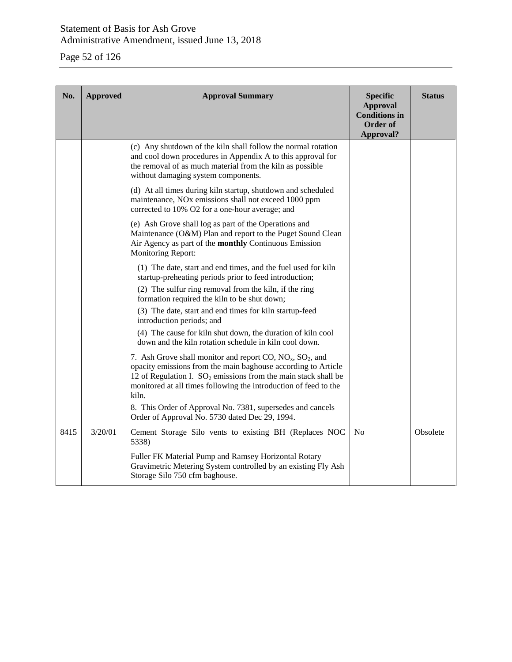# Page 52 of 126

| No.  | <b>Approved</b> | <b>Approval Summary</b>                                                                                                                                                                                                                                                            | <b>Specific</b><br><b>Approval</b><br><b>Conditions in</b><br><b>Order of</b><br>Approval? | <b>Status</b> |
|------|-----------------|------------------------------------------------------------------------------------------------------------------------------------------------------------------------------------------------------------------------------------------------------------------------------------|--------------------------------------------------------------------------------------------|---------------|
|      |                 | (c) Any shutdown of the kiln shall follow the normal rotation<br>and cool down procedures in Appendix A to this approval for<br>the removal of as much material from the kiln as possible<br>without damaging system components.                                                   |                                                                                            |               |
|      |                 | (d) At all times during kiln startup, shutdown and scheduled<br>maintenance, NO <sub>x</sub> emissions shall not exceed 1000 ppm<br>corrected to 10% O2 for a one-hour average; and                                                                                                |                                                                                            |               |
|      |                 | (e) Ash Grove shall log as part of the Operations and<br>Maintenance (O&M) Plan and report to the Puget Sound Clean<br>Air Agency as part of the monthly Continuous Emission<br>Monitoring Report:                                                                                 |                                                                                            |               |
|      |                 | (1) The date, start and end times, and the fuel used for kiln<br>startup-preheating periods prior to feed introduction;                                                                                                                                                            |                                                                                            |               |
|      |                 | (2) The sulfur ring removal from the kiln, if the ring<br>formation required the kiln to be shut down;                                                                                                                                                                             |                                                                                            |               |
|      |                 | (3) The date, start and end times for kiln startup-feed<br>introduction periods; and                                                                                                                                                                                               |                                                                                            |               |
|      |                 | (4) The cause for kiln shut down, the duration of kiln cool<br>down and the kiln rotation schedule in kiln cool down.                                                                                                                                                              |                                                                                            |               |
|      |                 | 7. Ash Grove shall monitor and report CO, $NO_x$ , $SO_2$ , and<br>opacity emissions from the main baghouse according to Article<br>12 of Regulation I. $SO_2$ emissions from the main stack shall be<br>monitored at all times following the introduction of feed to the<br>kiln. |                                                                                            |               |
|      |                 | 8. This Order of Approval No. 7381, supersedes and cancels<br>Order of Approval No. 5730 dated Dec 29, 1994.                                                                                                                                                                       |                                                                                            |               |
| 8415 | 3/20/01         | Cement Storage Silo vents to existing BH (Replaces NOC<br>5338)                                                                                                                                                                                                                    | N <sub>o</sub>                                                                             | Obsolete      |
|      |                 | Fuller FK Material Pump and Ramsey Horizontal Rotary<br>Gravimetric Metering System controlled by an existing Fly Ash<br>Storage Silo 750 cfm baghouse.                                                                                                                            |                                                                                            |               |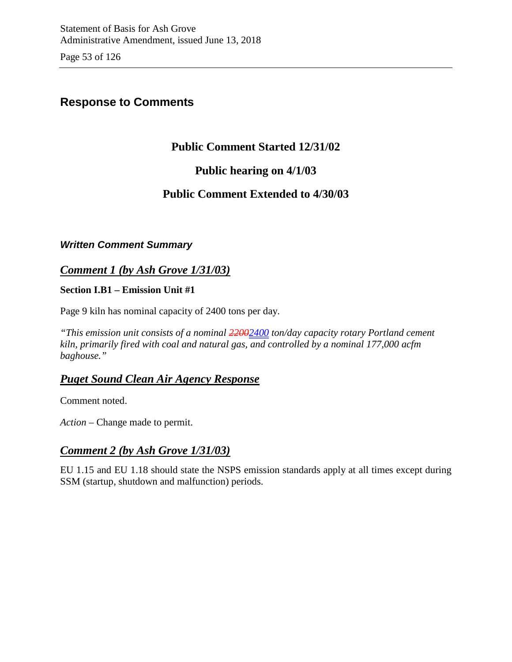Page 53 of 126

# **Response to Comments**

# **Public Comment Started 12/31/02**

# **Public hearing on 4/1/03**

# **Public Comment Extended to 4/30/03**

### *Written Comment Summary*

# *Comment 1 (by Ash Grove 1/31/03)*

**Section I.B1 – Emission Unit #1**

Page 9 kiln has nominal capacity of 2400 tons per day.

*"This emission unit consists of a nominal 22002400 ton/day capacity rotary Portland cement kiln, primarily fired with coal and natural gas, and controlled by a nominal 177,000 acfm baghouse."* 

# *Puget Sound Clean Air Agency Response*

Comment noted.

*Action* – Change made to permit.

## *Comment 2 (by Ash Grove 1/31/03)*

EU 1.15 and EU 1.18 should state the NSPS emission standards apply at all times except during SSM (startup, shutdown and malfunction) periods.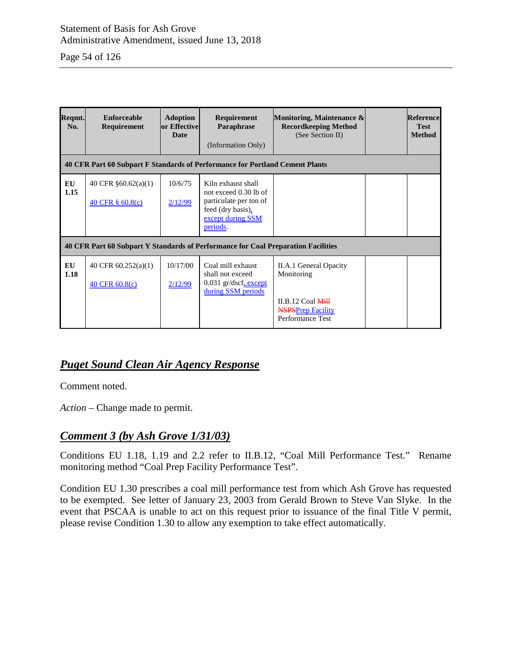Page 54 of 126

| Reqmt.<br>No. | <b>Enforceable</b><br>Requirement                                                 | <b>Adoption</b><br>or Effective<br><b>Date</b> | <b>Requirement</b><br>Paraphrase<br>(Information Only)                                                                      | Monitoring, Maintenance &<br><b>Recordkeeping Method</b><br>(See Section II)        | <b>Reference</b><br><b>Test</b><br><b>Method</b> |
|---------------|-----------------------------------------------------------------------------------|------------------------------------------------|-----------------------------------------------------------------------------------------------------------------------------|-------------------------------------------------------------------------------------|--------------------------------------------------|
|               | 40 CFR Part 60 Subpart F Standards of Performance for Portland Cement Plants      |                                                |                                                                                                                             |                                                                                     |                                                  |
| EU<br>1.15    | 40 CFR $§60.62(a)(1)$<br>40 CFR $\S$ 60.8(c)                                      | 10/6/75<br>2/12/99                             | Kiln exhaust shall<br>not exceed 0.30 lb of<br>particulate per ton of<br>feed (dry basis).<br>except during SSM<br>periods. |                                                                                     |                                                  |
|               | 40 CFR Part 60 Subpart Y Standards of Performance for Coal Preparation Facilities |                                                |                                                                                                                             |                                                                                     |                                                  |
| EU<br>1.18    | 40 CFR $60.252(a)(1)$<br>40 CFR 60.8(c)                                           | 10/17/00<br>2/12/99                            | Coal mill exhaust<br>shall not exceed<br>0.031 gr/dscf, except<br>during SSM periods                                        | II.A.1 General Opacity<br>Monitoring                                                |                                                  |
|               |                                                                                   |                                                |                                                                                                                             | II.B.12 Coal $\overline{\text{MH}}$<br><b>NSPSPrep Facility</b><br>Performance Test |                                                  |

# *Puget Sound Clean Air Agency Response*

Comment noted.

*Action* – Change made to permit.

## *Comment 3 (by Ash Grove 1/31/03)*

Conditions EU 1.18, 1.19 and 2.2 refer to II.B.12, "Coal Mill Performance Test." Rename monitoring method "Coal Prep Facility Performance Test".

Condition EU 1.30 prescribes a coal mill performance test from which Ash Grove has requested to be exempted. See letter of January 23, 2003 from Gerald Brown to Steve Van Slyke. In the event that PSCAA is unable to act on this request prior to issuance of the final Title V permit, please revise Condition 1.30 to allow any exemption to take effect automatically.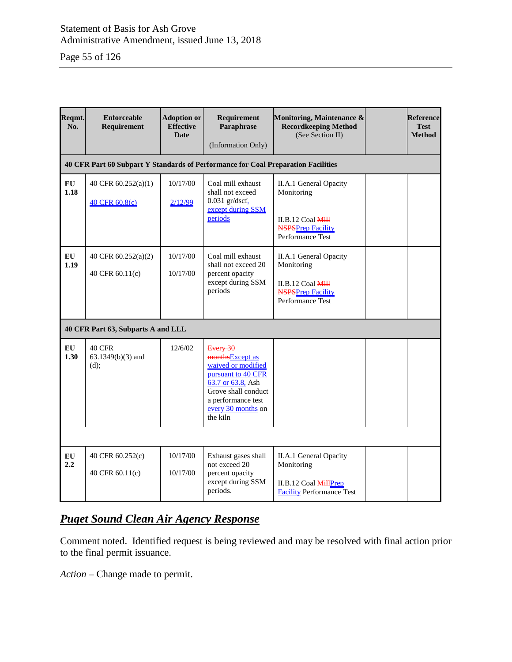Page 55 of 126

| Reqmt.<br>No. | <b>Enforceable</b><br><b>Requirement</b>                                          | <b>Adoption or</b><br><b>Effective</b><br><b>Date</b> | Requirement<br>Paraphrase<br>(Information Only)                                                                                                                             | Monitoring, Maintenance &<br><b>Recordkeeping Method</b><br>(See Section II)                                                | <b>Reference</b><br><b>Test</b><br><b>Method</b> |  |
|---------------|-----------------------------------------------------------------------------------|-------------------------------------------------------|-----------------------------------------------------------------------------------------------------------------------------------------------------------------------------|-----------------------------------------------------------------------------------------------------------------------------|--------------------------------------------------|--|
|               | 40 CFR Part 60 Subpart Y Standards of Performance for Coal Preparation Facilities |                                                       |                                                                                                                                                                             |                                                                                                                             |                                                  |  |
| EU<br>1.18    | 40 CFR 60.252(a)(1)<br>40 CFR 60.8(c)                                             | 10/17/00<br>2/12/99                                   | Coal mill exhaust<br>shall not exceed<br>$0.031$ gr/dscf.<br>except during SSM<br>periods                                                                                   | II.A.1 General Opacity<br>Monitoring<br>II.B.12 Coal Mill<br><b>NSPSPrep Facility</b><br>Performance Test                   |                                                  |  |
| EU<br>1.19    | 40 CFR 60.252(a)(2)<br>40 CFR 60.11(c)                                            | 10/17/00<br>10/17/00                                  | Coal mill exhaust<br>shall not exceed 20<br>percent opacity<br>except during SSM<br>periods                                                                                 | II.A.1 General Opacity<br>Monitoring<br>II.B.12 Coal $\overline{\text{MH}}$<br><b>NSPSPrep Facility</b><br>Performance Test |                                                  |  |
|               | 40 CFR Part 63, Subparts A and LLL                                                |                                                       |                                                                                                                                                                             |                                                                                                                             |                                                  |  |
| EU<br>1.30    | <b>40 CFR</b><br>$63.1349(b)(3)$ and<br>(d);                                      | 12/6/02                                               | Every 30<br>monthsExcept as<br>waived or modified<br>pursuant to 40 CFR<br>63.7 or 63.8, Ash<br>Grove shall conduct<br>a performance test<br>every 30 months on<br>the kiln |                                                                                                                             |                                                  |  |
|               |                                                                                   |                                                       |                                                                                                                                                                             |                                                                                                                             |                                                  |  |
| EU<br>2.2     | 40 CFR 60.252(c)<br>40 CFR 60.11(c)                                               | 10/17/00<br>10/17/00                                  | Exhaust gases shall<br>not exceed 20<br>percent opacity<br>except during SSM<br>periods.                                                                                    | II.A.1 General Opacity<br>Monitoring<br>II.B.12 Coal MillPrep<br><b>Facility Performance Test</b>                           |                                                  |  |

# *Puget Sound Clean Air Agency Response*

Comment noted. Identified request is being reviewed and may be resolved with final action prior to the final permit issuance.

*Action* – Change made to permit.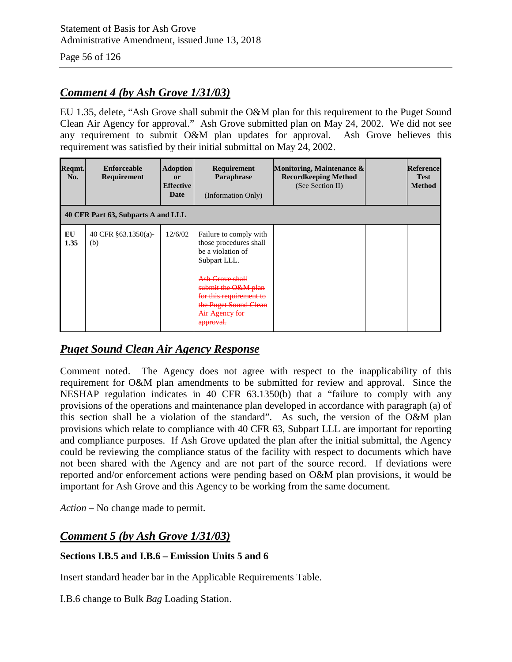# *Comment 4 (by Ash Grove 1/31/03)*

EU 1.35, delete, "Ash Grove shall submit the O&M plan for this requirement to the Puget Sound Clean Air Agency for approval." Ash Grove submitted plan on May 24, 2002. We did not see any requirement to submit O&M plan updates for approval. Ash Grove believes this requirement was satisfied by their initial submittal on May 24, 2002.

| Reqmt.<br>No. | <b>Enforceable</b><br><b>Requirement</b> | <b>Adoption</b><br><sub>or</sub><br><b>Effective</b><br>Date | Requirement<br>Paraphrase<br>(Information Only)                                                                                                                                                                                          | Monitoring, Maintenance &<br><b>Recordkeeping Method</b><br>(See Section II) |  | <b>Reference</b><br><b>Test</b><br><b>Method</b> |
|---------------|------------------------------------------|--------------------------------------------------------------|------------------------------------------------------------------------------------------------------------------------------------------------------------------------------------------------------------------------------------------|------------------------------------------------------------------------------|--|--------------------------------------------------|
|               | 40 CFR Part 63, Subparts A and LLL       |                                                              |                                                                                                                                                                                                                                          |                                                                              |  |                                                  |
| EU<br>1.35    | 40 CFR §63.1350(a)-<br>(b)               | 12/6/02                                                      | Failure to comply with<br>those procedures shall<br>be a violation of<br>Subpart LLL.<br>Ash Grove shall<br>submit the O&M plan<br>for this requirement to<br>the Puget Sound Clean<br>Air Agency for<br>امتمعمقه<br><del>approvan</del> |                                                                              |  |                                                  |

## *Puget Sound Clean Air Agency Response*

Comment noted. The Agency does not agree with respect to the inapplicability of this requirement for O&M plan amendments to be submitted for review and approval. Since the NESHAP regulation indicates in 40 CFR 63.1350(b) that a "failure to comply with any provisions of the operations and maintenance plan developed in accordance with paragraph (a) of this section shall be a violation of the standard". As such, the version of the O&M plan provisions which relate to compliance with 40 CFR 63, Subpart LLL are important for reporting and compliance purposes. If Ash Grove updated the plan after the initial submittal, the Agency could be reviewing the compliance status of the facility with respect to documents which have not been shared with the Agency and are not part of the source record. If deviations were reported and/or enforcement actions were pending based on O&M plan provisions, it would be important for Ash Grove and this Agency to be working from the same document.

*Action* – No change made to permit.

## *Comment 5 (by Ash Grove 1/31/03)*

### **Sections I.B.5 and I.B.6 – Emission Units 5 and 6**

Insert standard header bar in the Applicable Requirements Table.

I.B.6 change to Bulk *Bag* Loading Station.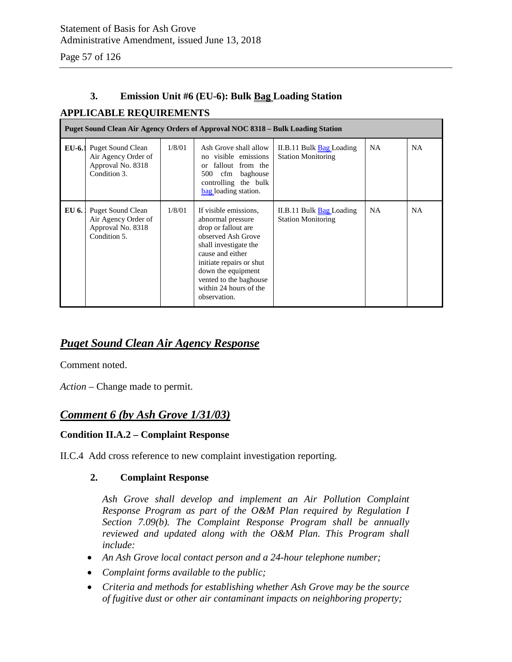### **3. Emission Unit #6 (EU-6): Bulk Bag Loading Station**

### **APPLICABLE REQUIREMENTS**

|          | Puget Sound Clean Air Agency Orders of Approval NOC 8318 – Bulk Loading Station      |        |                                                                                                                                                                                                                                                            |                                                              |           |           |  |
|----------|--------------------------------------------------------------------------------------|--------|------------------------------------------------------------------------------------------------------------------------------------------------------------------------------------------------------------------------------------------------------------|--------------------------------------------------------------|-----------|-----------|--|
| $EU-6.1$ | <b>Puget Sound Clean</b><br>Air Agency Order of<br>Approval No. 8318<br>Condition 3. | 1/8/01 | Ash Grove shall allow<br>visible emissions<br>no<br>fallout from the<br>$\alpha$<br>baghouse<br>500 -<br>cfm<br>controlling the bulk<br>bag loading station.                                                                                               | II.B.11 Bulk <b>Bag</b> Loading<br><b>Station Monitoring</b> | <b>NA</b> | <b>NA</b> |  |
| EU 6.    | <b>Puget Sound Clean</b><br>Air Agency Order of<br>Approval No. 8318<br>Condition 5. | 1/8/01 | If visible emissions,<br>abnormal pressure<br>drop or fallout are<br>observed Ash Grove<br>shall investigate the<br>cause and either<br>initiate repairs or shut<br>down the equipment<br>vented to the baghouse<br>within 24 hours of the<br>observation. | II.B.11 Bulk <b>Bag</b> Loading<br><b>Station Monitoring</b> | NA.       | <b>NA</b> |  |

## *Puget Sound Clean Air Agency Response*

Comment noted.

*Action* – Change made to permit.

### *Comment 6 (by Ash Grove 1/31/03)*

#### **Condition II.A.2 – Complaint Response**

II.C.4 Add cross reference to new complaint investigation reporting.

#### **2. Complaint Response**

*Ash Grove shall develop and implement an Air Pollution Complaint Response Program as part of the O&M Plan required by Regulation I Section 7.09(b). The Complaint Response Program shall be annually reviewed and updated along with the O&M Plan. This Program shall include:*

- *An Ash Grove local contact person and a 24-hour telephone number;*
- *Complaint forms available to the public;*
- *Criteria and methods for establishing whether Ash Grove may be the source of fugitive dust or other air contaminant impacts on neighboring property;*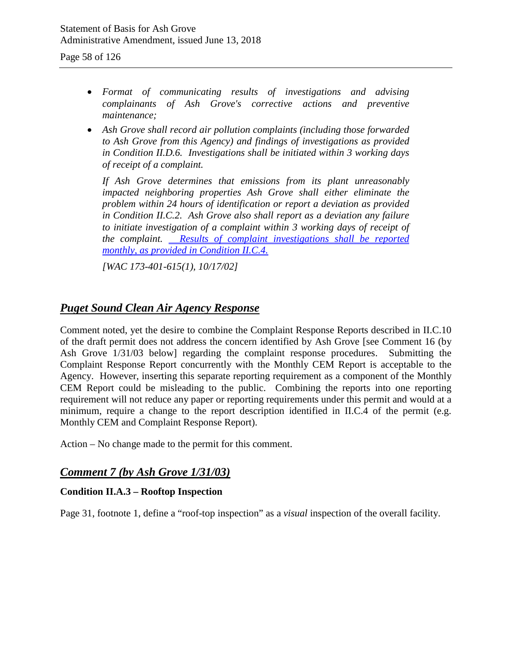- *Format of communicating results of investigations and advising complainants of Ash Grove's corrective actions and preventive maintenance;*
- *Ash Grove shall record air pollution complaints (including those forwarded to Ash Grove from this Agency) and findings of investigations as provided in Condition II.D.6. Investigations shall be initiated within 3 working days of receipt of a complaint.*

*If Ash Grove determines that emissions from its plant unreasonably impacted neighboring properties Ash Grove shall either eliminate the problem within 24 hours of identification or report a deviation as provided in Condition II.C.2. Ash Grove also shall report as a deviation any failure*  to initiate investigation of a complaint within 3 working days of receipt of the complaint. **Results of complaint investigations** shall be reported *monthly, as provided in Condition II.C.4.* 

*[WAC 173-401-615(1), 10/17/02]*

## *Puget Sound Clean Air Agency Response*

Comment noted, yet the desire to combine the Complaint Response Reports described in II.C.10 of the draft permit does not address the concern identified by Ash Grove [see Comment 16 (by Ash Grove 1/31/03 below] regarding the complaint response procedures. Submitting the Complaint Response Report concurrently with the Monthly CEM Report is acceptable to the Agency. However, inserting this separate reporting requirement as a component of the Monthly CEM Report could be misleading to the public. Combining the reports into one reporting requirement will not reduce any paper or reporting requirements under this permit and would at a minimum, require a change to the report description identified in II.C.4 of the permit (e.g. Monthly CEM and Complaint Response Report).

Action – No change made to the permit for this comment.

## *Comment 7 (by Ash Grove 1/31/03)*

### **Condition II.A.3 – Rooftop Inspection**

Page 31, footnote 1, define a "roof-top inspection" as a *visual* inspection of the overall facility.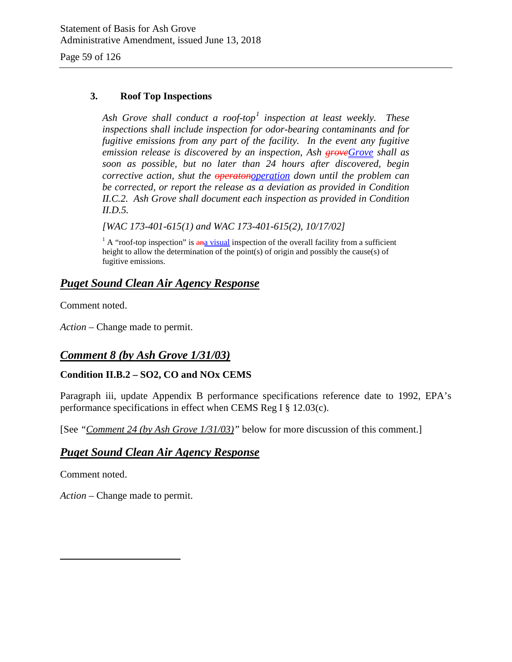#### **3. Roof Top Inspections**

*Ash Grove shall conduct a roof-top[1](#page-58-0) inspection at least weekly. These inspections shall include inspection for odor-bearing contaminants and for fugitive emissions from any part of the facility. In the event any fugitive emission release is discovered by an inspection, Ash groveGrove shall as soon as possible, but no later than 24 hours after discovered, begin corrective action, shut the operatonoperation down until the problem can be corrected, or report the release as a deviation as provided in Condition II.C.2. Ash Grove shall document each inspection as provided in Condition II.D.5.*

*[WAC 173-401-615(1) and WAC 173-401-615(2), 10/17/02]*

 $1 \text{ A}$  "roof-top inspection" is  $\frac{a_n}{a_n}$  visual inspection of the overall facility from a sufficient height to allow the determination of the point(s) of origin and possibly the cause(s) of fugitive emissions.

### *Puget Sound Clean Air Agency Response*

Comment noted.

*Action* – Change made to permit.

## *Comment 8 (by Ash Grove 1/31/03)*

### **Condition II.B.2 – SO2, CO and NOx CEMS**

Paragraph iii, update Appendix B performance specifications reference date to 1992, EPA's performance specifications in effect when CEMS Reg I § 12.03(c).

[See *"Comment 24 (by Ash Grove 1/31/03)"* below for more discussion of this comment.]

### *Puget Sound Clean Air Agency Response*

Comment noted.

<span id="page-58-0"></span> $\overline{a}$ 

*Action* – Change made to permit.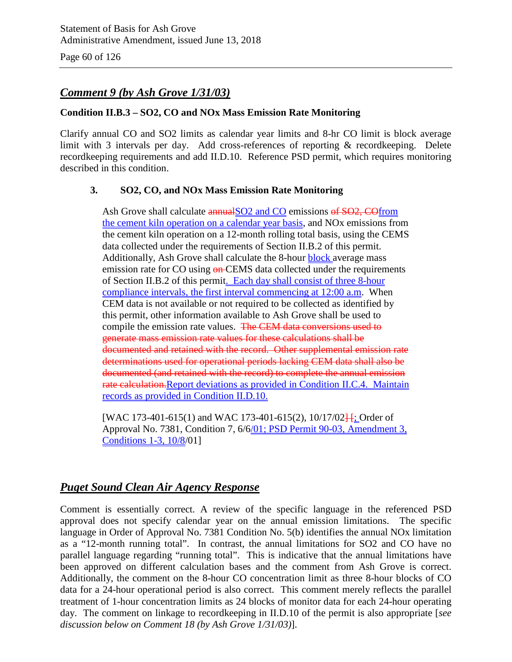Page 60 of 126

# *Comment 9 (by Ash Grove 1/31/03)*

#### **Condition II.B.3 – SO2, CO and NOx Mass Emission Rate Monitoring**

Clarify annual CO and SO2 limits as calendar year limits and 8-hr CO limit is block average limit with 3 intervals per day. Add cross-references of reporting & recordkeeping. Delete recordkeeping requirements and add II.D.10. Reference PSD permit, which requires monitoring described in this condition.

#### **3. SO2, CO, and NOx Mass Emission Rate Monitoring**

Ash Grove shall calculate annual SO2 and CO emissions of SO2, COfrom the cement kiln operation on a calendar year basis, and NOx emissions from the cement kiln operation on a 12-month rolling total basis, using the CEMS data collected under the requirements of Section II.B.2 of this permit. Additionally, Ash Grove shall calculate the 8-hour **block** average mass emission rate for CO using  $\Theta$ **n-CEMS** data collected under the requirements of Section II.B.2 of this permit. Each day shall consist of three 8-hour compliance intervals, the first interval commencing at 12:00 a.m. When CEM data is not available or not required to be collected as identified by this permit, other information available to Ash Grove shall be used to compile the emission rate values. The CEM data conversions used to generate mass emission rate values for these calculations shall be documented and retained with the record. Other supplemental emission rate determinations used for operational periods lacking CEM data shall also be documented (and retained with the record) to complete the annual emission rate calculation.Report deviations as provided in Condition II.C.4. Maintain records as provided in Condition II.D.10.

[WAC 173-401-615(1) and WAC 173-401-615(2),  $10/17/02$ <sup>[</sup>]. Order of Approval No. 7381, Condition 7, 6/6/01; PSD Permit 90-03, Amendment 3, Conditions 1-3, 10/8/01]

## *Puget Sound Clean Air Agency Response*

Comment is essentially correct. A review of the specific language in the referenced PSD approval does not specify calendar year on the annual emission limitations. The specific language in Order of Approval No. 7381 Condition No. 5(b) identifies the annual NOx limitation as a "12-month running total". In contrast, the annual limitations for SO2 and CO have no parallel language regarding "running total". This is indicative that the annual limitations have been approved on different calculation bases and the comment from Ash Grove is correct. Additionally, the comment on the 8-hour CO concentration limit as three 8-hour blocks of CO data for a 24-hour operational period is also correct. This comment merely reflects the parallel treatment of 1-hour concentration limits as 24 blocks of monitor data for each 24-hour operating day. The comment on linkage to recordkeeping in II.D.10 of the permit is also appropriate [*see discussion below on Comment 18 (by Ash Grove 1/31/03)*].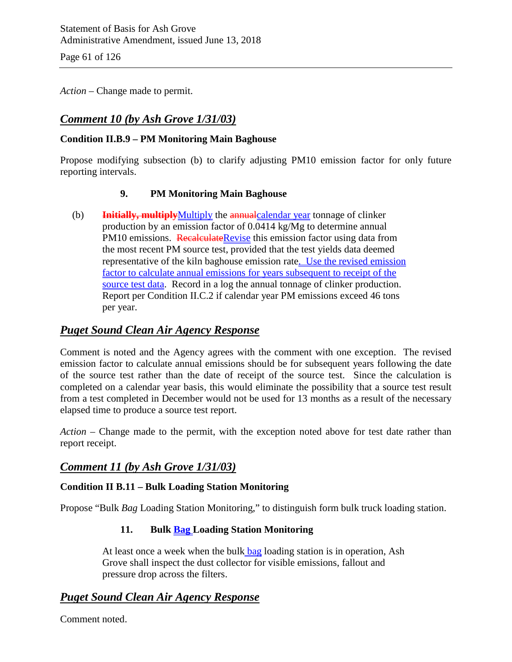Page 61 of 126

*Action* – Change made to permit.

# *Comment 10 (by Ash Grove 1/31/03)*

### **Condition II.B.9 – PM Monitoring Main Baghouse**

Propose modifying subsection (b) to clarify adjusting PM10 emission factor for only future reporting intervals.

### **9. PM Monitoring Main Baghouse**

(b) **Initially, multiply**Multiply the annualcalendar year tonnage of clinker production by an emission factor of 0.0414 kg/Mg to determine annual PM10 emissions. RecalculateRevise this emission factor using data from the most recent PM source test, provided that the test yields data deemed representative of the kiln baghouse emission rate. Use the revised emission factor to calculate annual emissions for years subsequent to receipt of the source test data. Record in a log the annual tonnage of clinker production. Report per Condition II.C.2 if calendar year PM emissions exceed 46 tons per year.

### *Puget Sound Clean Air Agency Response*

Comment is noted and the Agency agrees with the comment with one exception. The revised emission factor to calculate annual emissions should be for subsequent years following the date of the source test rather than the date of receipt of the source test. Since the calculation is completed on a calendar year basis, this would eliminate the possibility that a source test result from a test completed in December would not be used for 13 months as a result of the necessary elapsed time to produce a source test report.

*Action* – Change made to the permit, with the exception noted above for test date rather than report receipt.

### *Comment 11 (by Ash Grove 1/31/03)*

### **Condition II B.11 – Bulk Loading Station Monitoring**

Propose "Bulk *Bag* Loading Station Monitoring," to distinguish form bulk truck loading station.

### **11. Bulk Bag Loading Station Monitoring**

At least once a week when the bulk bag loading station is in operation, Ash Grove shall inspect the dust collector for visible emissions, fallout and pressure drop across the filters.

## *Puget Sound Clean Air Agency Response*

Comment noted.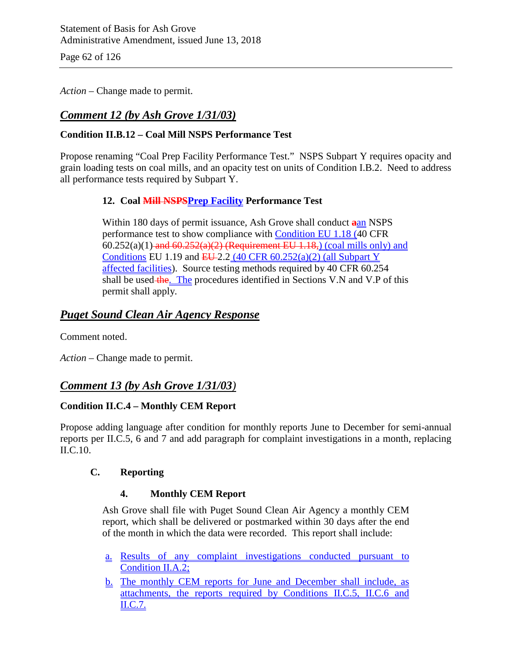Page 62 of 126

*Action* – Change made to permit.

# *Comment 12 (by Ash Grove 1/31/03)*

### **Condition II.B.12 – Coal Mill NSPS Performance Test**

Propose renaming "Coal Prep Facility Performance Test." NSPS Subpart Y requires opacity and grain loading tests on coal mills, and an opacity test on units of Condition I.B.2. Need to address all performance tests required by Subpart Y.

### **12. Coal Mill NSPSPrep Facility Performance Test**

Within 180 days of permit issuance, Ash Grove shall conduct **a**an NSPS performance test to show compliance with Condition EU 1.18 (40 CFR  $60.252(a)(1)$  and  $60.252(a)(2)$  (Requirement EU 1.18,) (coal mills only) and Conditions EU 1.19 and  $EU$ -2.2 (40 CFR 60.252(a)(2) (all Subpart Y affected facilities). Source testing methods required by 40 CFR 60.254 shall be used the. The procedures identified in Sections V.N and V.P of this permit shall apply.

### *Puget Sound Clean Air Agency Response*

Comment noted.

*Action* – Change made to permit.

## *Comment 13 (by Ash Grove 1/31/03)*

### **Condition II.C.4 – Monthly CEM Report**

Propose adding language after condition for monthly reports June to December for semi-annual reports per II.C.5, 6 and 7 and add paragraph for complaint investigations in a month, replacing II.C.10.

### **C. Reporting**

### **4. Monthly CEM Report**

Ash Grove shall file with Puget Sound Clean Air Agency a monthly CEM report, which shall be delivered or postmarked within 30 days after the end of the month in which the data were recorded. This report shall include:

- a. Results of any complaint investigations conducted pursuant to Condition II.A.2;
- b. The monthly CEM reports for June and December shall include, as attachments, the reports required by Conditions II.C.5, II.C.6 and II.C.7.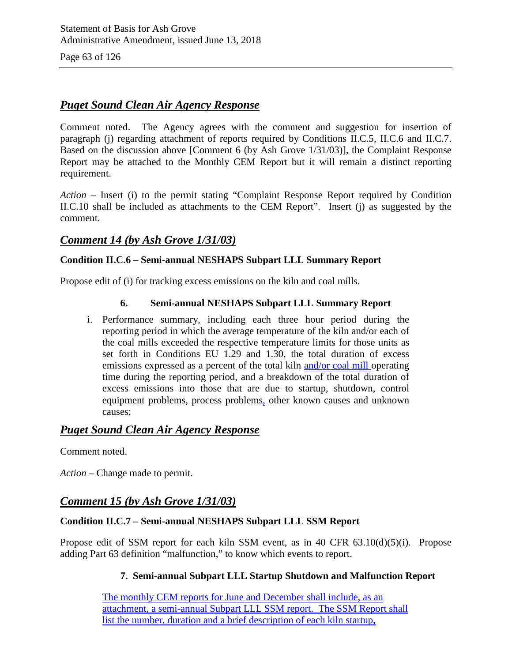Page 63 of 126

### *Puget Sound Clean Air Agency Response*

Comment noted. The Agency agrees with the comment and suggestion for insertion of paragraph (j) regarding attachment of reports required by Conditions II.C.5, II.C.6 and II.C.7. Based on the discussion above [Comment 6 (by Ash Grove 1/31/03)], the Complaint Response Report may be attached to the Monthly CEM Report but it will remain a distinct reporting requirement.

*Action –* Insert (i) to the permit stating "Complaint Response Report required by Condition II.C.10 shall be included as attachments to the CEM Report". Insert (j) as suggested by the comment.

### *Comment 14 (by Ash Grove 1/31/03)*

### **Condition II.C.6 – Semi-annual NESHAPS Subpart LLL Summary Report**

Propose edit of (i) for tracking excess emissions on the kiln and coal mills.

#### **6. Semi-annual NESHAPS Subpart LLL Summary Report**

i. Performance summary, including each three hour period during the reporting period in which the average temperature of the kiln and/or each of the coal mills exceeded the respective temperature limits for those units as set forth in Conditions EU 1.29 and 1.30, the total duration of excess emissions expressed as a percent of the total kiln and/or coal mill operating time during the reporting period, and a breakdown of the total duration of excess emissions into those that are due to startup, shutdown, control equipment problems, process problems, other known causes and unknown causes;

### *Puget Sound Clean Air Agency Response*

Comment noted.

*Action* – Change made to permit.

### *Comment 15 (by Ash Grove 1/31/03)*

### **Condition II.C.7 – Semi-annual NESHAPS Subpart LLL SSM Report**

Propose edit of SSM report for each kiln SSM event, as in 40 CFR 63.10(d)(5)(i). Propose adding Part 63 definition "malfunction," to know which events to report.

### **7. Semi-annual Subpart LLL Startup Shutdown and Malfunction Report**

The monthly CEM reports for June and December shall include, as an attachment, a semi-annual Subpart LLL SSM report. The SSM Report shall list the number, duration and a brief description of each kiln startup,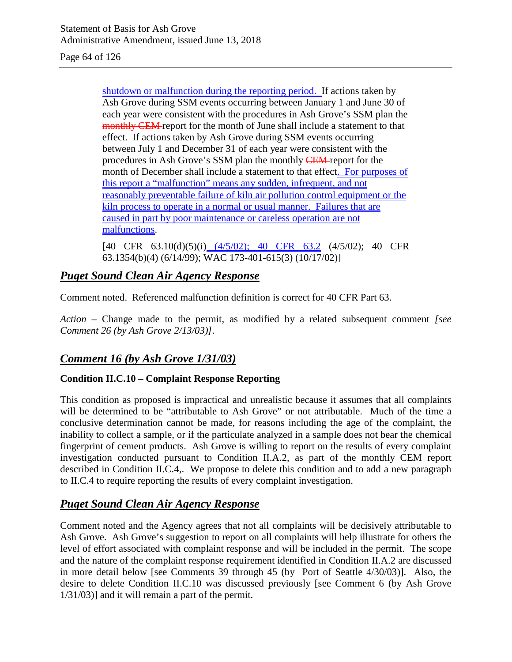Page 64 of 126

shutdown or malfunction during the reporting period. If actions taken by Ash Grove during SSM events occurring between January 1 and June 30 of each year were consistent with the procedures in Ash Grove's SSM plan the monthly CEM report for the month of June shall include a statement to that effect. If actions taken by Ash Grove during SSM events occurring between July 1 and December 31 of each year were consistent with the procedures in Ash Grove's SSM plan the monthly CEM-report for the month of December shall include a statement to that effect. For purposes of this report a "malfunction" means any sudden, infrequent, and not reasonably preventable failure of kiln air pollution control equipment or the kiln process to operate in a normal or usual manner. Failures that are caused in part by poor maintenance or careless operation are not malfunctions.

[40 CFR 63.10(d)(5)(i) (4/5/02); 40 CFR 63.2 (4/5/02); 40 CFR 63.1354(b)(4) (6/14/99); WAC 173-401-615(3) (10/17/02)]

# *Puget Sound Clean Air Agency Response*

Comment noted. Referenced malfunction definition is correct for 40 CFR Part 63.

*Action –* Change made to the permit, as modified by a related subsequent comment *[see Comment 26 (by Ash Grove 2/13/03)]*.

# *Comment 16 (by Ash Grove 1/31/03)*

### **Condition II.C.10 – Complaint Response Reporting**

This condition as proposed is impractical and unrealistic because it assumes that all complaints will be determined to be "attributable to Ash Grove" or not attributable. Much of the time a conclusive determination cannot be made, for reasons including the age of the complaint, the inability to collect a sample, or if the particulate analyzed in a sample does not bear the chemical fingerprint of cement products. Ash Grove is willing to report on the results of every complaint investigation conducted pursuant to Condition II.A.2, as part of the monthly CEM report described in Condition II.C.4,. We propose to delete this condition and to add a new paragraph to II.C.4 to require reporting the results of every complaint investigation.

## *Puget Sound Clean Air Agency Response*

Comment noted and the Agency agrees that not all complaints will be decisively attributable to Ash Grove. Ash Grove's suggestion to report on all complaints will help illustrate for others the level of effort associated with complaint response and will be included in the permit. The scope and the nature of the complaint response requirement identified in Condition II.A.2 are discussed in more detail below [see Comments 39 through 45 (by Port of Seattle 4/30/03)]. Also, the desire to delete Condition II.C.10 was discussed previously [see Comment 6 (by Ash Grove 1/31/03)] and it will remain a part of the permit.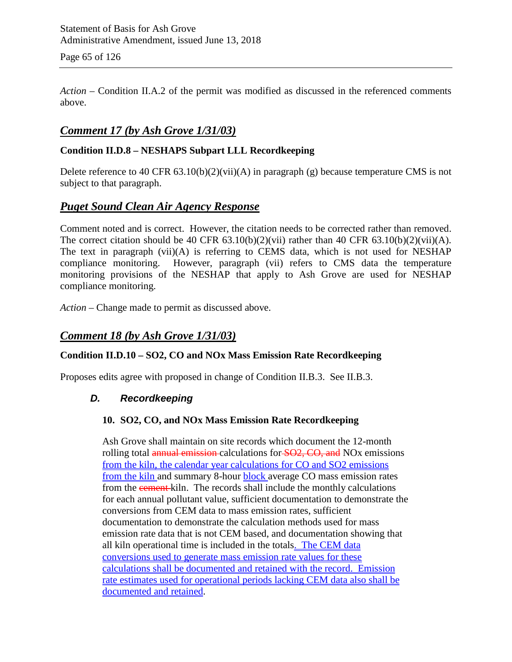Page 65 of 126

*Action –* Condition II.A.2 of the permit was modified as discussed in the referenced comments above.

## *Comment 17 (by Ash Grove 1/31/03)*

### **Condition II.D.8 – NESHAPS Subpart LLL Recordkeeping**

Delete reference to 40 CFR  $63.10(b)(2)(vii)(A)$  in paragraph (g) because temperature CMS is not subject to that paragraph.

### *Puget Sound Clean Air Agency Response*

Comment noted and is correct. However, the citation needs to be corrected rather than removed. The correct citation should be 40 CFR  $63.10(b)(2)(vii)$  rather than 40 CFR  $63.10(b)(2)(vii)(A)$ . The text in paragraph (vii)(A) is referring to CEMS data, which is not used for NESHAP compliance monitoring. However, paragraph (vii) refers to CMS data the temperature monitoring provisions of the NESHAP that apply to Ash Grove are used for NESHAP compliance monitoring.

*Action –* Change made to permit as discussed above.

### *Comment 18 (by Ash Grove 1/31/03)*

### **Condition II.D.10 – SO2, CO and NOx Mass Emission Rate Recordkeeping**

Proposes edits agree with proposed in change of Condition II.B.3. See II.B.3.

### *D. Recordkeeping*

### **10. SO2, CO, and NOx Mass Emission Rate Recordkeeping**

Ash Grove shall maintain on site records which document the 12-month rolling total annual emission-calculations for SO2, CO, and NO<sub>x</sub> emissions from the kiln, the calendar year calculations for CO and SO2 emissions from the kiln and summary 8-hour block average CO mass emission rates from the cement kiln. The records shall include the monthly calculations for each annual pollutant value, sufficient documentation to demonstrate the conversions from CEM data to mass emission rates, sufficient documentation to demonstrate the calculation methods used for mass emission rate data that is not CEM based, and documentation showing that all kiln operational time is included in the totals. The CEM data conversions used to generate mass emission rate values for these calculations shall be documented and retained with the record. Emission rate estimates used for operational periods lacking CEM data also shall be documented and retained.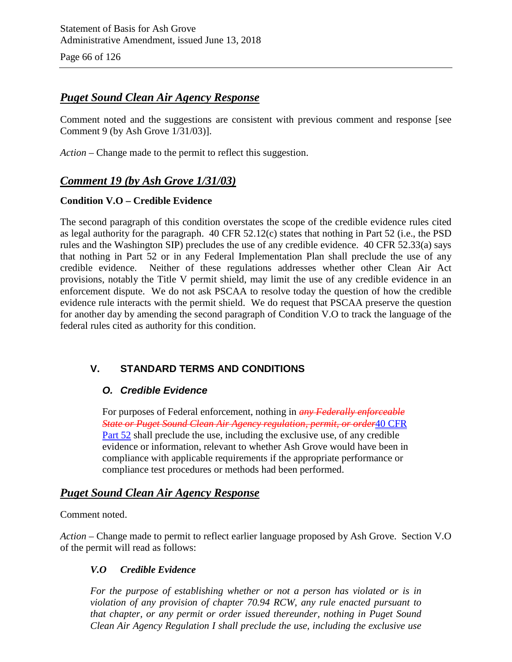Page 66 of 126

# *Puget Sound Clean Air Agency Response*

Comment noted and the suggestions are consistent with previous comment and response [see Comment 9 (by Ash Grove 1/31/03)].

*Action –* Change made to the permit to reflect this suggestion.

# *Comment 19 (by Ash Grove 1/31/03)*

### **Condition V.O – Credible Evidence**

The second paragraph of this condition overstates the scope of the credible evidence rules cited as legal authority for the paragraph. 40 CFR 52.12(c) states that nothing in Part 52 (i.e., the PSD rules and the Washington SIP) precludes the use of any credible evidence. 40 CFR 52.33(a) says that nothing in Part 52 or in any Federal Implementation Plan shall preclude the use of any credible evidence. Neither of these regulations addresses whether other Clean Air Act provisions, notably the Title V permit shield, may limit the use of any credible evidence in an enforcement dispute. We do not ask PSCAA to resolve today the question of how the credible evidence rule interacts with the permit shield. We do request that PSCAA preserve the question for another day by amending the second paragraph of Condition V.O to track the language of the federal rules cited as authority for this condition.

## **V. STANDARD TERMS AND CONDITIONS**

### *O. Credible Evidence*

For purposes of Federal enforcement, nothing in *any Federally enforceable State or Puget Sound Clean Air Agency regulation, permit, or order*40 CFR Part 52 shall preclude the use, including the exclusive use, of any credible evidence or information, relevant to whether Ash Grove would have been in compliance with applicable requirements if the appropriate performance or compliance test procedures or methods had been performed.

## *Puget Sound Clean Air Agency Response*

### Comment noted.

*Action* – Change made to permit to reflect earlier language proposed by Ash Grove. Section V.O of the permit will read as follows:

### *V.O Credible Evidence*

*For the purpose of establishing whether or not a person has violated or is in violation of any provision of chapter 70.94 RCW, any rule enacted pursuant to that chapter, or any permit or order issued thereunder, nothing in Puget Sound Clean Air Agency Regulation I shall preclude the use, including the exclusive use*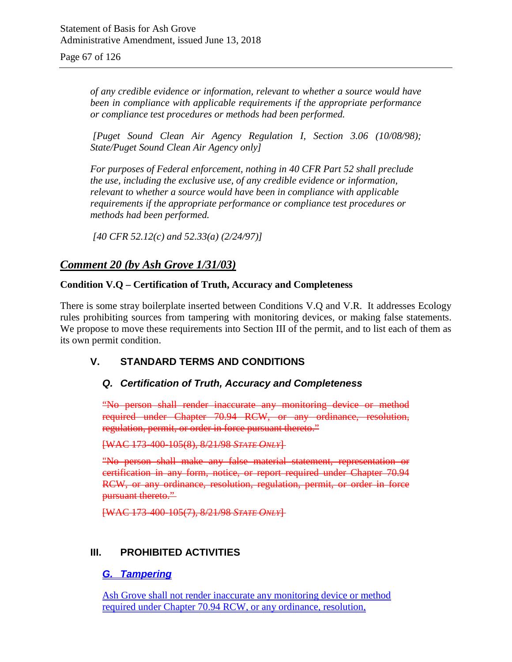Page 67 of 126

*of any credible evidence or information, relevant to whether a source would have been in compliance with applicable requirements if the appropriate performance or compliance test procedures or methods had been performed.*

*[Puget Sound Clean Air Agency Regulation I, Section 3.06 (10/08/98); State/Puget Sound Clean Air Agency only]*

*For purposes of Federal enforcement, nothing in 40 CFR Part 52 shall preclude the use, including the exclusive use, of any credible evidence or information, relevant to whether a source would have been in compliance with applicable requirements if the appropriate performance or compliance test procedures or methods had been performed.*

*[40 CFR 52.12(c) and 52.33(a) (2/24/97)]*

## *Comment 20 (by Ash Grove 1/31/03)*

#### **Condition V.Q – Certification of Truth, Accuracy and Completeness**

There is some stray boilerplate inserted between Conditions V.Q and V.R. It addresses Ecology rules prohibiting sources from tampering with monitoring devices, or making false statements. We propose to move these requirements into Section III of the permit, and to list each of them as its own permit condition.

### **V. STANDARD TERMS AND CONDITIONS**

### *Q. Certification of Truth, Accuracy and Completeness*

"No person shall render inaccurate any monitoring device or method required under Chapter 70.94 RCW, or any ordinance, resolution, regulation, permit, or order in force pursuant thereto."

[WAC 173-400-105(8), 8/21/98 *STATE ONLY*]

"No person shall make any false material statement, representation or certification in any form, notice, or report required under Chapter 70.94 RCW, or any ordinance, resolution, regulation, permit, or order in force pursuant thereto."

[WAC 173-400-105(7), 8/21/98 *STATE ONLY*]

### **III. PROHIBITED ACTIVITIES**

### *G. Tampering*

Ash Grove shall not render inaccurate any monitoring device or method required under Chapter 70.94 RCW, or any ordinance, resolution,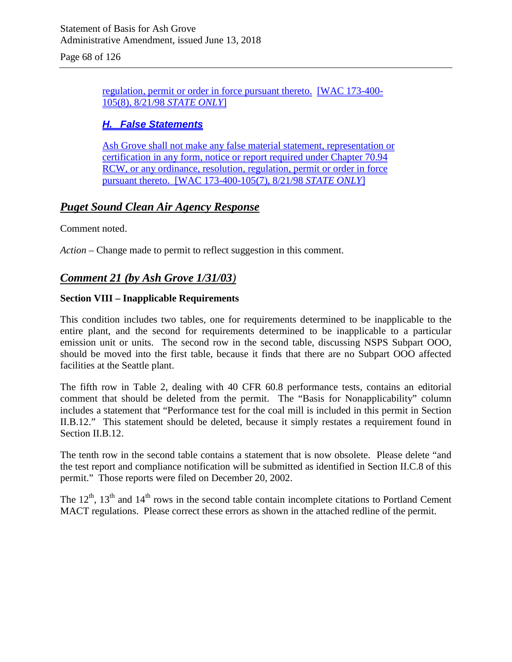Page 68 of 126

regulation, permit or order in force pursuant thereto. [WAC 173-400- 105(8), 8/21/98 *STATE ONLY*]

### *H. False Statements*

Ash Grove shall not make any false material statement, representation or certification in any form, notice or report required under Chapter 70.94 RCW, or any ordinance, resolution, regulation, permit or order in force pursuant thereto. [WAC 173-400-105(7), 8/21/98 *STATE ONLY*]

## *Puget Sound Clean Air Agency Response*

Comment noted.

*Action* – Change made to permit to reflect suggestion in this comment.

# *Comment 21 (by Ash Grove 1/31/03)*

### **Section VIII – Inapplicable Requirements**

This condition includes two tables, one for requirements determined to be inapplicable to the entire plant, and the second for requirements determined to be inapplicable to a particular emission unit or units. The second row in the second table, discussing NSPS Subpart OOO, should be moved into the first table, because it finds that there are no Subpart OOO affected facilities at the Seattle plant.

The fifth row in Table 2, dealing with 40 CFR 60.8 performance tests, contains an editorial comment that should be deleted from the permit. The "Basis for Nonapplicability" column includes a statement that "Performance test for the coal mill is included in this permit in Section II.B.12." This statement should be deleted, because it simply restates a requirement found in Section II.B.12.

The tenth row in the second table contains a statement that is now obsolete. Please delete "and the test report and compliance notification will be submitted as identified in Section II.C.8 of this permit." Those reports were filed on December 20, 2002.

The  $12<sup>th</sup>$ ,  $13<sup>th</sup>$  and  $14<sup>th</sup>$  rows in the second table contain incomplete citations to Portland Cement MACT regulations. Please correct these errors as shown in the attached redline of the permit.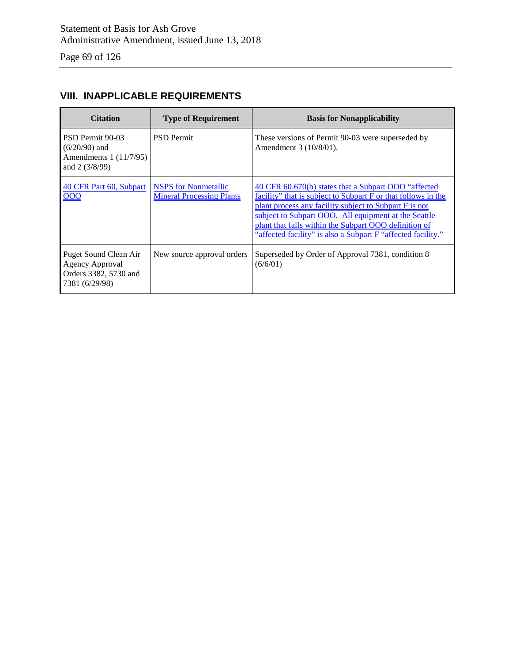Page 69 of 126

# **VIII. INAPPLICABLE REQUIREMENTS**

| <b>Citation</b>                                                                            | <b>Type of Requirement</b>                                      | <b>Basis for Nonapplicability</b>                                                                                                                                                                                                                                                                                                                                 |
|--------------------------------------------------------------------------------------------|-----------------------------------------------------------------|-------------------------------------------------------------------------------------------------------------------------------------------------------------------------------------------------------------------------------------------------------------------------------------------------------------------------------------------------------------------|
| PSD Permit 90-03<br>$(6/20/90)$ and<br>Amendments 1 (11/7/95)<br>and $2(3/8/99)$           | <b>PSD</b> Permit                                               | These versions of Permit 90-03 were superseded by<br>Amendment 3 (10/8/01).                                                                                                                                                                                                                                                                                       |
| 40 CFR Part 60, Subpart<br>000                                                             | <b>NSPS</b> for Nonmetallic<br><b>Mineral Processing Plants</b> | 40 CFR 60.670(b) states that a Subpart OOO "affected"<br>facility" that is subject to Subpart F or that follows in the<br>plant process any facility subject to Subpart F is not<br>subject to Subpart OOO. All equipment at the Seattle<br>plant that falls within the Subpart OOO definition of<br>"affected facility" is also a Subpart F "affected facility." |
| Puget Sound Clean Air<br><b>Agency Approval</b><br>Orders 3382, 5730 and<br>7381 (6/29/98) | New source approval orders                                      | Superseded by Order of Approval 7381, condition 8<br>(6/6/01)                                                                                                                                                                                                                                                                                                     |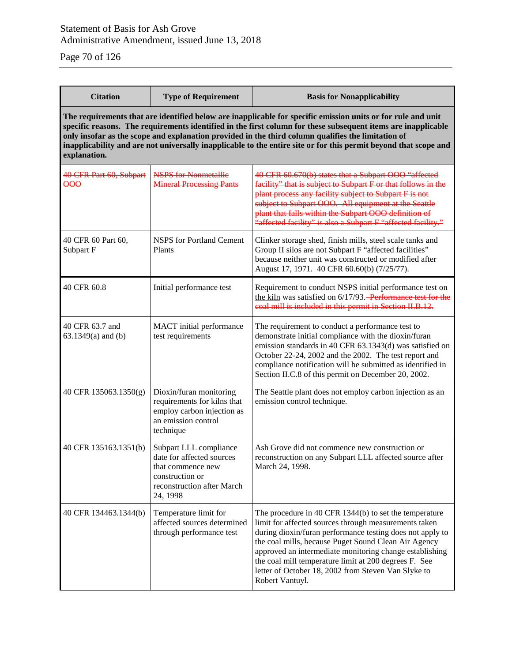Page 70 of 126

| <b>Citation</b>                                                                                                                                                                                                                                                                                                                                                                                                                                                         | <b>Type of Requirement</b>                                                                                                            | <b>Basis for Nonapplicability</b>                                                                                                                                                                                                                                                                                                                                                                                                  |  |
|-------------------------------------------------------------------------------------------------------------------------------------------------------------------------------------------------------------------------------------------------------------------------------------------------------------------------------------------------------------------------------------------------------------------------------------------------------------------------|---------------------------------------------------------------------------------------------------------------------------------------|------------------------------------------------------------------------------------------------------------------------------------------------------------------------------------------------------------------------------------------------------------------------------------------------------------------------------------------------------------------------------------------------------------------------------------|--|
| The requirements that are identified below are inapplicable for specific emission units or for rule and unit<br>specific reasons. The requirements identified in the first column for these subsequent items are inapplicable<br>only insofar as the scope and explanation provided in the third column qualifies the limitation of<br>inapplicability and are not universally inapplicable to the entire site or for this permit beyond that scope and<br>explanation. |                                                                                                                                       |                                                                                                                                                                                                                                                                                                                                                                                                                                    |  |
| 40 CFR Part 60, Subpart<br>$\theta$                                                                                                                                                                                                                                                                                                                                                                                                                                     | <b>NSPS for Nonmetallie</b><br><b>Mineral Processing Pants</b>                                                                        | 40 CFR 60.670(b) states that a Subpart OOO "affected<br>facility" that is subject to Subpart F or that follows in the<br>plant process any facility subject to Subpart F is not<br>subject to Subpart OOO. All equipment at the Seattle<br>plant that falls within the Subpart OOO definition of<br>"affected facility" is also a Subpart F "affected facility."                                                                   |  |
| 40 CFR 60 Part 60,<br>Subpart F                                                                                                                                                                                                                                                                                                                                                                                                                                         | <b>NSPS</b> for Portland Cement<br>Plants                                                                                             | Clinker storage shed, finish mills, steel scale tanks and<br>Group II silos are not Subpart F "affected facilities"<br>because neither unit was constructed or modified after<br>August 17, 1971. 40 CFR 60.60(b) (7/25/77).                                                                                                                                                                                                       |  |
| 40 CFR 60.8                                                                                                                                                                                                                                                                                                                                                                                                                                                             | Initial performance test                                                                                                              | Requirement to conduct NSPS initial performance test on<br>the kiln was satisfied on 6/17/93. Performance test for the<br>coal mill is included in this permit in Section II.B.12.                                                                                                                                                                                                                                                 |  |
| 40 CFR 63.7 and<br>$63.1349(a)$ and (b)                                                                                                                                                                                                                                                                                                                                                                                                                                 | MACT initial performance<br>test requirements                                                                                         | The requirement to conduct a performance test to<br>demonstrate initial compliance with the dioxin/furan<br>emission standards in 40 CFR 63.1343(d) was satisfied on<br>October 22-24, 2002 and the 2002. The test report and<br>compliance notification will be submitted as identified in<br>Section II.C.8 of this permit on December 20, 2002.                                                                                 |  |
| 40 CFR 135063.1350(g)                                                                                                                                                                                                                                                                                                                                                                                                                                                   | Dioxin/furan monitoring<br>requirements for kilns that<br>employ carbon injection as<br>an emission control<br>technique              | The Seattle plant does not employ carbon injection as an<br>emission control technique.                                                                                                                                                                                                                                                                                                                                            |  |
| 40 CFR 135163.1351(b)                                                                                                                                                                                                                                                                                                                                                                                                                                                   | Subpart LLL compliance<br>date for affected sources<br>that commence new<br>construction or<br>reconstruction after March<br>24, 1998 | Ash Grove did not commence new construction or<br>reconstruction on any Subpart LLL affected source after<br>March 24, 1998.                                                                                                                                                                                                                                                                                                       |  |
| 40 CFR 134463.1344(b)                                                                                                                                                                                                                                                                                                                                                                                                                                                   | Temperature limit for<br>affected sources determined<br>through performance test                                                      | The procedure in 40 CFR 1344(b) to set the temperature<br>limit for affected sources through measurements taken<br>during dioxin/furan performance testing does not apply to<br>the coal mills, because Puget Sound Clean Air Agency<br>approved an intermediate monitoring change establishing<br>the coal mill temperature limit at 200 degrees F. See<br>letter of October 18, 2002 from Steven Van Slyke to<br>Robert Vantuyl. |  |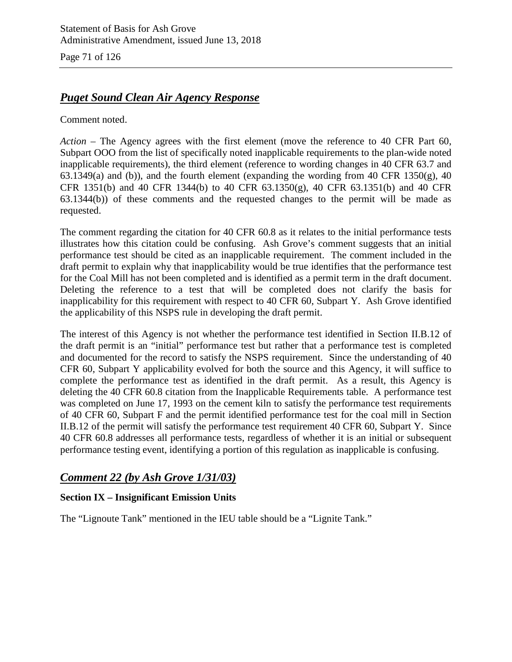Page 71 of 126

# *Puget Sound Clean Air Agency Response*

Comment noted.

*Action* – The Agency agrees with the first element (move the reference to 40 CFR Part 60, Subpart OOO from the list of specifically noted inapplicable requirements to the plan-wide noted inapplicable requirements), the third element (reference to wording changes in 40 CFR 63.7 and 63.1349(a) and (b)), and the fourth element (expanding the wording from 40 CFR 1350(g), 40 CFR 1351(b) and 40 CFR 1344(b) to 40 CFR 63.1350(g), 40 CFR 63.1351(b) and 40 CFR 63.1344(b)) of these comments and the requested changes to the permit will be made as requested.

The comment regarding the citation for 40 CFR 60.8 as it relates to the initial performance tests illustrates how this citation could be confusing. Ash Grove's comment suggests that an initial performance test should be cited as an inapplicable requirement. The comment included in the draft permit to explain why that inapplicability would be true identifies that the performance test for the Coal Mill has not been completed and is identified as a permit term in the draft document. Deleting the reference to a test that will be completed does not clarify the basis for inapplicability for this requirement with respect to 40 CFR 60, Subpart Y. Ash Grove identified the applicability of this NSPS rule in developing the draft permit.

The interest of this Agency is not whether the performance test identified in Section II.B.12 of the draft permit is an "initial" performance test but rather that a performance test is completed and documented for the record to satisfy the NSPS requirement. Since the understanding of 40 CFR 60, Subpart Y applicability evolved for both the source and this Agency, it will suffice to complete the performance test as identified in the draft permit. As a result, this Agency is deleting the 40 CFR 60.8 citation from the Inapplicable Requirements table. A performance test was completed on June 17, 1993 on the cement kiln to satisfy the performance test requirements of 40 CFR 60, Subpart F and the permit identified performance test for the coal mill in Section II.B.12 of the permit will satisfy the performance test requirement 40 CFR 60, Subpart Y. Since 40 CFR 60.8 addresses all performance tests, regardless of whether it is an initial or subsequent performance testing event, identifying a portion of this regulation as inapplicable is confusing.

## *Comment 22 (by Ash Grove 1/31/03)*

### **Section IX – Insignificant Emission Units**

The "Lignoute Tank" mentioned in the IEU table should be a "Lignite Tank."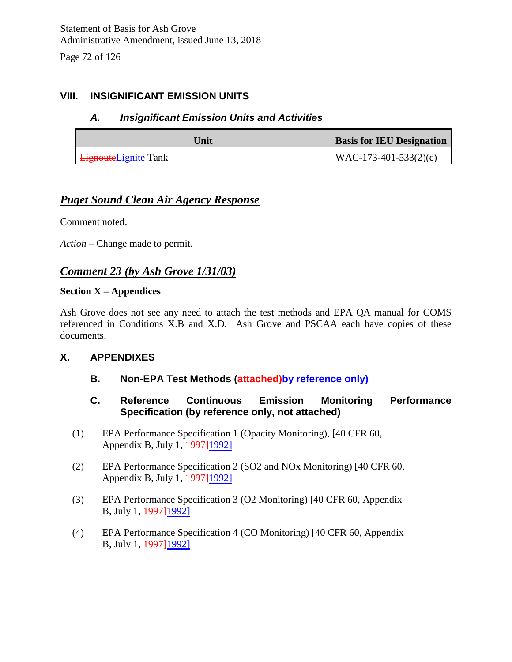### **VIII. INSIGNIFICANT EMISSION UNITS**

### *A. Insignificant Emission Units and Activities*

| Unit                         | <b>Basis for IEU Designation</b> |
|------------------------------|----------------------------------|
| <b>Lignoute</b> Lignite Tank | $WAC-173-401-533(2)(c)$          |

### *Puget Sound Clean Air Agency Response*

Comment noted.

*Action* – Change made to permit.

### *Comment 23 (by Ash Grove 1/31/03)*

#### **Section X – Appendices**

Ash Grove does not see any need to attach the test methods and EPA QA manual for COMS referenced in Conditions X.B and X.D. Ash Grove and PSCAA each have copies of these documents.

### **X. APPENDIXES**

- **B.** Non-EPA Test Methods (attached)by reference only)
- **C. Reference Continuous Emission Monitoring Performance Specification (by reference only, not attached)**
- (1) EPA Performance Specification 1 (Opacity Monitoring), [40 CFR 60, Appendix B, July 1, <del>1997]</del>1992]
- (2) EPA Performance Specification 2 (SO2 and NOx Monitoring) [40 CFR 60, Appendix B, July 1, <del>1997]</del>[1992]
- (3) EPA Performance Specification 3 (O2 Monitoring) [40 CFR 60, Appendix B, July 1, <del>1997]</del>1992]
- (4) EPA Performance Specification 4 (CO Monitoring) [40 CFR 60, Appendix B, July 1, 1997]1992]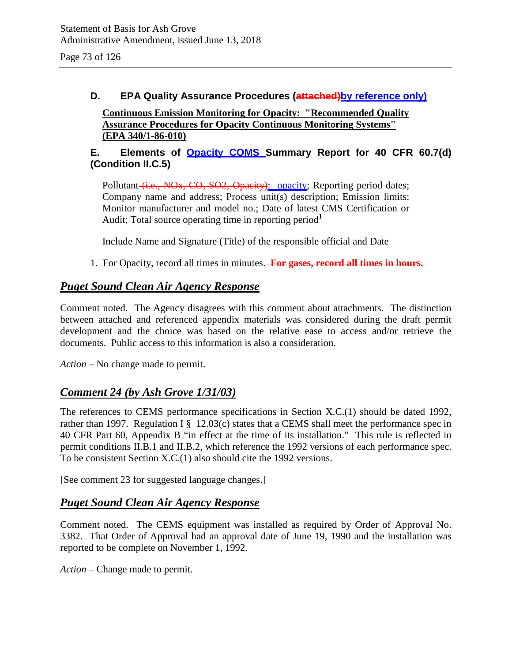### **D. EPA Quality Assurance Procedures** (attached) by reference only)

**Continuous Emission Monitoring for Opacity: "Recommended Quality Assurance Procedures for Opacity Continuous Monitoring Systems" (EPA 340/1-86-010)**

### **E. Elements of Opacity COMS Summary Report for 40 CFR 60.7(d) (Condition II.C.5)**

Pollutant (i.e., NOx, CO, SO2, Opacity): opacity; Reporting period dates; Company name and address; Process unit(s) description; Emission limits; Monitor manufacturer and model no.; Date of latest CMS Certification or Audit; Total source operating time in reporting period<sup>1</sup>

Include Name and Signature (Title) of the responsible official and Date

1. For Opacity, record all times in minutes. **For gases, record all times in hours.**

## *Puget Sound Clean Air Agency Response*

Comment noted. The Agency disagrees with this comment about attachments. The distinction between attached and referenced appendix materials was considered during the draft permit development and the choice was based on the relative ease to access and/or retrieve the documents. Public access to this information is also a consideration.

*Action* – No change made to permit.

### *Comment 24 (by Ash Grove 1/31/03)*

The references to CEMS performance specifications in Section X.C.(1) should be dated 1992, rather than 1997. Regulation I § 12.03(c) states that a CEMS shall meet the performance spec in 40 CFR Part 60, Appendix B "in effect at the time of its installation." This rule is reflected in permit conditions II.B.1 and II.B.2, which reference the 1992 versions of each performance spec. To be consistent Section X.C.(1) also should cite the 1992 versions.

[See comment 23 for suggested language changes.]

### *Puget Sound Clean Air Agency Response*

Comment noted. The CEMS equipment was installed as required by Order of Approval No. 3382. That Order of Approval had an approval date of June 19, 1990 and the installation was reported to be complete on November 1, 1992.

*Action* – Change made to permit.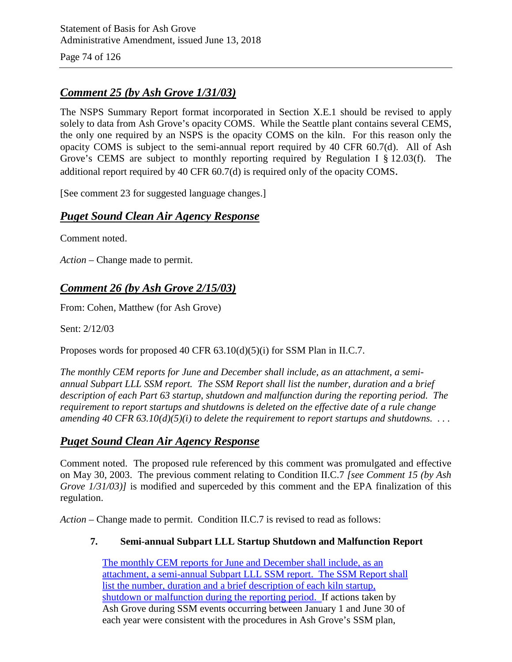Page 74 of 126

## *Comment 25 (by Ash Grove 1/31/03)*

The NSPS Summary Report format incorporated in Section X.E.1 should be revised to apply solely to data from Ash Grove's opacity COMS. While the Seattle plant contains several CEMS, the only one required by an NSPS is the opacity COMS on the kiln. For this reason only the opacity COMS is subject to the semi-annual report required by 40 CFR 60.7(d). All of Ash Grove's CEMS are subject to monthly reporting required by Regulation I § 12.03(f). The additional report required by 40 CFR 60.7(d) is required only of the opacity COMS.

[See comment 23 for suggested language changes.]

### *Puget Sound Clean Air Agency Response*

Comment noted.

*Action* – Change made to permit.

### *Comment 26 (by Ash Grove 2/15/03)*

From: Cohen, Matthew (for Ash Grove)

Sent: 2/12/03

Proposes words for proposed 40 CFR 63.10(d)(5)(i) for SSM Plan in II.C.7.

*The monthly CEM reports for June and December shall include, as an attachment, a semiannual Subpart LLL SSM report. The SSM Report shall list the number, duration and a brief description of each Part 63 startup, shutdown and malfunction during the reporting period. The requirement to report startups and shutdowns is deleted on the effective date of a rule change amending 40 CFR 63.10(d)(5)(i) to delete the requirement to report startups and shutdowns. . . .*

### *Puget Sound Clean Air Agency Response*

Comment noted. The proposed rule referenced by this comment was promulgated and effective on May 30, 2003. The previous comment relating to Condition II.C.7 *[see Comment 15 (by Ash Grove 1/31/03)]* is modified and superceded by this comment and the EPA finalization of this regulation.

*Action* – Change made to permit. Condition II.C.7 is revised to read as follows:

#### **7. Semi-annual Subpart LLL Startup Shutdown and Malfunction Report**

The monthly CEM reports for June and December shall include, as an attachment, a semi-annual Subpart LLL SSM report. The SSM Report shall list the number, duration and a brief description of each kiln startup, shutdown or malfunction during the reporting period. If actions taken by Ash Grove during SSM events occurring between January 1 and June 30 of each year were consistent with the procedures in Ash Grove's SSM plan,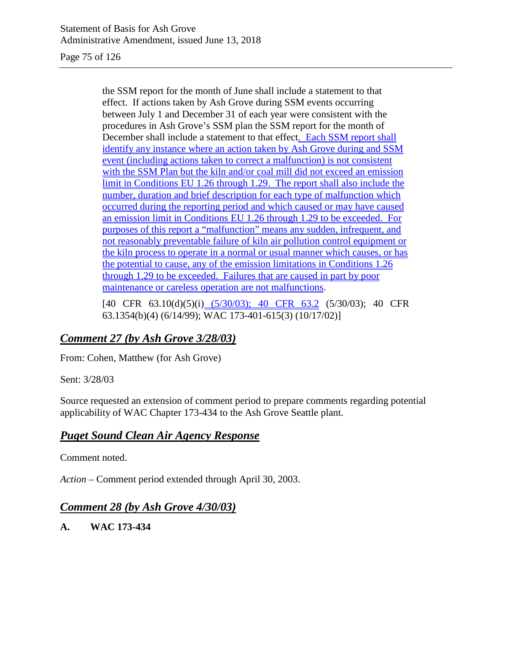Page 75 of 126

the SSM report for the month of June shall include a statement to that effect. If actions taken by Ash Grove during SSM events occurring between July 1 and December 31 of each year were consistent with the procedures in Ash Grove's SSM plan the SSM report for the month of December shall include a statement to that effect. Each SSM report shall identify any instance where an action taken by Ash Grove during and SSM event (including actions taken to correct a malfunction) is not consistent with the SSM Plan but the kiln and/or coal mill did not exceed an emission limit in Conditions EU 1.26 through 1.29. The report shall also include the number, duration and brief description for each type of malfunction which occurred during the reporting period and which caused or may have caused an emission limit in Conditions EU 1.26 through 1.29 to be exceeded. For purposes of this report a "malfunction" means any sudden, infrequent, and not reasonably preventable failure of kiln air pollution control equipment or the kiln process to operate in a normal or usual manner which causes, or has the potential to cause, any of the emission limitations in Conditions 1.26 through 1.29 to be exceeded. Failures that are caused in part by poor maintenance or careless operation are not malfunctions.

[40 CFR 63.10(d)(5)(i) (5/30/03); 40 CFR 63.2 (5/30/03); 40 CFR 63.1354(b)(4) (6/14/99); WAC 173-401-615(3) (10/17/02)]

### *Comment 27 (by Ash Grove 3/28/03)*

From: Cohen, Matthew (for Ash Grove)

Sent: 3/28/03

Source requested an extension of comment period to prepare comments regarding potential applicability of WAC Chapter 173-434 to the Ash Grove Seattle plant.

### *Puget Sound Clean Air Agency Response*

Comment noted.

*Action –* Comment period extended through April 30, 2003.

### *Comment 28 (by Ash Grove 4/30/03)*

**A. WAC 173-434**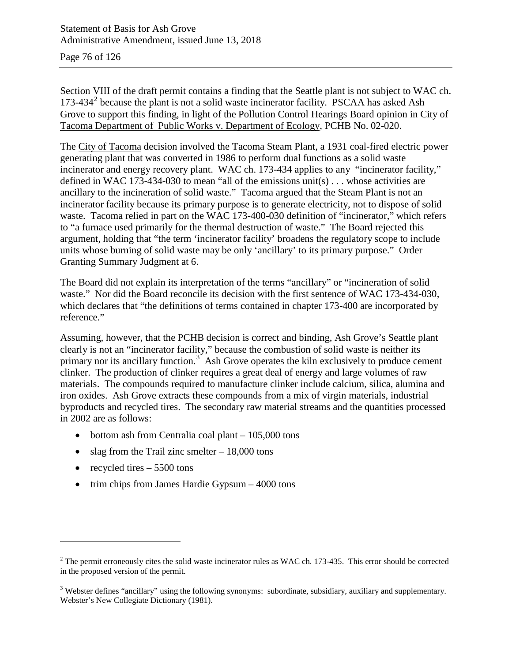Page 76 of 126

Section VIII of the draft permit contains a finding that the Seattle plant is not subject to WAC ch.  $173-434<sup>2</sup>$  $173-434<sup>2</sup>$  $173-434<sup>2</sup>$  because the plant is not a solid waste incinerator facility. PSCAA has asked Ash Grove to support this finding, in light of the Pollution Control Hearings Board opinion in City of Tacoma Department of Public Works v. Department of Ecology, PCHB No. 02-020.

The City of Tacoma decision involved the Tacoma Steam Plant, a 1931 coal-fired electric power generating plant that was converted in 1986 to perform dual functions as a solid waste incinerator and energy recovery plant. WAC ch. 173-434 applies to any "incinerator facility," defined in WAC 173-434-030 to mean "all of the emissions unit(s) . . . whose activities are ancillary to the incineration of solid waste." Tacoma argued that the Steam Plant is not an incinerator facility because its primary purpose is to generate electricity, not to dispose of solid waste. Tacoma relied in part on the WAC 173-400-030 definition of "incinerator," which refers to "a furnace used primarily for the thermal destruction of waste." The Board rejected this argument, holding that "the term 'incinerator facility' broadens the regulatory scope to include units whose burning of solid waste may be only 'ancillary' to its primary purpose." Order Granting Summary Judgment at 6.

The Board did not explain its interpretation of the terms "ancillary" or "incineration of solid waste." Nor did the Board reconcile its decision with the first sentence of WAC 173-434-030, which declares that "the definitions of terms contained in chapter 173-400 are incorporated by reference."

Assuming, however, that the PCHB decision is correct and binding, Ash Grove's Seattle plant clearly is not an "incinerator facility," because the combustion of solid waste is neither its primary nor its ancillary function.<sup>[3](#page-75-1)</sup> Ash Grove operates the kiln exclusively to produce cement clinker. The production of clinker requires a great deal of energy and large volumes of raw materials. The compounds required to manufacture clinker include calcium, silica, alumina and iron oxides. Ash Grove extracts these compounds from a mix of virgin materials, industrial byproducts and recycled tires. The secondary raw material streams and the quantities processed in 2002 are as follows:

- bottom ash from Centralia coal plant 105,000 tons
- slag from the Trail zinc smelter  $-18,000$  tons
- recycled tires  $-5500$  tons

 $\overline{a}$ 

• trim chips from James Hardie Gypsum – 4000 tons

<span id="page-75-0"></span> $2$  The permit erroneously cites the solid waste incinerator rules as WAC ch. 173-435. This error should be corrected in the proposed version of the permit.

<span id="page-75-1"></span><sup>&</sup>lt;sup>3</sup> Webster defines "ancillary" using the following synonyms: subordinate, subsidiary, auxiliary and supplementary. Webster's New Collegiate Dictionary (1981).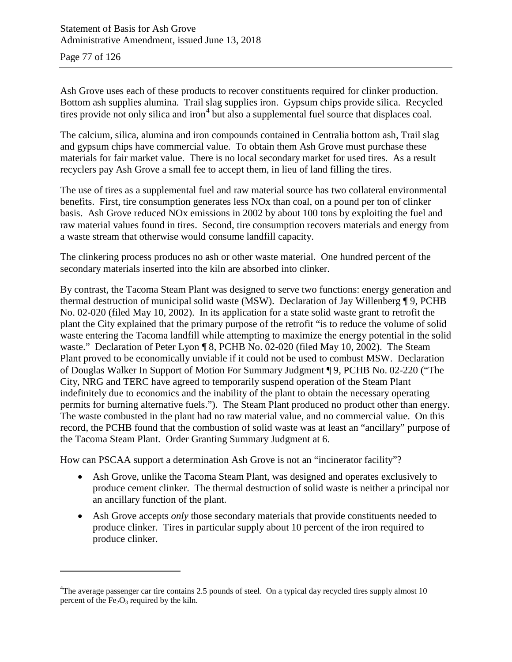Page 77 of 126

 $\overline{a}$ 

Ash Grove uses each of these products to recover constituents required for clinker production. Bottom ash supplies alumina. Trail slag supplies iron. Gypsum chips provide silica. Recycled tires provide not only silica and iron<sup>[4](#page-76-0)</sup> but also a supplemental fuel source that displaces coal.

The calcium, silica, alumina and iron compounds contained in Centralia bottom ash, Trail slag and gypsum chips have commercial value. To obtain them Ash Grove must purchase these materials for fair market value. There is no local secondary market for used tires. As a result recyclers pay Ash Grove a small fee to accept them, in lieu of land filling the tires.

The use of tires as a supplemental fuel and raw material source has two collateral environmental benefits. First, tire consumption generates less NOx than coal, on a pound per ton of clinker basis. Ash Grove reduced NOx emissions in 2002 by about 100 tons by exploiting the fuel and raw material values found in tires. Second, tire consumption recovers materials and energy from a waste stream that otherwise would consume landfill capacity.

The clinkering process produces no ash or other waste material. One hundred percent of the secondary materials inserted into the kiln are absorbed into clinker.

By contrast, the Tacoma Steam Plant was designed to serve two functions: energy generation and thermal destruction of municipal solid waste (MSW). Declaration of Jay Willenberg ¶ 9, PCHB No. 02-020 (filed May 10, 2002). In its application for a state solid waste grant to retrofit the plant the City explained that the primary purpose of the retrofit "is to reduce the volume of solid waste entering the Tacoma landfill while attempting to maximize the energy potential in the solid waste." Declaration of Peter Lyon ¶ 8, PCHB No. 02-020 (filed May 10, 2002). The Steam Plant proved to be economically unviable if it could not be used to combust MSW. Declaration of Douglas Walker In Support of Motion For Summary Judgment ¶ 9, PCHB No. 02-220 ("The City, NRG and TERC have agreed to temporarily suspend operation of the Steam Plant indefinitely due to economics and the inability of the plant to obtain the necessary operating permits for burning alternative fuels."). The Steam Plant produced no product other than energy. The waste combusted in the plant had no raw material value, and no commercial value. On this record, the PCHB found that the combustion of solid waste was at least an "ancillary" purpose of the Tacoma Steam Plant. Order Granting Summary Judgment at 6.

How can PSCAA support a determination Ash Grove is not an "incinerator facility"?

- Ash Grove, unlike the Tacoma Steam Plant, was designed and operates exclusively to produce cement clinker. The thermal destruction of solid waste is neither a principal nor an ancillary function of the plant.
- Ash Grove accepts *only* those secondary materials that provide constituents needed to produce clinker. Tires in particular supply about 10 percent of the iron required to produce clinker.

<span id="page-76-0"></span><sup>&</sup>lt;sup>4</sup>The average passenger car tire contains 2.5 pounds of steel. On a typical day recycled tires supply almost 10 percent of the  $Fe<sub>2</sub>O<sub>3</sub>$  required by the kiln.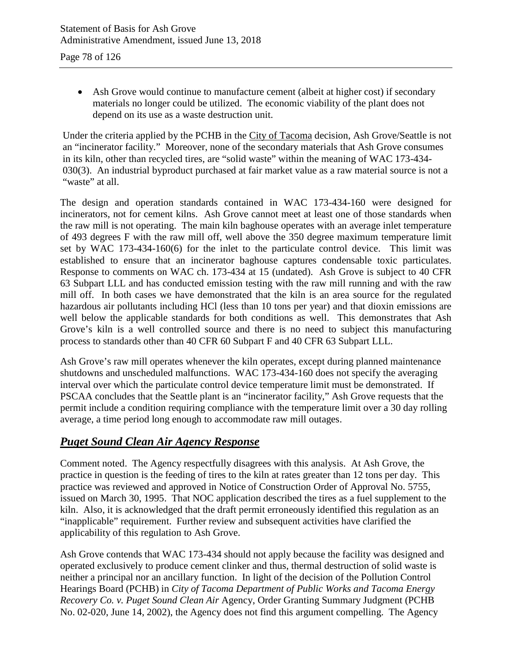• Ash Grove would continue to manufacture cement (albeit at higher cost) if secondary materials no longer could be utilized. The economic viability of the plant does not depend on its use as a waste destruction unit.

Under the criteria applied by the PCHB in the City of Tacoma decision, Ash Grove/Seattle is not an "incinerator facility." Moreover, none of the secondary materials that Ash Grove consumes in its kiln, other than recycled tires, are "solid waste" within the meaning of WAC 173-434- 030(3). An industrial byproduct purchased at fair market value as a raw material source is not a "waste" at all.

The design and operation standards contained in WAC 173-434-160 were designed for incinerators, not for cement kilns. Ash Grove cannot meet at least one of those standards when the raw mill is not operating. The main kiln baghouse operates with an average inlet temperature of 493 degrees F with the raw mill off, well above the 350 degree maximum temperature limit set by WAC 173-434-160(6) for the inlet to the particulate control device. This limit was established to ensure that an incinerator baghouse captures condensable toxic particulates. Response to comments on WAC ch. 173-434 at 15 (undated). Ash Grove is subject to 40 CFR 63 Subpart LLL and has conducted emission testing with the raw mill running and with the raw mill off. In both cases we have demonstrated that the kiln is an area source for the regulated hazardous air pollutants including HCl (less than 10 tons per year) and that dioxin emissions are well below the applicable standards for both conditions as well. This demonstrates that Ash Grove's kiln is a well controlled source and there is no need to subject this manufacturing process to standards other than 40 CFR 60 Subpart F and 40 CFR 63 Subpart LLL.

Ash Grove's raw mill operates whenever the kiln operates, except during planned maintenance shutdowns and unscheduled malfunctions. WAC 173-434-160 does not specify the averaging interval over which the particulate control device temperature limit must be demonstrated. If PSCAA concludes that the Seattle plant is an "incinerator facility," Ash Grove requests that the permit include a condition requiring compliance with the temperature limit over a 30 day rolling average, a time period long enough to accommodate raw mill outages.

### *Puget Sound Clean Air Agency Response*

Comment noted. The Agency respectfully disagrees with this analysis. At Ash Grove, the practice in question is the feeding of tires to the kiln at rates greater than 12 tons per day. This practice was reviewed and approved in Notice of Construction Order of Approval No. 5755, issued on March 30, 1995. That NOC application described the tires as a fuel supplement to the kiln. Also, it is acknowledged that the draft permit erroneously identified this regulation as an "inapplicable" requirement. Further review and subsequent activities have clarified the applicability of this regulation to Ash Grove.

Ash Grove contends that WAC 173-434 should not apply because the facility was designed and operated exclusively to produce cement clinker and thus, thermal destruction of solid waste is neither a principal nor an ancillary function. In light of the decision of the Pollution Control Hearings Board (PCHB) in *City of Tacoma Department of Public Works and Tacoma Energy Recovery Co. v. Puget Sound Clean Air* Agency, Order Granting Summary Judgment (PCHB No. 02-020, June 14, 2002), the Agency does not find this argument compelling. The Agency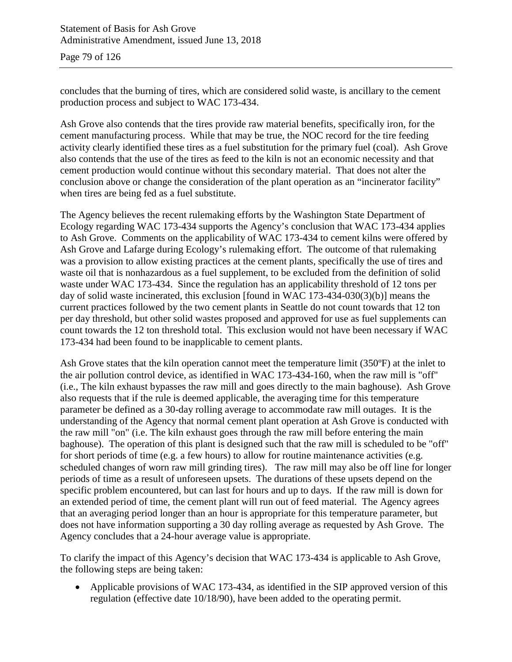Page 79 of 126

concludes that the burning of tires, which are considered solid waste, is ancillary to the cement production process and subject to WAC 173-434.

Ash Grove also contends that the tires provide raw material benefits, specifically iron, for the cement manufacturing process. While that may be true, the NOC record for the tire feeding activity clearly identified these tires as a fuel substitution for the primary fuel (coal). Ash Grove also contends that the use of the tires as feed to the kiln is not an economic necessity and that cement production would continue without this secondary material. That does not alter the conclusion above or change the consideration of the plant operation as an "incinerator facility" when tires are being fed as a fuel substitute.

The Agency believes the recent rulemaking efforts by the Washington State Department of Ecology regarding WAC 173-434 supports the Agency's conclusion that WAC 173-434 applies to Ash Grove. Comments on the applicability of WAC 173-434 to cement kilns were offered by Ash Grove and Lafarge during Ecology's rulemaking effort. The outcome of that rulemaking was a provision to allow existing practices at the cement plants, specifically the use of tires and waste oil that is nonhazardous as a fuel supplement, to be excluded from the definition of solid waste under WAC 173-434. Since the regulation has an applicability threshold of 12 tons per day of solid waste incinerated, this exclusion [found in WAC 173-434-030(3)(b)] means the current practices followed by the two cement plants in Seattle do not count towards that 12 ton per day threshold, but other solid wastes proposed and approved for use as fuel supplements can count towards the 12 ton threshold total. This exclusion would not have been necessary if WAC 173-434 had been found to be inapplicable to cement plants.

Ash Grove states that the kiln operation cannot meet the temperature limit (350ºF) at the inlet to the air pollution control device, as identified in WAC 173-434-160, when the raw mill is "off" (i.e., The kiln exhaust bypasses the raw mill and goes directly to the main baghouse). Ash Grove also requests that if the rule is deemed applicable, the averaging time for this temperature parameter be defined as a 30-day rolling average to accommodate raw mill outages. It is the understanding of the Agency that normal cement plant operation at Ash Grove is conducted with the raw mill "on" (i.e. The kiln exhaust goes through the raw mill before entering the main baghouse). The operation of this plant is designed such that the raw mill is scheduled to be "off" for short periods of time (e.g. a few hours) to allow for routine maintenance activities (e.g. scheduled changes of worn raw mill grinding tires). The raw mill may also be off line for longer periods of time as a result of unforeseen upsets. The durations of these upsets depend on the specific problem encountered, but can last for hours and up to days. If the raw mill is down for an extended period of time, the cement plant will run out of feed material. The Agency agrees that an averaging period longer than an hour is appropriate for this temperature parameter, but does not have information supporting a 30 day rolling average as requested by Ash Grove. The Agency concludes that a 24-hour average value is appropriate.

To clarify the impact of this Agency's decision that WAC 173-434 is applicable to Ash Grove, the following steps are being taken:

• Applicable provisions of WAC 173-434, as identified in the SIP approved version of this regulation (effective date 10/18/90), have been added to the operating permit.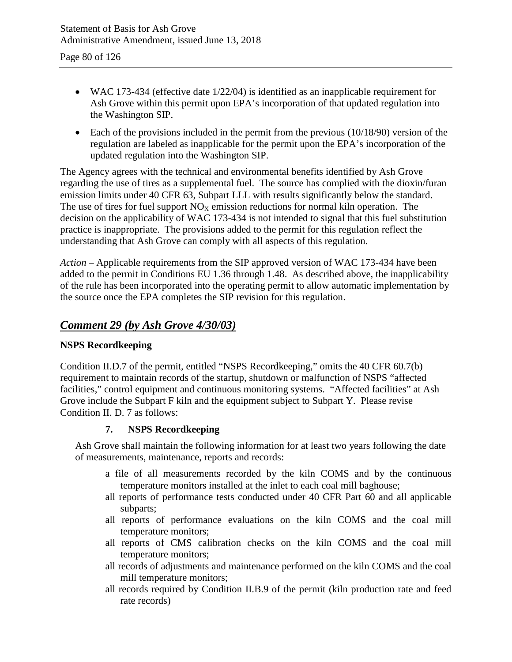- WAC 173-434 (effective date  $1/22/04$ ) is identified as an inapplicable requirement for Ash Grove within this permit upon EPA's incorporation of that updated regulation into the Washington SIP.
- Each of the provisions included in the permit from the previous  $(10/18/90)$  version of the regulation are labeled as inapplicable for the permit upon the EPA's incorporation of the updated regulation into the Washington SIP.

The Agency agrees with the technical and environmental benefits identified by Ash Grove regarding the use of tires as a supplemental fuel. The source has complied with the dioxin/furan emission limits under 40 CFR 63, Subpart LLL with results significantly below the standard. The use of tires for fuel support  $NO<sub>X</sub>$  emission reductions for normal kiln operation. The decision on the applicability of WAC 173-434 is not intended to signal that this fuel substitution practice is inappropriate. The provisions added to the permit for this regulation reflect the understanding that Ash Grove can comply with all aspects of this regulation.

*Action –* Applicable requirements from the SIP approved version of WAC 173-434 have been added to the permit in Conditions EU 1.36 through 1.48. As described above, the inapplicability of the rule has been incorporated into the operating permit to allow automatic implementation by the source once the EPA completes the SIP revision for this regulation.

## *Comment 29 (by Ash Grove 4/30/03)*

### **NSPS Recordkeeping**

Condition II.D.7 of the permit, entitled "NSPS Recordkeeping," omits the 40 CFR 60.7(b) requirement to maintain records of the startup, shutdown or malfunction of NSPS "affected facilities," control equipment and continuous monitoring systems. "Affected facilities" at Ash Grove include the Subpart F kiln and the equipment subject to Subpart Y. Please revise Condition II. D. 7 as follows:

#### **7. NSPS Recordkeeping**

Ash Grove shall maintain the following information for at least two years following the date of measurements, maintenance, reports and records:

- a file of all measurements recorded by the kiln COMS and by the continuous temperature monitors installed at the inlet to each coal mill baghouse;
- all reports of performance tests conducted under 40 CFR Part 60 and all applicable subparts;
- all reports of performance evaluations on the kiln COMS and the coal mill temperature monitors;
- all reports of CMS calibration checks on the kiln COMS and the coal mill temperature monitors;
- all records of adjustments and maintenance performed on the kiln COMS and the coal mill temperature monitors;
- all records required by Condition II.B.9 of the permit (kiln production rate and feed rate records)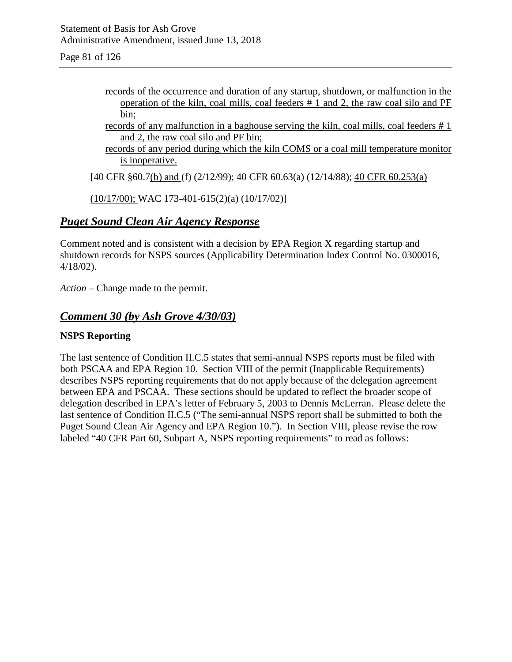Page 81 of 126

- records of the occurrence and duration of any startup, shutdown, or malfunction in the operation of the kiln, coal mills, coal feeders # 1 and 2, the raw coal silo and PF bin;
- records of any malfunction in a baghouse serving the kiln, coal mills, coal feeders # 1 and 2, the raw coal silo and PF bin;
- records of any period during which the kiln COMS or a coal mill temperature monitor is inoperative.

[40 CFR §60.7(b) and (f) (2/12/99); 40 CFR 60.63(a) (12/14/88); 40 CFR 60.253(a)

(10/17/00); WAC 173-401-615(2)(a) (10/17/02)]

### *Puget Sound Clean Air Agency Response*

Comment noted and is consistent with a decision by EPA Region X regarding startup and shutdown records for NSPS sources (Applicability Determination Index Control No. 0300016, 4/18/02).

*Action –* Change made to the permit.

### *Comment 30 (by Ash Grove 4/30/03)*

#### **NSPS Reporting**

The last sentence of Condition II.C.5 states that semi-annual NSPS reports must be filed with both PSCAA and EPA Region 10. Section VIII of the permit (Inapplicable Requirements) describes NSPS reporting requirements that do not apply because of the delegation agreement between EPA and PSCAA. These sections should be updated to reflect the broader scope of delegation described in EPA's letter of February 5, 2003 to Dennis McLerran. Please delete the last sentence of Condition II.C.5 ("The semi-annual NSPS report shall be submitted to both the Puget Sound Clean Air Agency and EPA Region 10."). In Section VIII, please revise the row labeled "40 CFR Part 60, Subpart A, NSPS reporting requirements" to read as follows: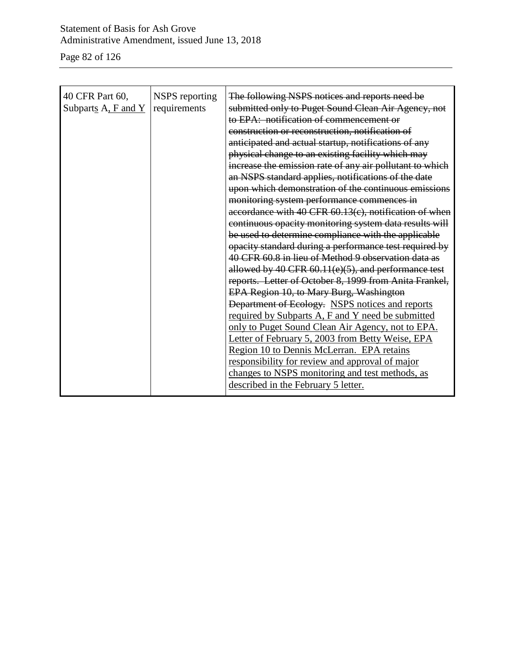### Statement of Basis for Ash Grove Administrative Amendment, issued June 13, 2018

Page 82 of 126

| 40 CFR Part 60,<br>Subparts $A$ , $F$ and $Y$ | NSPS reporting<br>requirements | The following NSPS notices and reports need be<br>submitted only to Puget Sound Clean Air Agency, not<br>to EPA: notification of commencement or<br>construction or reconstruction, notification of<br>anticipated and actual startup, notifications of any<br>physical change to an existing facility which may<br>increase the emission rate of any air pollutant to which<br>an NSPS standard applies, notifications of the date<br>upon which demonstration of the continuous emissions<br>monitoring system performance commences in<br>accordance with 40 CFR 60.13(c), notification of when<br>continuous opacity monitoring system data results will<br>be used to determine compliance with the applicable<br>opacity standard during a performance test required by<br>40 CFR 60.8 in lieu of Method 9 observation data as<br>allowed by 40 CFR 60.11(e)(5), and performance test<br>reports. Letter of October 8, 1999 from Anita Frankel,<br>EPA Region 10, to Mary Burg, Washington<br>Department of Ecology. NSPS notices and reports<br>required by Subparts A, F and Y need be submitted<br>only to Puget Sound Clean Air Agency, not to EPA.<br>Letter of February 5, 2003 from Betty Weise, EPA<br>Region 10 to Dennis McLerran. EPA retains<br>responsibility for review and approval of major<br>changes to NSPS monitoring and test methods, as<br>described in the February 5 letter. |
|-----------------------------------------------|--------------------------------|-------------------------------------------------------------------------------------------------------------------------------------------------------------------------------------------------------------------------------------------------------------------------------------------------------------------------------------------------------------------------------------------------------------------------------------------------------------------------------------------------------------------------------------------------------------------------------------------------------------------------------------------------------------------------------------------------------------------------------------------------------------------------------------------------------------------------------------------------------------------------------------------------------------------------------------------------------------------------------------------------------------------------------------------------------------------------------------------------------------------------------------------------------------------------------------------------------------------------------------------------------------------------------------------------------------------------------------------------------------------------------------------------------------|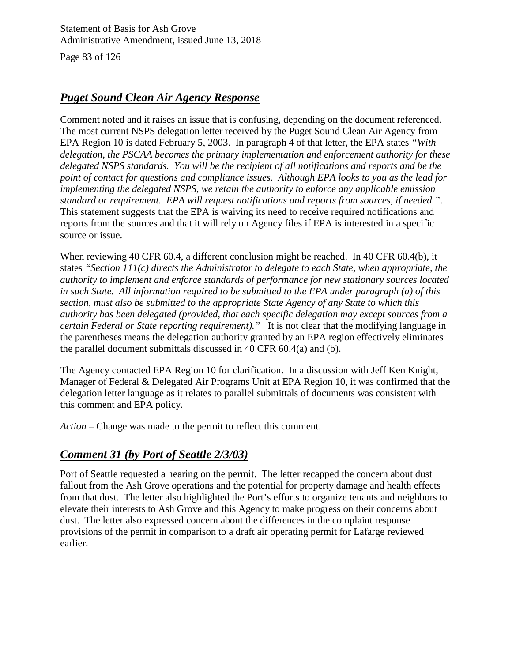Page 83 of 126

## *Puget Sound Clean Air Agency Response*

Comment noted and it raises an issue that is confusing, depending on the document referenced. The most current NSPS delegation letter received by the Puget Sound Clean Air Agency from EPA Region 10 is dated February 5, 2003. In paragraph 4 of that letter, the EPA states *"With delegation, the PSCAA becomes the primary implementation and enforcement authority for these delegated NSPS standards. You will be the recipient of all notifications and reports and be the point of contact for questions and compliance issues. Although EPA looks to you as the lead for implementing the delegated NSPS, we retain the authority to enforce any applicable emission standard or requirement. EPA will request notifications and reports from sources, if needed."*. This statement suggests that the EPA is waiving its need to receive required notifications and reports from the sources and that it will rely on Agency files if EPA is interested in a specific source or issue.

When reviewing 40 CFR 60.4, a different conclusion might be reached. In 40 CFR 60.4(b), it states *"Section 111(c) directs the Administrator to delegate to each State, when appropriate, the authority to implement and enforce standards of performance for new stationary sources located in such State. All information required to be submitted to the EPA under paragraph (a) of this section, must also be submitted to the appropriate State Agency of any State to which this authority has been delegated (provided, that each specific delegation may except sources from a certain Federal or State reporting requirement)."* It is not clear that the modifying language in the parentheses means the delegation authority granted by an EPA region effectively eliminates the parallel document submittals discussed in 40 CFR 60.4(a) and (b).

The Agency contacted EPA Region 10 for clarification. In a discussion with Jeff Ken Knight, Manager of Federal & Delegated Air Programs Unit at EPA Region 10, it was confirmed that the delegation letter language as it relates to parallel submittals of documents was consistent with this comment and EPA policy.

*Action –* Change was made to the permit to reflect this comment.

## *Comment 31 (by Port of Seattle 2/3/03)*

Port of Seattle requested a hearing on the permit. The letter recapped the concern about dust fallout from the Ash Grove operations and the potential for property damage and health effects from that dust. The letter also highlighted the Port's efforts to organize tenants and neighbors to elevate their interests to Ash Grove and this Agency to make progress on their concerns about dust. The letter also expressed concern about the differences in the complaint response provisions of the permit in comparison to a draft air operating permit for Lafarge reviewed earlier.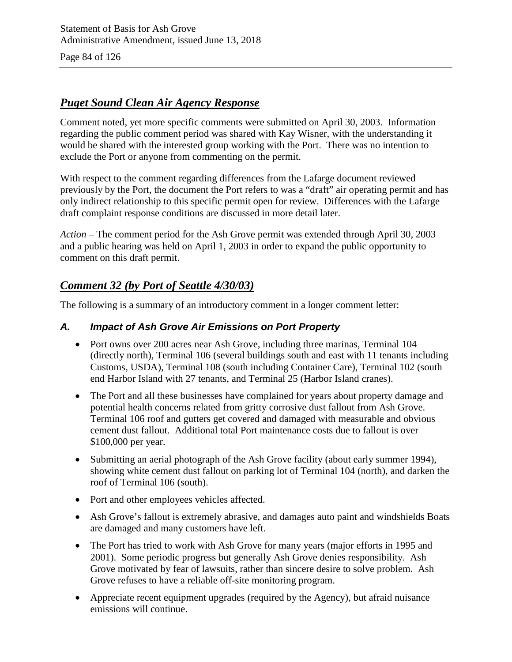Page 84 of 126

### *Puget Sound Clean Air Agency Response*

Comment noted, yet more specific comments were submitted on April 30, 2003. Information regarding the public comment period was shared with Kay Wisner, with the understanding it would be shared with the interested group working with the Port. There was no intention to exclude the Port or anyone from commenting on the permit.

With respect to the comment regarding differences from the Lafarge document reviewed previously by the Port, the document the Port refers to was a "draft" air operating permit and has only indirect relationship to this specific permit open for review. Differences with the Lafarge draft complaint response conditions are discussed in more detail later.

*Action –* The comment period for the Ash Grove permit was extended through April 30, 2003 and a public hearing was held on April 1, 2003 in order to expand the public opportunity to comment on this draft permit.

## *Comment 32 (by Port of Seattle 4/30/03)*

The following is a summary of an introductory comment in a longer comment letter:

### *A. Impact of Ash Grove Air Emissions on Port Property*

- Port owns over 200 acres near Ash Grove, including three marinas, Terminal 104 (directly north), Terminal 106 (several buildings south and east with 11 tenants including Customs, USDA), Terminal 108 (south including Container Care), Terminal 102 (south end Harbor Island with 27 tenants, and Terminal 25 (Harbor Island cranes).
- The Port and all these businesses have complained for years about property damage and potential health concerns related from gritty corrosive dust fallout from Ash Grove. Terminal 106 roof and gutters get covered and damaged with measurable and obvious cement dust fallout. Additional total Port maintenance costs due to fallout is over \$100,000 per year.
- Submitting an aerial photograph of the Ash Grove facility (about early summer 1994), showing white cement dust fallout on parking lot of Terminal 104 (north), and darken the roof of Terminal 106 (south).
- Port and other employees vehicles affected.
- Ash Grove's fallout is extremely abrasive, and damages auto paint and windshields Boats are damaged and many customers have left.
- The Port has tried to work with Ash Grove for many years (major efforts in 1995 and 2001). Some periodic progress but generally Ash Grove denies responsibility. Ash Grove motivated by fear of lawsuits, rather than sincere desire to solve problem. Ash Grove refuses to have a reliable off-site monitoring program.
- Appreciate recent equipment upgrades (required by the Agency), but afraid nuisance emissions will continue.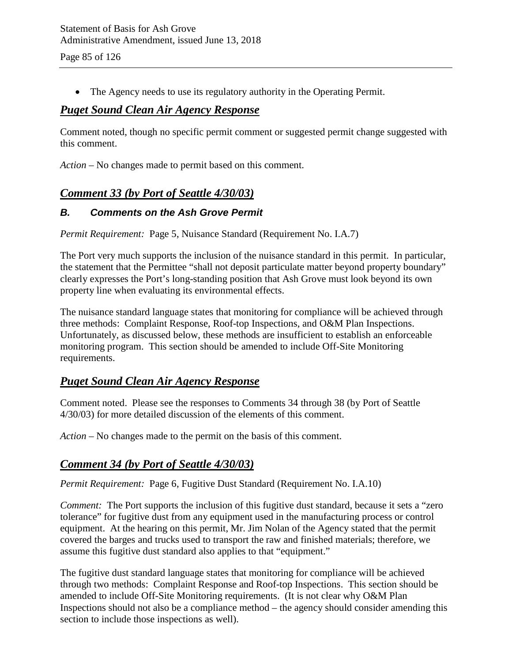Page 85 of 126

• The Agency needs to use its regulatory authority in the Operating Permit.

### *Puget Sound Clean Air Agency Response*

Comment noted, though no specific permit comment or suggested permit change suggested with this comment.

*Action –* No changes made to permit based on this comment.

## *Comment 33 (by Port of Seattle 4/30/03)*

### *B. Comments on the Ash Grove Permit*

*Permit Requirement:* Page 5, Nuisance Standard (Requirement No. I.A.7)

The Port very much supports the inclusion of the nuisance standard in this permit. In particular, the statement that the Permittee "shall not deposit particulate matter beyond property boundary" clearly expresses the Port's long-standing position that Ash Grove must look beyond its own property line when evaluating its environmental effects.

The nuisance standard language states that monitoring for compliance will be achieved through three methods: Complaint Response, Roof-top Inspections, and O&M Plan Inspections. Unfortunately, as discussed below, these methods are insufficient to establish an enforceable monitoring program. This section should be amended to include Off-Site Monitoring requirements.

### *Puget Sound Clean Air Agency Response*

Comment noted. Please see the responses to Comments 34 through 38 (by Port of Seattle 4/30/03) for more detailed discussion of the elements of this comment.

*Action –* No changes made to the permit on the basis of this comment.

### *Comment 34 (by Port of Seattle 4/30/03)*

*Permit Requirement:* Page 6, Fugitive Dust Standard (Requirement No. I.A.10)

*Comment:* The Port supports the inclusion of this fugitive dust standard, because it sets a "zero" tolerance" for fugitive dust from any equipment used in the manufacturing process or control equipment. At the hearing on this permit, Mr. Jim Nolan of the Agency stated that the permit covered the barges and trucks used to transport the raw and finished materials; therefore, we assume this fugitive dust standard also applies to that "equipment."

The fugitive dust standard language states that monitoring for compliance will be achieved through two methods: Complaint Response and Roof-top Inspections. This section should be amended to include Off-Site Monitoring requirements. (It is not clear why O&M Plan Inspections should not also be a compliance method – the agency should consider amending this section to include those inspections as well).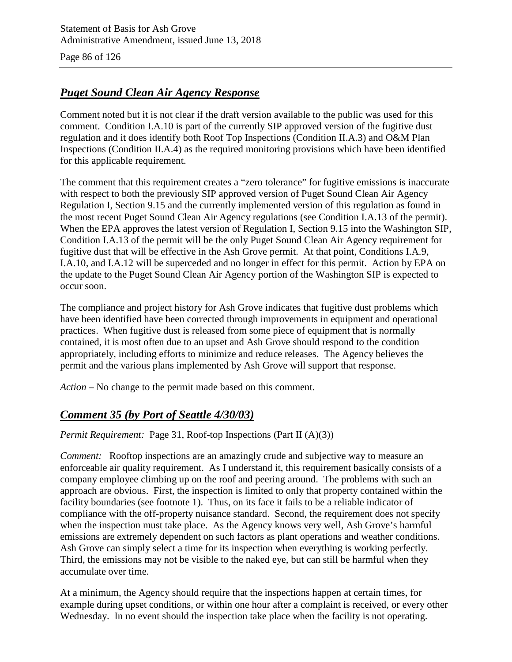Page 86 of 126

## *Puget Sound Clean Air Agency Response*

Comment noted but it is not clear if the draft version available to the public was used for this comment. Condition I.A.10 is part of the currently SIP approved version of the fugitive dust regulation and it does identify both Roof Top Inspections (Condition II.A.3) and O&M Plan Inspections (Condition II.A.4) as the required monitoring provisions which have been identified for this applicable requirement.

The comment that this requirement creates a "zero tolerance" for fugitive emissions is inaccurate with respect to both the previously SIP approved version of Puget Sound Clean Air Agency Regulation I, Section 9.15 and the currently implemented version of this regulation as found in the most recent Puget Sound Clean Air Agency regulations (see Condition I.A.13 of the permit). When the EPA approves the latest version of Regulation I, Section 9.15 into the Washington SIP, Condition I.A.13 of the permit will be the only Puget Sound Clean Air Agency requirement for fugitive dust that will be effective in the Ash Grove permit. At that point, Conditions I.A.9, I.A.10, and I.A.12 will be superceded and no longer in effect for this permit. Action by EPA on the update to the Puget Sound Clean Air Agency portion of the Washington SIP is expected to occur soon.

The compliance and project history for Ash Grove indicates that fugitive dust problems which have been identified have been corrected through improvements in equipment and operational practices. When fugitive dust is released from some piece of equipment that is normally contained, it is most often due to an upset and Ash Grove should respond to the condition appropriately, including efforts to minimize and reduce releases. The Agency believes the permit and the various plans implemented by Ash Grove will support that response.

*Action –* No change to the permit made based on this comment.

### *Comment 35 (by Port of Seattle 4/30/03)*

*Permit Requirement:* Page 31, Roof-top Inspections (Part II (A)(3))

*Comment:* Rooftop inspections are an amazingly crude and subjective way to measure an enforceable air quality requirement. As I understand it, this requirement basically consists of a company employee climbing up on the roof and peering around. The problems with such an approach are obvious. First, the inspection is limited to only that property contained within the facility boundaries (see footnote 1). Thus, on its face it fails to be a reliable indicator of compliance with the off-property nuisance standard. Second, the requirement does not specify when the inspection must take place. As the Agency knows very well, Ash Grove's harmful emissions are extremely dependent on such factors as plant operations and weather conditions. Ash Grove can simply select a time for its inspection when everything is working perfectly. Third, the emissions may not be visible to the naked eye, but can still be harmful when they accumulate over time.

At a minimum, the Agency should require that the inspections happen at certain times, for example during upset conditions, or within one hour after a complaint is received, or every other Wednesday. In no event should the inspection take place when the facility is not operating.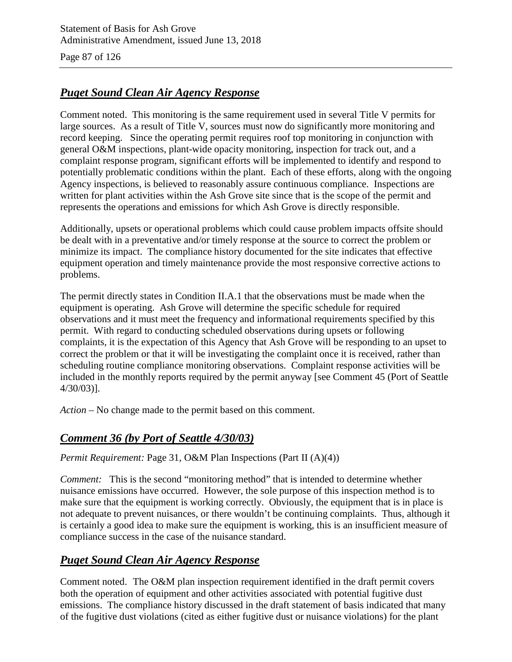Page 87 of 126

## *Puget Sound Clean Air Agency Response*

Comment noted. This monitoring is the same requirement used in several Title V permits for large sources. As a result of Title V, sources must now do significantly more monitoring and record keeping. Since the operating permit requires roof top monitoring in conjunction with general O&M inspections, plant-wide opacity monitoring, inspection for track out, and a complaint response program, significant efforts will be implemented to identify and respond to potentially problematic conditions within the plant. Each of these efforts, along with the ongoing Agency inspections, is believed to reasonably assure continuous compliance. Inspections are written for plant activities within the Ash Grove site since that is the scope of the permit and represents the operations and emissions for which Ash Grove is directly responsible.

Additionally, upsets or operational problems which could cause problem impacts offsite should be dealt with in a preventative and/or timely response at the source to correct the problem or minimize its impact. The compliance history documented for the site indicates that effective equipment operation and timely maintenance provide the most responsive corrective actions to problems.

The permit directly states in Condition II.A.1 that the observations must be made when the equipment is operating. Ash Grove will determine the specific schedule for required observations and it must meet the frequency and informational requirements specified by this permit. With regard to conducting scheduled observations during upsets or following complaints, it is the expectation of this Agency that Ash Grove will be responding to an upset to correct the problem or that it will be investigating the complaint once it is received, rather than scheduling routine compliance monitoring observations. Complaint response activities will be included in the monthly reports required by the permit anyway [see Comment 45 (Port of Seattle 4/30/03)].

*Action –* No change made to the permit based on this comment.

## *Comment 36 (by Port of Seattle 4/30/03)*

*Permit Requirement: Page 31, O&M Plan Inspections (Part II (A)(4))* 

*Comment:* This is the second "monitoring method" that is intended to determine whether nuisance emissions have occurred. However, the sole purpose of this inspection method is to make sure that the equipment is working correctly. Obviously, the equipment that is in place is not adequate to prevent nuisances, or there wouldn't be continuing complaints. Thus, although it is certainly a good idea to make sure the equipment is working, this is an insufficient measure of compliance success in the case of the nuisance standard.

## *Puget Sound Clean Air Agency Response*

Comment noted.The O&M plan inspection requirement identified in the draft permit covers both the operation of equipment and other activities associated with potential fugitive dust emissions. The compliance history discussed in the draft statement of basis indicated that many of the fugitive dust violations (cited as either fugitive dust or nuisance violations) for the plant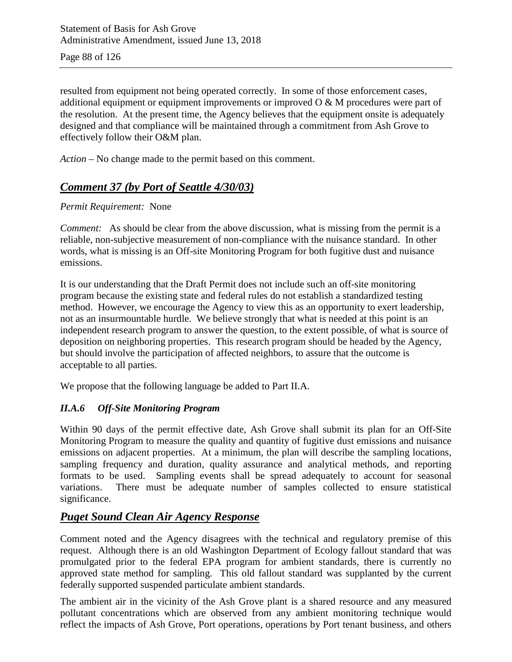resulted from equipment not being operated correctly. In some of those enforcement cases, additional equipment or equipment improvements or improved O & M procedures were part of the resolution. At the present time, the Agency believes that the equipment onsite is adequately designed and that compliance will be maintained through a commitment from Ash Grove to effectively follow their O&M plan.

*Action –* No change made to the permit based on this comment.

## *Comment 37 (by Port of Seattle 4/30/03)*

### *Permit Requirement:* None

*Comment:* As should be clear from the above discussion, what is missing from the permit is a reliable, non-subjective measurement of non-compliance with the nuisance standard. In other words, what is missing is an Off-site Monitoring Program for both fugitive dust and nuisance emissions.

It is our understanding that the Draft Permit does not include such an off-site monitoring program because the existing state and federal rules do not establish a standardized testing method. However, we encourage the Agency to view this as an opportunity to exert leadership, not as an insurmountable hurdle. We believe strongly that what is needed at this point is an independent research program to answer the question, to the extent possible, of what is source of deposition on neighboring properties. This research program should be headed by the Agency, but should involve the participation of affected neighbors, to assure that the outcome is acceptable to all parties.

We propose that the following language be added to Part II.A.

### *II.A.6 Off-Site Monitoring Program*

Within 90 days of the permit effective date, Ash Grove shall submit its plan for an Off-Site Monitoring Program to measure the quality and quantity of fugitive dust emissions and nuisance emissions on adjacent properties. At a minimum, the plan will describe the sampling locations, sampling frequency and duration, quality assurance and analytical methods, and reporting formats to be used. Sampling events shall be spread adequately to account for seasonal variations. There must be adequate number of samples collected to ensure statistical significance.

## *Puget Sound Clean Air Agency Response*

Comment noted and the Agency disagrees with the technical and regulatory premise of this request. Although there is an old Washington Department of Ecology fallout standard that was promulgated prior to the federal EPA program for ambient standards, there is currently no approved state method for sampling. This old fallout standard was supplanted by the current federally supported suspended particulate ambient standards.

The ambient air in the vicinity of the Ash Grove plant is a shared resource and any measured pollutant concentrations which are observed from any ambient monitoring technique would reflect the impacts of Ash Grove, Port operations, operations by Port tenant business, and others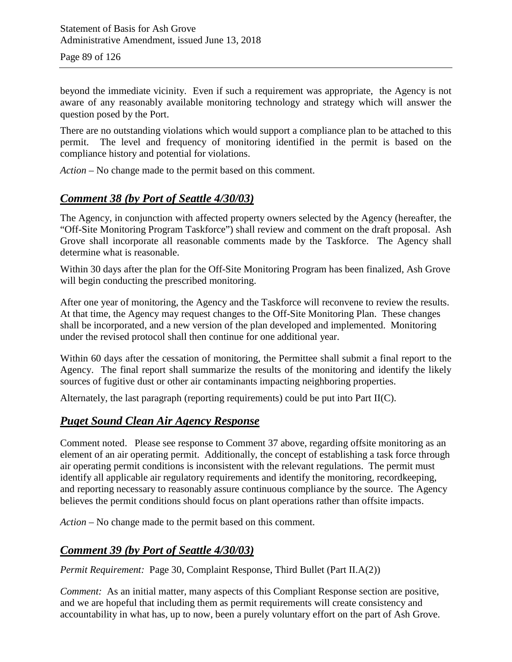beyond the immediate vicinity. Even if such a requirement was appropriate, the Agency is not aware of any reasonably available monitoring technology and strategy which will answer the question posed by the Port.

There are no outstanding violations which would support a compliance plan to be attached to this permit. The level and frequency of monitoring identified in the permit is based on the compliance history and potential for violations.

*Action –* No change made to the permit based on this comment.

### *Comment 38 (by Port of Seattle 4/30/03)*

The Agency, in conjunction with affected property owners selected by the Agency (hereafter, the "Off-Site Monitoring Program Taskforce") shall review and comment on the draft proposal. Ash Grove shall incorporate all reasonable comments made by the Taskforce. The Agency shall determine what is reasonable.

Within 30 days after the plan for the Off-Site Monitoring Program has been finalized, Ash Grove will begin conducting the prescribed monitoring.

After one year of monitoring, the Agency and the Taskforce will reconvene to review the results. At that time, the Agency may request changes to the Off-Site Monitoring Plan. These changes shall be incorporated, and a new version of the plan developed and implemented. Monitoring under the revised protocol shall then continue for one additional year.

Within 60 days after the cessation of monitoring, the Permittee shall submit a final report to the Agency. The final report shall summarize the results of the monitoring and identify the likely sources of fugitive dust or other air contaminants impacting neighboring properties.

Alternately, the last paragraph (reporting requirements) could be put into Part II(C).

### *Puget Sound Clean Air Agency Response*

Comment noted. Please see response to Comment 37 above, regarding offsite monitoring as an element of an air operating permit. Additionally, the concept of establishing a task force through air operating permit conditions is inconsistent with the relevant regulations. The permit must identify all applicable air regulatory requirements and identify the monitoring, recordkeeping, and reporting necessary to reasonably assure continuous compliance by the source. The Agency believes the permit conditions should focus on plant operations rather than offsite impacts.

*Action –* No change made to the permit based on this comment.

### *Comment 39 (by Port of Seattle 4/30/03)*

*Permit Requirement:* Page 30, Complaint Response, Third Bullet (Part II.A(2))

*Comment:* As an initial matter, many aspects of this Compliant Response section are positive, and we are hopeful that including them as permit requirements will create consistency and accountability in what has, up to now, been a purely voluntary effort on the part of Ash Grove.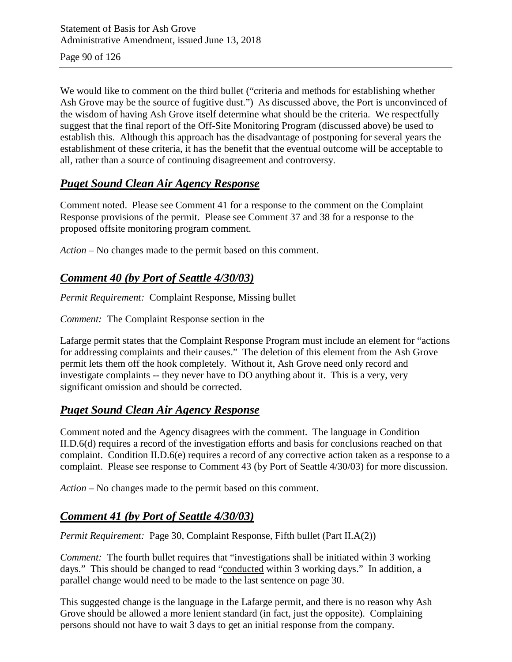Page 90 of 126

We would like to comment on the third bullet ("criteria and methods for establishing whether Ash Grove may be the source of fugitive dust.") As discussed above, the Port is unconvinced of the wisdom of having Ash Grove itself determine what should be the criteria. We respectfully suggest that the final report of the Off-Site Monitoring Program (discussed above) be used to establish this. Although this approach has the disadvantage of postponing for several years the establishment of these criteria, it has the benefit that the eventual outcome will be acceptable to all, rather than a source of continuing disagreement and controversy.

## *Puget Sound Clean Air Agency Response*

Comment noted. Please see Comment 41 for a response to the comment on the Complaint Response provisions of the permit. Please see Comment 37 and 38 for a response to the proposed offsite monitoring program comment.

*Action –* No changes made to the permit based on this comment.

## *Comment 40 (by Port of Seattle 4/30/03)*

*Permit Requirement:* Complaint Response, Missing bullet

*Comment:* The Complaint Response section in the

Lafarge permit states that the Complaint Response Program must include an element for "actions for addressing complaints and their causes." The deletion of this element from the Ash Grove permit lets them off the hook completely. Without it, Ash Grove need only record and investigate complaints -- they never have to DO anything about it. This is a very, very significant omission and should be corrected.

## *Puget Sound Clean Air Agency Response*

Comment noted and the Agency disagrees with the comment. The language in Condition II.D.6(d) requires a record of the investigation efforts and basis for conclusions reached on that complaint. Condition II.D.6(e) requires a record of any corrective action taken as a response to a complaint. Please see response to Comment 43 (by Port of Seattle 4/30/03) for more discussion.

*Action –* No changes made to the permit based on this comment.

## *Comment 41 (by Port of Seattle 4/30/03)*

*Permit Requirement:* Page 30, Complaint Response, Fifth bullet (Part II.A(2))

*Comment:* The fourth bullet requires that "investigations shall be initiated within 3 working days." This should be changed to read "conducted within 3 working days." In addition, a parallel change would need to be made to the last sentence on page 30.

This suggested change is the language in the Lafarge permit, and there is no reason why Ash Grove should be allowed a more lenient standard (in fact, just the opposite). Complaining persons should not have to wait 3 days to get an initial response from the company.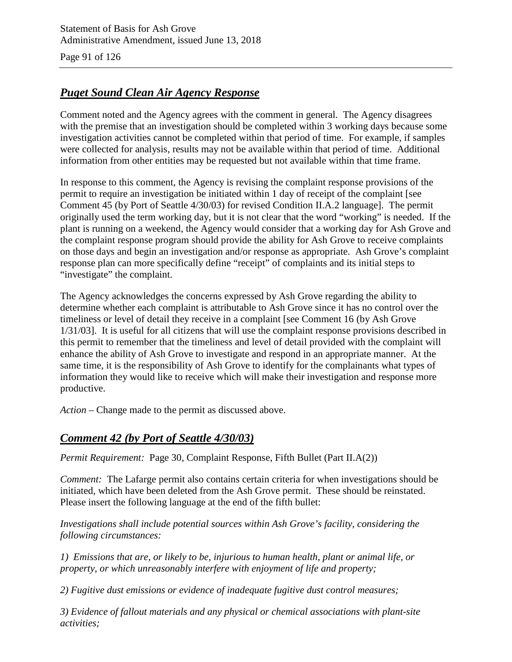Page 91 of 126

## *Puget Sound Clean Air Agency Response*

Comment noted and the Agency agrees with the comment in general. The Agency disagrees with the premise that an investigation should be completed within 3 working days because some investigation activities cannot be completed within that period of time. For example, if samples were collected for analysis, results may not be available within that period of time. Additional information from other entities may be requested but not available within that time frame.

In response to this comment, the Agency is revising the complaint response provisions of the permit to require an investigation be initiated within 1 day of receipt of the complaint [see Comment 45 (by Port of Seattle 4/30/03) for revised Condition II.A.2 language]. The permit originally used the term working day, but it is not clear that the word "working" is needed. If the plant is running on a weekend, the Agency would consider that a working day for Ash Grove and the complaint response program should provide the ability for Ash Grove to receive complaints on those days and begin an investigation and/or response as appropriate. Ash Grove's complaint response plan can more specifically define "receipt" of complaints and its initial steps to "investigate" the complaint.

The Agency acknowledges the concerns expressed by Ash Grove regarding the ability to determine whether each complaint is attributable to Ash Grove since it has no control over the timeliness or level of detail they receive in a complaint [see Comment 16 (by Ash Grove 1/31/03]. It is useful for all citizens that will use the complaint response provisions described in this permit to remember that the timeliness and level of detail provided with the complaint will enhance the ability of Ash Grove to investigate and respond in an appropriate manner. At the same time, it is the responsibility of Ash Grove to identify for the complainants what types of information they would like to receive which will make their investigation and response more productive.

*Action –* Change made to the permit as discussed above.

## *Comment 42 (by Port of Seattle 4/30/03)*

*Permit Requirement:* Page 30, Complaint Response, Fifth Bullet (Part II.A(2))

*Comment:* The Lafarge permit also contains certain criteria for when investigations should be initiated, which have been deleted from the Ash Grove permit. These should be reinstated. Please insert the following language at the end of the fifth bullet:

*Investigations shall include potential sources within Ash Grove's facility, considering the following circumstances:*

*1) Emissions that are, or likely to be, injurious to human health, plant or animal life, or property, or which unreasonably interfere with enjoyment of life and property;*

*2) Fugitive dust emissions or evidence of inadequate fugitive dust control measures;*

*3) Evidence of fallout materials and any physical or chemical associations with plant-site activities;*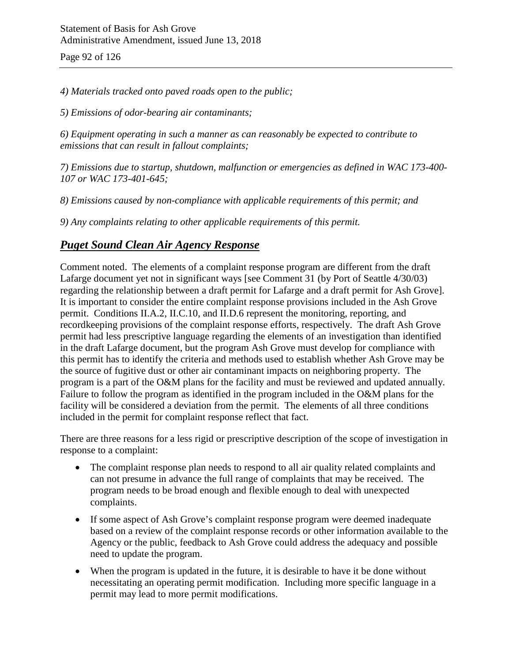Page 92 of 126

*4) Materials tracked onto paved roads open to the public;*

*5) Emissions of odor-bearing air contaminants;*

*6) Equipment operating in such a manner as can reasonably be expected to contribute to emissions that can result in fallout complaints;*

*7) Emissions due to startup, shutdown, malfunction or emergencies as defined in WAC 173-400- 107 or WAC 173-401-645;*

*8) Emissions caused by non-compliance with applicable requirements of this permit; and*

*9) Any complaints relating to other applicable requirements of this permit.*

## *Puget Sound Clean Air Agency Response*

Comment noted. The elements of a complaint response program are different from the draft Lafarge document yet not in significant ways [see Comment 31 (by Port of Seattle 4/30/03) regarding the relationship between a draft permit for Lafarge and a draft permit for Ash Grove]. It is important to consider the entire complaint response provisions included in the Ash Grove permit. Conditions II.A.2, II.C.10, and II.D.6 represent the monitoring, reporting, and recordkeeping provisions of the complaint response efforts, respectively. The draft Ash Grove permit had less prescriptive language regarding the elements of an investigation than identified in the draft Lafarge document, but the program Ash Grove must develop for compliance with this permit has to identify the criteria and methods used to establish whether Ash Grove may be the source of fugitive dust or other air contaminant impacts on neighboring property. The program is a part of the O&M plans for the facility and must be reviewed and updated annually. Failure to follow the program as identified in the program included in the O&M plans for the facility will be considered a deviation from the permit. The elements of all three conditions included in the permit for complaint response reflect that fact.

There are three reasons for a less rigid or prescriptive description of the scope of investigation in response to a complaint:

- The complaint response plan needs to respond to all air quality related complaints and can not presume in advance the full range of complaints that may be received. The program needs to be broad enough and flexible enough to deal with unexpected complaints.
- If some aspect of Ash Grove's complaint response program were deemed inadequate based on a review of the complaint response records or other information available to the Agency or the public, feedback to Ash Grove could address the adequacy and possible need to update the program.
- When the program is updated in the future, it is desirable to have it be done without necessitating an operating permit modification. Including more specific language in a permit may lead to more permit modifications.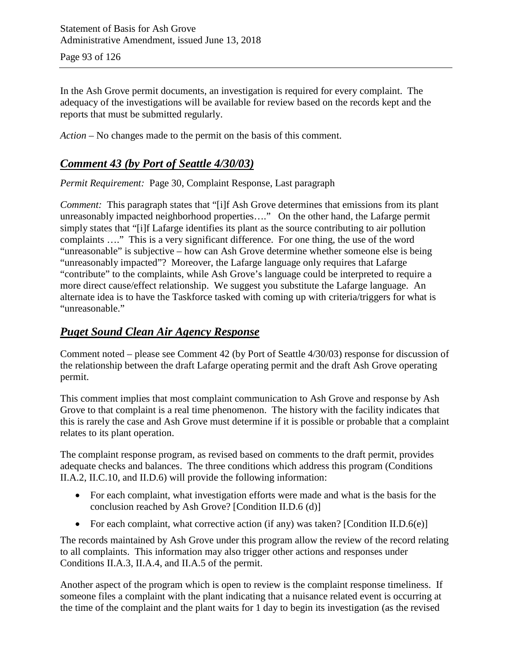In the Ash Grove permit documents, an investigation is required for every complaint. The adequacy of the investigations will be available for review based on the records kept and the reports that must be submitted regularly.

*Action –* No changes made to the permit on the basis of this comment.

## *Comment 43 (by Port of Seattle 4/30/03)*

*Permit Requirement:* Page 30, Complaint Response, Last paragraph

*Comment:* This paragraph states that "[i]f Ash Grove determines that emissions from its plant unreasonably impacted neighborhood properties…." On the other hand, the Lafarge permit simply states that "[i]f Lafarge identifies its plant as the source contributing to air pollution complaints …." This is a very significant difference. For one thing, the use of the word "unreasonable" is subjective – how can Ash Grove determine whether someone else is being "unreasonably impacted"? Moreover, the Lafarge language only requires that Lafarge "contribute" to the complaints, while Ash Grove's language could be interpreted to require a more direct cause/effect relationship. We suggest you substitute the Lafarge language. An alternate idea is to have the Taskforce tasked with coming up with criteria/triggers for what is "unreasonable."

### *Puget Sound Clean Air Agency Response*

Comment noted – please see Comment 42 (by Port of Seattle 4/30/03) response for discussion of the relationship between the draft Lafarge operating permit and the draft Ash Grove operating permit.

This comment implies that most complaint communication to Ash Grove and response by Ash Grove to that complaint is a real time phenomenon. The history with the facility indicates that this is rarely the case and Ash Grove must determine if it is possible or probable that a complaint relates to its plant operation.

The complaint response program, as revised based on comments to the draft permit, provides adequate checks and balances. The three conditions which address this program (Conditions II.A.2, II.C.10, and II.D.6) will provide the following information:

- For each complaint, what investigation efforts were made and what is the basis for the conclusion reached by Ash Grove? [Condition II.D.6 (d)]
- For each complaint, what corrective action (if any) was taken? [Condition II.D.6(e)]

The records maintained by Ash Grove under this program allow the review of the record relating to all complaints. This information may also trigger other actions and responses under Conditions II.A.3, II.A.4, and II.A.5 of the permit.

Another aspect of the program which is open to review is the complaint response timeliness. If someone files a complaint with the plant indicating that a nuisance related event is occurring at the time of the complaint and the plant waits for 1 day to begin its investigation (as the revised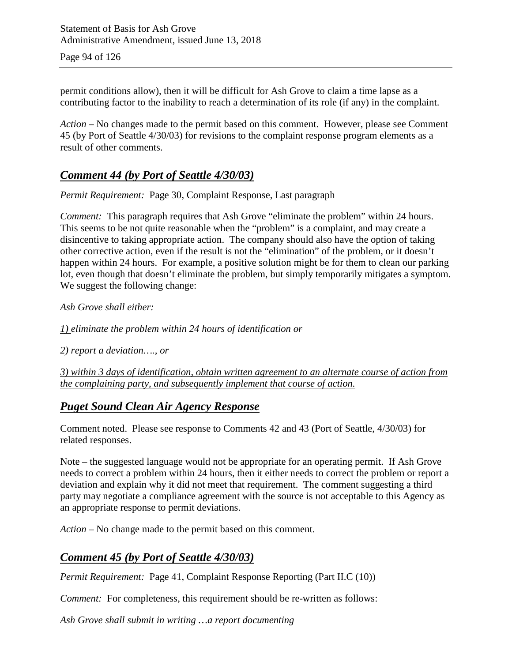Page 94 of 126

permit conditions allow), then it will be difficult for Ash Grove to claim a time lapse as a contributing factor to the inability to reach a determination of its role (if any) in the complaint.

*Action –* No changes made to the permit based on this comment. However, please see Comment 45 (by Port of Seattle 4/30/03) for revisions to the complaint response program elements as a result of other comments.

## *Comment 44 (by Port of Seattle 4/30/03)*

*Permit Requirement:* Page 30, Complaint Response, Last paragraph

*Comment:* This paragraph requires that Ash Grove "eliminate the problem" within 24 hours. This seems to be not quite reasonable when the "problem" is a complaint, and may create a disincentive to taking appropriate action. The company should also have the option of taking other corrective action, even if the result is not the "elimination" of the problem, or it doesn't happen within 24 hours. For example, a positive solution might be for them to clean our parking lot, even though that doesn't eliminate the problem, but simply temporarily mitigates a symptom. We suggest the following change:

*Ash Grove shall either:*

*1) eliminate the problem within 24 hours of identification or*

*2) report a deviation…., or*

*3) within 3 days of identification, obtain written agreement to an alternate course of action from the complaining party, and subsequently implement that course of action.*

### *Puget Sound Clean Air Agency Response*

Comment noted. Please see response to Comments 42 and 43 (Port of Seattle, 4/30/03) for related responses.

Note – the suggested language would not be appropriate for an operating permit. If Ash Grove needs to correct a problem within 24 hours, then it either needs to correct the problem or report a deviation and explain why it did not meet that requirement. The comment suggesting a third party may negotiate a compliance agreement with the source is not acceptable to this Agency as an appropriate response to permit deviations.

*Action –* No change made to the permit based on this comment.

## *Comment 45 (by Port of Seattle 4/30/03)*

*Permit Requirement:* Page 41, Complaint Response Reporting (Part II.C (10))

*Comment:* For completeness, this requirement should be re-written as follows:

*Ash Grove shall submit in writing …a report documenting*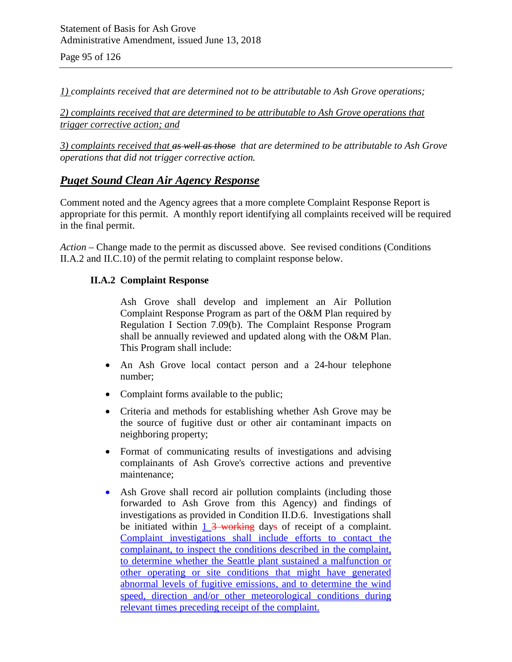Page 95 of 126

*1) complaints received that are determined not to be attributable to Ash Grove operations;*

*2) complaints received that are determined to be attributable to Ash Grove operations that trigger corrective action; and*

*3) complaints received that as well as those that are determined to be attributable to Ash Grove operations that did not trigger corrective action.*

### *Puget Sound Clean Air Agency Response*

Comment noted and the Agency agrees that a more complete Complaint Response Report is appropriate for this permit. A monthly report identifying all complaints received will be required in the final permit.

*Action –* Change made to the permit as discussed above. See revised conditions (Conditions II.A.2 and II.C.10) of the permit relating to complaint response below.

#### **II.A.2 Complaint Response**

Ash Grove shall develop and implement an Air Pollution Complaint Response Program as part of the O&M Plan required by Regulation I Section 7.09(b). The Complaint Response Program shall be annually reviewed and updated along with the O&M Plan. This Program shall include:

- An Ash Grove local contact person and a 24-hour telephone number;
- Complaint forms available to the public;
- Criteria and methods for establishing whether Ash Grove may be the source of fugitive dust or other air contaminant impacts on neighboring property;
- Format of communicating results of investigations and advising complainants of Ash Grove's corrective actions and preventive maintenance;
- Ash Grove shall record air pollution complaints (including those forwarded to Ash Grove from this Agency) and findings of investigations as provided in Condition II.D.6. Investigations shall be initiated within 1 3 working days of receipt of a complaint. Complaint investigations shall include efforts to contact the complainant, to inspect the conditions described in the complaint, to determine whether the Seattle plant sustained a malfunction or other operating or site conditions that might have generated abnormal levels of fugitive emissions, and to determine the wind speed, direction and/or other meteorological conditions during relevant times preceding receipt of the complaint.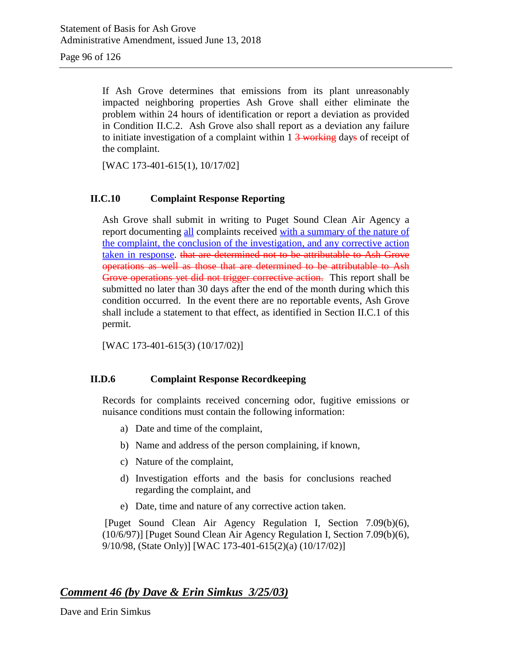Page 96 of 126

If Ash Grove determines that emissions from its plant unreasonably impacted neighboring properties Ash Grove shall either eliminate the problem within 24 hours of identification or report a deviation as provided in Condition II.C.2. Ash Grove also shall report as a deviation any failure to initiate investigation of a complaint within  $1\frac{3}{2}$  working days of receipt of the complaint.

[WAC 173-401-615(1), 10/17/02]

#### **II.C.10 Complaint Response Reporting**

Ash Grove shall submit in writing to Puget Sound Clean Air Agency a report documenting all complaints received with a summary of the nature of the complaint, the conclusion of the investigation, and any corrective action taken in response. that are determined not to be attributable to Ash Grove operations as well as those that are determined to be attributable to Ash Grove operations yet did not trigger corrective action. This report shall be submitted no later than 30 days after the end of the month during which this condition occurred. In the event there are no reportable events, Ash Grove shall include a statement to that effect, as identified in Section II.C.1 of this permit.

[WAC 173-401-615(3) (10/17/02)]

#### **II.D.6 Complaint Response Recordkeeping**

Records for complaints received concerning odor, fugitive emissions or nuisance conditions must contain the following information:

- a) Date and time of the complaint,
- b) Name and address of the person complaining, if known,
- c) Nature of the complaint,
- d) Investigation efforts and the basis for conclusions reached regarding the complaint, and
- e) Date, time and nature of any corrective action taken.

[Puget Sound Clean Air Agency Regulation I, Section 7.09(b)(6), (10/6/97)] [Puget Sound Clean Air Agency Regulation I, Section 7.09(b)(6), 9/10/98, (State Only)] [WAC 173-401-615(2)(a) (10/17/02)]

### *Comment 46 (by Dave & Erin Simkus 3/25/03)*

Dave and Erin Simkus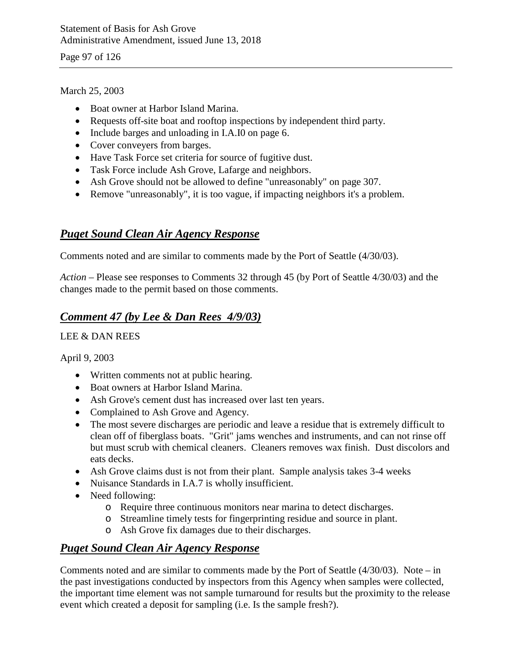Page 97 of 126

### March 25, 2003

- Boat owner at Harbor Island Marina.
- Requests off-site boat and rooftop inspections by independent third party.
- Include barges and unloading in I.A.I0 on page 6.
- Cover conveyers from barges.
- Have Task Force set criteria for source of fugitive dust.
- Task Force include Ash Grove, Lafarge and neighbors.
- Ash Grove should not be allowed to define "unreasonably" on page 307.
- Remove "unreasonably", it is too vague, if impacting neighbors it's a problem.

## *Puget Sound Clean Air Agency Response*

Comments noted and are similar to comments made by the Port of Seattle (4/30/03).

*Action –* Please see responses to Comments 32 through 45 (by Port of Seattle 4/30/03) and the changes made to the permit based on those comments.

## *Comment 47 (by Lee & Dan Rees 4/9/03)*

### LEE & DAN REES

April 9, 2003

- Written comments not at public hearing.
- Boat owners at Harbor Island Marina.
- Ash Grove's cement dust has increased over last ten years.
- Complained to Ash Grove and Agency.
- The most severe discharges are periodic and leave a residue that is extremely difficult to clean off of fiberglass boats. "Grit" jams wenches and instruments, and can not rinse off but must scrub with chemical cleaners. Cleaners removes wax finish. Dust discolors and eats decks.
- Ash Grove claims dust is not from their plant. Sample analysis takes 3-4 weeks
- Nuisance Standards in I.A.7 is wholly insufficient.
- Need following:
	- o Require three continuous monitors near marina to detect discharges.
	- o Streamline timely tests for fingerprinting residue and source in plant.
	- o Ash Grove fix damages due to their discharges.

## *Puget Sound Clean Air Agency Response*

Comments noted and are similar to comments made by the Port of Seattle (4/30/03). Note – in the past investigations conducted by inspectors from this Agency when samples were collected, the important time element was not sample turnaround for results but the proximity to the release event which created a deposit for sampling (i.e. Is the sample fresh?).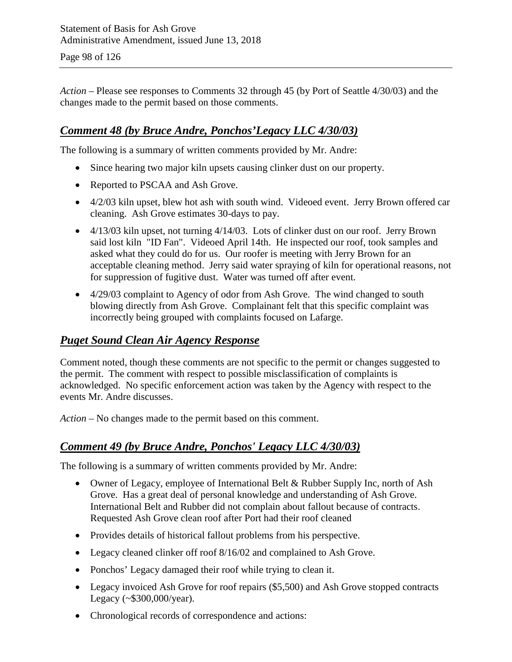*Action –* Please see responses to Comments 32 through 45 (by Port of Seattle 4/30/03) and the changes made to the permit based on those comments.

## *Comment 48 (by Bruce Andre, Ponchos'Legacy LLC 4/30/03)*

The following is a summary of written comments provided by Mr. Andre:

- Since hearing two major kiln upsets causing clinker dust on our property.
- Reported to PSCAA and Ash Grove.
- 4/2/03 kiln upset, blew hot ash with south wind. Videoed event. Jerry Brown offered car cleaning. Ash Grove estimates 30-days to pay.
- $\bullet$  4/13/03 kiln upset, not turning 4/14/03. Lots of clinker dust on our roof. Jerry Brown said lost kiln "ID Fan". Videoed April 14th. He inspected our roof, took samples and asked what they could do for us. Our roofer is meeting with Jerry Brown for an acceptable cleaning method. Jerry said water spraying of kiln for operational reasons, not for suppression of fugitive dust. Water was turned off after event.
- 4/29/03 complaint to Agency of odor from Ash Grove. The wind changed to south blowing directly from Ash Grove. Complainant felt that this specific complaint was incorrectly being grouped with complaints focused on Lafarge.

### *Puget Sound Clean Air Agency Response*

Comment noted, though these comments are not specific to the permit or changes suggested to the permit. The comment with respect to possible misclassification of complaints is acknowledged. No specific enforcement action was taken by the Agency with respect to the events Mr. Andre discusses.

*Action –* No changes made to the permit based on this comment.

## *Comment 49 (by Bruce Andre, Ponchos' Legacy LLC 4/30/03)*

The following is a summary of written comments provided by Mr. Andre:

- Owner of Legacy, employee of International Belt & Rubber Supply Inc, north of Ash Grove. Has a great deal of personal knowledge and understanding of Ash Grove. International Belt and Rubber did not complain about fallout because of contracts. Requested Ash Grove clean roof after Port had their roof cleaned
- Provides details of historical fallout problems from his perspective.
- Legacy cleaned clinker off roof 8/16/02 and complained to Ash Grove.
- Ponchos' Legacy damaged their roof while trying to clean it.
- Legacy invoiced Ash Grove for roof repairs (\$5,500) and Ash Grove stopped contracts Legacy (~\$300,000/year).
- Chronological records of correspondence and actions: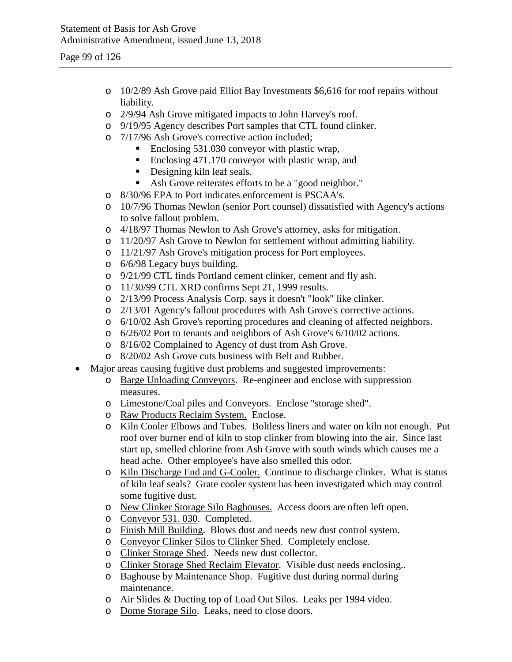- o 10/2/89 Ash Grove paid Elliot Bay Investments \$6,616 for roof repairs without liability.
- o 2/9/94 Ash Grove mitigated impacts to John Harvey's roof.
- o 9/19/95 Agency describes Port samples that CTL found clinker.
- o 7/17/96 Ash Grove's corrective action included;
	- Enclosing 531.030 conveyor with plastic wrap,
	- Enclosing 471.170 conveyor with plastic wrap, and
	- Designing kiln leaf seals.
	- Ash Grove reiterates efforts to be a "good neighbor."
- o 8/30/96 EPA to Port indicates enforcement is PSCAA's.
- o 10/7/96 Thomas Newlon (senior Port counsel) dissatisfied with Agency's actions to solve fallout problem.
- o 4/18/97 Thomas Newlon to Ash Grove's attorney, asks for mitigation.
- o 11/20/97 Ash Grove to Newlon for settlement without admitting liability.
- o 11/21/97 Ash Grove's mitigation process for Port employees.
- o 6/6/98 Legacy buys building.
- o 9/21/99 CTL finds Portland cement clinker, cement and fly ash.
- o 11/30/99 CTL XRD confirms Sept 21, 1999 results.
- o 2/13/99 Process Analysis Corp. says it doesn't "look" like clinker.
- o 2/13/01 Agency's fallout procedures with Ash Grove's corrective actions.
- o 6/10/02 Ash Grove's reporting procedures and cleaning of affected neighbors.
- o 6/26/02 Port to tenants and neighbors of Ash Grove's 6/10/02 actions.
- o 8/16/02 Complained to Agency of dust from Ash Grove.
- o 8/20/02 Ash Grove cuts business with Belt and Rubber.
- Major areas causing fugitive dust problems and suggested improvements:
	- o Barge Unloading Conveyors. Re-engineer and enclose with suppression measures.
	- o Limestone/Coal piles and Conveyors. Enclose "storage shed".
	- o Raw Products Reclaim System. Enclose.
	- o Kiln Cooler Elbows and Tubes. Boltless liners and water on kiln not enough. Put roof over burner end of kiln to stop clinker from blowing into the air. Since last start up, smelled chlorine from Ash Grove with south winds which causes me a head ache. Other employee's have also smelled this odor.
	- o Kiln Discharge End and G-Cooler. Continue to discharge clinker. What is status of kiln leaf seals? Grate cooler system has been investigated which may control some fugitive dust.
	- o New Clinker Storage Silo Baghouses. Access doors are often left open.
	- o Conveyor 531. 030. Completed.
	- o Finish Mill Building. Blows dust and needs new dust control system.
	- o Conveyor Clinker Silos to Clinker Shed. Completely enclose.
	- o Clinker Storage Shed. Needs new dust collector.
	- o Clinker Storage Shed Reclaim Elevator. Visible dust needs enclosing..
	- o Baghouse by Maintenance Shop. Fugitive dust during normal during maintenance.
	- o Air Slides & Ducting top of Load Out Silos. Leaks per 1994 video.
	- o Dome Storage Silo. Leaks, need to close doors.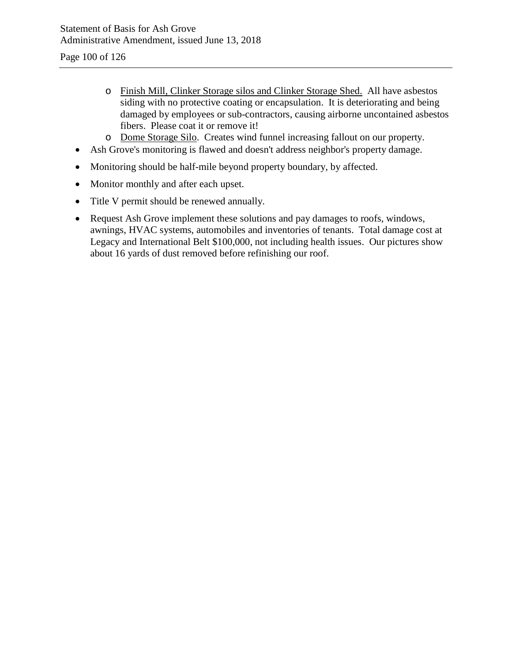Page 100 of 126

- o Finish Mill, Clinker Storage silos and Clinker Storage Shed. All have asbestos siding with no protective coating or encapsulation. It is deteriorating and being damaged by employees or sub-contractors, causing airborne uncontained asbestos fibers. Please coat it or remove it!
- o Dome Storage Silo. Creates wind funnel increasing fallout on our property.
- Ash Grove's monitoring is flawed and doesn't address neighbor's property damage.
- Monitoring should be half-mile beyond property boundary, by affected.
- Monitor monthly and after each upset.
- Title V permit should be renewed annually.
- Request Ash Grove implement these solutions and pay damages to roofs, windows, awnings, HVAC systems, automobiles and inventories of tenants. Total damage cost at Legacy and International Belt \$100,000, not including health issues. Our pictures show about 16 yards of dust removed before refinishing our roof.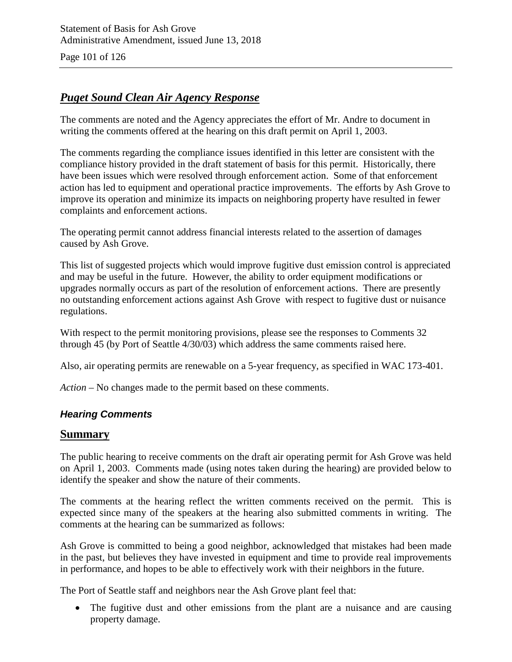Page 101 of 126

## *Puget Sound Clean Air Agency Response*

The comments are noted and the Agency appreciates the effort of Mr. Andre to document in writing the comments offered at the hearing on this draft permit on April 1, 2003.

The comments regarding the compliance issues identified in this letter are consistent with the compliance history provided in the draft statement of basis for this permit. Historically, there have been issues which were resolved through enforcement action. Some of that enforcement action has led to equipment and operational practice improvements. The efforts by Ash Grove to improve its operation and minimize its impacts on neighboring property have resulted in fewer complaints and enforcement actions.

The operating permit cannot address financial interests related to the assertion of damages caused by Ash Grove.

This list of suggested projects which would improve fugitive dust emission control is appreciated and may be useful in the future. However, the ability to order equipment modifications or upgrades normally occurs as part of the resolution of enforcement actions. There are presently no outstanding enforcement actions against Ash Grove with respect to fugitive dust or nuisance regulations.

With respect to the permit monitoring provisions, please see the responses to Comments 32 through 45 (by Port of Seattle 4/30/03) which address the same comments raised here.

Also, air operating permits are renewable on a 5-year frequency, as specified in WAC 173-401.

*Action –* No changes made to the permit based on these comments.

#### *Hearing Comments*

#### **Summary**

The public hearing to receive comments on the draft air operating permit for Ash Grove was held on April 1, 2003. Comments made (using notes taken during the hearing) are provided below to identify the speaker and show the nature of their comments.

The comments at the hearing reflect the written comments received on the permit. This is expected since many of the speakers at the hearing also submitted comments in writing. The comments at the hearing can be summarized as follows:

Ash Grove is committed to being a good neighbor, acknowledged that mistakes had been made in the past, but believes they have invested in equipment and time to provide real improvements in performance, and hopes to be able to effectively work with their neighbors in the future.

The Port of Seattle staff and neighbors near the Ash Grove plant feel that:

• The fugitive dust and other emissions from the plant are a nuisance and are causing property damage.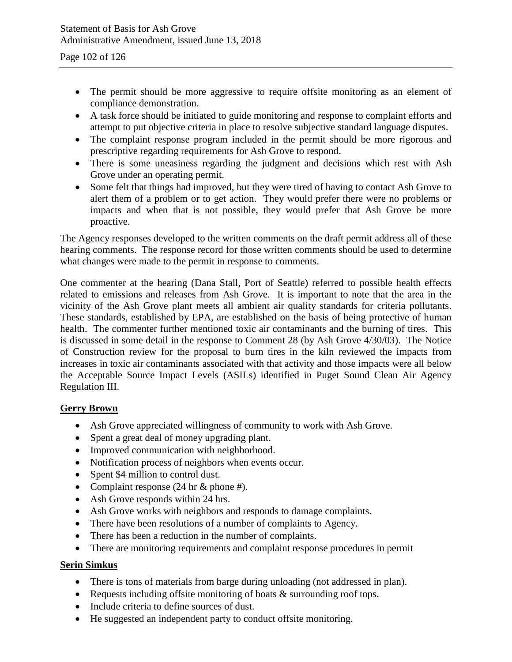- The permit should be more aggressive to require offsite monitoring as an element of compliance demonstration.
- A task force should be initiated to guide monitoring and response to complaint efforts and attempt to put objective criteria in place to resolve subjective standard language disputes.
- The complaint response program included in the permit should be more rigorous and prescriptive regarding requirements for Ash Grove to respond.
- There is some uneasiness regarding the judgment and decisions which rest with Ash Grove under an operating permit.
- Some felt that things had improved, but they were tired of having to contact Ash Grove to alert them of a problem or to get action. They would prefer there were no problems or impacts and when that is not possible, they would prefer that Ash Grove be more proactive.

The Agency responses developed to the written comments on the draft permit address all of these hearing comments. The response record for those written comments should be used to determine what changes were made to the permit in response to comments.

One commenter at the hearing (Dana Stall, Port of Seattle) referred to possible health effects related to emissions and releases from Ash Grove. It is important to note that the area in the vicinity of the Ash Grove plant meets all ambient air quality standards for criteria pollutants. These standards, established by EPA, are established on the basis of being protective of human health. The commenter further mentioned toxic air contaminants and the burning of tires. This is discussed in some detail in the response to Comment 28 (by Ash Grove 4/30/03). The Notice of Construction review for the proposal to burn tires in the kiln reviewed the impacts from increases in toxic air contaminants associated with that activity and those impacts were all below the Acceptable Source Impact Levels (ASILs) identified in Puget Sound Clean Air Agency Regulation III.

#### **Gerry Brown**

- Ash Grove appreciated willingness of community to work with Ash Grove.
- Spent a great deal of money upgrading plant.
- Improved communication with neighborhood.
- Notification process of neighbors when events occur.
- Spent \$4 million to control dust.
- Complaint response (24 hr & phone #).
- Ash Grove responds within 24 hrs.
- Ash Grove works with neighbors and responds to damage complaints.
- There have been resolutions of a number of complaints to Agency.
- There has been a reduction in the number of complaints.
- There are monitoring requirements and complaint response procedures in permit

#### **Serin Simkus**

- There is tons of materials from barge during unloading (not addressed in plan).
- Requests including offsite monitoring of boats & surrounding roof tops.
- Include criteria to define sources of dust.
- He suggested an independent party to conduct offsite monitoring.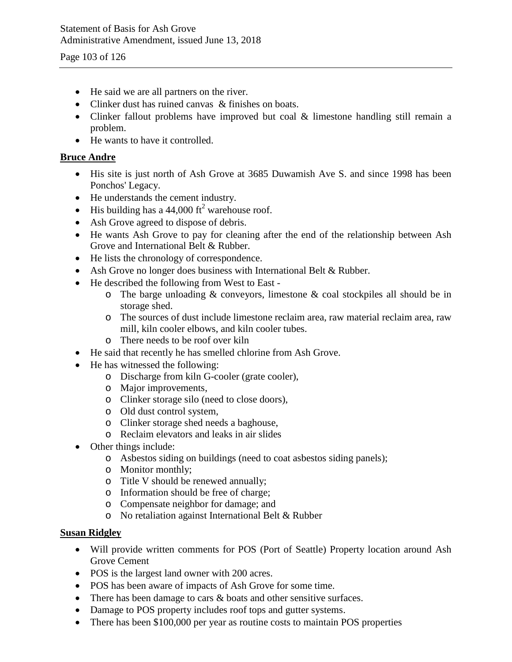Page 103 of 126

- He said we are all partners on the river.
- Clinker dust has ruined canvas & finishes on boats.
- Clinker fallout problems have improved but coal & limestone handling still remain a problem.
- He wants to have it controlled.

### **Bruce Andre**

- His site is just north of Ash Grove at 3685 Duwamish Ave S. and since 1998 has been Ponchos' Legacy.
- He understands the cement industry.
- His building has a 44,000 ft<sup>2</sup> warehouse roof.
- Ash Grove agreed to dispose of debris.
- He wants Ash Grove to pay for cleaning after the end of the relationship between Ash Grove and International Belt & Rubber.
- He lists the chronology of correspondence.
- Ash Grove no longer does business with International Belt & Rubber.
- He described the following from West to East
	- $\circ$  The barge unloading & conveyors, limestone & coal stockpiles all should be in storage shed.
	- o The sources of dust include limestone reclaim area, raw material reclaim area, raw mill, kiln cooler elbows, and kiln cooler tubes.
	- o There needs to be roof over kiln
- He said that recently he has smelled chlorine from Ash Grove.
- He has witnessed the following:
	- o Discharge from kiln G-cooler (grate cooler),
	- o Major improvements,
	- o Clinker storage silo (need to close doors),
	- o Old dust control system,
	- o Clinker storage shed needs a baghouse,
	- o Reclaim elevators and leaks in air slides
- Other things include:
	- o Asbestos siding on buildings (need to coat asbestos siding panels);
	- o Monitor monthly;
	- o Title V should be renewed annually;
	- o Information should be free of charge;
	- o Compensate neighbor for damage; and
	- o No retaliation against International Belt & Rubber

#### **Susan Ridgley**

- Will provide written comments for POS (Port of Seattle) Property location around Ash Grove Cement
- POS is the largest land owner with 200 acres.
- POS has been aware of impacts of Ash Grove for some time.
- There has been damage to cars & boats and other sensitive surfaces.
- Damage to POS property includes roof tops and gutter systems.
- There has been \$100,000 per year as routine costs to maintain POS properties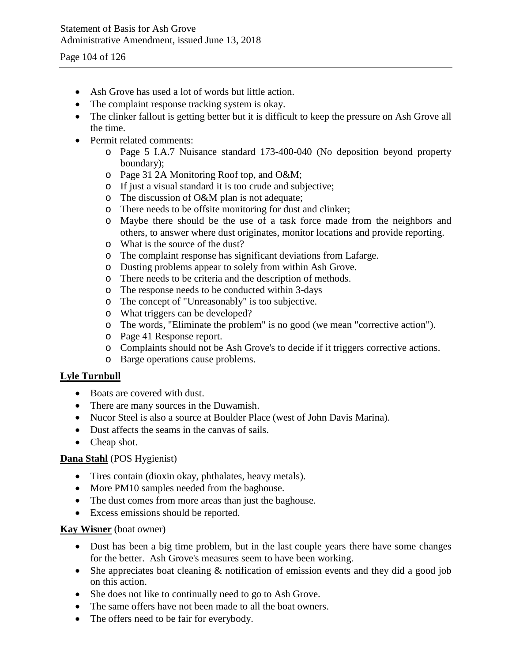Page 104 of 126

- Ash Grove has used a lot of words but little action.
- The complaint response tracking system is okay.
- The clinker fallout is getting better but it is difficult to keep the pressure on Ash Grove all the time.
- Permit related comments:
	- o Page 5 I.A.7 Nuisance standard 173-400-040 (No deposition beyond property boundary);
	- o Page 31 2A Monitoring Roof top, and O&M;
	- o If just a visual standard it is too crude and subjective;
	- o The discussion of O&M plan is not adequate;
	- o There needs to be offsite monitoring for dust and clinker;
	- o Maybe there should be the use of a task force made from the neighbors and others, to answer where dust originates, monitor locations and provide reporting.
	- o What is the source of the dust?
	- o The complaint response has significant deviations from Lafarge.
	- o Dusting problems appear to solely from within Ash Grove.
	- o There needs to be criteria and the description of methods.
	- o The response needs to be conducted within 3-days
	- o The concept of "Unreasonably" is too subjective.
	- o What triggers can be developed?
	- o The words, "Eliminate the problem" is no good (we mean "corrective action").
	- o Page 41 Response report.
	- o Complaints should not be Ash Grove's to decide if it triggers corrective actions.
	- o Barge operations cause problems.

### **Lyle Turnbull**

- Boats are covered with dust.
- There are many sources in the Duwamish.
- Nucor Steel is also a source at Boulder Place (west of John Davis Marina).
- Dust affects the seams in the canvas of sails.
- Cheap shot.

### **Dana Stahl** (POS Hygienist)

- Tires contain (dioxin okay, phthalates, heavy metals).
- More PM10 samples needed from the baghouse.
- The dust comes from more areas than just the baghouse.
- Excess emissions should be reported.

#### **Kay Wisner** (boat owner)

- Dust has been a big time problem, but in the last couple years there have some changes for the better. Ash Grove's measures seem to have been working.
- She appreciates boat cleaning & notification of emission events and they did a good job on this action.
- She does not like to continually need to go to Ash Grove.
- The same offers have not been made to all the boat owners.
- The offers need to be fair for everybody.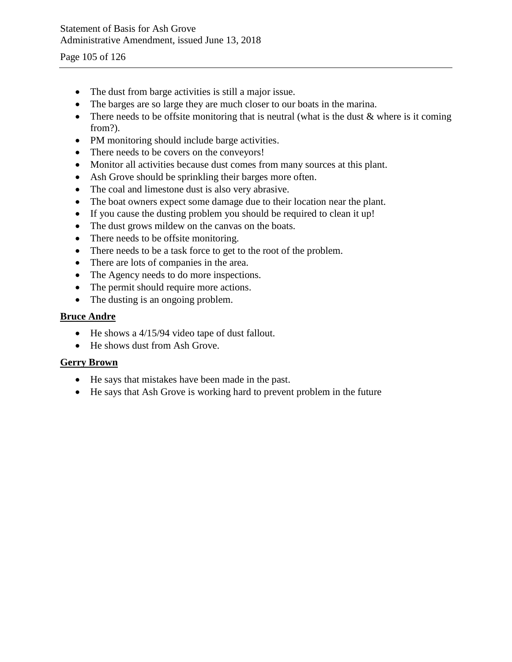Page 105 of 126

- The dust from barge activities is still a major issue.
- The barges are so large they are much closer to our boats in the marina.
- There needs to be offsite monitoring that is neutral (what is the dust  $\&$  where is it coming from?).
- PM monitoring should include barge activities.
- There needs to be covers on the conveyors!
- Monitor all activities because dust comes from many sources at this plant.
- Ash Grove should be sprinkling their barges more often.
- The coal and limestone dust is also very abrasive.
- The boat owners expect some damage due to their location near the plant.
- If you cause the dusting problem you should be required to clean it up!
- The dust grows mildew on the canvas on the boats.
- There needs to be offsite monitoring.
- There needs to be a task force to get to the root of the problem.
- There are lots of companies in the area.
- The Agency needs to do more inspections.
- The permit should require more actions.
- The dusting is an ongoing problem.

#### **Bruce Andre**

- He shows a 4/15/94 video tape of dust fallout.
- He shows dust from Ash Grove.

### **Gerry Brown**

- He says that mistakes have been made in the past.
- He says that Ash Grove is working hard to prevent problem in the future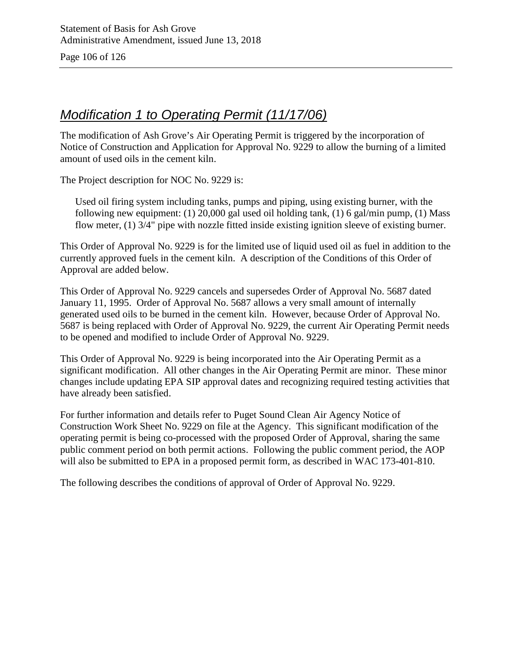Page 106 of 126

# *Modification 1 to Operating Permit (11/17/06)*

The modification of Ash Grove's Air Operating Permit is triggered by the incorporation of Notice of Construction and Application for Approval No. 9229 to allow the burning of a limited amount of used oils in the cement kiln.

The Project description for NOC No. 9229 is:

Used oil firing system including tanks, pumps and piping, using existing burner, with the following new equipment: (1) 20,000 gal used oil holding tank, (1) 6 gal/min pump, (1) Mass flow meter, (1) 3/4" pipe with nozzle fitted inside existing ignition sleeve of existing burner.

This Order of Approval No. 9229 is for the limited use of liquid used oil as fuel in addition to the currently approved fuels in the cement kiln. A description of the Conditions of this Order of Approval are added below.

This Order of Approval No. 9229 cancels and supersedes Order of Approval No. 5687 dated January 11, 1995. Order of Approval No. 5687 allows a very small amount of internally generated used oils to be burned in the cement kiln. However, because Order of Approval No. 5687 is being replaced with Order of Approval No. 9229, the current Air Operating Permit needs to be opened and modified to include Order of Approval No. 9229.

This Order of Approval No. 9229 is being incorporated into the Air Operating Permit as a significant modification. All other changes in the Air Operating Permit are minor. These minor changes include updating EPA SIP approval dates and recognizing required testing activities that have already been satisfied.

For further information and details refer to Puget Sound Clean Air Agency Notice of Construction Work Sheet No. 9229 on file at the Agency. This significant modification of the operating permit is being co-processed with the proposed Order of Approval, sharing the same public comment period on both permit actions. Following the public comment period, the AOP will also be submitted to EPA in a proposed permit form, as described in WAC 173-401-810.

The following describes the conditions of approval of Order of Approval No. 9229.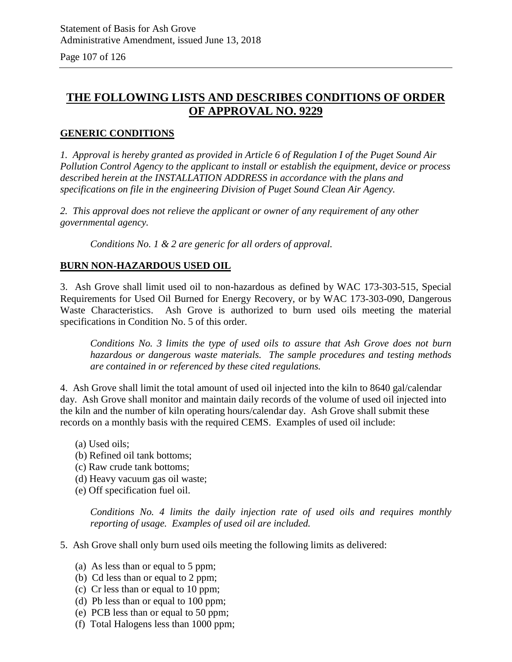Page 107 of 126

## **THE FOLLOWING LISTS AND DESCRIBES CONDITIONS OF ORDER OF APPROVAL NO. 9229**

### **GENERIC CONDITIONS**

*1. Approval is hereby granted as provided in Article 6 of Regulation I of the Puget Sound Air Pollution Control Agency to the applicant to install or establish the equipment, device or process described herein at the INSTALLATION ADDRESS in accordance with the plans and specifications on file in the engineering Division of Puget Sound Clean Air Agency.*

*2. This approval does not relieve the applicant or owner of any requirement of any other governmental agency.*

*Conditions No. 1 & 2 are generic for all orders of approval.*

#### **BURN NON-HAZARDOUS USED OIL**

3. Ash Grove shall limit used oil to non-hazardous as defined by WAC 173-303-515, Special Requirements for Used Oil Burned for Energy Recovery, or by WAC 173-303-090, Dangerous Waste Characteristics. Ash Grove is authorized to burn used oils meeting the material specifications in Condition No. 5 of this order.

*Conditions No. 3 limits the type of used oils to assure that Ash Grove does not burn hazardous or dangerous waste materials. The sample procedures and testing methods are contained in or referenced by these cited regulations.*

4. Ash Grove shall limit the total amount of used oil injected into the kiln to 8640 gal/calendar day. Ash Grove shall monitor and maintain daily records of the volume of used oil injected into the kiln and the number of kiln operating hours/calendar day. Ash Grove shall submit these records on a monthly basis with the required CEMS. Examples of used oil include:

- (a) Used oils;
- (b) Refined oil tank bottoms;
- (c) Raw crude tank bottoms;
- (d) Heavy vacuum gas oil waste;
- (e) Off specification fuel oil.

*Conditions No. 4 limits the daily injection rate of used oils and requires monthly reporting of usage. Examples of used oil are included.*

- 5. Ash Grove shall only burn used oils meeting the following limits as delivered:
	- (a) As less than or equal to 5 ppm;
	- (b) Cd less than or equal to 2 ppm;
	- (c) Cr less than or equal to 10 ppm;
	- (d) Pb less than or equal to 100 ppm;
	- (e) PCB less than or equal to 50 ppm;
	- (f) Total Halogens less than 1000 ppm;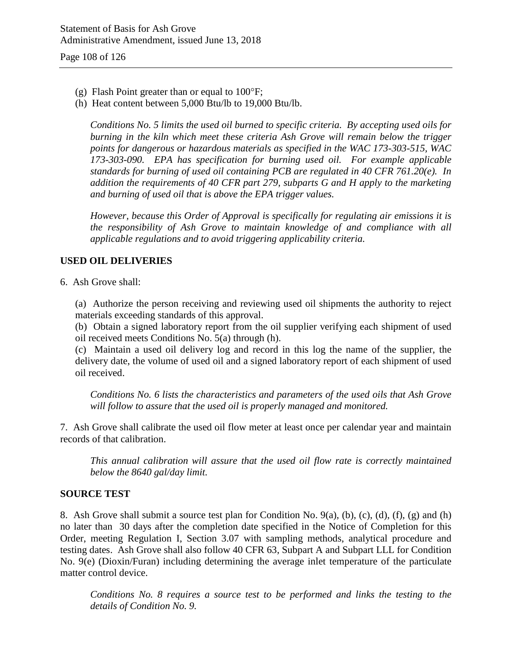- (g) Flash Point greater than or equal to 100°F;
- (h) Heat content between 5,000 Btu/lb to 19,000 Btu/lb.

*Conditions No. 5 limits the used oil burned to specific criteria. By accepting used oils for burning in the kiln which meet these criteria Ash Grove will remain below the trigger points for dangerous or hazardous materials as specified in the WAC 173-303-515, WAC 173-303-090. EPA has specification for burning used oil. For example applicable standards for burning of used oil containing PCB are regulated in 40 CFR 761.20(e). In addition the requirements of 40 CFR part 279, subparts G and H apply to the marketing and burning of used oil that is above the EPA trigger values.*

*However, because this Order of Approval is specifically for regulating air emissions it is the responsibility of Ash Grove to maintain knowledge of and compliance with all applicable regulations and to avoid triggering applicability criteria.*

#### **USED OIL DELIVERIES**

6. Ash Grove shall:

(a) Authorize the person receiving and reviewing used oil shipments the authority to reject materials exceeding standards of this approval.

(b) Obtain a signed laboratory report from the oil supplier verifying each shipment of used oil received meets Conditions No. 5(a) through (h).

(c) Maintain a used oil delivery log and record in this log the name of the supplier, the delivery date, the volume of used oil and a signed laboratory report of each shipment of used oil received.

*Conditions No. 6 lists the characteristics and parameters of the used oils that Ash Grove will follow to assure that the used oil is properly managed and monitored.*

7. Ash Grove shall calibrate the used oil flow meter at least once per calendar year and maintain records of that calibration.

*This annual calibration will assure that the used oil flow rate is correctly maintained below the 8640 gal/day limit.*

#### **SOURCE TEST**

8. Ash Grove shall submit a source test plan for Condition No. 9(a), (b), (c), (d), (f), (g) and (h) no later than 30 days after the completion date specified in the Notice of Completion for this Order, meeting Regulation I, Section 3.07 with sampling methods, analytical procedure and testing dates. Ash Grove shall also follow 40 CFR 63, Subpart A and Subpart LLL for Condition No. 9(e) (Dioxin/Furan) including determining the average inlet temperature of the particulate matter control device.

*Conditions No. 8 requires a source test to be performed and links the testing to the details of Condition No. 9.*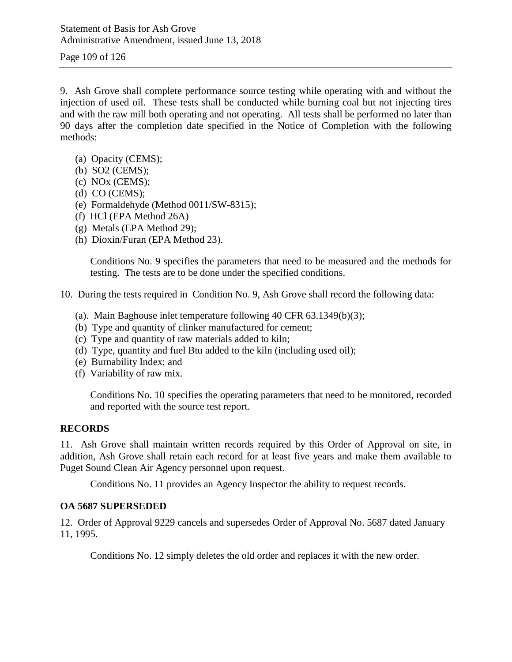Page 109 of 126

9. Ash Grove shall complete performance source testing while operating with and without the injection of used oil. These tests shall be conducted while burning coal but not injecting tires and with the raw mill both operating and not operating. All tests shall be performed no later than 90 days after the completion date specified in the Notice of Completion with the following methods:

- (a) Opacity (CEMS);
- (b) SO2 (CEMS);
- (c) NOx (CEMS);
- (d) CO (CEMS);
- (e) Formaldehyde (Method 0011/SW-8315);
- (f) HCl (EPA Method 26A)
- (g) Metals (EPA Method 29);
- (h) Dioxin/Furan (EPA Method 23).

Conditions No. 9 specifies the parameters that need to be measured and the methods for testing. The tests are to be done under the specified conditions.

10. During the tests required in Condition No. 9, Ash Grove shall record the following data:

- (a). Main Baghouse inlet temperature following 40 CFR 63.1349(b)(3);
- (b) Type and quantity of clinker manufactured for cement;
- (c) Type and quantity of raw materials added to kiln;
- (d) Type, quantity and fuel Btu added to the kiln (including used oil);
- (e) Burnability Index; and
- (f) Variability of raw mix.

Conditions No. 10 specifies the operating parameters that need to be monitored, recorded and reported with the source test report.

#### **RECORDS**

11. Ash Grove shall maintain written records required by this Order of Approval on site, in addition, Ash Grove shall retain each record for at least five years and make them available to Puget Sound Clean Air Agency personnel upon request.

Conditions No. 11 provides an Agency Inspector the ability to request records.

#### **OA 5687 SUPERSEDED**

12. Order of Approval 9229 cancels and supersedes Order of Approval No. 5687 dated January 11, 1995.

Conditions No. 12 simply deletes the old order and replaces it with the new order.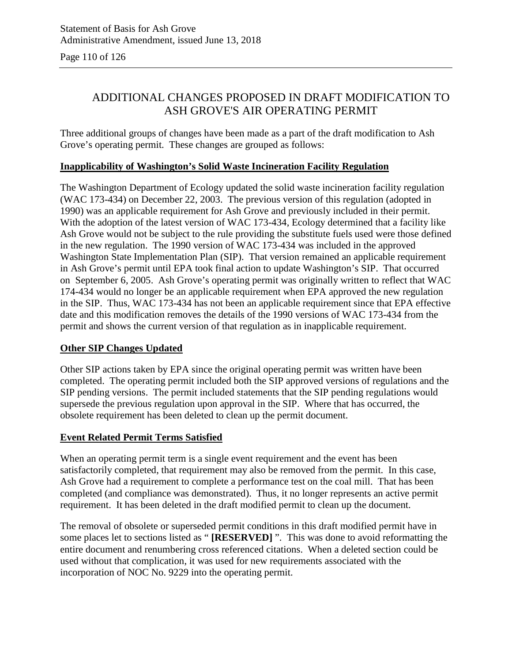Page 110 of 126

## ADDITIONAL CHANGES PROPOSED IN DRAFT MODIFICATION TO ASH GROVE'S AIR OPERATING PERMIT

Three additional groups of changes have been made as a part of the draft modification to Ash Grove's operating permit. These changes are grouped as follows:

## **Inapplicability of Washington's Solid Waste Incineration Facility Regulation**

The Washington Department of Ecology updated the solid waste incineration facility regulation (WAC 173-434) on December 22, 2003. The previous version of this regulation (adopted in 1990) was an applicable requirement for Ash Grove and previously included in their permit. With the adoption of the latest version of WAC 173-434, Ecology determined that a facility like Ash Grove would not be subject to the rule providing the substitute fuels used were those defined in the new regulation. The 1990 version of WAC 173-434 was included in the approved Washington State Implementation Plan (SIP). That version remained an applicable requirement in Ash Grove's permit until EPA took final action to update Washington's SIP. That occurred on September 6, 2005. Ash Grove's operating permit was originally written to reflect that WAC 174-434 would no longer be an applicable requirement when EPA approved the new regulation in the SIP. Thus, WAC 173-434 has not been an applicable requirement since that EPA effective date and this modification removes the details of the 1990 versions of WAC 173-434 from the permit and shows the current version of that regulation as in inapplicable requirement.

## **Other SIP Changes Updated**

Other SIP actions taken by EPA since the original operating permit was written have been completed. The operating permit included both the SIP approved versions of regulations and the SIP pending versions. The permit included statements that the SIP pending regulations would supersede the previous regulation upon approval in the SIP. Where that has occurred, the obsolete requirement has been deleted to clean up the permit document.

## **Event Related Permit Terms Satisfied**

When an operating permit term is a single event requirement and the event has been satisfactorily completed, that requirement may also be removed from the permit. In this case, Ash Grove had a requirement to complete a performance test on the coal mill. That has been completed (and compliance was demonstrated). Thus, it no longer represents an active permit requirement. It has been deleted in the draft modified permit to clean up the document.

The removal of obsolete or superseded permit conditions in this draft modified permit have in some places let to sections listed as " **[RESERVED]** ". This was done to avoid reformatting the entire document and renumbering cross referenced citations. When a deleted section could be used without that complication, it was used for new requirements associated with the incorporation of NOC No. 9229 into the operating permit.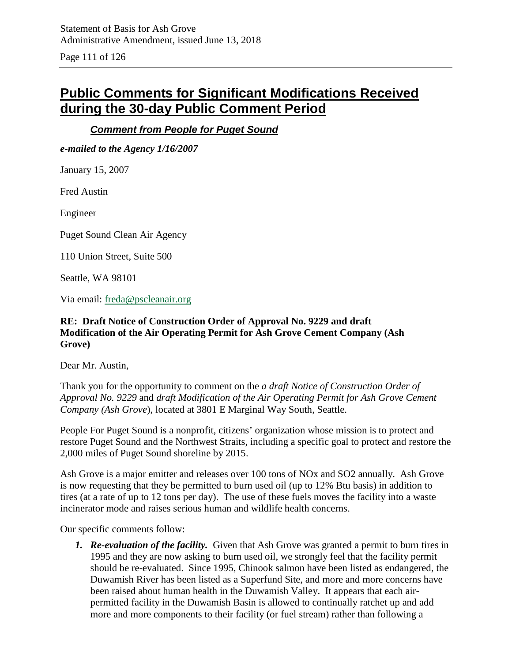Page 111 of 126

# **Public Comments for Significant Modifications Received during the 30-day Public Comment Period**

## *Comment from People for Puget Sound*

*e-mailed to the Agency 1/16/2007*

January 15, 2007

Fred Austin

Engineer

Puget Sound Clean Air Agency

110 Union Street, Suite 500

Seattle, WA 98101

Via email: [freda@pscleanair.org](mailto:freda@pscleanair.org)

### **RE: Draft Notice of Construction Order of Approval No. 9229 and draft Modification of the Air Operating Permit for Ash Grove Cement Company (Ash Grove)**

Dear Mr. Austin,

Thank you for the opportunity to comment on the *a draft Notice of Construction Order of Approval No. 9229* and *draft Modification of the Air Operating Permit for Ash Grove Cement Company (Ash Grove*), located at 3801 E Marginal Way South, Seattle.

People For Puget Sound is a nonprofit, citizens' organization whose mission is to protect and restore Puget Sound and the Northwest Straits, including a specific goal to protect and restore the 2,000 miles of Puget Sound shoreline by 2015.

Ash Grove is a major emitter and releases over 100 tons of NOx and SO2 annually. Ash Grove is now requesting that they be permitted to burn used oil (up to 12% Btu basis) in addition to tires (at a rate of up to 12 tons per day). The use of these fuels moves the facility into a waste incinerator mode and raises serious human and wildlife health concerns.

Our specific comments follow:

*1. Re-evaluation of the facility.* Given that Ash Grove was granted a permit to burn tires in 1995 and they are now asking to burn used oil, we strongly feel that the facility permit should be re-evaluated. Since 1995, Chinook salmon have been listed as endangered, the Duwamish River has been listed as a Superfund Site, and more and more concerns have been raised about human health in the Duwamish Valley. It appears that each airpermitted facility in the Duwamish Basin is allowed to continually ratchet up and add more and more components to their facility (or fuel stream) rather than following a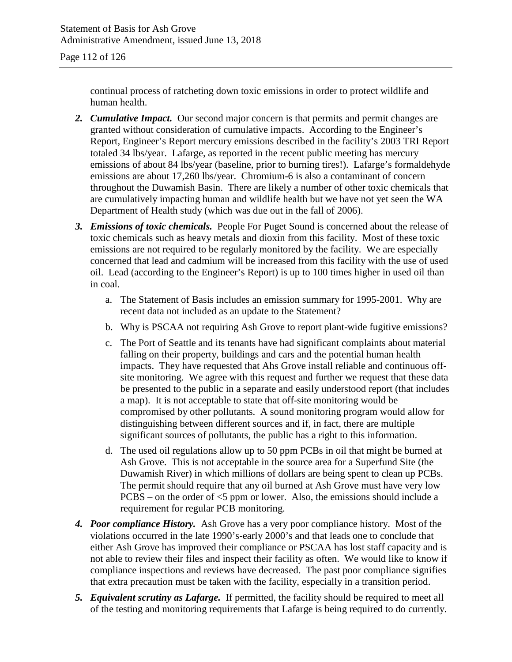continual process of ratcheting down toxic emissions in order to protect wildlife and human health.

- *2. Cumulative Impact.* Our second major concern is that permits and permit changes are granted without consideration of cumulative impacts. According to the Engineer's Report, Engineer's Report mercury emissions described in the facility's 2003 TRI Report totaled 34 lbs/year. Lafarge, as reported in the recent public meeting has mercury emissions of about 84 lbs/year (baseline, prior to burning tires!). Lafarge's formaldehyde emissions are about 17,260 lbs/year. Chromium-6 is also a contaminant of concern throughout the Duwamish Basin. There are likely a number of other toxic chemicals that are cumulatively impacting human and wildlife health but we have not yet seen the WA Department of Health study (which was due out in the fall of 2006).
- *3. Emissions of toxic chemicals.* People For Puget Sound is concerned about the release of toxic chemicals such as heavy metals and dioxin from this facility. Most of these toxic emissions are not required to be regularly monitored by the facility. We are especially concerned that lead and cadmium will be increased from this facility with the use of used oil. Lead (according to the Engineer's Report) is up to 100 times higher in used oil than in coal.
	- a. The Statement of Basis includes an emission summary for 1995-2001. Why are recent data not included as an update to the Statement?
	- b. Why is PSCAA not requiring Ash Grove to report plant-wide fugitive emissions?
	- c. The Port of Seattle and its tenants have had significant complaints about material falling on their property, buildings and cars and the potential human health impacts. They have requested that Ahs Grove install reliable and continuous offsite monitoring. We agree with this request and further we request that these data be presented to the public in a separate and easily understood report (that includes a map). It is not acceptable to state that off-site monitoring would be compromised by other pollutants. A sound monitoring program would allow for distinguishing between different sources and if, in fact, there are multiple significant sources of pollutants, the public has a right to this information.
	- d. The used oil regulations allow up to 50 ppm PCBs in oil that might be burned at Ash Grove. This is not acceptable in the source area for a Superfund Site (the Duwamish River) in which millions of dollars are being spent to clean up PCBs. The permit should require that any oil burned at Ash Grove must have very low  $PCBS - on$  the order of  $\leq 5$  ppm or lower. Also, the emissions should include a requirement for regular PCB monitoring.
- *4. Poor compliance History.* Ash Grove has a very poor compliance history. Most of the violations occurred in the late 1990's-early 2000's and that leads one to conclude that either Ash Grove has improved their compliance or PSCAA has lost staff capacity and is not able to review their files and inspect their facility as often. We would like to know if compliance inspections and reviews have decreased. The past poor compliance signifies that extra precaution must be taken with the facility, especially in a transition period.
- *5. Equivalent scrutiny as Lafarge.* If permitted, the facility should be required to meet all of the testing and monitoring requirements that Lafarge is being required to do currently.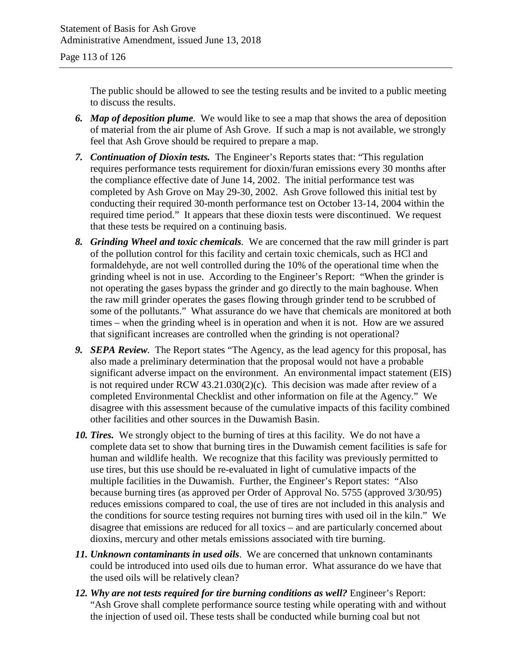The public should be allowed to see the testing results and be invited to a public meeting to discuss the results.

- *6. Map of deposition plume.* We would like to see a map that shows the area of deposition of material from the air plume of Ash Grove. If such a map is not available, we strongly feel that Ash Grove should be required to prepare a map.
- *7. Continuation of Dioxin tests.* The Engineer's Reports states that: "This regulation requires performance tests requirement for dioxin/furan emissions every 30 months after the compliance effective date of June 14, 2002. The initial performance test was completed by Ash Grove on May 29-30, 2002. Ash Grove followed this initial test by conducting their required 30-month performance test on October 13-14, 2004 within the required time period." It appears that these dioxin tests were discontinued. We request that these tests be required on a continuing basis.
- *8. Grinding Wheel and toxic chemicals.* We are concerned that the raw mill grinder is part of the pollution control for this facility and certain toxic chemicals, such as HCl and formaldehyde, are not well controlled during the 10% of the operational time when the grinding wheel is not in use. According to the Engineer's Report: "When the grinder is not operating the gases bypass the grinder and go directly to the main baghouse. When the raw mill grinder operates the gases flowing through grinder tend to be scrubbed of some of the pollutants." What assurance do we have that chemicals are monitored at both times – when the grinding wheel is in operation and when it is not. How are we assured that significant increases are controlled when the grinding is not operational?
- *9. SEPA Review.* The Report states "The Agency, as the lead agency for this proposal, has also made a preliminary determination that the proposal would not have a probable significant adverse impact on the environment. An environmental impact statement (EIS) is not required under RCW 43.21.030(2)(c). This decision was made after review of a completed Environmental Checklist and other information on file at the Agency." We disagree with this assessment because of the cumulative impacts of this facility combined other facilities and other sources in the Duwamish Basin.
- *10. Tires.* We strongly object to the burning of tires at this facility. We do not have a complete data set to show that burning tires in the Duwamish cement facilities is safe for human and wildlife health. We recognize that this facility was previously permitted to use tires, but this use should be re-evaluated in light of cumulative impacts of the multiple facilities in the Duwamish. Further, the Engineer's Report states: "Also because burning tires (as approved per Order of Approval No. 5755 (approved 3/30/95) reduces emissions compared to coal, the use of tires are not included in this analysis and the conditions for source testing requires not burning tires with used oil in the kiln." We disagree that emissions are reduced for all toxics – and are particularly concerned about dioxins, mercury and other metals emissions associated with tire burning.
- *11. Unknown contaminants in used oils*. We are concerned that unknown contaminants could be introduced into used oils due to human error. What assurance do we have that the used oils will be relatively clean?
- *12. Why are not tests required for tire burning conditions as well?* Engineer's Report: "Ash Grove shall complete performance source testing while operating with and without the injection of used oil. These tests shall be conducted while burning coal but not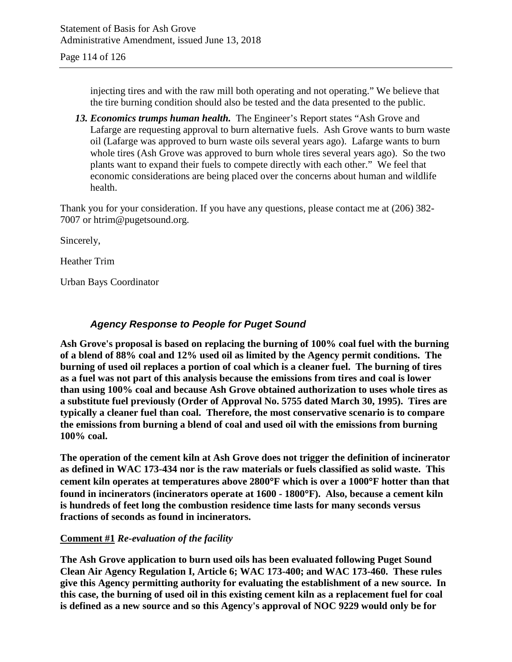injecting tires and with the raw mill both operating and not operating." We believe that the tire burning condition should also be tested and the data presented to the public.

*13. Economics trumps human health.* The Engineer's Report states "Ash Grove and Lafarge are requesting approval to burn alternative fuels. Ash Grove wants to burn waste oil (Lafarge was approved to burn waste oils several years ago). Lafarge wants to burn whole tires (Ash Grove was approved to burn whole tires several years ago). So the two plants want to expand their fuels to compete directly with each other." We feel that economic considerations are being placed over the concerns about human and wildlife health.

Thank you for your consideration. If you have any questions, please contact me at (206) 382- 7007 or htrim@pugetsound.org.

Sincerely,

Heather Trim

Urban Bays Coordinator

## *Agency Response to People for Puget Sound*

**Ash Grove's proposal is based on replacing the burning of 100% coal fuel with the burning of a blend of 88% coal and 12% used oil as limited by the Agency permit conditions. The burning of used oil replaces a portion of coal which is a cleaner fuel. The burning of tires as a fuel was not part of this analysis because the emissions from tires and coal is lower than using 100% coal and because Ash Grove obtained authorization to uses whole tires as a substitute fuel previously (Order of Approval No. 5755 dated March 30, 1995). Tires are typically a cleaner fuel than coal. Therefore, the most conservative scenario is to compare the emissions from burning a blend of coal and used oil with the emissions from burning 100% coal.**

**The operation of the cement kiln at Ash Grove does not trigger the definition of incinerator as defined in WAC 173-434 nor is the raw materials or fuels classified as solid waste. This cement kiln operates at temperatures above 2800**°**F which is over a 1000**°**F hotter than that found in incinerators (incinerators operate at 1600 - 1800**°**F). Also, because a cement kiln is hundreds of feet long the combustion residence time lasts for many seconds versus fractions of seconds as found in incinerators.**

## **Comment #1** *Re-evaluation of the facility*

**The Ash Grove application to burn used oils has been evaluated following Puget Sound Clean Air Agency Regulation I, Article 6; WAC 173-400; and WAC 173-460. These rules give this Agency permitting authority for evaluating the establishment of a new source. In this case, the burning of used oil in this existing cement kiln as a replacement fuel for coal is defined as a new source and so this Agency's approval of NOC 9229 would only be for**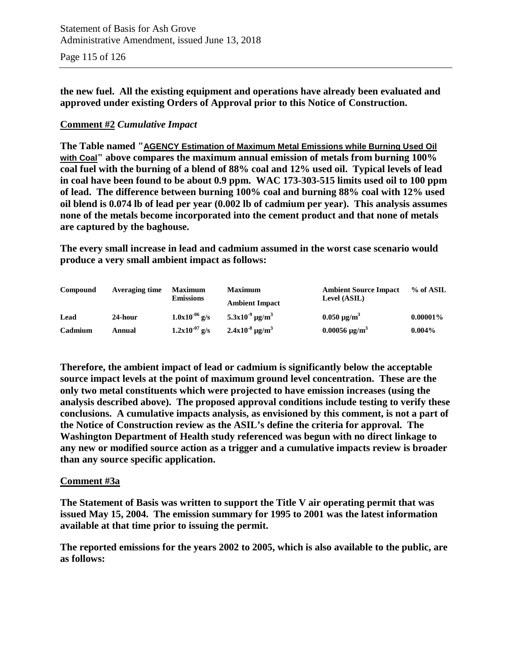**the new fuel. All the existing equipment and operations have already been evaluated and approved under existing Orders of Approval prior to this Notice of Construction.**

## **Comment #2** *Cumulative Impact*

**The Table named "AGENCY Estimation of Maximum Metal Emissions while Burning Used Oil with Coal" above compares the maximum annual emission of metals from burning 100% coal fuel with the burning of a blend of 88% coal and 12% used oil. Typical levels of lead in coal have been found to be about 0.9 ppm. WAC 173-303-515 limits used oil to 100 ppm of lead. The difference between burning 100% coal and burning 88% coal with 12% used oil blend is 0.074 lb of lead per year (0.002 lb of cadmium per year). This analysis assumes none of the metals become incorporated into the cement product and that none of metals are captured by the baghouse.**

**The every small increase in lead and cadmium assumed in the worst case scenario would produce a very small ambient impact as follows:**

| Compound | Averaging time | <b>Maximum</b><br><b>Emissions</b> | <b>Maximum</b><br><b>Ambient Impact</b> | <b>Ambient Source Impact</b><br>Level (ASIL) | % of ASIL   |
|----------|----------------|------------------------------------|-----------------------------------------|----------------------------------------------|-------------|
| Lead     | 24-hour        | $1.0x10^{-06}$ g/s                 | $5.3x10^{-9}$ µg/m <sup>3</sup>         | $0.050 \,\mathrm{\mu g/m}^3$                 | $0.00001\%$ |
| Cadmium  | Annual         | $1.2x10^{-07}$ g/s                 | $2.4x10^{-8}$ µg/m <sup>3</sup>         | $0.00056 \,\mathrm{\mu g/m^3}$               | $0.004\%$   |

**Therefore, the ambient impact of lead or cadmium is significantly below the acceptable source impact levels at the point of maximum ground level concentration. These are the only two metal constituents which were projected to have emission increases (using the analysis described above). The proposed approval conditions include testing to verify these conclusions. A cumulative impacts analysis, as envisioned by this comment, is not a part of the Notice of Construction review as the ASIL's define the criteria for approval. The Washington Department of Health study referenced was begun with no direct linkage to any new or modified source action as a trigger and a cumulative impacts review is broader than any source specific application.**

#### **Comment #3a**

**The Statement of Basis was written to support the Title V air operating permit that was issued May 15, 2004. The emission summary for 1995 to 2001 was the latest information available at that time prior to issuing the permit.**

**The reported emissions for the years 2002 to 2005, which is also available to the public, are as follows:**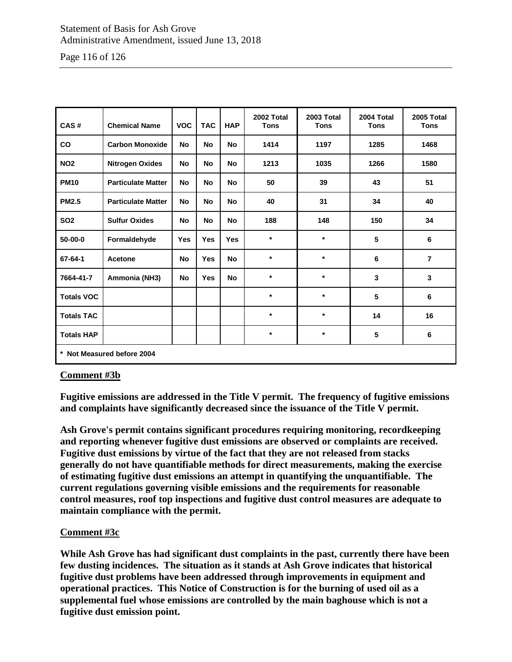## Statement of Basis for Ash Grove Administrative Amendment, issued June 13, 2018

Page 116 of 126

| CAS#                       | <b>Chemical Name</b>      | <b>VOC</b> | <b>TAC</b> | <b>HAP</b> | 2002 Total<br><b>Tons</b> | 2003 Total<br><b>Tons</b> | 2004 Total<br><b>Tons</b> | 2005 Total<br><b>Tons</b> |  |
|----------------------------|---------------------------|------------|------------|------------|---------------------------|---------------------------|---------------------------|---------------------------|--|
| <b>CO</b>                  | <b>Carbon Monoxide</b>    | No         | <b>No</b>  | No         | 1414                      | 1197                      | 1285                      | 1468                      |  |
| <b>NO2</b>                 | <b>Nitrogen Oxides</b>    | <b>No</b>  | <b>No</b>  | <b>No</b>  | 1213                      | 1035                      | 1266                      | 1580                      |  |
| <b>PM10</b>                | <b>Particulate Matter</b> | <b>No</b>  | <b>No</b>  | <b>No</b>  | 50                        | 39                        | 43                        | 51                        |  |
| <b>PM2.5</b>               | <b>Particulate Matter</b> | <b>No</b>  | <b>No</b>  | <b>No</b>  | 40                        | 31                        | 34                        | 40                        |  |
| <b>SO2</b>                 | <b>Sulfur Oxides</b>      | <b>No</b>  | <b>No</b>  | <b>No</b>  | 188                       | 148                       | 150                       | 34                        |  |
| $50 - 00 - 0$              | Formaldehyde              | <b>Yes</b> | <b>Yes</b> | <b>Yes</b> | $\star$                   | $\star$                   | 5                         | 6                         |  |
| 67-64-1                    | Acetone                   | No         | <b>Yes</b> | <b>No</b>  | $\star$                   | $\star$                   | 6                         | $\overline{7}$            |  |
| 7664-41-7                  | Ammonia (NH3)             | <b>No</b>  | <b>Yes</b> | <b>No</b>  | $\star$                   | $\star$                   | 3                         | 3                         |  |
| <b>Totals VOC</b>          |                           |            |            |            | $\star$                   | $\star$                   | 5                         | 6                         |  |
| <b>Totals TAC</b>          |                           |            |            |            | $\star$                   | $\star$                   | 14                        | 16                        |  |
| <b>Totals HAP</b>          |                           |            |            |            | $\star$                   | $\star$                   | 5                         | 6                         |  |
| * Not Measured before 2004 |                           |            |            |            |                           |                           |                           |                           |  |

## **Comment #3b**

**Fugitive emissions are addressed in the Title V permit. The frequency of fugitive emissions and complaints have significantly decreased since the issuance of the Title V permit.**

**Ash Grove's permit contains significant procedures requiring monitoring, recordkeeping and reporting whenever fugitive dust emissions are observed or complaints are received. Fugitive dust emissions by virtue of the fact that they are not released from stacks generally do not have quantifiable methods for direct measurements, making the exercise of estimating fugitive dust emissions an attempt in quantifying the unquantifiable. The current regulations governing visible emissions and the requirements for reasonable control measures, roof top inspections and fugitive dust control measures are adequate to maintain compliance with the permit.**

#### **Comment #3c**

**While Ash Grove has had significant dust complaints in the past, currently there have been few dusting incidences. The situation as it stands at Ash Grove indicates that historical fugitive dust problems have been addressed through improvements in equipment and operational practices. This Notice of Construction is for the burning of used oil as a supplemental fuel whose emissions are controlled by the main baghouse which is not a fugitive dust emission point.**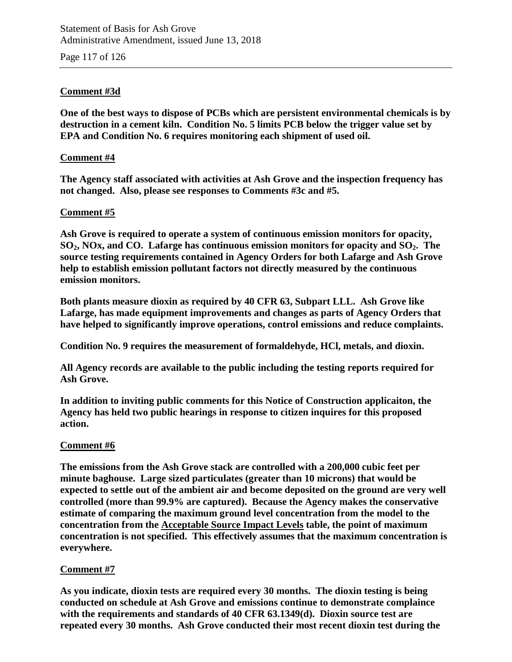Page 117 of 126

## **Comment #3d**

**One of the best ways to dispose of PCBs which are persistent environmental chemicals is by destruction in a cement kiln. Condition No. 5 limits PCB below the trigger value set by EPA and Condition No. 6 requires monitoring each shipment of used oil.**

#### **Comment #4**

**The Agency staff associated with activities at Ash Grove and the inspection frequency has not changed. Also, please see responses to Comments #3c and #5.**

### **Comment #5**

**Ash Grove is required to operate a system of continuous emission monitors for opacity, SO2, NOx, and CO. Lafarge has continuous emission monitors for opacity and SO2. The source testing requirements contained in Agency Orders for both Lafarge and Ash Grove help to establish emission pollutant factors not directly measured by the continuous emission monitors.**

**Both plants measure dioxin as required by 40 CFR 63, Subpart LLL. Ash Grove like Lafarge, has made equipment improvements and changes as parts of Agency Orders that have helped to significantly improve operations, control emissions and reduce complaints.**

**Condition No. 9 requires the measurement of formaldehyde, HCl, metals, and dioxin.**

**All Agency records are available to the public including the testing reports required for Ash Grove.**

**In addition to inviting public comments for this Notice of Construction applicaiton, the Agency has held two public hearings in response to citizen inquires for this proposed action.**

#### **Comment #6**

**The emissions from the Ash Grove stack are controlled with a 200,000 cubic feet per minute baghouse. Large sized particulates (greater than 10 microns) that would be expected to settle out of the ambient air and become deposited on the ground are very well controlled (more than 99.9% are captured). Because the Agency makes the conservative estimate of comparing the maximum ground level concentration from the model to the concentration from the Acceptable Source Impact Levels table, the point of maximum concentration is not specified. This effectively assumes that the maximum concentration is everywhere.**

## **Comment #7**

**As you indicate, dioxin tests are required every 30 months. The dioxin testing is being conducted on schedule at Ash Grove and emissions continue to demonstrate complaince with the requirements and standards of 40 CFR 63.1349(d). Dioxin source test are repeated every 30 months. Ash Grove conducted their most recent dioxin test during the**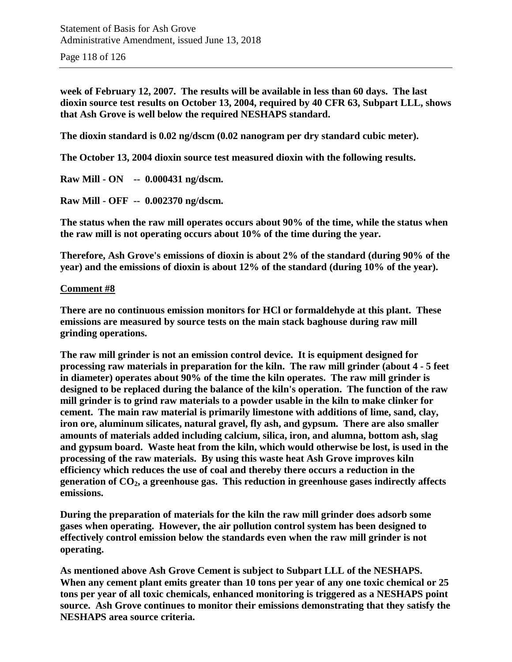Page 118 of 126

**week of February 12, 2007. The results will be available in less than 60 days. The last dioxin source test results on October 13, 2004, required by 40 CFR 63, Subpart LLL, shows that Ash Grove is well below the required NESHAPS standard.**

**The dioxin standard is 0.02 ng/dscm (0.02 nanogram per dry standard cubic meter).**

**The October 13, 2004 dioxin source test measured dioxin with the following results.**

**Raw Mill - ON -- 0.000431 ng/dscm.**

**Raw Mill - OFF -- 0.002370 ng/dscm.**

**The status when the raw mill operates occurs about 90% of the time, while the status when the raw mill is not operating occurs about 10% of the time during the year.**

**Therefore, Ash Grove's emissions of dioxin is about 2% of the standard (during 90% of the year) and the emissions of dioxin is about 12% of the standard (during 10% of the year).**

#### **Comment #8**

**There are no continuous emission monitors for HCl or formaldehyde at this plant. These emissions are measured by source tests on the main stack baghouse during raw mill grinding operations.**

**The raw mill grinder is not an emission control device. It is equipment designed for processing raw materials in preparation for the kiln. The raw mill grinder (about 4 - 5 feet in diameter) operates about 90% of the time the kiln operates. The raw mill grinder is designed to be replaced during the balance of the kiln's operation. The function of the raw mill grinder is to grind raw materials to a powder usable in the kiln to make clinker for cement. The main raw material is primarily limestone with additions of lime, sand, clay, iron ore, aluminum silicates, natural gravel, fly ash, and gypsum. There are also smaller amounts of materials added including calcium, silica, iron, and alumna, bottom ash, slag and gypsum board. Waste heat from the kiln, which would otherwise be lost, is used in the processing of the raw materials. By using this waste heat Ash Grove improves kiln efficiency which reduces the use of coal and thereby there occurs a reduction in the generation of CO2, a greenhouse gas. This reduction in greenhouse gases indirectly affects emissions.**

**During the preparation of materials for the kiln the raw mill grinder does adsorb some gases when operating. However, the air pollution control system has been designed to effectively control emission below the standards even when the raw mill grinder is not operating.**

**As mentioned above Ash Grove Cement is subject to Subpart LLL of the NESHAPS. When any cement plant emits greater than 10 tons per year of any one toxic chemical or 25 tons per year of all toxic chemicals, enhanced monitoring is triggered as a NESHAPS point source. Ash Grove continues to monitor their emissions demonstrating that they satisfy the NESHAPS area source criteria.**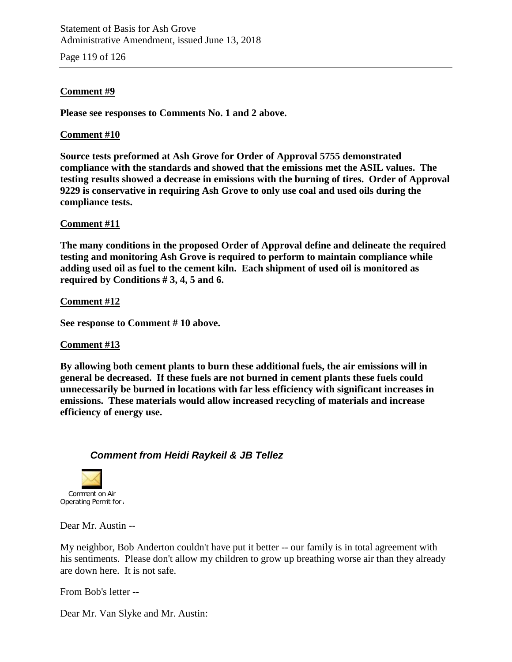Statement of Basis for Ash Grove Administrative Amendment, issued June 13, 2018

Page 119 of 126

#### **Comment #9**

**Please see responses to Comments No. 1 and 2 above.**

#### **Comment #10**

**Source tests preformed at Ash Grove for Order of Approval 5755 demonstrated compliance with the standards and showed that the emissions met the ASIL values. The testing results showed a decrease in emissions with the burning of tires. Order of Approval 9229 is conservative in requiring Ash Grove to only use coal and used oils during the compliance tests.**

#### **Comment #11**

**The many conditions in the proposed Order of Approval define and delineate the required testing and monitoring Ash Grove is required to perform to maintain compliance while adding used oil as fuel to the cement kiln. Each shipment of used oil is monitored as required by Conditions # 3, 4, 5 and 6.**

**Comment #12**

**See response to Comment # 10 above.**

#### **Comment #13**

**By allowing both cement plants to burn these additional fuels, the air emissions will in general be decreased. If these fuels are not burned in cement plants these fuels could unnecessarily be burned in locations with far less efficiency with significant increases in emissions. These materials would allow increased recycling of materials and increase efficiency of energy use.**

#### *Comment from Heidi Raykeil & JB Tellez*



Dear Mr. Austin --

My neighbor, Bob Anderton couldn't have put it better -- our family is in total agreement with his sentiments. Please don't allow my children to grow up breathing worse air than they already are down here. It is not safe.

From Bob's letter --

Dear Mr. Van Slyke and Mr. Austin: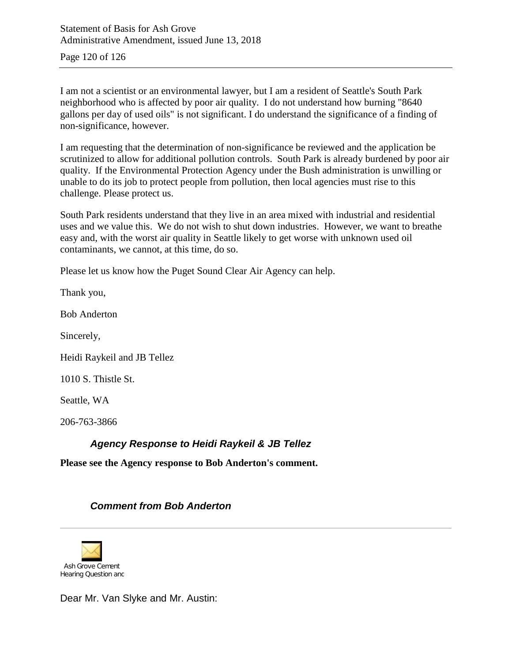Page 120 of 126

I am not a scientist or an environmental lawyer, but I am a resident of Seattle's South Park neighborhood who is affected by poor air quality. I do not understand how burning "8640 gallons per day of used oils" is not significant. I do understand the significance of a finding of non-significance, however.

I am requesting that the determination of non-significance be reviewed and the application be scrutinized to allow for additional pollution controls. South Park is already burdened by poor air quality. If the Environmental Protection Agency under the Bush administration is unwilling or unable to do its job to protect people from pollution, then local agencies must rise to this challenge. Please protect us.

South Park residents understand that they live in an area mixed with industrial and residential uses and we value this. We do not wish to shut down industries. However, we want to breathe easy and, with the worst air quality in Seattle likely to get worse with unknown used oil contaminants, we cannot, at this time, do so.

Please let us know how the Puget Sound Clear Air Agency can help.

Thank you,

Bob Anderton

Sincerely,

Heidi Raykeil and JB Tellez

1010 S. Thistle St.

Seattle, WA

206-763-3866

## *Agency Response to Heidi Raykeil & JB Tellez*

**Please see the Agency response to Bob Anderton's comment.**

## *Comment from Bob Anderton*



Dear Mr. Van Slyke and Mr. Austin: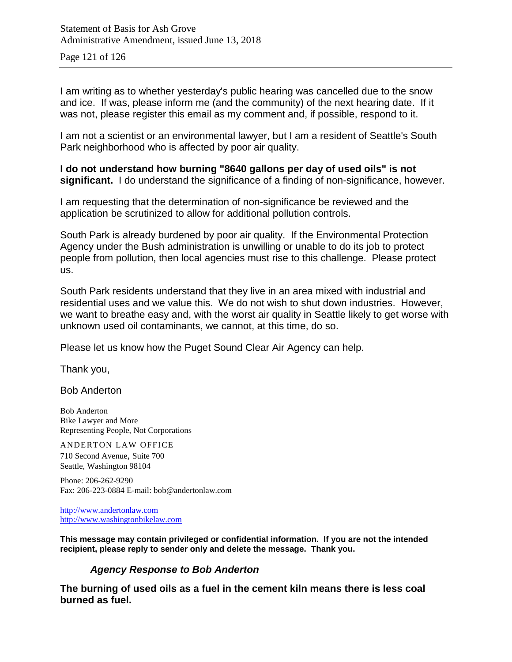Page 121 of 126

I am writing as to whether yesterday's public hearing was cancelled due to the snow and ice. If was, please inform me (and the community) of the next hearing date. If it was not, please register this email as my comment and, if possible, respond to it.

I am not a scientist or an environmental lawyer, but I am a resident of Seattle's South Park neighborhood who is affected by poor air quality.

**I do not understand how burning "8640 gallons per day of used oils" is not significant.** I do understand the significance of a finding of non-significance, however.

I am requesting that the determination of non-significance be reviewed and the application be scrutinized to allow for additional pollution controls.

South Park is already burdened by poor air quality. If the Environmental Protection Agency under the Bush administration is unwilling or unable to do its job to protect people from pollution, then local agencies must rise to this challenge. Please protect us.

South Park residents understand that they live in an area mixed with industrial and residential uses and we value this. We do not wish to shut down industries. However, we want to breathe easy and, with the worst air quality in Seattle likely to get worse with unknown used oil contaminants, we cannot, at this time, do so.

Please let us know how the Puget Sound Clear Air Agency can help.

Thank you,

Bob Anderton

Bob Anderton Bike Lawyer and More Representing People, Not Corporations

ANDERTON LAW OFFICE

710 Second Avenue, Suite 700 Seattle, Washington 98104

Phone: 206-262-9290 Fax: 206-223-0884 E-mail: bob@andertonlaw.com

[http://www.andertonlaw.com](http://www.andertonlaw.com/) [http://www.washingtonbikelaw.com](http://www.washingtonbikelaw.com/)

**This message may contain privileged or confidential information. If you are not the intended recipient, please reply to sender only and delete the message. Thank you.**

## *Agency Response to Bob Anderton*

**The burning of used oils as a fuel in the cement kiln means there is less coal burned as fuel.**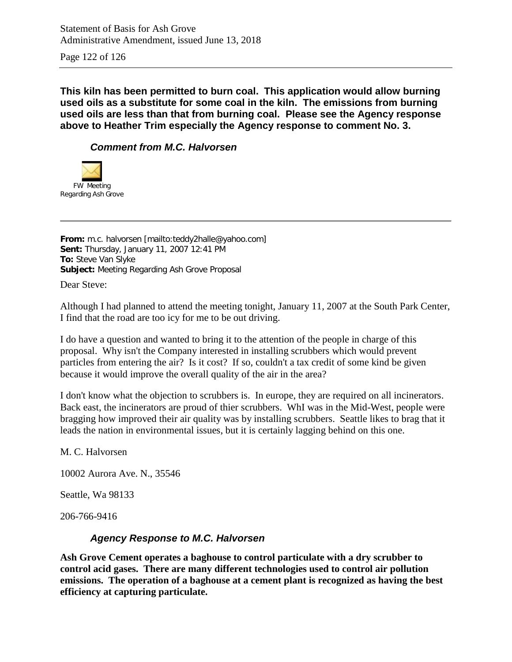Statement of Basis for Ash Grove Administrative Amendment, issued June 13, 2018

Page 122 of 126

**This kiln has been permitted to burn coal. This application would allow burning used oils as a substitute for some coal in the kiln. The emissions from burning used oils are less than that from burning coal. Please see the Agency response above to Heather Trim especially the Agency response to comment No. 3.**

## *Comment from M.C. Halvorsen*



**From:** m.c. halvorsen [mailto:teddy2halle@yahoo.com] **Sent:** Thursday, January 11, 2007 12:41 PM **To:** Steve Van Slyke **Subject:** Meeting Regarding Ash Grove Proposal

Dear Steve:

Although I had planned to attend the meeting tonight, January 11, 2007 at the South Park Center, I find that the road are too icy for me to be out driving.

I do have a question and wanted to bring it to the attention of the people in charge of this proposal. Why isn't the Company interested in installing scrubbers which would prevent particles from entering the air? Is it cost? If so, couldn't a tax credit of some kind be given because it would improve the overall quality of the air in the area?

I don't know what the objection to scrubbers is. In europe, they are required on all incinerators. Back east, the incinerators are proud of thier scrubbers. WhI was in the Mid-West, people were bragging how improved their air quality was by installing scrubbers. Seattle likes to brag that it leads the nation in environmental issues, but it is certainly lagging behind on this one.

M. C. Halvorsen

10002 Aurora Ave. N., 35546

Seattle, Wa 98133

206-766-9416

#### *Agency Response to M.C. Halvorsen*

**Ash Grove Cement operates a baghouse to control particulate with a dry scrubber to control acid gases. There are many different technologies used to control air pollution emissions. The operation of a baghouse at a cement plant is recognized as having the best efficiency at capturing particulate.**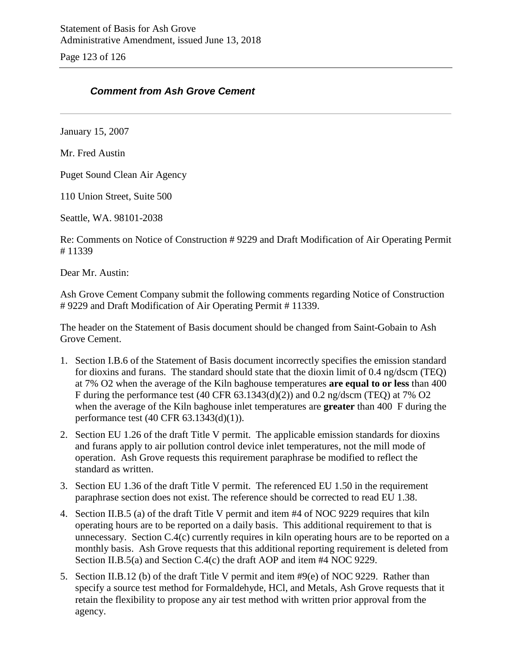Page 123 of 126

## *Comment from Ash Grove Cement*

January 15, 2007

Mr. Fred Austin

Puget Sound Clean Air Agency

110 Union Street, Suite 500

Seattle, WA. 98101-2038

Re: Comments on Notice of Construction # 9229 and Draft Modification of Air Operating Permit # 11339

Dear Mr. Austin:

Ash Grove Cement Company submit the following comments regarding Notice of Construction # 9229 and Draft Modification of Air Operating Permit # 11339.

The header on the Statement of Basis document should be changed from Saint-Gobain to Ash Grove Cement.

- 1. Section I.B.6 of the Statement of Basis document incorrectly specifies the emission standard for dioxins and furans. The standard should state that the dioxin limit of 0.4 ng/dscm (TEQ) at 7% O2 when the average of the Kiln baghouse temperatures **are equal to or less** than 400 F during the performance test (40 CFR 63.1343(d)(2)) and 0.2 ng/dscm (TEQ) at 7% O2 when the average of the Kiln baghouse inlet temperatures are **greater** than 400 F during the performance test (40 CFR 63.1343(d)(1)).
- 2. Section EU 1.26 of the draft Title V permit. The applicable emission standards for dioxins and furans apply to air pollution control device inlet temperatures, not the mill mode of operation. Ash Grove requests this requirement paraphrase be modified to reflect the standard as written.
- 3. Section EU 1.36 of the draft Title V permit. The referenced EU 1.50 in the requirement paraphrase section does not exist. The reference should be corrected to read EU 1.38.
- 4. Section II.B.5 (a) of the draft Title V permit and item #4 of NOC 9229 requires that kiln operating hours are to be reported on a daily basis. This additional requirement to that is unnecessary. Section C.4(c) currently requires in kiln operating hours are to be reported on a monthly basis. Ash Grove requests that this additional reporting requirement is deleted from Section II.B.5(a) and Section C.4(c) the draft AOP and item #4 NOC 9229.
- 5. Section II.B.12 (b) of the draft Title V permit and item #9(e) of NOC 9229. Rather than specify a source test method for Formaldehyde, HCl, and Metals, Ash Grove requests that it retain the flexibility to propose any air test method with written prior approval from the agency.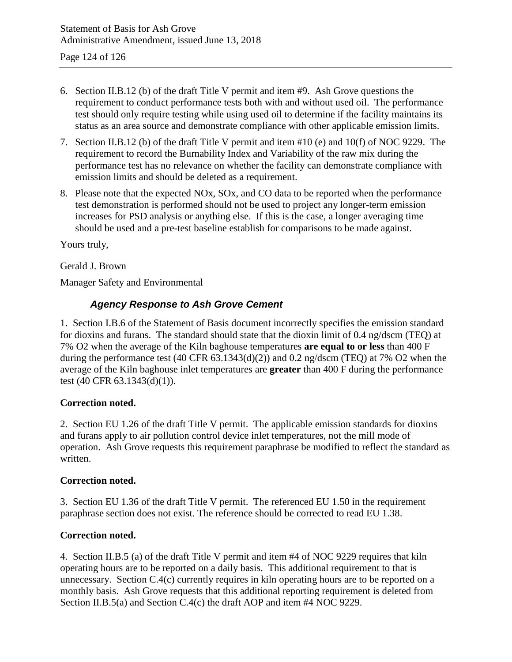- 6. Section II.B.12 (b) of the draft Title V permit and item #9. Ash Grove questions the requirement to conduct performance tests both with and without used oil. The performance test should only require testing while using used oil to determine if the facility maintains its status as an area source and demonstrate compliance with other applicable emission limits.
- 7. Section II.B.12 (b) of the draft Title V permit and item #10 (e) and 10(f) of NOC 9229. The requirement to record the Burnability Index and Variability of the raw mix during the performance test has no relevance on whether the facility can demonstrate compliance with emission limits and should be deleted as a requirement.
- 8. Please note that the expected NOx, SOx, and CO data to be reported when the performance test demonstration is performed should not be used to project any longer-term emission increases for PSD analysis or anything else. If this is the case, a longer averaging time should be used and a pre-test baseline establish for comparisons to be made against.

Yours truly,

Gerald J. Brown

Manager Safety and Environmental

## *Agency Response to Ash Grove Cement*

1. Section I.B.6 of the Statement of Basis document incorrectly specifies the emission standard for dioxins and furans. The standard should state that the dioxin limit of 0.4 ng/dscm (TEQ) at 7% O2 when the average of the Kiln baghouse temperatures **are equal to or less** than 400 F during the performance test (40 CFR 63.1343(d)(2)) and 0.2 ng/dscm (TEQ) at 7% O2 when the average of the Kiln baghouse inlet temperatures are **greater** than 400 F during the performance test (40 CFR 63.1343(d)(1)).

#### **Correction noted.**

2. Section EU 1.26 of the draft Title V permit. The applicable emission standards for dioxins and furans apply to air pollution control device inlet temperatures, not the mill mode of operation. Ash Grove requests this requirement paraphrase be modified to reflect the standard as written.

#### **Correction noted.**

3. Section EU 1.36 of the draft Title V permit. The referenced EU 1.50 in the requirement paraphrase section does not exist. The reference should be corrected to read EU 1.38.

## **Correction noted.**

4. Section II.B.5 (a) of the draft Title V permit and item #4 of NOC 9229 requires that kiln operating hours are to be reported on a daily basis. This additional requirement to that is unnecessary. Section C.4(c) currently requires in kiln operating hours are to be reported on a monthly basis. Ash Grove requests that this additional reporting requirement is deleted from Section II.B.5(a) and Section C.4(c) the draft AOP and item #4 NOC 9229.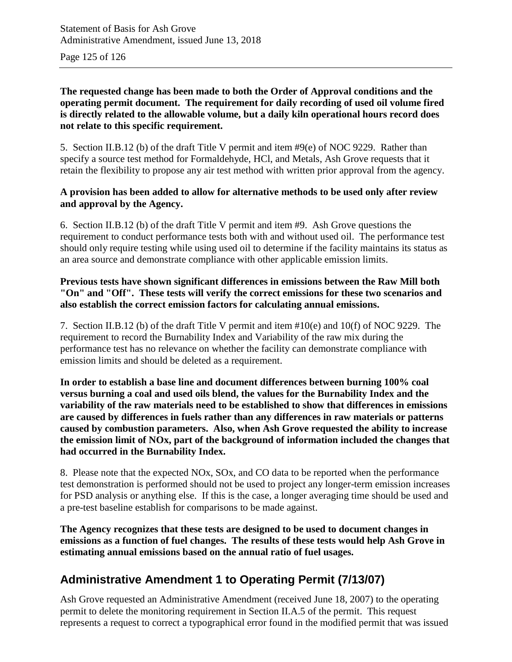Page 125 of 126

### **The requested change has been made to both the Order of Approval conditions and the operating permit document. The requirement for daily recording of used oil volume fired is directly related to the allowable volume, but a daily kiln operational hours record does not relate to this specific requirement.**

5. Section II.B.12 (b) of the draft Title V permit and item #9(e) of NOC 9229. Rather than specify a source test method for Formaldehyde, HCl, and Metals, Ash Grove requests that it retain the flexibility to propose any air test method with written prior approval from the agency.

## **A provision has been added to allow for alternative methods to be used only after review and approval by the Agency.**

6. Section II.B.12 (b) of the draft Title V permit and item #9. Ash Grove questions the requirement to conduct performance tests both with and without used oil. The performance test should only require testing while using used oil to determine if the facility maintains its status as an area source and demonstrate compliance with other applicable emission limits.

## **Previous tests have shown significant differences in emissions between the Raw Mill both "On" and "Off". These tests will verify the correct emissions for these two scenarios and also establish the correct emission factors for calculating annual emissions.**

7. Section II.B.12 (b) of the draft Title V permit and item #10(e) and 10(f) of NOC 9229. The requirement to record the Burnability Index and Variability of the raw mix during the performance test has no relevance on whether the facility can demonstrate compliance with emission limits and should be deleted as a requirement.

**In order to establish a base line and document differences between burning 100% coal versus burning a coal and used oils blend, the values for the Burnability Index and the variability of the raw materials need to be established to show that differences in emissions are caused by differences in fuels rather than any differences in raw materials or patterns caused by combustion parameters. Also, when Ash Grove requested the ability to increase the emission limit of NOx, part of the background of information included the changes that had occurred in the Burnability Index.**

8. Please note that the expected NOx, SOx, and CO data to be reported when the performance test demonstration is performed should not be used to project any longer-term emission increases for PSD analysis or anything else. If this is the case, a longer averaging time should be used and a pre-test baseline establish for comparisons to be made against.

**The Agency recognizes that these tests are designed to be used to document changes in emissions as a function of fuel changes. The results of these tests would help Ash Grove in estimating annual emissions based on the annual ratio of fuel usages.**

## **Administrative Amendment 1 to Operating Permit (7/13/07)**

Ash Grove requested an Administrative Amendment (received June 18, 2007) to the operating permit to delete the monitoring requirement in Section II.A.5 of the permit. This request represents a request to correct a typographical error found in the modified permit that was issued